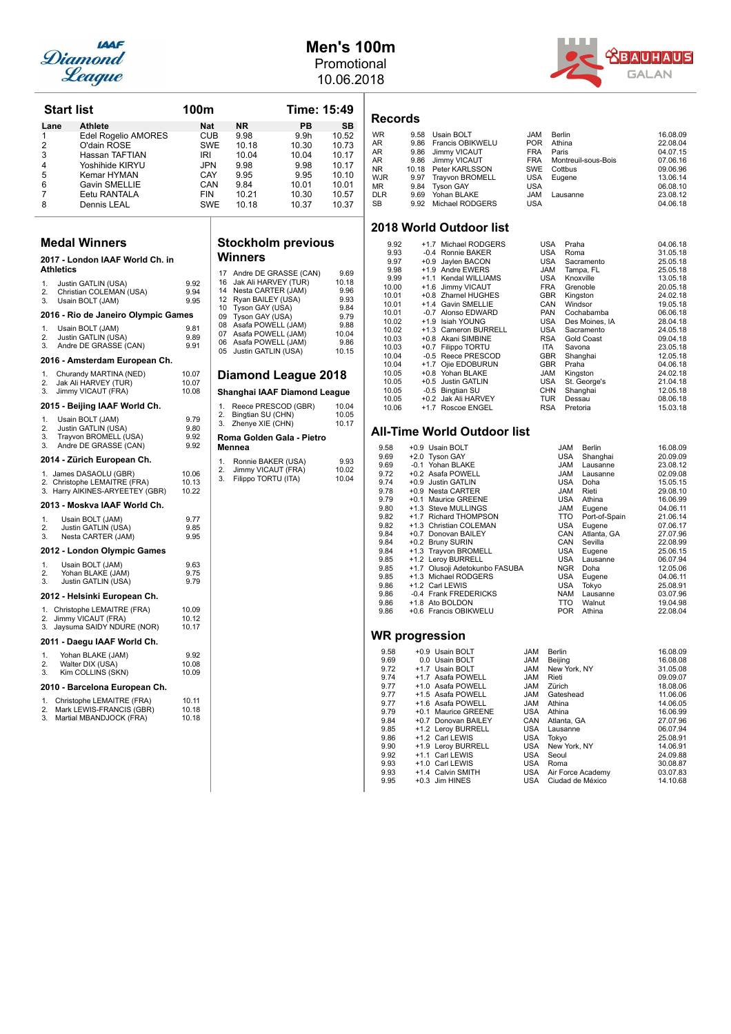

### **Men's 100m** Promotional

10.06.2018



| <b>Start list</b> |                                                                 | 100m           |                                                 | <b>Time: 15:49</b>  |                | <b>Records</b>  |                        |
|-------------------|-----------------------------------------------------------------|----------------|-------------------------------------------------|---------------------|----------------|-----------------|------------------------|
| Lane              | Athlete                                                         | Nat            | NR.                                             | PB                  | SB             |                 |                        |
| 1                 | Edel Rogelio AMORES                                             | CUB            | 9.98                                            | 9.9 <sub>h</sub>    | 10.52          | <b>WR</b>       | 9.58                   |
| 2                 | O'dain ROSE                                                     | <b>SWE</b>     | 10.18                                           | 10.30               | 10.73          | AR              | 9.86                   |
| 3                 | Hassan TAFTIAN                                                  | IRI            | 10.04                                           | 10.04               | 10.17          | AR              | 9.86                   |
|                   |                                                                 |                |                                                 |                     |                | AR              | 9.86                   |
| 4                 | Yoshihide KIRYU                                                 | <b>JPN</b>     | 9.98                                            | 9.98                | 10.17          | ΝR              | 10.18                  |
| 5                 | Kemar HYMAN                                                     | CAY            | 9.95                                            | 9.95                | 10.10          | <b>WJR</b>      | 9.97                   |
| 6                 | <b>Gavin SMELLIE</b>                                            | CAN            | 9.84                                            | 10.01               | 10.01          | MR.             | 9.84                   |
| 7                 | Eetu RANTALA                                                    | FIN            | 10.21                                           | 10.30               | 10.57          | DLR             | 9.69                   |
| 8                 | Dennis LEAL                                                     | <b>SWE</b>     | 10.18                                           | 10.37               | 10.37          | SB              | 9.92                   |
|                   |                                                                 |                |                                                 |                     |                | 2018 Wor        |                        |
|                   | <b>Medal Winners</b>                                            |                | <b>Stockholm previous</b>                       |                     |                | 9.92<br>9.93    | $\ddot{}$              |
| <b>Athletics</b>  | 2017 - London IAAF World Ch. in                                 |                | Winners                                         |                     |                | 9.97            | $\ddot{}$<br>$\ddot{}$ |
|                   |                                                                 |                | 17 Andre DE GRASSE (CAN)                        |                     | 9.69           | 9.98<br>9.99    | $\ddot{\phantom{1}}$   |
| 1.                | Justin GATLIN (USA)                                             | 9.92           | 16<br>Jak Ali HARVEY (TUR)                      |                     | 10.18          | 10.00           | $\ddot{\phantom{1}}$   |
| 2.                | Christian COLEMAN (USA)                                         | 9.94           | 14<br>Nesta CARTER (JAM)                        |                     | 9.96           | 10.01           | $\ddot{}$              |
| 3.                | Usain BOLT (JAM)                                                | 9.95           | 12 Ryan BAILEY (USA)                            |                     | 9.93           | 10.01           | $\ddot{\phantom{1}}$   |
|                   |                                                                 |                | 10 Tyson GAY (USA)                              |                     | 9.84           | 10.01           |                        |
|                   | 2016 - Rio de Janeiro Olympic Games                             |                | 09 Tyson GAY (USA)                              |                     | 9.79           | 10.02           | $\ddot{}$              |
| 1.                | Usain BOLT (JAM)                                                | 9.81           | 08 Asafa POWELL (JAM)                           |                     | 9.88           | 10.02           | $\ddot{\phantom{1}}$   |
| 2.                | Justin GATLIN (USA)                                             | 9.89           | 07 Asafa POWELL (JAM)                           |                     | 10.04          | 10.03           | $\ddot{\phantom{1}}$   |
| 3.                | Andre DE GRASSE (CAN)                                           | 9.91           | 06 Asafa POWELL (JAM)<br>05 Justin GATLIN (USA) |                     | 9.86<br>10.15  | 10.03           | $\overline{1}$         |
|                   |                                                                 |                |                                                 |                     |                | 10.04           |                        |
|                   | 2016 - Amsterdam European Ch.                                   |                |                                                 |                     |                | 10.04           | $\ddot{}$              |
| 1.                | Churandy MARTINA (NED)                                          | 10.07          | <b>Diamond League 2018</b>                      |                     |                | 10.05           | $\ddot{}$              |
| 2.                | Jak Ali HARVEY (TUR)                                            | 10.07          |                                                 |                     |                | 10.05           | $\overline{1}$         |
| 3.                | Jimmy VICAUT (FRA)                                              | 10.08          | Shanghai IAAF Diamond League                    |                     |                | 10.05<br>10.05  | $\ddot{}$              |
|                   | 2015 - Beijing IAAF World Ch.                                   |                | 1.<br>Bingtian SU (CHN)<br>2.                   | Reece PRESCOD (GBR) | 10.04<br>10.05 | 10.06           | $\ddot{\phantom{1}}$   |
| 1.                | Usain BOLT (JAM)                                                | 9.79<br>9.80   | 3.<br>Zhenye XIE (CHN)                          |                     | 10.17          |                 |                        |
| 2.<br>3.          | Justin GATLIN (USA)<br>Trayvon BROMELL (USA)                    | 9.92           |                                                 |                     |                | All-Time \      |                        |
| 3.                | Andre DE GRASSE (CAN)                                           | 9.92           | Roma Golden Gala - Pietro                       |                     |                |                 |                        |
|                   |                                                                 |                | Mennea                                          |                     |                | 9.58            | $+0.9$                 |
|                   | 2014 - Zürich European Ch.                                      |                | 1.<br>Ronnie BAKER (USA)                        |                     | 9.93           | 9.69            | $+2.0$                 |
|                   | 1. James DASAOLU (GBR)                                          | 10.06          | 2.<br>Jimmy VICAUT (FRA)                        |                     | 10.02          | 9.69<br>9.72    | $-0.1$<br>$+0.2$       |
|                   |                                                                 |                | 3.<br>Filippo TORTU (ITA)                       |                     | 10.04          |                 | $+0.9$                 |
|                   | 2. Christophe LEMAITRE (FRA)<br>3. Harry AIKINES-ARYEETEY (GBR) | 10.13<br>10.22 |                                                 |                     |                | 9.74<br>9.78    | $+0.9$                 |
|                   |                                                                 |                |                                                 |                     |                | 9.79            | $+0.1$                 |
|                   | 2013 - Moskva IAAF World Ch.                                    |                |                                                 |                     |                | 9.80            | $+1.3$                 |
| 1.                | Usain BOLT (JAM)                                                | 9.77           |                                                 |                     |                | 9.82            | $+1.7$                 |
| 2.                | Justin GATLIN (USA)                                             | 9.85           |                                                 |                     |                | 9.82            | $+1.3$                 |
| 3.                | Nesta CARTER (JAM)                                              | 9.95           |                                                 |                     |                | 9.84            | $+0.7$                 |
|                   |                                                                 |                |                                                 |                     |                | 9.84            | $+0.2$                 |
|                   | 2012 - London Olympic Games                                     |                |                                                 |                     |                | 9.84            | $+1.3$                 |
| 1.                | Usain BOLT (JAM)                                                | 9.63           |                                                 |                     |                | 9.85            | $+1.2$                 |
| 2.                | Yohan BLAKE (JAM)                                               | 9.75           |                                                 |                     |                | 9.85            | $+1.7$                 |
| 3.                | Justin GATLIN (USA)                                             | 9.79           |                                                 |                     |                | 9.85            | $+1.3$                 |
|                   |                                                                 |                |                                                 |                     |                | 9.86            | $+1.2$                 |
|                   | 2012 - Helsinki European Ch.                                    |                |                                                 |                     |                | 9.86            | $-0.4$                 |
|                   | 1. Christophe LEMAITRE (FRA)                                    | 10.09          |                                                 |                     |                | 9.86            | $+1.8$                 |
| 2.                | Jimmy VICAUT (FRA)                                              | 10.12          |                                                 |                     |                | 9.86            | $+0.6$                 |
| 3.                | Jaysuma SAIDY NDURE (NOR)                                       | 10.17          |                                                 |                     |                |                 |                        |
|                   | 2011 - Daegu IAAF World Ch.                                     |                |                                                 |                     |                | <b>WR</b> progr |                        |
|                   |                                                                 |                |                                                 |                     |                | 9.58            | +0.                    |
| 1.                | Yohan BLAKE (JAM)                                               | 9.92           |                                                 |                     |                | 9.69            | 0.                     |
| 2.                | Walter DIX (USA)                                                | 10.08          |                                                 |                     |                | 9.72            | $+1.$                  |
| 3.                | Kim COLLINS (SKN)                                               | 10.09          |                                                 |                     |                | 9.74            | $+1.$                  |
|                   | 2010 - Barcelona European Ch.                                   |                |                                                 |                     |                | 9.77            | $+1.$                  |
|                   |                                                                 |                |                                                 |                     |                | 9.77            | $+1.$                  |
|                   | Christophe LEMAITRE (FRA)                                       | 10.11          |                                                 |                     |                | 9.77            | $+1.$                  |
|                   |                                                                 |                |                                                 |                     |                | 9.79            | $+0.$                  |
|                   | Mark LEWIS-FRANCIS (GBR)                                        | 10.18          |                                                 |                     |                |                 |                        |
|                   | Martial MBANDJOCK (FRA)                                         | 10.18          |                                                 |                     |                | 9.84            | $+0.$                  |
|                   |                                                                 |                |                                                 |                     |                | 9.85            | $+1.$                  |
|                   |                                                                 |                |                                                 |                     |                | 9.86            | $+1.$                  |
|                   |                                                                 |                |                                                 |                     |                | 9.90            | $+1.$                  |
|                   |                                                                 |                |                                                 |                     |                | 9.92            | $+1.$                  |
|                   |                                                                 |                |                                                 |                     |                | 9.93            | $+1.$                  |
| 1.<br>2.<br>3.    |                                                                 |                |                                                 |                     |                | 9.93<br>9.95    | $+1.$<br>$+0.$         |

| Records |  |
|---------|--|
|---------|--|

| <b>WR</b>  | 9.58 Usain BOLT       | <b>JAM</b> | Berlin                  | 16.08.09 |
|------------|-----------------------|------------|-------------------------|----------|
| AR         | 9.86 Francis OBIKWELU | <b>POR</b> | Athina                  | 22.08.04 |
| AR         | 9.86 Jimmy VICAUT     | <b>FRA</b> | Paris                   | 04.07.15 |
| AR         | 9.86 Jimmy VICAUT     |            | FRA Montreuil-sous-Bois | 07.06.16 |
| NR.        | 10.18 Peter KARLSSON  | SWE        | Cottbus                 | 09.06.96 |
| WJR        | 9.97 Trayvon BROMELL  | USA        | Eugene                  | 13.06.14 |
| МR         | 9.84 Tyson GAY        | <b>USA</b> |                         | 06.08.10 |
| <b>DLR</b> | 9.69 Yohan BLAKE      | <b>JAM</b> | Lausanne                | 23.08.12 |
| SB         | 9.92 Michael RODGERS  | <b>USA</b> |                         | 04.06.18 |
|            |                       |            |                         |          |

### **2018 World Outdoor list**

| 9.92  |        | +1.7 Michael RODGERS | USA        | Praha          | 04.06.18 |
|-------|--------|----------------------|------------|----------------|----------|
| 9.93  |        | -0.4 Ronnie BAKER    | USA        | Roma           | 31.05.18 |
| 9.97  | +0.9   | Jaylen BACON         | <b>USA</b> | Sacramento     | 25.05.18 |
| 9.98  |        | +1.9 Andre EWERS     | <b>JAM</b> | Tampa, FL      | 25.05.18 |
| 9.99  |        | +1.1 Kendal WILLIAMS | USA        | Knoxville      | 13.05.18 |
| 10.00 | $+1.6$ | Jimmy VICAUT         | <b>FRA</b> | Grenoble       | 20.05.18 |
| 10.01 |        | +0.8 Zharnel HUGHES  | <b>GBR</b> | Kingston       | 24.02.18 |
| 10.01 |        | +1.4 Gavin SMELLIE   | CAN        | Windsor        | 19.05.18 |
| 10.01 | $-0.7$ | Alonso EDWARD        | <b>PAN</b> | Cochabamba     | 06.06.18 |
| 10.02 | $+1.9$ | Isiah YOUNG          | <b>USA</b> | Des Moines, IA | 28.04.18 |
| 10.02 |        | +1.3 Cameron BURRELL | <b>USA</b> | Sacramento     | 24.05.18 |
| 10.03 |        | +0.8 Akani SIMBINE   | <b>RSA</b> | Gold Coast     | 09.04.18 |
| 10.03 |        | +0.7 Filippo TORTU   | <b>ITA</b> | Savona         | 23.05.18 |
| 10.04 |        | -0.5 Reece PRESCOD   | <b>GBR</b> | Shanghai       | 12.05.18 |
| 10.04 |        | +1.7 Ojie EDOBURUN   | <b>GBR</b> | Praha          | 04.06.18 |
| 10.05 |        | +0.8 Yohan BLAKE     | <b>JAM</b> | Kingston       | 24.02.18 |
| 10.05 | $+0.5$ | Justin GATLIN        | <b>USA</b> | St. George's   | 21.04.18 |
| 10.05 |        | -0.5 Bingtian SU     | <b>CHN</b> | Shanghai       | 12.05.18 |
| 10.05 |        | +0.2 Jak Ali HARVEY  | <b>TUR</b> | Dessau         | 08.06.18 |
| 10.06 |        | +1.7 Roscoe ENGEL    | <b>RSA</b> | Pretoria       | 15.03.18 |

### **World Outdoor list**

| 9.58 |        | +0.9 Usain BOLT                | <b>JAM</b> | Berlin        | 16.08.09 |
|------|--------|--------------------------------|------------|---------------|----------|
| 9.69 |        | +2.0 Tyson GAY                 | <b>USA</b> | Shanghai      | 20.09.09 |
| 9.69 |        | -0.1 Yohan BLAKE               | <b>JAM</b> | Lausanne      | 23.08.12 |
| 9.72 |        | +0.2 Asafa POWELL              | <b>JAM</b> | Lausanne      | 02.09.08 |
| 9.74 | $+0.9$ | <b>Justin GATLIN</b>           | <b>USA</b> | Doha          | 15.05.15 |
| 9.78 |        | +0.9 Nesta CARTER              | <b>JAM</b> | Rieti         | 29.08.10 |
| 9.79 |        | +0.1 Maurice GREENE            | <b>USA</b> | Athina        | 16.06.99 |
| 9.80 |        | +1.3 Steve MULLINGS            | <b>JAM</b> | Eugene        | 04.06.11 |
| 9.82 |        | +1.7 Richard THOMPSON          | <b>TTO</b> | Port-of-Spain | 21.06.14 |
| 9.82 |        | +1.3 Christian COLEMAN         | <b>USA</b> | Eugene        | 07.06.17 |
| 9.84 |        | +0.7 Donovan BAILEY            | CAN        | Atlanta, GA   | 27.07.96 |
| 9.84 |        | +0.2 Bruny SURIN               | CAN        | Sevilla       | 22.08.99 |
| 9.84 |        | +1.3 Trayvon BROMELL           | <b>USA</b> | Eugene        | 25.06.15 |
| 9.85 |        | +1.2 Leroy BURRELL             | <b>USA</b> | Lausanne      | 06.07.94 |
| 9.85 |        | +1.7 Olusoji Adetokunbo FASUBA | <b>NGR</b> | Doha          | 12.05.06 |
| 9.85 |        | +1.3 Michael RODGERS           | <b>USA</b> | Eugene        | 04.06.11 |
| 9.86 |        | +1.2 Carl LEWIS                | USA        | Tokyo         | 25.08.91 |
| 9.86 |        | -0.4 Frank FREDERICKS          | <b>NAM</b> | Lausanne      | 03.07.96 |
| 9.86 |        | +1.8 Ato BOLDON                | TTO        | Walnut        | 19.04.98 |
| 9.86 |        | +0.6 Francis OBIKWELU          | <b>POR</b> | Athina        | 22.08.04 |
|      |        |                                |            |               |          |

### **ression**

| 9.58 | +0.9 Usain BOLT     | <b>JAM</b> | Berlin            | 16.08.09 |
|------|---------------------|------------|-------------------|----------|
| 9.69 | 0.0 Usain BOLT      | <b>JAM</b> | Beijing           | 16.08.08 |
| 9.72 | +1.7 Usain BOLT     | <b>JAM</b> | New York, NY      | 31.05.08 |
| 9.74 | +1.7 Asafa POWELL   | <b>JAM</b> | Rieti             | 09.09.07 |
| 9.77 | +1.0 Asafa POWELL   | <b>JAM</b> | Zürich            | 18.08.06 |
| 9.77 | +1.5 Asafa POWELL   | <b>JAM</b> | Gateshead         | 11.06.06 |
| 9.77 | +1.6 Asafa POWELL   | <b>JAM</b> | Athina            | 14.06.05 |
| 9.79 | +0.1 Maurice GREENE | <b>USA</b> | Athina            | 16.06.99 |
| 9.84 | +0.7 Donovan BAILEY | CAN        | Atlanta, GA       | 27.07.96 |
| 9.85 | +1.2 Leroy BURRELL  | <b>USA</b> | Lausanne          | 06.07.94 |
| 9.86 | +1.2 Carl LEWIS     | <b>USA</b> | Tokyo             | 25.08.91 |
| 9.90 | +1.9 Leroy BURRELL  | <b>USA</b> | New York, NY      | 14.06.91 |
| 9.92 | +1.1 Carl LEWIS     | <b>USA</b> | Seoul             | 24.09.88 |
| 9.93 | +1.0 Carl LEWIS     | <b>USA</b> | Roma              | 30.08.87 |
| 9.93 | +1.4 Calvin SMITH   | <b>USA</b> | Air Force Academy | 03.07.83 |
| 9.95 | $+0.3$ Jim HINES    | USA        | Ciudad de México  | 14.10.68 |
|      |                     |            |                   |          |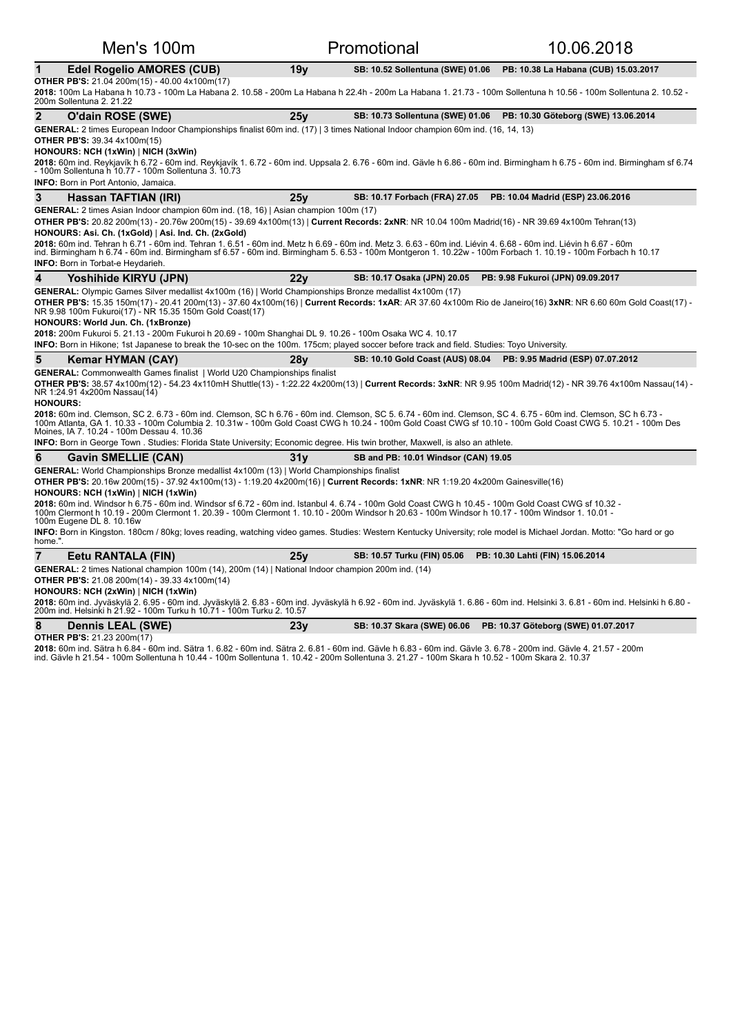| Men's 100m                                                                                                                                                                                                                                                                                                                                                                                                                                                                                                                                                                                                                                                                        |                 | Promotional                                                       | 10.06.2018                                                              |
|-----------------------------------------------------------------------------------------------------------------------------------------------------------------------------------------------------------------------------------------------------------------------------------------------------------------------------------------------------------------------------------------------------------------------------------------------------------------------------------------------------------------------------------------------------------------------------------------------------------------------------------------------------------------------------------|-----------------|-------------------------------------------------------------------|-------------------------------------------------------------------------|
| <b>Edel Rogelio AMORES (CUB)</b><br>1                                                                                                                                                                                                                                                                                                                                                                                                                                                                                                                                                                                                                                             | 19 <sub>V</sub> | SB: 10.52 Sollentuna (SWE) 01.06                                  | PB: 10.38 La Habana (CUB) 15.03.2017                                    |
| <b>OTHER PB'S:</b> 21.04 200m(15) - 40.00 4x100m(17)<br>2018: 100m La Habana h 10.73 - 100m La Habana 2. 10.58 - 200m La Habana h 22.4h - 200m La Habana 1. 21.73 - 100m Sollentuna h 10.56 - 100m Sollentuna 2. 10.52 -<br>200m Sollentuna 2, 21.22                                                                                                                                                                                                                                                                                                                                                                                                                              |                 |                                                                   |                                                                         |
| $\mathbf{2}$<br>O'dain ROSE (SWE)                                                                                                                                                                                                                                                                                                                                                                                                                                                                                                                                                                                                                                                 | 25y             |                                                                   | SB: 10.73 Sollentuna (SWE) 01.06    PB: 10.30 Göteborg (SWE) 13.06.2014 |
| GENERAL: 2 times European Indoor Championships finalist 60m ind. (17)   3 times National Indoor champion 60m ind. (16, 14, 13)<br><b>OTHER PB'S: 39.34 4x100m(15)</b><br>HONOURS: NCH (1xWin)   NICH (3xWin)<br>2018: 60m ind. Reykjavík h 6.72 - 60m ind. Reykjavík 1. 6.72 - 60m ind. Uppsala 2. 6.76 - 60m ind. Gävle h 6.86 - 60m ind. Birmingham h 6.75 - 60m ind. Birmingham sf 6.74<br>- 100m Sollentuna h 10.77 - 100m Sollentuna 3. 10.73<br><b>INFO:</b> Born in Port Antonio, Jamaica.                                                                                                                                                                                 |                 |                                                                   |                                                                         |
| 3<br>Hassan TAFTIAN (IRI)                                                                                                                                                                                                                                                                                                                                                                                                                                                                                                                                                                                                                                                         | 25y             | SB: 10.17 Forbach (FRA) 27.05                                     | PB: 10.04 Madrid (ESP) 23.06.2016                                       |
| <b>GENERAL:</b> 2 times Asian Indoor champion 60m ind. (18, 16)   Asian champion 100m (17)<br>OTHER PB'S: 20.82 200m(13) - 20.76w 200m(15) - 39.69 4x100m(13)   Current Records: 2xNR: NR 10.04 100m Madrid(16) - NR 39.69 4x100m Tehran(13)<br>HONOURS: Asi. Ch. (1xGold)   Asi. Ind. Ch. (2xGold)<br>2018: 60m ind. Tehran h 6.71 - 60m ind. Tehran 1. 6.51 - 60m ind. Metz h 6.69 - 60m ind. Metz 3. 6.63 - 60m ind. Liévin 4. 6.68 - 60m ind. Liévin h 6.67 - 60m<br>ind. Birmingham h 6.74 - 60m ind. Birmingham sf 6.57 - 60m ind. Birmingham 5. 6.53 - 100m Montgeron 1. 10.22w - 100m Forbach 1. 10.19 - 100m Forbach h 10.17<br><b>INFO:</b> Born in Torbat-e Heydarieh. |                 |                                                                   |                                                                         |
| 4<br>Yoshihide KIRYU (JPN)                                                                                                                                                                                                                                                                                                                                                                                                                                                                                                                                                                                                                                                        | 22 <sub>V</sub> | SB: 10.17 Osaka (JPN) 20.05                                       | PB: 9.98 Fukuroi (JPN) 09.09.2017                                       |
| NR 9.98 100m Fukuroi(17) - NR 15.35 150m Gold Coast(17)<br>HONOURS: World Jun. Ch. (1xBronze)<br>2018: 200m Fukuroi 5. 21.13 - 200m Fukuroi h 20.69 - 100m Shanghai DL 9. 10.26 - 100m Osaka WC 4. 10.17<br>INFO: Born in Hikone; 1st Japanese to break the 10-sec on the 100m. 175cm; played soccer before track and field. Studies: Toyo University.                                                                                                                                                                                                                                                                                                                            |                 |                                                                   |                                                                         |
| 5<br>Kemar HYMAN (CAY)                                                                                                                                                                                                                                                                                                                                                                                                                                                                                                                                                                                                                                                            | 28v             | SB: 10.10 Gold Coast (AUS) 08.04 PB: 9.95 Madrid (ESP) 07.07.2012 |                                                                         |
| <b>GENERAL:</b> Commonwealth Games finalist   World U20 Championships finalist<br>OTHER PB'S: 38.57 4x100m(12) - 54.23 4x110mH Shuttle(13) - 1:22.22 4x200m(13)   Current Records: 3xNR: NR 9.95 100m Madrid(12) - NR 39.76 4x100m Nassau(14) -<br>NR 1:24.91 4x200m Nassau(14)<br><b>HONOURS:</b><br>2018: 60m ind. Clemson, SC 2. 6.73 - 60m ind. Clemson, SC h 6.76 - 60m ind. Clemson, SC 5. 6.74 - 60m ind. Clemson, SC 4. 6.75 - 60m ind. Clemson, SC h 6.73 -                                                                                                                                                                                                              |                 |                                                                   |                                                                         |
| 100m Atlanta, GA 1. 10.33 - 100m Columbia 2. 10.31w - 100m Gold Coast CWG h 10.24 - 100m Gold Coast CWG sf 10.10 - 100m Gold Coast CWG 5. 10.21 - 100m Des<br>Moines, IA 7. 10.24 - 100m Dessau 4. 10.36                                                                                                                                                                                                                                                                                                                                                                                                                                                                          |                 |                                                                   |                                                                         |
| INFO: Born in George Town . Studies: Florida State University; Economic degree. His twin brother, Maxwell, is also an athlete.                                                                                                                                                                                                                                                                                                                                                                                                                                                                                                                                                    |                 |                                                                   |                                                                         |
| 6<br><b>Gavin SMELLIE (CAN)</b>                                                                                                                                                                                                                                                                                                                                                                                                                                                                                                                                                                                                                                                   | 31y             | SB and PB: 10.01 Windsor (CAN) 19.05                              |                                                                         |
| <b>GENERAL:</b> World Championships Bronze medallist 4x100m (13)   World Championships finalist<br>OTHER PB'S: 20.16w 200m(15) - 37.92 4x100m(13) - 1:19.20 4x200m(16)   Current Records: 1xNR: NR 1:19.20 4x200m Gainesville(16)<br>HONOURS: NCH (1xWin)   NICH (1xWin)<br>2018: 60m ind. Windsor h 6.75 - 60m ind. Windsor sf 6.72 - 60m ind. Istanbul 4. 6.74 - 100m Gold Coast CWG h 10.45 - 100m Gold Coast CWG sf 10.32 -                                                                                                                                                                                                                                                   |                 |                                                                   |                                                                         |
| 1000 1.1017 - 100m Clermont h 10.19 - 200m Clermont 1. 20.39 - 100m Clermont 1. 10.10 - 200m Windsor h 20.63 - 100m Windsor h 10.17 - 100m Windsor 1. 10.01<br>100m Eugene DL 8. 10.16w                                                                                                                                                                                                                                                                                                                                                                                                                                                                                           |                 |                                                                   |                                                                         |
| INFO: Born in Kingston. 180cm / 80kg; loves reading, watching video games. Studies: Western Kentucky University; role model is Michael Jordan. Motto: "Go hard or go<br>home.".                                                                                                                                                                                                                                                                                                                                                                                                                                                                                                   |                 |                                                                   |                                                                         |
| $\overline{7}$<br>Eetu RANTALA (FIN)                                                                                                                                                                                                                                                                                                                                                                                                                                                                                                                                                                                                                                              | 25v             | SB: 10.57 Turku (FIN) 05.06                                       | PB: 10.30 Lahti (FIN) 15.06.2014                                        |
| GENERAL: 2 times National champion 100m (14), 200m (14)   National Indoor champion 200m ind. (14)<br>OTHER PB'S: 21.08 200m(14) - 39.33 4x100m(14)<br>HONOURS: NCH (2xWin)   NICH (1xWin)<br>2018: 60m ind. Jyväskylä 2. 6.95 - 60m ind. Jyväskylä 2. 6.83 - 60m ind. Jyväskylä h 6.92 - 60m ind. Jyväskylä 1. 6.86 - 60m ind. Helsinki 3. 6.81 - 60m ind. Helsinki h 6.80 -<br>200m ind. Helsinki h 21.92 - 100m Turku h 10.71 - 100m Turku 2. 10.57                                                                                                                                                                                                                             |                 |                                                                   |                                                                         |

**8** Dennis LEAL (SWE) 23y SB: 10.37 Skara (SWE) 06.06 PB: 10.37 Göteborg (SWE) 01.07.2017

**OTHER PB'S:** 21.23 200m(17) **2018:** 60m ind. Sätra h 6.84 - 60m ind. Sätra 1. 6.82 - 60m ind. Sätra 2. 6.81 - 60m ind. Gävle h 6.83 - 60m ind. Gävle 4. 0.84 - 6.47 - 4.57 - 200m 2.<br>ind. Gävle h 21.54 - 100m Sollentuna h 10.44 - 100m Sollentuna 1. 10.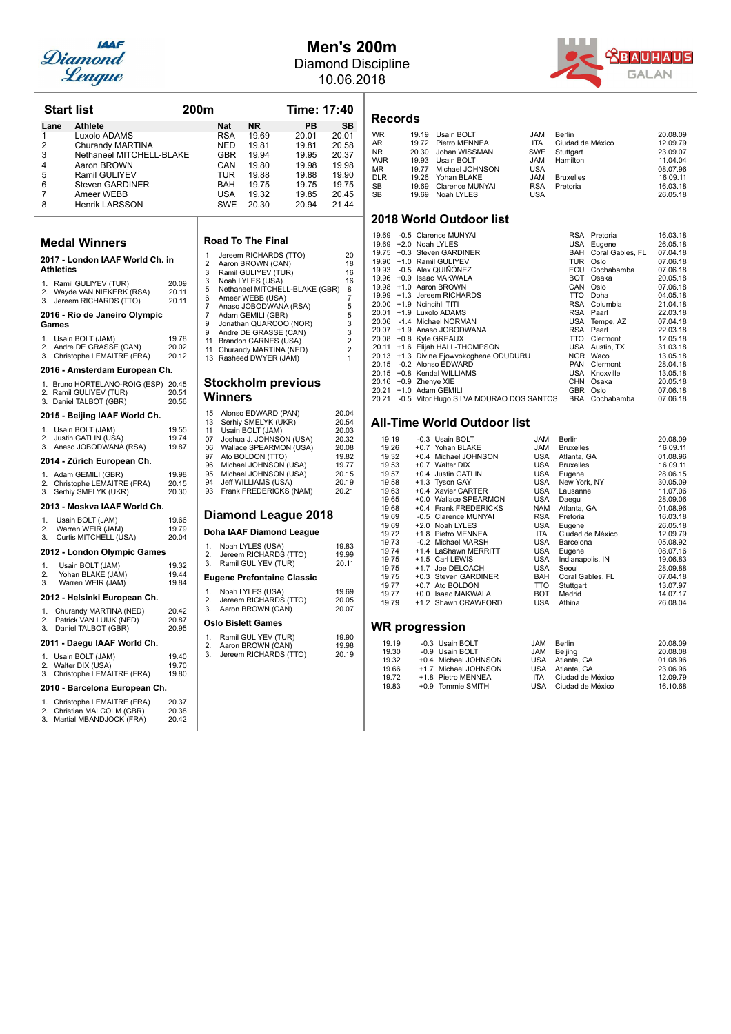

## **Men's 200m** Diamond Discipline

10.06.2018

**Start 20.01**<br> **Start 20.01**<br> **Start 20.58**<br> **Start 20.58**<br> **Start 20.58**<br> **Start 20.37**<br> **Start 20.37** 

| . . | <b>ABAUHAUS</b> |
|-----|-----------------|
|     | <b>GALAN</b>    |

| <b>Start list</b>                                                                                                                                                                                                                                                          |                                                    | 200m                                                       |                                                                           |                                                                                                                                                                                                                                                                                        | Time: 17:40                                                                |                                                                                                                                  |
|----------------------------------------------------------------------------------------------------------------------------------------------------------------------------------------------------------------------------------------------------------------------------|----------------------------------------------------|------------------------------------------------------------|---------------------------------------------------------------------------|----------------------------------------------------------------------------------------------------------------------------------------------------------------------------------------------------------------------------------------------------------------------------------------|----------------------------------------------------------------------------|----------------------------------------------------------------------------------------------------------------------------------|
| <b>Athlete</b><br>Lane<br>1<br>Luxolo ADAMS<br>$\overline{2}$<br>Churandy MARTINA<br>3<br>Nethaneel MITCHELL-BLAKE<br>4<br>Aaron BROWN<br>5<br>Ramil GULIYEV<br>6<br><b>Steven GARDINER</b><br>7<br>Ameer WEBB<br>8<br><b>Henrik LARSSON</b>                               |                                                    |                                                            | Nat<br>RSA<br>NED<br>GBR<br>CAN<br>TUR<br><b>BAH</b><br><b>USA</b><br>SWE | <b>NR</b><br>19.69<br>19.81<br>19.94<br>19.80<br>19.88<br>19.75<br>19.32<br>20.30                                                                                                                                                                                                      | PВ<br>20.01<br>19.81<br>19.95<br>19.98<br>19.88<br>19.75<br>19.85<br>20.94 | SB<br>20.01<br>20.58<br>20.37<br>19.98<br>19.90<br>19.75<br>20.45<br>21.44                                                       |
| <b>Medal Winners</b>                                                                                                                                                                                                                                                       |                                                    |                                                            |                                                                           | <b>Road To The Final</b>                                                                                                                                                                                                                                                               |                                                                            |                                                                                                                                  |
| 2017 - London IAAF World Ch. in<br><b>Athletics</b><br>1. Ramil GULIYEV (TUR)<br>2. Wayde VAN NIEKERK (RSA)<br>3.<br>Jereem RICHARDS (TTO)<br>2016 - Rio de Janeiro Olympic<br>Games<br>1. Usain BOLT (JAM)<br>2. Andre DE GRASSE (CAN)<br>Christophe LEMAITRE (FRA)<br>3. | 20.09<br>20.11<br>20.11<br>19.78<br>20.02<br>20.12 | 1<br>2<br>3<br>3<br>5<br>6<br>7<br>7<br>9<br>9<br>11<br>11 |                                                                           | Jereem RICHARDS (TTO)<br>Aaron BROWN (CAN)<br>Ramil GULIYEV (TUR)<br>Noah LYLES (USA)<br>Ameer WEBB (USA)<br>Anaso JOBODWANA (RSA)<br>Adam GEMILI (GBR)<br>Jonathan QUARCOO (NOR)<br>Andre DE GRASSE (CAN)<br>Brandon CARNES (USA)<br>Churandy MARTINA (NED)<br>13 Rasheed DWYER (JAM) | Nethaneel MITCHELL-BLAKE (GBR)                                             | 20<br>18<br>16<br>16<br>8<br>$\overline{7}$<br>5<br>5<br>3<br>$\overline{3}$<br>$\overline{2}$<br>$\overline{2}$<br>$\mathbf{1}$ |
| 2016 - Amsterdam European Ch.                                                                                                                                                                                                                                              |                                                    |                                                            |                                                                           |                                                                                                                                                                                                                                                                                        |                                                                            |                                                                                                                                  |
| 1. Bruno HORTELANO-ROIG (ESP) 20.45<br>2. Ramil GULIYEV (TUR)<br>3. Daniel TALBOT (GBR)                                                                                                                                                                                    | 20.51<br>20.56                                     |                                                            | Winners                                                                   |                                                                                                                                                                                                                                                                                        | <b>Stockholm previous</b>                                                  |                                                                                                                                  |
| 2015 - Beijing IAAF World Ch.<br>Usain BOLT (JAM)<br>1.<br>Justin GATLIN (USA)<br>2.<br>Anaso JOBODWANA (RSA)<br>3.<br>2014 - Zürich European Ch.<br>1. Adam GEMILI (GBR)<br>2. Christophe LEMAITRE (FRA)<br>3. Serhiy SMELYK (UKR)                                        | 19.55<br>19.74<br>19.87<br>19.98<br>20.15<br>20.30 | 15<br>13<br>11<br>07<br>06<br>97<br>96<br>95<br>94<br>93   |                                                                           | Alonso EDWARD (PAN)<br>Serhiy SMELYK (UKR)<br>Usain BOLT (JAM)<br>Joshua J. JOHNSON (USA)<br>Wallace SPEARMON (USA)<br>Ato BOLDON (TTO)<br>Michael JOHNSON (USA)<br>Michael JOHNSON (USA)<br>Jeff WILLIAMS (USA)<br>Frank FREDERICKS (NAM)                                             |                                                                            | 20.04<br>20.54<br>20.03<br>20.32<br>20.08<br>19.82<br>19.77<br>20.15<br>20.19<br>20.21                                           |
| 2013 - Moskva IAAF World Ch.                                                                                                                                                                                                                                               |                                                    |                                                            |                                                                           |                                                                                                                                                                                                                                                                                        |                                                                            |                                                                                                                                  |
| Usain BOLT (JAM)<br>1.<br>2.<br>Warren WEIR (JAM)<br>3.<br>Curtis MITCHELL (USA)                                                                                                                                                                                           | 19.66<br>19.79<br>20.04                            |                                                            |                                                                           | Doha IAAF Diamond League                                                                                                                                                                                                                                                               | <b>Diamond League 2018</b>                                                 |                                                                                                                                  |
| 2012 - London Olympic Games<br>1.<br>Usain BOLT (JAM)<br>2.<br>Yohan BLAKE (JAM)<br>3.<br>Warren WEIR (JAM)                                                                                                                                                                | 19.32<br>19.44<br>19.84                            | 1.<br>2.<br>3.                                             |                                                                           | Noah LYLES (USA)<br>Jereem RICHARDS (TTO)<br>Ramil GULIYEV (TUR)<br>Eugene Prefontaine Classic                                                                                                                                                                                         |                                                                            | 19.83<br>19.99<br>20.11                                                                                                          |
| 2012 - Helsinki European Ch.                                                                                                                                                                                                                                               |                                                    | 1.                                                         |                                                                           | Noah LYLES (USA)                                                                                                                                                                                                                                                                       |                                                                            | 19.69                                                                                                                            |
| Churandy MARTINA (NED)<br>1.<br>2.<br>Patrick VAN LUIJK (NED)<br>3.<br>Daniel TALBOT (GBR)<br>2011 - Daegu IAAF World Ch.<br>1. Usain BOLT (JAM)<br>2. Walter DIX (USA)<br>3. Christophe LEMAITRE (FRA)<br>2010 - Barcelona European Ch.                                   | 20.42<br>20.87<br>20.95<br>19.40<br>19.70<br>19.80 | 2.<br>3.<br>1.<br>2.<br>3.                                 |                                                                           | Jereem RICHARDS (TTO)<br>Aaron BROWN (CAN)<br>Oslo Bislett Games<br>Ramil GULIYEV (TUR)<br>Aaron BROWN (CAN)<br>Jereem RICHARDS (TTO)                                                                                                                                                  |                                                                            | 20.05<br>20.07<br>19.90<br>19.98<br>20.19                                                                                        |
| 1. Christophe LEMAITRE (FRA)<br>2. Christian MALCOLM (GBR)<br>Martial MBANDJOCK (FRA)<br>3.                                                                                                                                                                                | 20.37<br>20.38<br>20.42                            |                                                            |                                                                           |                                                                                                                                                                                                                                                                                        |                                                                            |                                                                                                                                  |

| Jereem RICHARDS (TTO)          | 20 |
|--------------------------------|----|
| Aaron BROWN (CAN)              | 18 |
| Ramil GULIYEV (TUR)            | 16 |
| Noah LYLES (USA)               | 16 |
| Nethaneel MITCHELL-BLAKE (GBR) | 8  |
| Ameer WEBB (USA)               | 7  |
| Anaso JOBODWANA (RSA)          | 5  |
| Adam GEMILI (GBR)              | 5  |
| Jonathan QUARCOO (NOR)         | 3  |
| Andre DE GRASSE (CAN)          | 3  |
| Brandon CARNES (USA)           | 2  |
| Churandy MARTINA (NED)         | 2  |
| Rasheed DWYER (JAM)            |    |
|                                |    |

## revious

| 15                         | Alonso EDWARD (PAN)      | 20.04 |  |  |
|----------------------------|--------------------------|-------|--|--|
| 13                         | Serhiy SMELYK (UKR)      | 20.54 |  |  |
| 11                         | Usain BOLT (JAM)         | 20.03 |  |  |
| 07                         | Joshua J. JOHNSON (USA)  | 20.32 |  |  |
| 06                         | Wallace SPEARMON (USA)   | 20.08 |  |  |
| 97                         | Ato BOLDON (TTO)         | 19.82 |  |  |
| 96                         | Michael JOHNSON (USA)    | 19.77 |  |  |
| 95                         | Michael JOHNSON (USA)    | 20.15 |  |  |
| 94                         | Jeff WILLIAMS (USA)      | 20.19 |  |  |
| 93                         | Frank FREDERICKS (NAM)   | 20.21 |  |  |
| <b>Diamond League 2018</b> |                          |       |  |  |
|                            | Doha IAAE Diamond League |       |  |  |

### **nd League**

| 1.             | Noah LYLES (USA)                  | 19.83 |
|----------------|-----------------------------------|-------|
| 2.             | Jereem RICHARDS (TTO)             | 19.99 |
| 3.             | Ramil GULIYEV (TUR)               | 20.11 |
|                | <b>Eugene Prefontaine Classic</b> |       |
| 1.             | Noah LYLES (USA)                  | 19.69 |
| 2.             | Jereem RICHARDS (TTO)             | 20.05 |
| 3.             | Aaron BROWN (CAN)                 | 20.07 |
|                | <b>Oslo Bislett Games</b>         |       |
| $\mathbf{1}$ . | Ramil GULIYEV (TUR)               | 19.90 |
| 2.             | Aaron BROWN (CAN)                 | 19.98 |
| 3.             | Jereem RICHARDS (TTO)             | 20.19 |

### **Records**

| <b>WR</b>  | 19.19 Usain BOLT      | <b>MAL</b> | Berlin           | 20.08.09 |
|------------|-----------------------|------------|------------------|----------|
| AR         | 19.72 Pietro MENNEA   | <b>ITA</b> | Ciudad de México | 12.09.79 |
| NR.        | 20.30 Johan WISSMAN   |            | SWE Stuttgart    | 23.09.07 |
| WJR        | 19.93 Usain BOLT      | JAM        | Hamilton         | 11.04.04 |
| МR         | 19.77 Michael JOHNSON | <b>USA</b> |                  | 08.07.96 |
| <b>DLR</b> | 19.26 Yohan BLAKE     | <b>JAM</b> | <b>Bruxelles</b> | 16.09.11 |
| SB         | 19.69 Clarence MUNYAI | <b>RSA</b> | Pretoria         | 16.03.18 |
| <b>SB</b>  | 19.69 Noah LYLES      | <b>USA</b> |                  | 26.05.18 |
|            |                       |            |                  |          |

### **2018 World Outdoor list**

|       | 19.69 -0.5 Clarence MUNYAI              |            | RSA Pretoria         | 16.03.18 |
|-------|-----------------------------------------|------------|----------------------|----------|
| 19.69 | +2.0 Noah LYLES                         |            | USA Eugene           | 26.05.18 |
| 19.75 | +0.3 Steven GARDINER                    |            | BAH Coral Gables, FL | 07.04.18 |
| 19.90 | +1.0 Ramil GULIYEV                      | TUR        | Oslo                 | 07.06.18 |
|       | 19.93 -0.5 Alex QUIÑÓNEZ                | ECU        | Cochabamba           | 07.06.18 |
| 19.96 | +0.9 Isaac MAKWALA                      | <b>BOT</b> | Osaka                | 20.05.18 |
| 19.98 | +1.0 Aaron BROWN                        | CAN        | Oslo                 | 07.06.18 |
| 19.99 | +1.3 Jereem RICHARDS                    | TTO        | Doha                 | 04.05.18 |
|       | 20.00 +1.9 Ncincihli TITI               | RSA        | Columbia             | 21.04.18 |
| 20.01 | +1.9 Luxolo ADAMS                       | RSA        | Paarl                | 22.03.18 |
|       | 20.06 -1.4 Michael NORMAN               |            | USA Tempe, AZ        | 07.04.18 |
| 20.07 | +1.9 Anaso JOBODWANA                    |            | RSA Paarl            | 22.03.18 |
| 20.08 | +0.8 Kyle GREAUX                        | TTO        | Clermont             | 12.05.18 |
| 20.11 | +1.6 Elijah HALL-THOMPSON               |            | USA Austin, TX       | 31.03.18 |
| 20.13 | +1.3 Divine Ejowvokoghene ODUDURU       | <b>NGR</b> | Waco                 | 13.05.18 |
| 20.15 | -0.2 Alonso EDWARD                      | PAN        | Clermont             | 28.04.18 |
| 20.15 | +0.8 Kendal WILLIAMS                    |            | USA Knoxville        | 13.05.18 |
| 20.16 | +0.9 Zhenye XIE                         | <b>CHN</b> | Osaka                | 20.05.18 |
| 20.21 | +1.0 Adam GEMILI                        | GBR        | Oslo                 | 07.06.18 |
| 20.21 | -0.5 Vitor Hugo SILVA MOURAO DOS SANTOS | BRA        | Cochabamba           | 07.06.18 |
|       |                                         |            |                      |          |

### **All-Time World Outdoor list**

| 19.19 |        | -0.3 Usain BOLT       | <b>JAM</b> | Berlin           | 20.08.09 |
|-------|--------|-----------------------|------------|------------------|----------|
| 19.26 |        | +0.7 Yohan BLAKE      | <b>JAM</b> | <b>Bruxelles</b> | 16.09.11 |
| 19.32 | +0.4   | Michael JOHNSON       | <b>USA</b> | Atlanta, GA      | 01.08.96 |
| 19.53 |        | +0.7 Walter DIX       | <b>USA</b> | <b>Bruxelles</b> | 16.09.11 |
| 19.57 |        | +0.4 Justin GATLIN    | <b>USA</b> | Eugene           | 28.06.15 |
| 19.58 |        | +1.3 Tyson GAY        | USA        | New York, NY     | 30.05.09 |
| 19.63 |        | +0.4 Xavier CARTER    | USA        | Lausanne         | 11.07.06 |
| 19.65 |        | +0.0 Wallace SPEARMON | USA        | Daegu            | 28.09.06 |
| 19.68 |        | +0.4 Frank FREDERICKS | <b>NAM</b> | Atlanta, GA      | 01.08.96 |
| 19.69 |        | -0.5 Clarence MUNYAI  | <b>RSA</b> | Pretoria         | 16.03.18 |
| 19.69 |        | +2.0 Noah LYLES       | <b>USA</b> | Eugene           | 26.05.18 |
| 19.72 |        | +1.8 Pietro MENNEA    | <b>ITA</b> | Ciudad de México | 12.09.79 |
| 19.73 |        | -0.2 Michael MARSH    | USA        | Barcelona        | 05.08.92 |
| 19.74 |        | +1.4 LaShawn MERRITT  | <b>USA</b> | Eugene           | 08.07.16 |
| 19.75 |        | +1.5 Carl LEWIS       | USA        | Indianapolis, IN | 19.06.83 |
| 19.75 |        | +1.7 Joe DELOACH      | <b>USA</b> | Seoul            | 28.09.88 |
| 19.75 |        | +0.3 Steven GARDINER  | BAH        | Coral Gables, FL | 07.04.18 |
| 19.77 |        | +0.7 Ato BOLDON       | TTO        | Stuttgart        | 13.07.97 |
| 19.77 | $+0.0$ | Isaac MAKWALA         | <b>BOT</b> | Madrid           | 14.07.17 |
| 19.79 |        | +1.2 Shawn CRAWFORD   | <b>USA</b> | Athina           | 26.08.04 |
|       |        |                       |            |                  |          |

| 19.19 | -0.3 Usain BOLT      | JAM        | Berlin               | 20.08.09 |
|-------|----------------------|------------|----------------------|----------|
| 19.30 | -0.9 Usain BOLT      | JAM        | Beiiina              | 20.08.08 |
| 19.32 | +0.4 Michael JOHNSON |            | USA Atlanta, GA      | 01.08.96 |
| 19.66 | +1.7 Michael JOHNSON |            | USA Atlanta, GA      | 23.06.96 |
| 19.72 | +1.8 Pietro MENNEA   | <b>ITA</b> | Ciudad de México     | 12.09.79 |
| 19.83 | +0.9 Tommie SMITH    |            | USA Ciudad de México | 16.10.68 |
|       |                      |            |                      |          |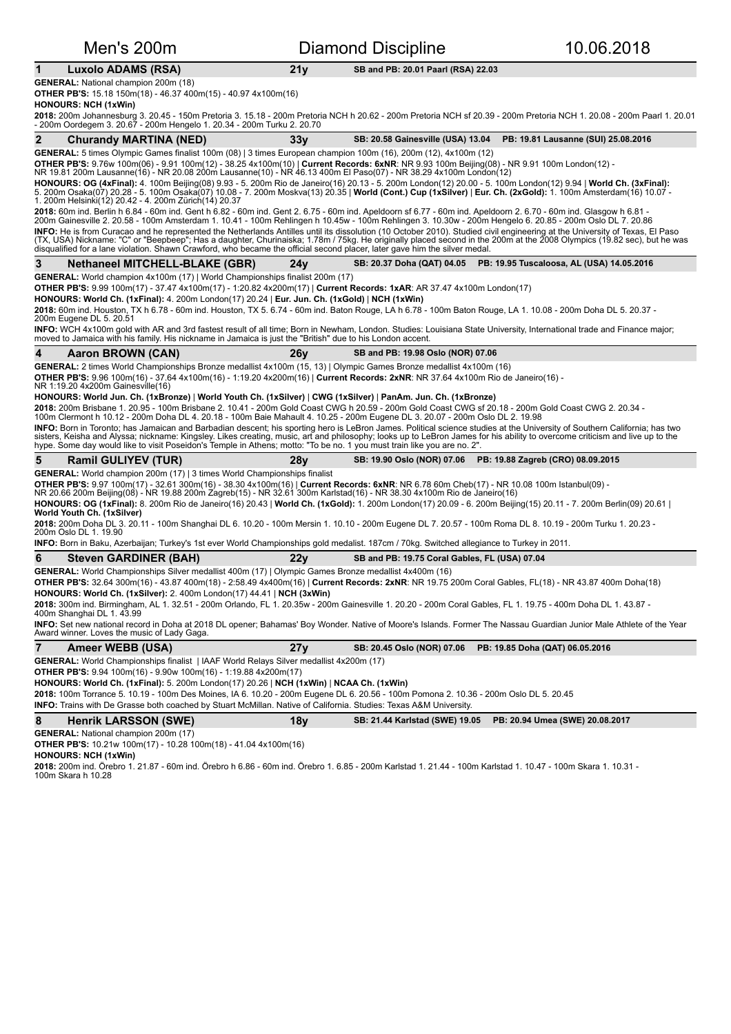## Men's 200m **Diamond Discipline** 10.06.2018

### 1 Luxolo ADAMS (RSA) 21y SB and PB: 20.01 Paarl (RSA) 22.03

**GENERAL:** National champion 200m (18) **OTHER PB'S:** 15.18 150m(18) - 46.37 400m(15) - 40.97 4x100m(16)

**HONOURS: NCH (1xWin)** 

**2018:** 200m Johannesburg 3. 20.45 - 150m Pretoria 3. 15.18 - 200m Pretoria NCH h 20.62 - 200m Pretoria NCH sf 20.39 - 200m Pretoria NCH 1. 20.08 - 200m Paarl 1. 20.01<br>- 200m Oordegem 3. 20.67 - 200m Hengelo 1. 20.34 - 200

| $\mathbf{2}$<br><b>Churandy MARTINA (NED)</b>                                                                                                                                                                                                                                                                 | 33y             | <b>SB: 20.58 Gainesville (USA) 13.04</b><br>PB: 19.81 Lausanne (SUI) 25.08.2016                                                                                                                                                                                                                                                                           |
|---------------------------------------------------------------------------------------------------------------------------------------------------------------------------------------------------------------------------------------------------------------------------------------------------------------|-----------------|-----------------------------------------------------------------------------------------------------------------------------------------------------------------------------------------------------------------------------------------------------------------------------------------------------------------------------------------------------------|
| GENERAL: 5 times Olympic Games finalist 100m (08)   3 times European champion 100m (16), 200m (12), 4x100m (12)                                                                                                                                                                                               |                 |                                                                                                                                                                                                                                                                                                                                                           |
|                                                                                                                                                                                                                                                                                                               |                 | OTHER PB'S: 9.76w 100m(06) - 9.91 100m(12) - 38.25 4x100m(10)   Current Records: 6xNR: NR 9.93 100m Beijing(08) - NR 9.91 100m London(12) - NR 9.81 100m London(12) - NR 9.81 100m London(12) -                                                                                                                                                           |
| 1. 200m Helsinki(12) 20.42 - 4. 200m Zürich(14) 20.37                                                                                                                                                                                                                                                         |                 | HONOURS: OG (4xFinal): 4. 100m Beijing(08) 9.93 - 5. 200m Rio de Janeiro(16) 20.13 - 5. 200m London(12) 20.00 - 5. 100m London(12) 9.94   World Ch. (3xFinal):<br>5. 200m Osaka(07) 20.28 - 5. 100m Osaka(07) 10.08 - 7. 200m Moskva(13) 20.35   <b>World (Cont.) Cup (1xSilver)   Eur. Ch. (2xGold):</b> 1. 100m Amsterdam(16) 10.07 -                   |
|                                                                                                                                                                                                                                                                                                               |                 | 2018: 60m ind. Berlin h 6.84 - 60m ind. Gent h 6.82 - 60m ind. Gent 2. 6.75 - 60m ind. Apeldoorn sf 6.77 - 60m ind. Apeldoorn 2. 6.70 - 60m ind. Glasgow h 6.81 -<br>200m Gainesville 2. 20.58 - 100m Amsterdam 1. 10.41 - 100m Rehlingen h 10.45w - 100m Rehlingen 3. 10.30w - 200m Hengelo 6. 20.85 - 200m Oslo DL 7. 20.86                             |
| disqualified for a lane violation. Shawn Crawford, who became the official second placer, later gave him the silver medal.                                                                                                                                                                                    |                 | INFO: He is from Curacao and he represented the Netherlands Antilles until its dissolution (10 October 2010). Studied civil engineering at the University of Texas, El Paso<br>(TX, USA) Nickname: "C" or "Beepbeep"; Has a daughter, Churinaiska; 1.78m / 75kg. He originally placed second in the 200m at the 2008 Olympics (19.82 sec), but he was     |
| 3<br>Nethaneel MITCHELL-BLAKE (GBR)                                                                                                                                                                                                                                                                           | 24 <sub>V</sub> | SB: 20.37 Doha (QAT) 04.05  PB: 19.95 Tuscaloosa, AL (USA) 14.05.2016                                                                                                                                                                                                                                                                                     |
| <b>GENERAL:</b> World champion 4x100m (17)   World Championships finalist 200m (17)<br>OTHER PB'S: 9.99 100m(17) - 37.47 4x100m(17) - 1:20.82 4x200m(17)   Current Records: 1xAR: AR 37.47 4x100m London(17)<br>HONOURS: World Ch. (1xFinal): 4. 200m London(17) 20.24   Eur. Jun. Ch. (1xGold)   NCH (1xWin) |                 |                                                                                                                                                                                                                                                                                                                                                           |
| 200m Eugene DL 5. 20.51                                                                                                                                                                                                                                                                                       |                 | 2018: 60m ind. Houston, TX h 6.78 - 60m ind. Houston, TX 5. 6.74 - 60m ind. Baton Rouge, LA h 6.78 - 100m Baton Rouge, LA 1. 10.08 - 200m Doha DL 5. 20.37 -                                                                                                                                                                                              |
| moved to Jamaica with his family. His nickname in Jamaica is just the "British" due to his London accent.                                                                                                                                                                                                     |                 | INFO: WCH 4x100m gold with AR and 3rd fastest result of all time; Born in Newham, London. Studies: Louisiana State University, International trade and Finance major;                                                                                                                                                                                     |
| 4<br><b>Aaron BROWN (CAN)</b>                                                                                                                                                                                                                                                                                 | 26v             | SB and PB: 19.98 Oslo (NOR) 07.06                                                                                                                                                                                                                                                                                                                         |
| GENERAL: 2 times World Championships Bronze medallist 4x100m (15, 13)   Olympic Games Bronze medallist 4x100m (16)<br>NR 1:19.20 4x200m Gainesville(16)                                                                                                                                                       |                 | <b>OTHER PB'S:</b> 9.96 100m(16) - 37.64 4x100m(16) - 1:19.20 4x200m(16)   <b>Current Records: 2xNR</b> : NR 37.64 4x100m Rio de Janeiro(16) -                                                                                                                                                                                                            |
| HONOURS: World Jun. Ch. (1xBronze)   World Youth Ch. (1xSilver)   CWG (1xSilver)   PanAm. Jun. Ch. (1xBronze)                                                                                                                                                                                                 |                 |                                                                                                                                                                                                                                                                                                                                                           |
| 100m Clermont h 10.12 - 200m Doha DL 4. 20.18 - 100m Baie Mahault 4. 10.25 - 200m Eugene DL 3. 20.07 - 200m Oslo DL 2. 19.98                                                                                                                                                                                  |                 | 2018: 200m Brisbane 1. 20.95 - 100m Brisbane 2. 10.41 - 200m Gold Coast CWG h 20.59 - 200m Gold Coast CWG sf 20.18 - 200m Gold Coast CWG 2. 20.34 -                                                                                                                                                                                                       |
| hype. Some day would like to visit Poseidon's Temple in Athens; motto: "To be no. 1 you must train like you are no. 2".                                                                                                                                                                                       |                 | INFO: Born in Toronto; has Jamaican and Barbadian descent; his sporting hero is LeBron James. Political science studies at the University of Southern California; has two<br>sisters, Keisha and Alyssa; nickname: Kingsley. Likes creating, music, art and philosophy; looks up to LeBron James for his ability to overcome criticism and live up to the |
|                                                                                                                                                                                                                                                                                                               |                 |                                                                                                                                                                                                                                                                                                                                                           |
| 5<br><b>Ramil GULIYEV (TUR)</b>                                                                                                                                                                                                                                                                               | 28 <b>v</b>     | SB: 19.90 Oslo (NOR) 07.06<br>PB: 19.88 Zagreb (CRO) 08.09.2015                                                                                                                                                                                                                                                                                           |
| <b>GENERAL:</b> World champion 200m (17)   3 times World Championships finalist<br>NR 20.66 200m Beijing(08) - NR 19.88 200m Zagreb(15) - NR 32.61 300m Karlstad(16) - NR 38.30 4x100m Rio de Janeiro(16)                                                                                                     |                 | OTHER PB'S: 9.97 100m(17) - 32.61 300m(16) - 38.30 4x100m(16)   Current Records: 6xNR: NR 6.78 60m Cheb(17) - NR 10.08 100m Istanbul(09) -                                                                                                                                                                                                                |
| World Youth Ch. (1xSilver)                                                                                                                                                                                                                                                                                    |                 | HONOURS: OG (1xFinal): 8. 200m Rio de Janeiro(16) 20.43   World Ch. (1xGold): 1. 200m London(17) 20.09 - 6. 200m Beijing(15) 20.11 - 7. 200m Berlin(09) 20.61                                                                                                                                                                                             |
| 200m Oslo DL 1. 19.90                                                                                                                                                                                                                                                                                         |                 | 2018: 200m Doha DL 3. 20.11 - 100m Shanghai DL 6. 10.20 - 100m Mersin 1. 10.10 - 200m Eugene DL 7. 20.57 - 100m Roma DL 8. 10.19 - 200m Turku 1. 20.23 -                                                                                                                                                                                                  |
|                                                                                                                                                                                                                                                                                                               |                 | INFO: Born in Baku, Azerbaijan; Turkey's 1st ever World Championships gold medalist. 187cm / 70kg. Switched allegiance to Turkey in 2011.                                                                                                                                                                                                                 |
| 6<br><b>Steven GARDINER (BAH)</b>                                                                                                                                                                                                                                                                             | 22y             | SB and PB: 19.75 Coral Gables, FL (USA) 07.04                                                                                                                                                                                                                                                                                                             |
| GENERAL: World Championships Silver medallist 400m (17)   Olympic Games Bronze medallist 4x400m (16)                                                                                                                                                                                                          |                 |                                                                                                                                                                                                                                                                                                                                                           |
|                                                                                                                                                                                                                                                                                                               |                 | OTHER PB'S: 32.64 300m(16) - 43.87 400m(18) - 2:58.49 4x400m(16)   Current Records: 2xNR: NR 19.75 200m Coral Gables, FL(18) - NR 43.87 400m Doha(18)                                                                                                                                                                                                     |
| HONOURS: World Ch. (1xSilver): 2. 400m London(17) 44.41   NCH (3xWin)                                                                                                                                                                                                                                         |                 | 2018: 300m ind. Birmingham, AL 1. 32.51 - 200m Orlando, FL 1. 20.35w - 200m Gainesville 1. 20.20 - 200m Coral Gables, FL 1. 19.75 - 400m Doha DL 1. 43.87 -                                                                                                                                                                                               |
| 400m Shanghai DL 1. 43.99<br>Award winner. Loves the music of Lady Gaga.                                                                                                                                                                                                                                      |                 | <b>INFO:</b> Set new national record in Doha at 2018 DL opener; Bahamas' Boy Wonder. Native of Moore's Islands. Former The Nassau Guardian Junior Male Athlete of the Year                                                                                                                                                                                |
| $\overline{7}$<br>Ameer WEBB (USA)                                                                                                                                                                                                                                                                            | 27y             | SB: 20.45 Oslo (NOR) 07.06<br>PB: 19.85 Doha (QAT) 06.05.2016                                                                                                                                                                                                                                                                                             |
| <b>GENERAL:</b> World Championships finalist   IAAF World Relays Silver medallist 4x200m (17)                                                                                                                                                                                                                 |                 |                                                                                                                                                                                                                                                                                                                                                           |
| <b>OTHER PB'S:</b> 9.94 100m(16) - 9.90w 100m(16) - 1:19.88 4x200m(17)                                                                                                                                                                                                                                        |                 |                                                                                                                                                                                                                                                                                                                                                           |
| HONOURS: World Ch. (1xFinal): 5. 200m London(17) 20.26   NCH (1xWin)   NCAA Ch. (1xWin)                                                                                                                                                                                                                       |                 |                                                                                                                                                                                                                                                                                                                                                           |
| INFO: Trains with De Grasse both coached by Stuart McMillan. Native of California. Studies: Texas A&M University.                                                                                                                                                                                             |                 | 2018: 100m Torrance 5. 10.19 - 100m Des Moines, IA 6. 10.20 - 200m Eugene DL 6. 20.56 - 100m Pomona 2. 10.36 - 200m Oslo DL 5. 20.45                                                                                                                                                                                                                      |
| 8<br><b>Henrik LARSSON (SWE)</b>                                                                                                                                                                                                                                                                              | 18y             | <b>SB: 21.44 Karlstad (SWE) 19.05</b><br>PB: 20.94 Umea (SWE) 20.08.2017                                                                                                                                                                                                                                                                                  |

**HONOURS: NCH (1xWin)** 

**2018:** 200m ind. Örebro 1. 21.87 - 60m ind. Örebro h 6.86 - 60m ind. Örebro 1. 6.85 - 200m Karlstad 1. 21.44 - 100m Karlstad 1. 10.47 - 100m Skara 1. 10.31 -<br>100m Skara h 10.28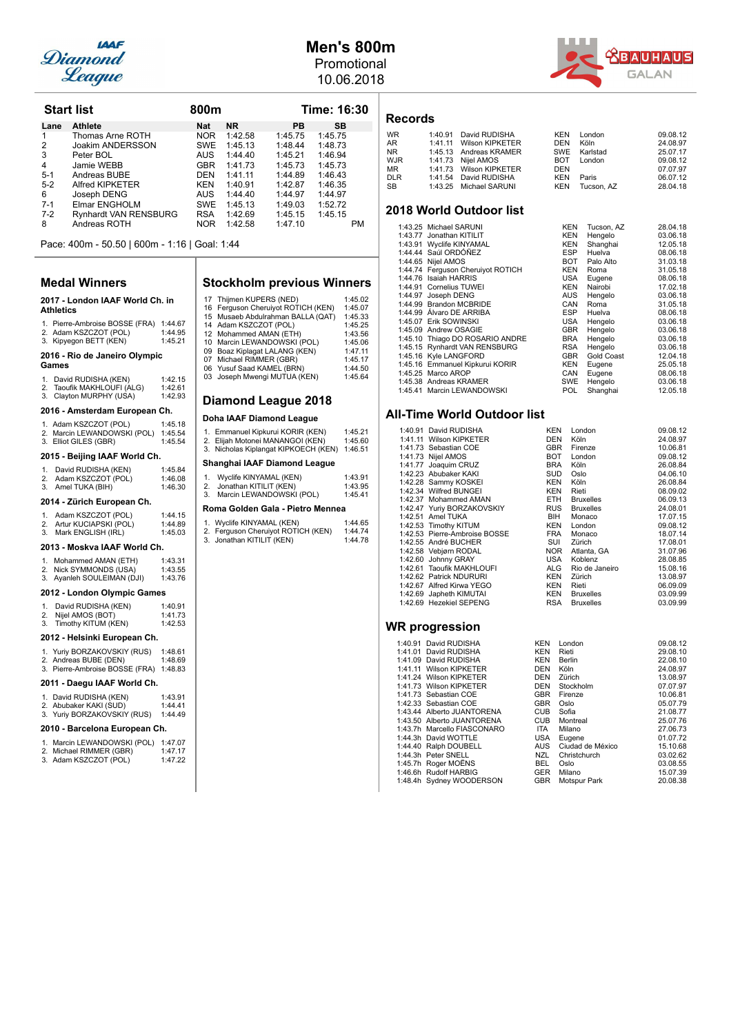

## **Men's 800m**

Promotional 10.06.2018



| <b>Start list</b> |                              | 800m       |           |           | Time: 16:30 |  |
|-------------------|------------------------------|------------|-----------|-----------|-------------|--|
| Lane              | <b>Athlete</b>               | <b>Nat</b> | <b>NR</b> | <b>PB</b> | SВ          |  |
| 1                 | Thomas Arne ROTH             | <b>NOR</b> | 1:42.58   | 1:45.75   | 1:45.75     |  |
| 2                 | Joakim ANDERSSON             | <b>SWE</b> | 1:45.13   | 1:48.44   | 1:48.73     |  |
| 3                 | Peter BOL                    | AUS.       | 1:44.40   | 1:45.21   | 1:46.94     |  |
| 4                 | Jamie WEBB                   | <b>GBR</b> | 1:41.73   | 1:45.73   | 1:45.73     |  |
| $5 - 1$           | Andreas BUBE                 | <b>DEN</b> | 1:41.11   | 1:44.89   | 1:46.43     |  |
| $5-2$             | Alfred KIPKETER              | KEN        | 1:40.91   | 1:42.87   | 1:46.35     |  |
| 6                 | Joseph DENG                  | <b>AUS</b> | 1:44.40   | 1:44.97   | 1:44.97     |  |
| $7 - 1$           | Elmar ENGHOLM                | <b>SWE</b> | 1:45.13   | 1:49.03   | 1:52.72     |  |
| $7-2$             | <b>Rynhardt VAN RENSBURG</b> | <b>RSA</b> | 1:42.69   | 1:45.15   | 1:45.15     |  |
| 8                 | Andreas ROTH                 | <b>NOR</b> | 1:42.58   | 1:47.10   | PM          |  |

Pace: 400m - 50.50 | 600m - 1:16 | Goal: 1:44

### **Medal Winners**

### 2017 - London IAAF World Ch. in **Athletics**

## 1. Pierre-Ambroise BOSSE (FRA) 1:44.67<br>2. Adam KSZCZOT (POL) 1:44.95<br>3. Kipyegon BETT (KEN) 1:45.21

### **2016 - Rio de Janeiro Olympic**

### **Games**

1. David RUDISHA (KEN) 1:42.15 2. Taoufik MAKHLOUFI (ALG) 1:42.61 3. Clayton MURPHY (USA) 1:42.93

### 2016 - Amsterdam European Ch.

| 2015 - Beijing IAAF World Ch.                        |                    |  |  |  |  |  |
|------------------------------------------------------|--------------------|--|--|--|--|--|
| 2. Marcin LEWANDOWSKI (POL)<br>3. Elliot GILES (GBR) | 1:45.54<br>1:45.54 |  |  |  |  |  |
| 1. Adam KSZCZOT (POL)                                | 1:45.18            |  |  |  |  |  |

### 1. David RUDISHA (KEN) 1:45.84

| 2. Adam KSZCZOT (POL) | 1:46.08 |
|-----------------------|---------|
| 3. Amel TUKA (BIH)    | 1:46.30 |

|    | 2013 - Moskva IAAF World Ch. |         |
|----|------------------------------|---------|
| 3. | Mark ENGLISH (IRL)           | 1:45.03 |
| 2. | Artur KUCIAPSKI (POL)        | 1:44.89 |
|    | 1. Adam KSZCZOT (POL)        | 1:44.15 |
|    |                              |         |

| 1. Mohammed AMAN (ETH)     | 1:43.31 |
|----------------------------|---------|
| 2. Nick SYMMONDS (USA)     | 1:43.55 |
| 3. Ayanleh SOULEIMAN (DJI) | 1:43.76 |
|                            |         |

### **2012 - London Olympic Games**

|    | David RUDISHA (KEN) | 1:40.91 |
|----|---------------------|---------|
| 2. | Nijel AMOS (BOT)    | 1:41.73 |
| 3. | Timothy KITUM (KEN) | 1:42.53 |

### 2012 - Helsinki European Ch.

1. Yuriy BORZAKOVSKIY (RUS) 1:48.61 2. Andreas BUBE (DEN) 1:48.69 3. Pierre-Ambroise BOSSE (FRA) 1:48.83

### 2011 - Daegu IAAF World Ch.

- 1. David RUDISHA (KEN) 1:43.91
- 2. Abubaker KAKI (SUD) 1:44.41 3. Yuriy BORZAKOVSKIY (RUS) 1:44.49

### 2010 - Barcelona European Ch.

| 1. Marcin LEWANDOWSKI (POL) | 1:47.07 |
|-----------------------------|---------|
| 2. Michael RIMMER (GBR)     | 1:47.17 |
| 3. Adam KSZCZOT (POL)       | 1:47.22 |

### **Stockholm previous Winners**

| 17 Thijmen KUPERS (NED)            | 1:45.02 |
|------------------------------------|---------|
| 16 Ferguson Cheruiyot ROTICH (KEN) | 1:45.07 |
| 15 Musaeb Abdulrahman BALLA (QAT)  | 1:45.33 |
| 14 Adam KSZCZOT (POL)              | 1:45.25 |
| 12 Mohammed AMAN (ETH)             | 1:43.56 |
| 10 Marcin LEWANDOWSKI (POL)        | 1:45.06 |
| 09 Boaz Kiplagat LALANG (KEN)      | 1:47.11 |
| 07 Michael RIMMER (GBR)            | 1:45.17 |
| 06 Yusuf Saad KAMEL (BRN)          | 1:44.50 |
| 03 Joseph Mwengi MUTUA (KEN)       | 1:45.64 |
|                                    |         |

### **Diamond League 2018**

### **Doha IAAF Diamond League**

| 1. Emmanuel Kipkurui KORIR (KEN)<br>2. Elijah Motonei MANANGOI (KEN)<br>3. Nicholas Kiplangat KIPKOECH (KEN) | 1:45.21<br>1:45.60<br>1:46.51 |  |  |  |
|--------------------------------------------------------------------------------------------------------------|-------------------------------|--|--|--|
| Shanghai IAAF Diamond League                                                                                 |                               |  |  |  |
| Wyclife KINYAMAL (KEN)<br>Jonathan KITILIT (KEN)<br>2.<br>Marcin LEWANDOWSKI (POL)<br>3.                     | 1:43.91<br>1:43.95<br>1:45.41 |  |  |  |
| Roma Golden Gala - Pietro Mennea                                                                             |                               |  |  |  |

| 1. Wyclife KINYAMAL (KEN)          | 1:44.65 |
|------------------------------------|---------|
| 2. Ferguson Cheruiyot ROTICH (KEN) | 1:44.74 |
| 3. Jonathan KITILIT (KEN)          | 1:44.78 |

### **Records**

| <b>WR</b>  | 1:40.91 David RUDISHA   | KEN        | London       | 09.08.12 |
|------------|-------------------------|------------|--------------|----------|
| AR         | 1:41.11 Wilson KIPKETER | DEN        | Köln         | 24.08.97 |
| NR.        | 1:45.13 Andreas KRAMER  |            | SWE Karlstad | 25.07.17 |
| <b>WJR</b> | 1:41.73 Nijel AMOS      |            | BOT London   | 09.08.12 |
| ΜR         | 1:41.73 Wilson KIPKETER | <b>DEN</b> |              | 07.07.97 |
| <b>DLR</b> | 1:41.54 David RUDISHA   | KEN        | Paris        | 06.07.12 |
| SВ         | 1:43.25 Michael SARUNI  | KEN        | Tucson, AZ   | 28.04.18 |
|            |                         |            |              |          |

### **2018 World Outdoor list**

|         | 1:43.25 Michael SARUNI            | <b>KEN</b> | Tucson, AZ | 28.04.18 |
|---------|-----------------------------------|------------|------------|----------|
|         | 1:43.77 Jonathan KITILIT          | KEN        | Hengelo    | 03.06.18 |
|         | 1:43.91 Wyclife KINYAMAL          | <b>KEN</b> | Shanghai   | 12.05.18 |
|         | 1:44.44 Saúl ORDÓÑEZ              | <b>ESP</b> | Huelva     | 08.06.18 |
|         | 1:44.65 Nijel AMOS                | BOT        | Palo Alto  | 31.03.18 |
|         | 1:44.74 Ferguson Cheruiyot ROTICH | <b>KEN</b> | Roma       | 31.05.18 |
|         | 1:44.76 Isaiah HARRIS             | USA        | Eugene     | 08.06.18 |
|         | 1:44.91 Cornelius TUWEI           | <b>KEN</b> | Nairobi    | 17.02.18 |
| 1:44.97 | Joseph DENG                       | AUS        | Hengelo    | 03.06.18 |
|         | 1:44.99 Brandon MCBRIDE           | CAN        | Roma       | 31.05.18 |
|         | 1:44.99 Álvaro DE ARRIBA          | <b>ESP</b> | Huelva     | 08.06.18 |
|         | 1:45.07 Erik SOWINSKI             | USA        | Hengelo    | 03.06.18 |
|         | 1:45.09 Andrew OSAGIE             | <b>GBR</b> | Hengelo    | 03.06.18 |
|         | 1:45.10 Thiago DO ROSARIO ANDRE   | <b>BRA</b> | Hengelo    | 03.06.18 |
|         | 1:45.15 Rynhardt VAN RENSBURG     | <b>RSA</b> | Hengelo    | 03.06.18 |
|         | 1:45.16 Kyle LANGFORD             | <b>GBR</b> | Gold Coast | 12.04.18 |
|         | 1:45.16 Emmanuel Kipkurui KORIR   | <b>KEN</b> | Eugene     | 25.05.18 |
|         | 1:45.25 Marco AROP                | CAN        | Eugene     | 08.06.18 |
|         | 1:45.38 Andreas KRAMER            | <b>SWE</b> | Hengelo    | 03.06.18 |
|         | 1:45.41 Marcin LEWANDOWSKI        | <b>POL</b> | Shanghai   | 12.05.18 |
|         |                                   |            |            |          |

### **All-Time World Outdoor list**

| 1:40.91 David RUDISHA         | <b>KEN</b> | London           | 09.08.12 |
|-------------------------------|------------|------------------|----------|
| 1:41.11 Wilson KIPKETER       | DEN        | Köln             | 24.08.97 |
| 1:41.73 Sebastian COE         | <b>GBR</b> | Firenze          | 10.06.81 |
| 1:41.73 Nijel AMOS            | BOT        | London           | 09.08.12 |
| 1:41.77 Joaquim CRUZ          | <b>BRA</b> | Köln             | 26.08.84 |
| 1:42.23 Abubaker KAKI         | <b>SUD</b> | Oslo             | 04.06.10 |
| 1:42.28 Sammy KOSKEI          | <b>KEN</b> | Köln             | 26.08.84 |
| 1:42.34 Wilfred BUNGEI        | <b>KEN</b> | Rieti            | 08.09.02 |
| 1:42.37 Mohammed AMAN         | ETH.       | <b>Bruxelles</b> | 06.09.13 |
| 1:42.47 Yuriy BORZAKOVSKIY    | <b>RUS</b> | <b>Bruxelles</b> | 24.08.01 |
| 1:42.51 Amel TUKA             | <b>BIH</b> | Monaco           | 17.07.15 |
| 1:42.53 Timothy KITUM         | <b>KEN</b> | London           | 09.08.12 |
| 1:42.53 Pierre-Ambroise BOSSE | <b>FRA</b> | Monaco           | 18.07.14 |
| 1:42.55 André BUCHER          | SUI        | Zürich           | 17.08.01 |
| 1:42.58 Vebjørn RODAL         | <b>NOR</b> | Atlanta, GA      | 31.07.96 |
| 1:42.60 Johnny GRAY           | USA        | Koblenz          | 28.08.85 |
| 1:42.61 Taoufik MAKHLOUFI     | ALG        | Rio de Janeiro   | 15.08.16 |
| 1:42.62 Patrick NDURURI       | <b>KEN</b> | Zürich           | 13.08.97 |
| 1:42.67 Alfred Kirwa YEGO     | <b>KEN</b> | Rieti            | 06.09.09 |
| 1:42.69 Japheth KIMUTAI       | <b>KEN</b> | Bruxelles        | 03.09.99 |
| 1:42.69 Hezekiel SEPENG       | RSA        | <b>Bruxelles</b> | 03.09.99 |

| 1:40.91 David RUDISHA       | <b>KEN</b> | London           | 09.08.12 |
|-----------------------------|------------|------------------|----------|
| 1:41.01 David RUDISHA       | <b>KEN</b> | Rieti            | 29.08.10 |
| 1:41.09 David RUDISHA       | <b>KEN</b> | <b>Berlin</b>    | 22.08.10 |
| 1:41.11 Wilson KIPKETER     | <b>DEN</b> | Köln             | 24.08.97 |
| 1:41.24 Wilson KIPKETER     | <b>DEN</b> | Zürich           | 13.08.97 |
| 1:41.73 Wilson KIPKETER     | <b>DEN</b> | Stockholm        | 07.07.97 |
| 1:41.73 Sebastian COE       | <b>GBR</b> | Firenze          | 10.06.81 |
| 1:42.33 Sebastian COE       | <b>GBR</b> | Oslo             | 05.07.79 |
| 1:43.44 Alberto JUANTORENA  | <b>CUB</b> | Sofia            | 21.08.77 |
| 1:43.50 Alberto JUANTORENA  | <b>CUB</b> | Montreal         | 25.07.76 |
| 1:43.7h Marcello FIASCONARO | ITA        | Milano           | 27.06.73 |
| 1:44.3h David WOTTLE        | USA        | Eugene           | 01.07.72 |
| 1:44.40 Ralph DOUBELL       | AUS        | Ciudad de México | 15.10.68 |
| 1:44.3h Peter SNELL         | NZL        | Christchurch     | 03.02.62 |
| 1:45.7h Roger MOËNS         | BEL        | Oslo             | 03.08.55 |
| 1:46.6h Rudolf HARBIG       | <b>GER</b> | Milano           | 15.07.39 |
| 1:48.4h Sydney WOODERSON    | <b>GBR</b> | Motspur Park     | 20.08.38 |
|                             |            |                  |          |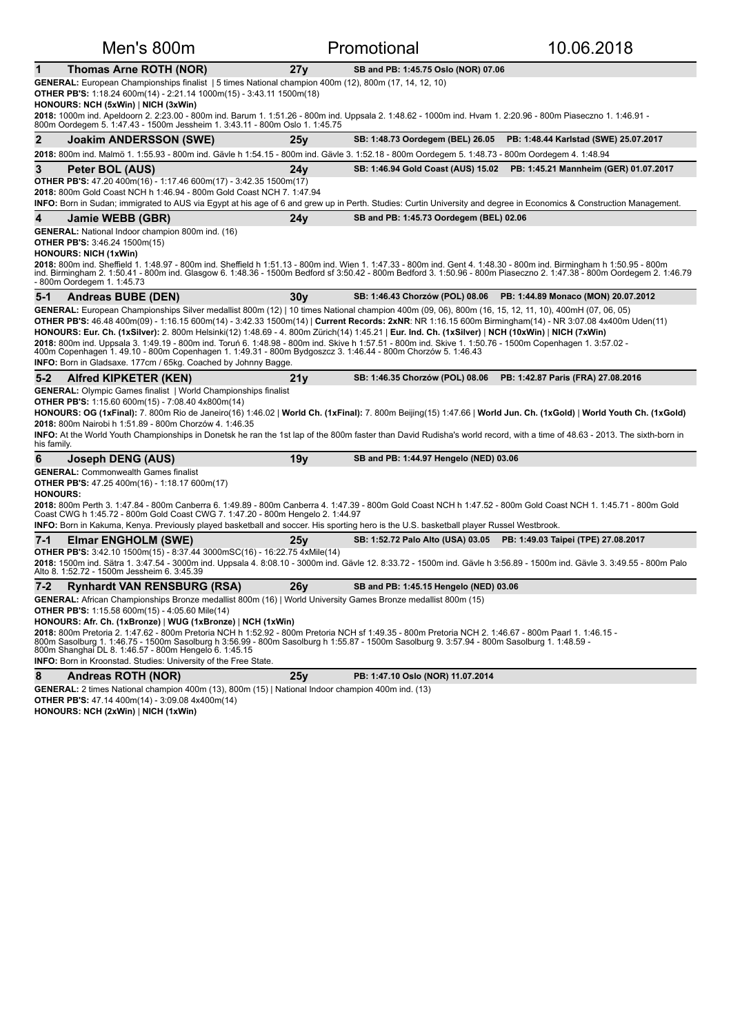| Men's 800m                                                                                                                                                                                                                                                                                                                                                                                                                                                                                                                                                                                                                                                                                                                                           |                 | Promotional                                                           | 10.06.2018                            |
|------------------------------------------------------------------------------------------------------------------------------------------------------------------------------------------------------------------------------------------------------------------------------------------------------------------------------------------------------------------------------------------------------------------------------------------------------------------------------------------------------------------------------------------------------------------------------------------------------------------------------------------------------------------------------------------------------------------------------------------------------|-----------------|-----------------------------------------------------------------------|---------------------------------------|
| 1<br>Thomas Arne ROTH (NOR)                                                                                                                                                                                                                                                                                                                                                                                                                                                                                                                                                                                                                                                                                                                          | 27y             | SB and PB: 1:45.75 Oslo (NOR) 07.06                                   |                                       |
| GENERAL: European Championships finalist   5 times National champion 400m (12), 800m (17, 14, 12, 10)<br><b>OTHER PB'S:</b> 1:18.24 600m(14) - 2:21.14 1000m(15) - 3:43.11 1500m(18)<br>HONOURS: NCH (5xWin)   NICH (3xWin)                                                                                                                                                                                                                                                                                                                                                                                                                                                                                                                          |                 |                                                                       |                                       |
| 2018: 1000m ind. Apeldoorn 2. 2:23.00 - 800m ind. Barum 1. 1:51.26 - 800m ind. Uppsala 2. 1:48.62 - 1000m ind. Hvam 1. 2:20.96 - 800m Piaseczno 1. 1:46.91 -<br>800m Oordegem 5. 1:47.43 - 1500m Jessheim 1. 3:43.11 - 800m Oslo 1. 1:45.75                                                                                                                                                                                                                                                                                                                                                                                                                                                                                                          |                 |                                                                       |                                       |
| 2<br><b>Joakim ANDERSSON (SWE)</b>                                                                                                                                                                                                                                                                                                                                                                                                                                                                                                                                                                                                                                                                                                                   | 25v             | SB: 1:48.73 Oordegem (BEL) 26.05                                      | PB: 1:48.44 Karlstad (SWE) 25.07.2017 |
| 2018: 800m ind. Malmö 1. 1:55.93 - 800m ind. Gävle h 1:54.15 - 800m ind. Gävle 3. 1:52.18 - 800m Oordegem 5. 1:48.73 - 800m Oordegem 4. 1:48.94                                                                                                                                                                                                                                                                                                                                                                                                                                                                                                                                                                                                      |                 |                                                                       |                                       |
| 3<br>Peter BOL (AUS)<br><b>OTHER PB'S:</b> 47.20 400m(16) - 1:17.46 600m(17) - 3:42.35 1500m(17)<br>2018: 800m Gold Coast NCH h 1:46.94 - 800m Gold Coast NCH 7. 1:47.94<br>INFO: Born in Sudan; immigrated to AUS via Egypt at his age of 6 and grew up in Perth. Studies: Curtin University and degree in Economics & Construction Management.                                                                                                                                                                                                                                                                                                                                                                                                     | 24 <sub>y</sub> | SB: 1:46.94 Gold Coast (AUS) 15.02                                    | PB: 1:45.21 Mannheim (GER) 01.07.2017 |
| 4<br>Jamie WEBB (GBR)                                                                                                                                                                                                                                                                                                                                                                                                                                                                                                                                                                                                                                                                                                                                | 24y             | SB and PB: 1:45.73 Oordegem (BEL) 02.06                               |                                       |
| <b>GENERAL:</b> National Indoor champion 800m ind. (16)<br><b>OTHER PB'S: 3:46.24 1500m(15)</b><br><b>HONOURS: NICH (1xWin)</b>                                                                                                                                                                                                                                                                                                                                                                                                                                                                                                                                                                                                                      |                 |                                                                       |                                       |
| 2018: 800m ind. Sheffield 1. 1:48.97 - 800m ind. Sheffield h 1:51.13 - 800m ind. Wien 1. 1:47.33 - 800m ind. Gent 4. 1:48.30 - 800m ind. Birmingham h 1:50.95 - 800m<br>ind. Birmingham 2. 1:50.41 - 800m ind. Glasgow 6. 1:48.36 - 1500m Bedford sf 3:50.42 - 800m Bedford 3. 1:50.96 - 800m Piaseczno 2. 1:47.38 - 800m Oordegem 2. 1:46.79<br>- 800m Oordegem 1. 1:45.73                                                                                                                                                                                                                                                                                                                                                                          |                 |                                                                       |                                       |
| 5-1<br>Andreas BUBE (DEN)                                                                                                                                                                                                                                                                                                                                                                                                                                                                                                                                                                                                                                                                                                                            | 30y             | SB: 1:46.43 Chorzów (POL) 08.06                                       | PB: 1:44.89 Monaco (MON) 20.07.2012   |
| GENERAL: European Championships Silver medallist 800m (12)   10 times National champion 400m (09, 06), 800m (16, 15, 12, 11, 10), 400mH (07, 06, 05)<br><b>OTHER PB'S:</b> 46.48 400m(09) - 1:16.15 600m(14) - 3:42.33 1500m(14)   Current Records: 2xNR: NR 1:16.15 600m Birmingham(14) - NR 3:07.08 4x400m Uden(11)<br>HONOURS: Eur. Ch. (1xSilver): 2. 800m Helsinki(12) 1:48.69 - 4. 800m Zürich(14) 1:45.21   Eur. Ind. Ch. (1xSilver)   NCH (10xWin)   NICH (7xWin)<br>2018: 800m ind. Uppsala 3. 1:49.19 - 800m ind. Toruń 6. 1:48.98 - 800m ind. Skive h 1:57.51 - 800m ind. Skive 1. 1:50.76 - 1500m Copenhagen 1. 3:57.02 -<br>400m Copenhagen 1. 49.10 - 800m Copenhagen 1. 1:49.31 - 800m Bydgoszcz 3. 1:46.44 - 800m Chorzów 5. 1:46.43 |                 |                                                                       |                                       |
|                                                                                                                                                                                                                                                                                                                                                                                                                                                                                                                                                                                                                                                                                                                                                      |                 |                                                                       |                                       |
| INFO: Born in Gladsaxe. 177cm / 65kg. Coached by Johnny Bagge.<br><b>Alfred KIPKETER (KEN)</b><br>$5 - 2$                                                                                                                                                                                                                                                                                                                                                                                                                                                                                                                                                                                                                                            | 21y             | SB: 1:46.35 Chorzów (POL) 08.06                                       | PB: 1:42.87 Paris (FRA) 27.08.2016    |
| <b>GENERAL:</b> Olympic Games finalist   World Championships finalist<br><b>OTHER PB'S:</b> 1:15.60 600m(15) - 7:08.40 4x800m(14)<br>HONOURS: OG (1xFinal): 7. 800m Rio de Janeiro(16) 1:46.02   World Ch. (1xFinal): 7. 800m Beijing(15) 1:47.66   World Jun. Ch. (1xGold)   World Youth Ch. (1xGold)<br>2018: 800m Nairobi h 1:51.89 - 800m Chorzów 4. 1:46.35<br><b>INFO:</b> At the World Youth Championships in Donetsk he ran the 1st lap of the 800m faster than David Rudisha's world record, with a time of 48.63 - 2013. The sixth-born in<br>his family.                                                                                                                                                                                  |                 |                                                                       |                                       |
| 6<br>Joseph DENG (AUS)                                                                                                                                                                                                                                                                                                                                                                                                                                                                                                                                                                                                                                                                                                                               | 19y             | SB and PB: 1:44.97 Hengelo (NED) 03.06                                |                                       |
| <b>GENERAL: Commonwealth Games finalist</b><br><b>OTHER PB'S:</b> 47.25 400m(16) - 1:18.17 600m(17)<br><b>HONOURS:</b><br>2018: 800m Perth 3. 1:47.84 - 800m Canberra 6. 1:49.89 - 800m Canberra 4. 1:47.39 - 800m Gold Coast NCH h 1:47.52 - 800m Gold Coast NCH 1. 1:45.71 - 800m Gold<br>Coast CWG h 1:45.72 - 800m Gold Coast CWG 7. 1:47.20 - 800m Hengelo 2. 1:44.97                                                                                                                                                                                                                                                                                                                                                                           |                 |                                                                       |                                       |
| <b>INFO:</b> Born in Kakuma, Kenya. Previously played basketball and soccer. His sporting hero is the U.S. basketball player Russel Westbrook.                                                                                                                                                                                                                                                                                                                                                                                                                                                                                                                                                                                                       |                 |                                                                       |                                       |
| <b>Elmar ENGHOLM (SWE)</b><br>7-1<br><b>OTHER PB'S:</b> 3:42.10 1500m(15) - 8:37.44 3000mSC(16) - 16:22.75 4xMile(14)<br>2018: 1500m ind. Sätra 1. 3:47.54 - 3000m ind. Uppsala 4. 8:08.10 - 3000m ind. Gävle 12. 8:33.72 - 1500m ind. Gävle h 3:56.89 - 1500m ind. Gävle 3. 3:49.55 - 800m Palo<br>Alto 8. 1:52.72 - 1500m Jessheim 6. 3:45.39                                                                                                                                                                                                                                                                                                                                                                                                      | 25y             | SB: 1:52.72 Palo Alto (USA) 03.05 PB: 1:49.03 Taipei (TPE) 27.08.2017 |                                       |
| <b>Rynhardt VAN RENSBURG (RSA)</b><br>$7 - 2$                                                                                                                                                                                                                                                                                                                                                                                                                                                                                                                                                                                                                                                                                                        | 26y             | SB and PB: 1:45.15 Hengelo (NED) 03.06                                |                                       |
| GENERAL: African Championships Bronze medallist 800m (16)   World University Games Bronze medallist 800m (15)<br><b>OTHER PB'S:</b> 1:15.58 600m(15) - 4:05.60 Mile(14)<br>HONOURS: Afr. Ch. (1xBronze)   WUG (1xBronze)   NCH (1xWin)<br>2018: 800m Pretoria 2. 1:47.62 - 800m Pretoria NCH h 1:52.92 - 800m Pretoria NCH sf 1:49.35 - 800m Pretoria NCH 2. 1:46.67 - 800m Paarl 1. 1:46.15 -<br>800m Sasolburg 1. 1:46.75 - 1500m Sasolburg h 3:56.99 - 800m Sasolburg h 1:55.87 - 1500m Sasolburg 9. 3:57.94 - 800m Sasolburg 1. 1:48.59 -<br>800m Shanghai DL 8. 1:46.57 - 800m Hengelo 6. 1:45.15<br>INFO: Born in Kroonstad. Studies: University of the Free State.                                                                            |                 |                                                                       |                                       |
| 8<br><b>Andreas ROTH (NOR)</b><br>GENERAL: 2 times National champion 400m (13), 800m (15)   National Indoor champion 400m ind. (13)                                                                                                                                                                                                                                                                                                                                                                                                                                                                                                                                                                                                                  | 25y             | PB: 1:47.10 Oslo (NOR) 11.07.2014                                     |                                       |

**OTHER PB'S:** 47.14 400m(14) - 3:09.08 4x400m(14)

**HONOURS: NCH (2xWin)** | **NICH (1xWin)**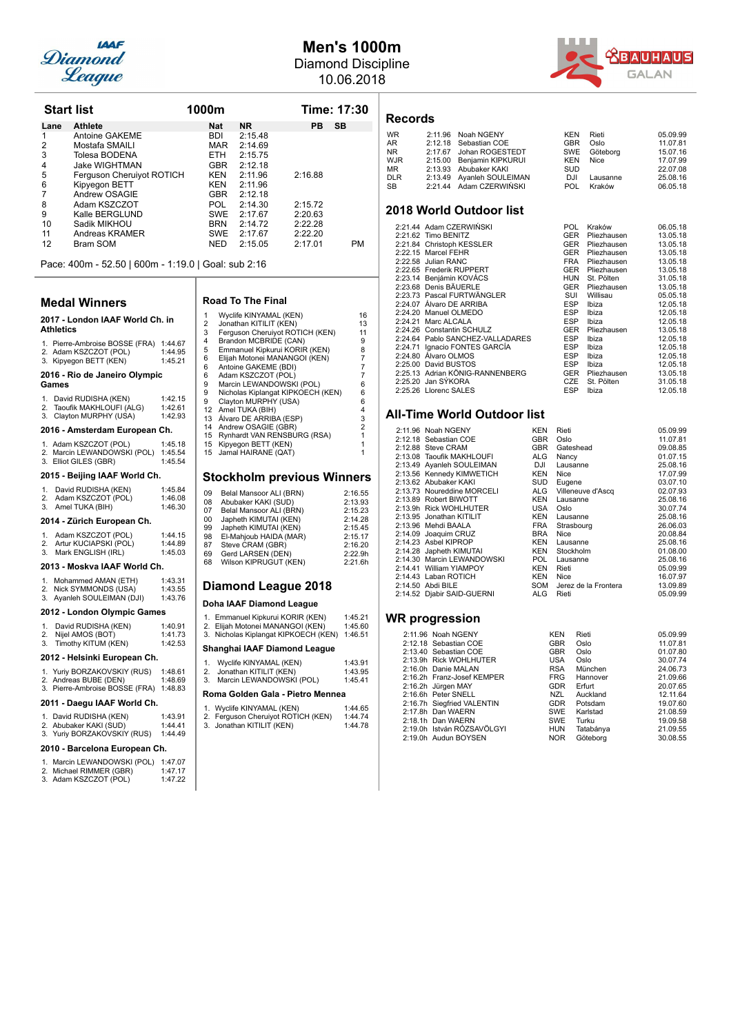

## **Men's 1000m** Diamond Discipline

10.06.2018

| <b>Start list</b> |                           | 1000m      |           |                 | Time: 17:30 |  |
|-------------------|---------------------------|------------|-----------|-----------------|-------------|--|
| Lane              | <b>Athlete</b>            | <b>Nat</b> | <b>NR</b> | <b>SB</b><br>PB |             |  |
| 1                 | Antoine GAKEME            | <b>BDI</b> | 2:15.48   |                 |             |  |
| 2                 | Mostafa SMAILI            | <b>MAR</b> | 2:14.69   |                 |             |  |
| 3                 | Tolesa BODENA             | <b>ETH</b> | 2:15.75   |                 |             |  |
| $\overline{4}$    | Jake WIGHTMAN             | <b>GBR</b> | 2:12.18   |                 |             |  |
| 5                 | Ferguson Cheruiyot ROTICH | <b>KEN</b> | 2:11.96   | 2:16.88         |             |  |
| 6                 | Kipyegon BETT             | <b>KEN</b> | 2:11.96   |                 |             |  |
| 7                 | Andrew OSAGIE             | <b>GBR</b> | 2:12.18   |                 |             |  |
| 8                 | Adam KSZCZOT              | <b>POL</b> | 2:14.30   | 2:15.72         |             |  |
| 9                 | Kalle BERGLUND            | <b>SWE</b> | 2:17.67   | 2:20.63         |             |  |
| 10                | Sadik MIKHOU              | <b>BRN</b> | 2:14.72   | 2:22.28         |             |  |
| 11                | Andreas KRAMER            | <b>SWE</b> | 2:17.67   | 2:22.20         |             |  |
| 12                | Bram SOM                  | <b>NED</b> | 2:15.05   | 2:17.01         | <b>PM</b>   |  |

Pace: 400m - 52.50 | 600m - 1:19.0 | Goal: sub 2:16

### **Medal Winners**

## **2017 - London IAAF World Ch. in**

|                               | <b>Athletics</b>                                                                  |                               |  |  |
|-------------------------------|-----------------------------------------------------------------------------------|-------------------------------|--|--|
|                               | 1. Pierre-Ambroise BOSSE (FRA)<br>2. Adam KSZCZOT (POL)<br>3. Kipyegon BETT (KEN) | 1:44.67<br>1:44.95<br>1:45.21 |  |  |
|                               | 2016 - Rio de Janeiro Olympic<br>Games                                            |                               |  |  |
| 3.                            | 1. David RUDISHA (KEN)<br>2. Taoufik MAKHLOUFI (ALG)<br>Clayton MURPHY (USA)      | 1:42.15<br>1:42.61<br>1:42.93 |  |  |
|                               | 2016 - Amsterdam European Ch.                                                     |                               |  |  |
|                               | 1. Adam KSZCZOT (POL)<br>2. Marcin LEWANDOWSKI (POL)<br>3. Elliot GILES (GBR)     | 1:45.18<br>1:45.54<br>1:45.54 |  |  |
| 2015 - Beijing IAAF World Ch. |                                                                                   |                               |  |  |
| 1.<br>3.                      | David RUDISHA (KEN)<br>2. Adam KSZCZOT (POL)<br>Amel TUKA (BIH)                   | 1:45.84<br>1:46.08<br>1:46.30 |  |  |

### **2014 - Zürich European Ch.**

|    | 1. Adam KSZCZOT (POL)    | 1:44.15 |
|----|--------------------------|---------|
|    | 2. Artur KUCIAPSKI (POL) | 1:44.89 |
| 3. | Mark ENGLISH (IRL)       | 1:45.03 |

### 2013 - Moskva IAAF World Ch.

| 1.<br>2. | Mohammed AMAN (ETH)<br>Nick SYMMONDS (USA) | 1:43.31<br>1:43.55 |
|----------|--------------------------------------------|--------------------|
|          | 3. Ayanleh SOULEIMAN (DJI)                 | 1:43.76            |
|          | ---- -                                     |                    |

| 2012 - London Olympic Games |  |
|-----------------------------|--|
|-----------------------------|--|

|    | David RUDISHA (KEN) | 1:40.91 |
|----|---------------------|---------|
| 2. | Nijel AMOS (BOT)    | 1:41.73 |
| 3. | Timothy KITUM (KEN) | 1:42.53 |

### **2012 - Helsinki European Ch.**

1. Yuriy BORZAKOVSKIY (RUS) 1:48.61 2. Andreas BUBE (DEN) 1:48.69<br>3. Pierre-Ambroise BOSSE (FRA) 1:48.83

### 2011 - Daegu IAAF World Ch.

1. David RUDISHA (KEN) 1:43.91 2. Abubaker KAKI (SUD) 1:44.41<br>3. Yuriy BORZAKOVSKIY (RUS) 1:44.49

### 2010 - Barcelona European Ch.

| 1. Marcin LEWANDOWSKI (POL) | 1:47.07 |
|-----------------------------|---------|
| 2. Michael RIMMER (GBR)     | 1:47.17 |
| 3. Adam KSZCZOT (POL)       | 1:47.22 |

| <b>Road To The Final</b>                                                                                                 |                                                                                                                                                                                                                                                                                                                                                                                                                                                                           |                                                                                                                                                       |  |  |
|--------------------------------------------------------------------------------------------------------------------------|---------------------------------------------------------------------------------------------------------------------------------------------------------------------------------------------------------------------------------------------------------------------------------------------------------------------------------------------------------------------------------------------------------------------------------------------------------------------------|-------------------------------------------------------------------------------------------------------------------------------------------------------|--|--|
| 1<br>$\overline{2}$<br>3<br>$\overline{4}$<br>5<br>6<br>6<br>6<br>9<br>9<br>9<br>12 <sup>2</sup><br>13<br>14<br>15<br>15 | Wyclife KINYAMAL (KEN)<br>Jonathan KITILIT (KEN)<br>Ferguson Cheruiyot ROTICH (KEN)<br>Brandon MCBRIDE (CAN)<br>Emmanuel Kipkurui KORIR (KEN)<br>Elijah Motonei MANANGOI (KEN)<br>Antoine GAKEME (BDI)<br>Adam KSZCZOT (POL)<br>Marcin LEWANDOWSKI (POL)<br>Nicholas Kiplangat KIPKOECH (KEN)<br>Clayton MURPHY (USA)<br>Amel TUKA (BIH)<br>Álvaro DE ARRIBA (ESP)<br>Andrew OSAGIE (GBR)<br>15 Rynhardt VAN RENSBURG (RSA)<br>Kipyegon BETT (KEN)<br>Jamal HAIRANE (QAT) | 16<br>13<br>11<br>9<br>8<br>$\overline{7}$<br>$\overline{7}$<br>$\overline{7}$<br>6<br>6<br>6<br>4<br>3<br>$\overline{2}$<br>$\overline{1}$<br>1<br>1 |  |  |
|                                                                                                                          |                                                                                                                                                                                                                                                                                                                                                                                                                                                                           |                                                                                                                                                       |  |  |
| <b>Stockholm previous Winners</b>                                                                                        |                                                                                                                                                                                                                                                                                                                                                                                                                                                                           |                                                                                                                                                       |  |  |
| 09<br><b>O<sub>R</sub></b>                                                                                               | Belal Mansoor ALI (BRN)<br>Ahuhaker KAKI (SUD)                                                                                                                                                                                                                                                                                                                                                                                                                            | 2:16.55<br>2.1393                                                                                                                                     |  |  |

| 09 | Belal Mansoor ALI (BRN) | 2:16.55 |
|----|-------------------------|---------|
| 80 | Abubaker KAKI (SUD)     | 2:13.93 |
| 07 | Belal Mansoor ALI (BRN) | 2:15.23 |
| 00 | Japheth KIMUTAI (KEN)   | 2:14.28 |
| 99 | Japheth KIMUTAI (KEN)   | 2:15.45 |
| 98 | El-Mahjoub HAIDA (MAR)  | 2:15.17 |
| 87 | Steve CRAM (GBR)        | 2:16.20 |
| 69 | Gerd LARSEN (DEN)       | 2:22.9h |
| 68 | Wilson KIPRUGUT (KEN)   | 2:21.6h |
|    |                         |         |

### **Diamond League 2018**

### **Doha IAAF Diamond League**

| 1. Emmanuel Kipkurui KORIR (KEN)             | 1:45.21 |
|----------------------------------------------|---------|
| 2. Elijah Motonei MANANGOI (KEN)             | 1:45.60 |
| 3. Nicholas Kiplangat KIPKOECH (KEN) 1:46.51 |         |

### **Shanghai IAAF Diamond League**

| 2.<br>3. | 1. Wyclife KINYAMAL (KEN)<br>Jonathan KITILIT (KEN)<br>Marcin LEWANDOWSKI (POL) | 1:43.91<br>1:43.95<br>1:45.41 |
|----------|---------------------------------------------------------------------------------|-------------------------------|
|          |                                                                                 |                               |
|          |                                                                                 |                               |

### **Roma Golden Gala - Pietro Mennea**

| 1. Wyclife KINYAMAL (KEN)          | 1:44.65 |
|------------------------------------|---------|
| 2. Ferguson Cheruiyot ROTICH (KEN) | 1:44.74 |
| 3. Jonathan KITILIT (KEN)          | 1:44.78 |



### **Records**

### WR 2:11.96 Noah NGENY KEN Rieti 05.09.99<br>
AR 2:12.18 Sebastian COE GBR Oslo 11.07.81<br>
NR 2:17.67 Johan ROGESTEDT SWE Göteborg 15.07.16<br>
WJR 2:15.00 Benjamin KIPKURUI KEN Nice 17.07.99 AR 2:12.18 Sebastian COE GBR Oslo 11.07.81 NR 2:17.67 Johan ROGESTEDT SWE Göteborg 15.07.16 WJR 2:15.00 Benjamin KIPKURUI KEN Nice 17.07.99<br>MR 2:13.93 Abubaker KAKI SUD 22.07.08 MR 2:13.93 Abubaker KAKI SUD NICE 11.000 22.07.08<br>DLR 2:13.93 Abubaker KAKI SUD 22.07.08<br>DLR 2:13.49 Avanieh SOULEIMAN DJI Lausanne 25.08.16 DLR 2:13.49 Ayanleh SOULEIMAN DJI Lausanne 25.08.16 SB 2:21.44 Adam CZERWIŃSKI POL Kraków 06.05.18

### **2018 World Outdoor list**

| 2:21.44 Adam CZERWIŃSKI          | POL.       | Kraków      | 06.05.18 |
|----------------------------------|------------|-------------|----------|
| 2:21.62 Timo BENITZ              | <b>GER</b> | Pliezhausen | 13.05.18 |
| 2:21.84 Christoph KESSLER        | <b>GER</b> | Pliezhausen | 13.05.18 |
| 2:22.15 Marcel FEHR              | <b>GER</b> | Pliezhausen | 13.05.18 |
| 2:22.58 Julian RANC              | <b>FRA</b> | Pliezhausen | 13.05.18 |
| 2:22.65 Frederik RUPPERT         | GER        | Pliezhausen | 13.05.18 |
| 2:23.14 Benjámin KOVÁCS          | HUN        | St. Pölten  | 31.05.18 |
| 2:23.68 Denis BÄUERLE            | GER        | Pliezhausen | 13.05.18 |
| 2:23.73 Pascal FURTWÄNGLER       | SUI        | Willisau    | 05.05.18 |
| 2:24.07 Álvaro DE ARRIBA         | <b>ESP</b> | Ibiza       | 12.05.18 |
| 2:24.20 Manuel OLMEDO            | <b>ESP</b> | Ibiza       | 12.05.18 |
| 2:24.21 Marc ALCALA              | <b>ESP</b> | Ibiza       | 12.05.18 |
| 2:24.26 Constantin SCHULZ        | <b>GER</b> | Pliezhausen | 13.05.18 |
| 2:24.64 Pablo SANCHEZ-VALLADARES | <b>ESP</b> | Ibiza       | 12.05.18 |
| 2:24.71 Ignacio FONTES GARCÍA    | <b>ESP</b> | Ibiza       | 12.05.18 |
| 2:24.80 Álvaro OLMOS             | <b>ESP</b> | Ibiza       | 12.05.18 |
| 2:25.00 David BUSTOS             | <b>ESP</b> | Ibiza       | 12.05.18 |
| 2:25.13 Adrian KÖNIG-RANNENBERG  | <b>GER</b> | Pliezhausen | 13.05.18 |
| 2:25.20 Jan SÝKORA               | CZE        | St. Pölten  | 31.05.18 |
| 2:25.26 Llorenc SALES            | <b>ESP</b> | Ibiza       | 12.05.18 |

### **All-Time World Outdoor list**

| 2:11.96 Noah NGENY         | <b>KEN</b> | Rieti                | 05.09.99 |
|----------------------------|------------|----------------------|----------|
| 2:12.18 Sebastian COE      | <b>GBR</b> | Oslo                 | 11.07.81 |
| 2:12.88 Steve CRAM         | <b>GBR</b> | Gateshead            | 09.08.85 |
| 2:13.08 Taoufik MAKHLOUFI  | ALG        | Nancy                | 01.07.15 |
| 2:13.49 Ayanleh SOULEIMAN  | DJI        | Lausanne             | 25.08.16 |
| 2:13.56 Kennedy KIMWETICH  | <b>KEN</b> | Nice                 | 17.07.99 |
| 2:13.62 Abubaker KAKI      | <b>SUD</b> | Eugene               | 03.07.10 |
| 2:13.73 Noureddine MORCELI | ALG        | Villeneuve d'Ascq    | 02.07.93 |
| 2:13.89 Robert BIWOTT      | <b>KEN</b> | Lausanne             | 25.08.16 |
| 2:13.9h Rick WOHLHUTER     | USA        | Oslo                 | 30.07.74 |
| 2:13.95 Jonathan KITILIT   | <b>KEN</b> | Lausanne             | 25.08.16 |
| 2:13.96 Mehdi BAALA        | <b>FRA</b> | Strasbourg           | 26.06.03 |
| 2:14.09 Joaquim CRUZ       | <b>BRA</b> | Nice                 | 20.08.84 |
| 2:14.23 Asbel KIPROP       | <b>KEN</b> | Lausanne             | 25.08.16 |
| 2:14.28 Japheth KIMUTAI    | <b>KEN</b> | Stockholm            | 01.08.00 |
| 2:14.30 Marcin LEWANDOWSKI | <b>POL</b> | Lausanne             | 25.08.16 |
| 2:14.41 William YIAMPOY    | <b>KEN</b> | Rieti                | 05.09.99 |
| 2:14.43 Laban ROTICH       | <b>KEN</b> | Nice                 | 16.07.97 |
| 2:14.50 Abdi BILE          | SOM        | Jerez de la Frontera | 13.09.89 |
| 2:14.52 Djabir SAID-GUERNI | <b>ALG</b> | Rieti                | 05.09.99 |

| 2:11.96 Noah NGENY         | <b>KEN</b> | Rieti         | 05.09.99 |
|----------------------------|------------|---------------|----------|
| 2:12.18 Sebastian COE      | <b>GBR</b> | Oslo          | 11.07.81 |
| 2:13.40 Sebastian COE      | <b>GBR</b> | Oslo          | 01.07.80 |
| 2:13.9h Rick WOHLHUTER     | USA        | Oslo          | 30.07.74 |
| 2:16.0h Danie MALAN        | RSA        | München       | 24.06.73 |
| 2:16.2h Franz-Josef KEMPER | FRG        | Hannover      | 21.09.66 |
| 2:16.2h Jürgen MAY         | GDR        | Erfurt        | 20.07.65 |
| 2:16.6h Peter SNELL        | NZL        | Auckland      | 12.11.64 |
| 2:16.7h Siegfried VALENTIN | <b>GDR</b> | Potsdam       | 19.07.60 |
| 2:17.8h Dan WAERN          | SWE        | Karlstad      | 21.08.59 |
| 2:18.1h Dan WAERN          | SWE        | Turku         | 19.09.58 |
| 2:19.0h István RÓZSAVÖLGYI |            | HUN Tatabánya | 21.09.55 |
| 2:19.0h Audun BOYSEN       | NOR        | Göteborg      | 30.08.55 |
|                            |            |               |          |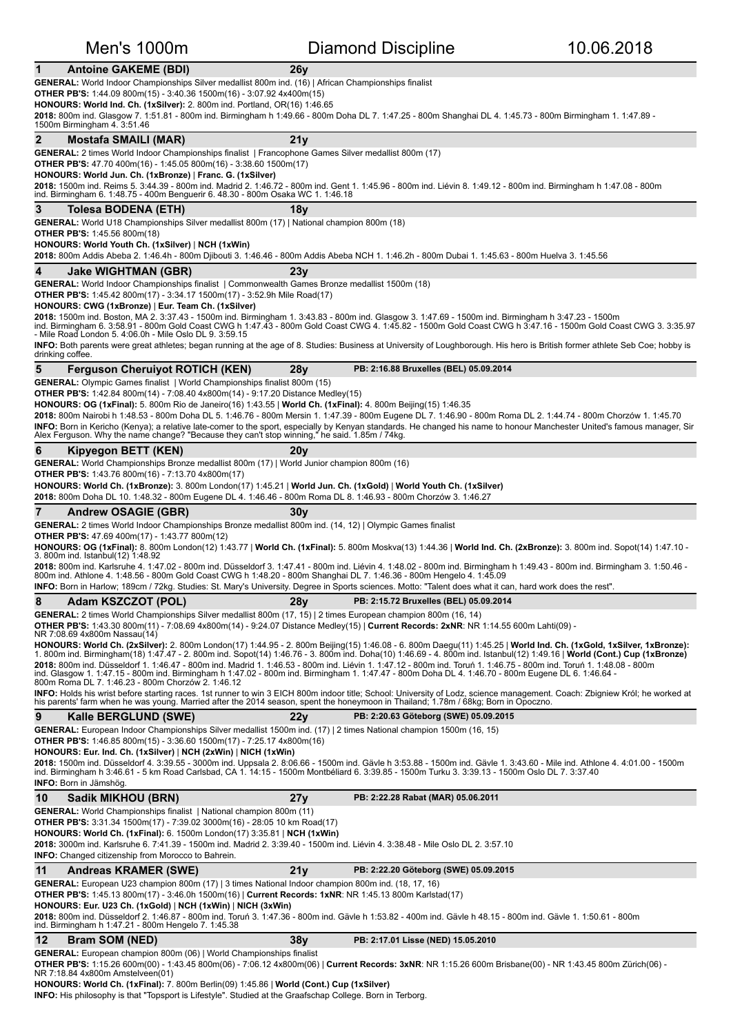### **1** Antoine GAKEME (BDI) 26y GENERAL: World Indoor Championships Silver medallist 800m ind. (16) | African Championships finalist **OTHER PB'S:** 1:44.09 800m(15) - 3:40.36 1500m(16) - 3:07.92 4x400m(15) **HONOURS: World Ind. Ch. (1xSilver):** 2. 800m ind. Portland, OR(16) 1:46.65 2018: 800m ind. Glasgow 7. 1:51.81 - 800m ind. Birmingham h 1:49.66 - 800m Doha DL 7. 1:47.25 - 800m Shanghai DL 4. 1:45.73 - 800m Birmingham 1. 1:47.89 -1500m Birmingham 4. 3:51.46 **2** Mostafa SMAILI (MAR) 21y **GENERAL:** 2 times World Indoor Championships finalist I Francophone Games Silver medallist 800m (17) **OTHER PB'S:** 47.70 400m(16) - 1:45.05 800m(16) - 3:38.60 1500m(17) **HONOURS: World Jun. Ch. (1xBronze)** | **Franc. G. (1xSilver)** 2018: 1500m ind. Reims 5. 3:44.39 - 800m ind. Madrid 2. 1:46.72 - 800m ind. Gent 1. 1:45.96 - 800m ind. Liévin 8. 1:49.12 - 800m ind. Birmingham h 1:47.08 - 800m ind. Birmingham 6. 1:48.75 - 400m Benguerir 6. 48.30 - 800m Osaka WC 1. 1:46.18 **3** Tolesa BODENA (ETH) 18y **GENERAL:** World U18 Championships Silver medallist 800m (17) | National champion 800m (18) **OTHER PB'S:** 1:45.56 800m(18) **HONOURS: World Youth Ch. (1xSilver) | NCH (1xWin) 2018:** 800m Addis Abeba 2. 1:46.4h - 800m Diibouti 3. 1:46.46 - 800m Addis Abeba NCH 1. 1:46.2h - 800m Dubai 1. 1:45.63 - 800m Huelva 3. 1:45.56 **4 Jake WIGHTMAN (GBR) 23y** GENERAL: World Indoor Championships finalist | Commonwealth Games Bronze medallist 1500m (18) **OTHER PB'S:** 1:45.42 800m(17) - 3:34.17 1500m(17) - 3:52.9h Mile Road(17) **HONOURS: CWG (1xBronze)** | **Eur. Team Ch. (1xSilver) 2018:** 1500m ind. Boston, MA 2. 3:37.43 - 1500m ind. Birmingham 1. 3:43.83 - 800m ind. Glasgow 3. 1:47.69 - 1500m ind. Birmingham h 3:47.23 - 1500m<br>ind. Birmingham 6. 3:58.91 - 800m Gold Coast CWG h 1:47.43 - 800m Gold Co INFO: Both parents were great athletes; began running at the age of 8. Studies: Business at University of Loughborough. His hero is British former athlete Seb Coe; hobby is drinking coffee. **5** Ferguson Cheruiyot ROTICH (KEN) 28y PB: 2:16.88 Bruxelles (BEL) 05.09.2014 **GENERAL:** Olympic Games finalist | World Championships finalist 800m (15) **OTHER PB'S:** 1:42.84 800m(14) - 7:08.40 4x800m(14) - 9:17.20 Distance Medley(15) **HONOURS: OG (1xFinal):** 5. 800m Rio de Janeiro(16) 1:43.55 | World Ch. (1xFinal): 4. 800m Beijing(15) 1:46.35 2018: 800m Nairobi h 1:48.53 - 800m Doha DL 5. 1:46.76 - 800m Mersin 1. 1:47.39 - 800m Eugene DL 7. 1:46.90 - 800m Roma DL 2. 1:44.74 - 800m Chorzów 1. 1:45.70 **INFO:** Born in Kericho (Kenya); a relative late-comer to the sport, especially by Kenyan standards. He changed his name to honour Manchester United's famous manager, Sir<br>Alex Ferguson. Why the name change? "Because they c **6** Kipyegon BETT (KEN) **20y** GENERAL: World Championships Bronze medallist 800m (17) | World Junior champion 800m (16) **OTHER PB'S:** 1:43.76 800m(16) - 7:13.70 4x800m(17) **HONOURS: World Ch. (1xBronze):** 3. 800m Condon(17) 1:45.21 | **World Jun. Ch. (1xGold)** | **World Youth Ch. (1xSilver)** 2018: 800m Doha DL 10. 1:48.32 - 800m Eugene DL 4. 1:46.46 - 800m Roma DL 8. 1:46.93 - 800m Chorzów 3. 1:46.27 **7** Andrew OSAGIE (GBR) 30y GENERAL: 2 times World Indoor Championships Bronze medallist 800m ind. (14, 12) | Olympic Games finalist **OTHER PB'S:** 47.69 400m(17) - 1:43.77 800m(12) **HONOURS: OG (1xFinal):** 8. 800m London(12) 1:43.77 | **World Ch. (1xFinal):** 5. 800m Moskva(13) 1:44.36 | **World Ind. Ch. (2xBronze):** 3. 800m ind. Sopot(14) 1:47.10 -<br>3. 800m ind. Istanbul(12) 1:48.92 **2018:** 800m ind. Karlsruhe 4. 1:47.02 - 800m ind. Düsseldorf 3. 1:47.41 - 800m ind. Liévin 4. 1:48.02 - 800m ind. Birmingham h 1:49.43 - 800m ind. Birmingham 3. 1:50.46 -<br>800m ind. Athlone 4. 1:48.56 - 800m Gold Coast CWG **INFO:** Born in Harlow; 189cm / 72kg. Studies: St. Mary's University. Degree in Sports sciences. Motto: "Talent does what it can, hard work does the rest". **8** Adam KSZCZOT (POL) 28y PB: 2:15.72 Bruxelles (BEL) 05.09.2014 GENERAL: 2 times World Championships Silver medallist 800m (17, 15) | 2 times European champion 800m (16, 14) **OTHER PB'S:** 1:43.30 800m(11) - 7:08.69 4x800m(14) - 9:24.07 Distance Medley(15) | **Current Records: 2xNR**: NR 1:14.55 600m Lahti(09) -<br>NR 7:08.69 4x800m Nassau(14) HONOURS: World Ch. (2xSilver): 2. 800m London(17) 1:44.95 - 2. 800m Beijing(15) 1:46.08 - 6. 800m Daegu(11) 1:45.25 | World Ind. Ch. (1xGold, 1xSilver, 1xBronze):<br>1. 800m ind. Birmingham(18) 1:47.47 - 2. 800m ind. Sopot(14 **2018:** 800m ind. Düsseldorf 1. 1:46.47 - 800m ind. Madrid 1. 1:46.53 - 800m ind. Liévin 1. 1:47.12 - 800m ind. Toruń 1. 1:46.75 - 800m ind. Toruń 1. 1:48.08 - 800m<br>ind. Glasgow 1. 1:47.15 - 800m ind. Birmingham h 1:47.02 INFO: Holds his wrist before starting races. 1st runner to win 3 EICH 800m indoor title; School: University of Lodz, science management. Coach: Zbigniew Król; he worked at his parents' farm when he was young. Married after the 2014 season, spent the honeymoon in Thailand; 1.78m / 68kg; Born in Opoczno. **9** Kalle BERGLUND (SWE) 22y PB: 2:20.63 Göteborg (SWE) 05.09.2015 GENERAL: European Indoor Championships Silver medallist 1500m ind. (17) | 2 times National champion 1500m (16, 15) **OTHER PB'S:** 1:46.85 800m(15) - 3:36.60 1500m(17) - 7:25.17 4x800m(16) **HONOURS: Eur. Ind. Ch. (1xSilver) | NCH (2xWin) | NICH (1xWin) 2018:** 1500m ind. Düsseldorf 4. 3:39.55 - 3000m ind. Uppsala 2. 8:06.66 - 1500m ind. Gävle h 3:53.88 - 1500m ind. Gävle 1. 3:43.60 - Mile ind. Athlone 4. 4:01.00 - 1500m<br>ind. Birmingham h 3:46.61 - 5 km Road Carlsbad, CA **INFO: Born in Jämshög 10 Sadik MIKHOU (BRN) 27y PB:** 2:22.28 Rabat (MAR) 05.06.2011 **GENERAL:** World Championships finalist | National champion 800m (11) **OTHER PB'S:** 3:31.34 1500m(17) - 7:39.02 3000m(16) - 28:05 10 km Road(17) **HONOURS: World Ch. (1xFinal):** 6. 1500m London(17) 3:35.81 | NCH (1xWin) **2018:** 3000m ind. Karlsruhe 6. 7:41.39 - 1500m ind. Madrid 2. 3:39.40 - 1500m ind. Liévin 4. 3:38.48 - Mile Oslo DL 2. 3:57.10 **INFO:** Changed citizenship from Morocco to Bahrein. 11 Andreas KRAMER (SWE) 21y PB: 2:22.20 Göteborg (SWE) 05.09.2015 **GENERAL:** European U23 champion 800m (17) | 3 times National Indoor champion 800m ind. (18, 17, 16) **OTHER PB'S:** 1:45.13 800m(17) - 3:46.0h 1500m(16) | Current Records: 1xNR: NR 1:45.13 800m Karlstad(17) **HONOURS: Eur. U23 Ch. (1xGold)** | **NCH (1xWin)** | **NICH (3xWin) 2018:** 800m ind. Düsseldorf 2. 1:46.87 - 800m ind. Toruń 3. 1:47.36 - 800m ind. Gävle h 1:53.82 - 400m ind. Gävle h 48.15 - 800m ind. Gävle 1. 1:50.61 - 800m<br>ind. Birmingham h 1:47.21 - 800m Hengelo 7. 1:45.38 **12 Bram SOM (NED)** 38y **PB:** 2:17.01 Lisse (NED) 15.05.2010 **GENERAL:** European champion 800m (06) | World Championships finalist **OTHER PB'S:** 1:15.26 600m(00) - 1:43.45 800m(06) - 7:06.12 4x800m(06) | **Current Records: 3xNR**: NR 1:15.26 600m Brisbane(00) - NR 1:43.45 800m Zürich(06) -<br>NR 7:18.84 4x800m Amstelveen(01) **HONOURS: World Ch. (1xFinal):** 7. 800m Berlin(09) 1:45.86 | World (Cont.) Cup (1xSilver)

Men's 1000m **Diamond Discipline** 10.06.2018

**INFO:** His philosophy is that "Topsport is Lifestyle". Studied at the Graafschap College. Born in Terborg.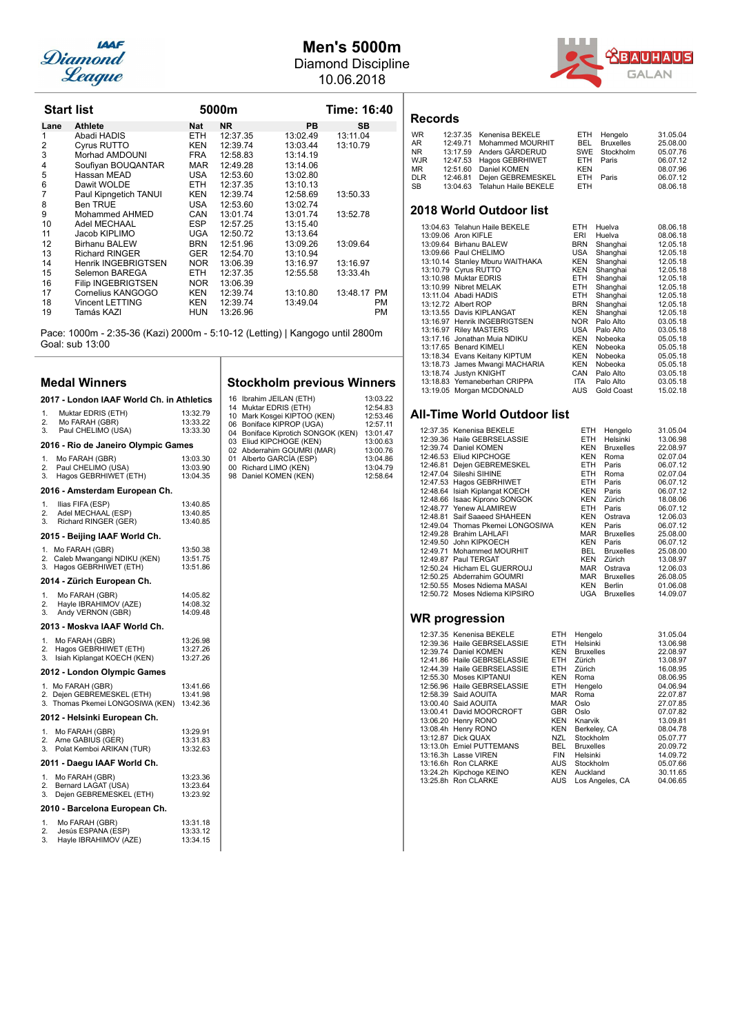

## **Men's 5000m**

Diamond Discipline

| Leaque            |                            |            | 10.06.2018 |           |             |           |
|-------------------|----------------------------|------------|------------|-----------|-------------|-----------|
| <b>Start list</b> |                            |            | 5000m      |           | Time: 16:40 | R٥        |
| Lane              | <b>Athlete</b>             | Nat        | <b>NR</b>  | <b>PB</b> | SB          |           |
| 1                 | Abadi HADIS                | ETH.       | 12:37.35   | 13:02.49  | 13:11.04    | WF        |
| 2                 | Cyrus RUTTO                | <b>KEN</b> | 12:39.74   | 13:03.44  | 13:10.79    | AR        |
| 3                 | Morhad AMDOUNI             | <b>FRA</b> | 12:58.83   | 13:14.19  |             | <b>NR</b> |
| $\overline{4}$    | Soufiyan BOUQANTAR         | <b>MAR</b> | 12:49.28   | 13:14.06  |             | WJ<br>MR  |
| 5                 | Hassan MEAD                | <b>USA</b> | 12:53.60   | 13:02.80  |             | DL        |
| 6                 | Dawit WOLDE                | ETH.       | 12:37.35   | 13:10.13  |             | <b>SB</b> |
| $\overline{7}$    | Paul Kipngetich TANUI      | <b>KEN</b> | 12:39.74   | 12:58.69  | 13:50.33    |           |
| 8                 | <b>Ben TRUE</b>            | <b>USA</b> | 12:53.60   | 13:02.74  |             |           |
| 9                 | Mohammed AHMED             | CAN        | 13:01.74   | 13:01.74  | 13:52.78    | 20        |
| 10                | Adel MECHAAL               | ESP.       | 12:57.25   | 13:15.40  |             |           |
| 11                | Jacob KIPLIMO              | <b>UGA</b> | 12:50.72   | 13:13.64  |             |           |
| 12                | Birhanu BALEW              | <b>BRN</b> | 12:51.96   | 13:09.26  | 13:09.64    |           |
| 13                | <b>Richard RINGER</b>      | <b>GER</b> | 12:54.70   | 13:10.94  |             |           |
| 14                | <b>Henrik INGEBRIGTSEN</b> | NOR.       | 13:06.39   | 13:16.97  | 13:16.97    |           |
| 15                | Selemon BAREGA             | ETH        | 12:37.35   | 12:55.58  | 13:33.4h    |           |
| 16                | <b>Filip INGEBRIGTSEN</b>  | NOR.       | 13:06.39   |           |             |           |
| 17                | Cornelius KANGOGO          | <b>KEN</b> | 12:39.74   | 13:10.80  | 13:48.17 PM |           |
| 18                | <b>Vincent LETTING</b>     | KEN        | 12:39.74   | 13:49.04  | PM          |           |

19 Tamás KAZI HUN 13:26.96 PM Pace: 1000m - 2:35-36 (Kazi) 2000m - 5:10-12 (Letting) | Kangogo until 2800m Goal: sub 13:00

### **Medal Winners**

|                            | 2017 - London IAAF World Ch. in Athletics                                  |                                  |  |  |  |
|----------------------------|----------------------------------------------------------------------------|----------------------------------|--|--|--|
| 1.<br>2.<br>3.             | Muktar EDRIS (ETH)<br>Mo FARAH (GBR)<br>Paul CHELIMO (USA)                 | 13:32.79<br>13:33.22<br>13:33.30 |  |  |  |
|                            | 2016 - Rio de Janeiro Olympic Games                                        |                                  |  |  |  |
| 1.<br>2.<br>3.             | Mo FARAH (GBR)<br>Paul CHELIMO (USA)<br>Hagos GEBRHIWET (ETH)              | 13:03.30<br>13:03.90<br>13:04.35 |  |  |  |
|                            | 2016 - Amsterdam European Ch.                                              |                                  |  |  |  |
| 1.<br>2.<br>3.             | Ilias FIFA (ESP)<br>Adel MECHAAL (ESP)<br>Richard RINGER (GER)             | 13:40.85<br>13:40.85<br>13:40.85 |  |  |  |
|                            | 2015 - Beijing IAAF World Ch.                                              |                                  |  |  |  |
| 1.<br>2.<br>3.             | Mo FARAH (GBR)<br>Caleb Mwangangi NDIKU (KEN)<br>Hagos GEBRHIWET (ETH)     | 13:50.38<br>13:51.75<br>13:51.86 |  |  |  |
|                            | 2014 - Zürich European Ch.                                                 |                                  |  |  |  |
| 1.<br>2.<br>3.             | Mo FARAH (GBR)<br>Hayle IBRAHIMOV (AZE)<br>Andy VERNON (GBR)               | 14:05.82<br>14:08.32<br>14:09.48 |  |  |  |
|                            | 2013 - Moskva IAAF World Ch.                                               |                                  |  |  |  |
| 1.<br>2.<br>3.             | Mo FARAH (GBR)<br>Hagos GEBRHIWET (ETH)<br>Isiah Kiplangat KOECH (KEN)     | 13:26.98<br>13:27.26<br>13:27.26 |  |  |  |
|                            | 2012 - London Olympic Games                                                |                                  |  |  |  |
| 1.<br>2.<br>3.             | Mo FARAH (GBR)<br>Dejen GEBREMESKEL (ETH)<br>Thomas Pkemei LONGOSIWA (KEN) | 13:41.66<br>13:41.98<br>13:42.36 |  |  |  |
|                            | 2012 - Helsinki European Ch.                                               |                                  |  |  |  |
| 1 <sup>1</sup><br>2.<br>3. | Mo FARAH (GBR)<br>Arne GABIUS (GER)<br>Polat Kemboi ARIKAN (TUR)           | 13:29.91<br>13:31.83<br>13:32.63 |  |  |  |
|                            | 2011 - Daegu IAAF World Ch.                                                |                                  |  |  |  |
| 1.<br>2.<br>3.             | Mo FARAH (GBR)<br>Bernard LAGAT (USA)<br>Dejen GEBREMESKEL (ETH)           | 13:23.36<br>13:23.64<br>13:23.92 |  |  |  |
|                            | 2010 - Barcelona European Ch.                                              |                                  |  |  |  |
| 1.                         | Mo FARAH (GBR)                                                             | 13:31.18                         |  |  |  |

|    | 1                     | 19.91.19 |
|----|-----------------------|----------|
| 2. | Jesús ESPANA (ESP)    | 13:33.12 |
| 3. | Hayle IBRAHIMOV (AZE) | 13:34.15 |
|    |                       |          |

| <b>Stockholm previous Winners</b> |  |  |
|-----------------------------------|--|--|
|-----------------------------------|--|--|

16 Ibrahim JEILAN (ETH) 13:03.22<br>14 Muktar EDRIS (ETH) 12:54.83 14 Muktar EDRIS (ETH) 12:54.83<br>
10 Mark Kosgei KIPTOO (KEN) 12:53.46<br>
06 Boniface KIPROP (UGA) 12:57.11<br>
04 Boniface Kiprotich SONGOK (KEN) 13:01.47<br>
03 Eliud KIPCHOGE (KEN) 13:00.63<br>
02 Abderrahim GOUMRI (MAR) 13:00.76<br>
0 98 Daniel KOMEN (KEN)<br>
98 Daniel KOMEN (KEN)<br>
98 Daniel KOMEN (KEN)<br>
12:58.64

**GAL** AN



| <b>WR</b> | 12:37.35 Kenenisa BEKELE      |            | ETH Hengelo          | 31.05.04 |
|-----------|-------------------------------|------------|----------------------|----------|
| AR        | 12:49.71 Mohammed MOURHIT     |            | <b>BEL</b> Bruxelles | 25,08,00 |
| NR        | 13:17.59 Anders GÄRDERUD      |            | SWE Stockholm        | 05.07.76 |
| WJR       | 12:47.53 Hagos GEBRHIWET      |            | ETH Paris            | 06.07.12 |
| MR        | 12:51.60 Daniel KOMEN         | <b>KEN</b> |                      | 08.07.96 |
| DLR       | 12:46.81 Dejen GEBREMESKEL    |            | ETH Paris            | 06.07.12 |
| SВ        | 13:04.63 Telahun Haile BEKELE | ETH.       |                      | 08.06.18 |
|           |                               |            |                      |          |

### **2018 World Outdoor list**

|                      |                                                                                                                                                                                                                                                                                                                                                                                                                                                                                                                                                  |            | 08.06.18 |
|----------------------|--------------------------------------------------------------------------------------------------------------------------------------------------------------------------------------------------------------------------------------------------------------------------------------------------------------------------------------------------------------------------------------------------------------------------------------------------------------------------------------------------------------------------------------------------|------------|----------|
|                      | ERI                                                                                                                                                                                                                                                                                                                                                                                                                                                                                                                                              | Huelva     | 08.06.18 |
|                      | <b>BRN</b>                                                                                                                                                                                                                                                                                                                                                                                                                                                                                                                                       | Shanghai   | 12.05.18 |
|                      | USA                                                                                                                                                                                                                                                                                                                                                                                                                                                                                                                                              | Shanghai   | 12.05.18 |
|                      | <b>KEN</b>                                                                                                                                                                                                                                                                                                                                                                                                                                                                                                                                       | Shanghai   | 12.05.18 |
|                      | <b>KEN</b>                                                                                                                                                                                                                                                                                                                                                                                                                                                                                                                                       | Shanghai   | 12.05.18 |
|                      | ETH.                                                                                                                                                                                                                                                                                                                                                                                                                                                                                                                                             | Shanghai   | 12.05.18 |
|                      | ETH.                                                                                                                                                                                                                                                                                                                                                                                                                                                                                                                                             | Shanghai   | 12.05.18 |
|                      | ETH.                                                                                                                                                                                                                                                                                                                                                                                                                                                                                                                                             | Shanghai   | 12.05.18 |
|                      | <b>BRN</b>                                                                                                                                                                                                                                                                                                                                                                                                                                                                                                                                       | Shanghai   | 12.05.18 |
|                      | <b>KEN</b>                                                                                                                                                                                                                                                                                                                                                                                                                                                                                                                                       | Shanghai   | 12.05.18 |
|                      | NOR.                                                                                                                                                                                                                                                                                                                                                                                                                                                                                                                                             | Palo Alto  | 03.05.18 |
|                      | USA                                                                                                                                                                                                                                                                                                                                                                                                                                                                                                                                              | Palo Alto  | 03.05.18 |
|                      | <b>KEN</b>                                                                                                                                                                                                                                                                                                                                                                                                                                                                                                                                       | Nobeoka    | 05.05.18 |
| <b>Benard KIMELI</b> | <b>KEN</b>                                                                                                                                                                                                                                                                                                                                                                                                                                                                                                                                       | Nobeoka    | 05.05.18 |
|                      | KEN                                                                                                                                                                                                                                                                                                                                                                                                                                                                                                                                              | Nobeoka    | 05.05.18 |
|                      | <b>KEN</b>                                                                                                                                                                                                                                                                                                                                                                                                                                                                                                                                       | Nobeoka    | 05.05.18 |
| Justyn KNIGHT        | CAN                                                                                                                                                                                                                                                                                                                                                                                                                                                                                                                                              | Palo Alto  | 03.05.18 |
|                      | ITA.                                                                                                                                                                                                                                                                                                                                                                                                                                                                                                                                             | Palo Alto  | 03.05.18 |
|                      | AUS                                                                                                                                                                                                                                                                                                                                                                                                                                                                                                                                              | Gold Coast | 15.02.18 |
|                      | 13:04.63 Telahun Haile BEKELE<br>13:09.06 Aron KIFLE<br>13:09.64 Birhanu BALEW<br>13:09.66 Paul CHELIMO<br>13:10.14 Stanley Mburu WAITHAKA<br>13:10.79 Cyrus RUTTO<br>13:10.98 Muktar EDRIS<br>13:10.99 Nibret MELAK<br>13:11.04 Abadi HADIS<br>13:12.72 Albert ROP<br>13:13.55 Davis KIPLANGAT<br>13:16.97 Henrik INGEBRIGTSEN<br>13:16.97 Riley MASTERS<br>13:17.16 Jonathan Muia NDIKU<br>13:17.65<br>13:18.34 Evans Keitany KIPTUM<br>13:18.73 James Mwangi MACHARIA<br>13:18.74<br>13:18.83 Yemaneberhan CRIPPA<br>13:19.05 Morgan MCDONALD | ETH        | Huelva   |

### **All-Time World Outdoor list**

|  | 12:37.35 Kenenisa BEKELE         | ETH.       | Hengelo          | 31.05.04 |
|--|----------------------------------|------------|------------------|----------|
|  | 12:39.36 Haile GEBRSELASSIE      | ETH        | Helsinki         | 13.06.98 |
|  | 12:39.74 Daniel KOMEN            | <b>KEN</b> | <b>Bruxelles</b> | 22.08.97 |
|  | 12:46.53 Eliud KIPCHOGE          | KEN        | Roma             | 02.07.04 |
|  | 12:46.81 Dejen GEBREMESKEL       | ETH        | Paris            | 06.07.12 |
|  | 12:47.04 Sileshi SIHINE          | ETH        | Roma             | 02.07.04 |
|  | 12:47.53 Hagos GEBRHIWET         | ETH.       | Paris            | 06.07.12 |
|  | 12:48.64 Isiah Kiplangat KOECH   | <b>KEN</b> | Paris            | 06.07.12 |
|  | 12:48.66 Isaac Kiprono SONGOK    | <b>KEN</b> | Zürich           | 18.08.06 |
|  | 12:48.77 Yenew ALAMIREW          | ETH        | Paris            | 06.07.12 |
|  | 12:48.81 Saif Saaeed SHAHEEN     | <b>KEN</b> | Ostrava          | 12.06.03 |
|  | 12:49.04 Thomas Pkemei LONGOSIWA | KEN        | Paris            | 06.07.12 |
|  | 12:49.28 Brahim LAHLAFI          | <b>MAR</b> | <b>Bruxelles</b> | 25.08.00 |
|  | 12:49.50 John KIPKOECH           | KEN        | Paris            | 06.07.12 |
|  | 12:49.71 Mohammed MOURHIT        | BEL.       | <b>Bruxelles</b> | 25.08.00 |
|  | 12:49.87 Paul TERGAT             | KEN        | Zürich           | 13.08.97 |
|  | 12:50.24 Hicham EL GUERROUJ      | <b>MAR</b> | Ostrava          | 12.06.03 |
|  | 12:50.25 Abderrahim GOUMRI       | MAR        | <b>Bruxelles</b> | 26.08.05 |
|  | 12:50.55 Moses Ndiema MASAI      | <b>KEN</b> | Berlin           | 01.06.08 |
|  | 12:50.72 Moses Ndiema KIPSIRO    | UGA        | <b>Bruxelles</b> | 14.09.07 |

| 12:37.35 Kenenisa BEKELE    | ETH        | Hengelo          | 31.05.04 |
|-----------------------------|------------|------------------|----------|
| 12:39.36 Haile GEBRSELASSIE | ETH.       | Helsinki         | 13.06.98 |
| 12:39.74 Daniel KOMEN       | <b>KEN</b> | <b>Bruxelles</b> | 22.08.97 |
| 12:41.86 Haile GEBRSELASSIE | ETH.       | Zürich           | 13.08.97 |
| 12:44.39 Haile GEBRSELASSIE | ETH.       | Zürich           | 16.08.95 |
| 12:55.30 Moses KIPTANUI     | <b>KEN</b> | Roma             | 08.06.95 |
| 12:56.96 Haile GEBRSELASSIE | ETH.       | Hengelo          | 04.06.94 |
| 12:58.39 Said AOUITA        | <b>MAR</b> | Roma             | 22.07.87 |
| 13:00.40 Said AOUITA        | <b>MAR</b> | Oslo             | 27.07.85 |
| 13:00.41 David MOORCROFT    | <b>GBR</b> | Oslo             | 07.07.82 |
| 13:06.20 Henry RONO         | <b>KEN</b> | Knarvik          | 13.09.81 |
| 13:08.4h Henry RONO         | <b>KEN</b> | Berkeley, CA     | 08.04.78 |
| 13:12.87 Dick QUAX          | NZL        | Stockholm        | 05.07.77 |
| 13:13.0h Emiel PUTTEMANS    | BEL        | <b>Bruxelles</b> | 20.09.72 |
| 13:16.3h Lasse VIREN        | <b>FIN</b> | Helsinki         | 14.09.72 |
| 13:16.6h Ron CLARKE         | AUS        | Stockholm        | 05.07.66 |
| 13:24.2h Kipchoge KEINO     | KEN        | Auckland         | 30.11.65 |
| 13:25.8h Ron CLARKE         | AUS        | Los Angeles, CA  | 04.06.65 |
|                             |            |                  |          |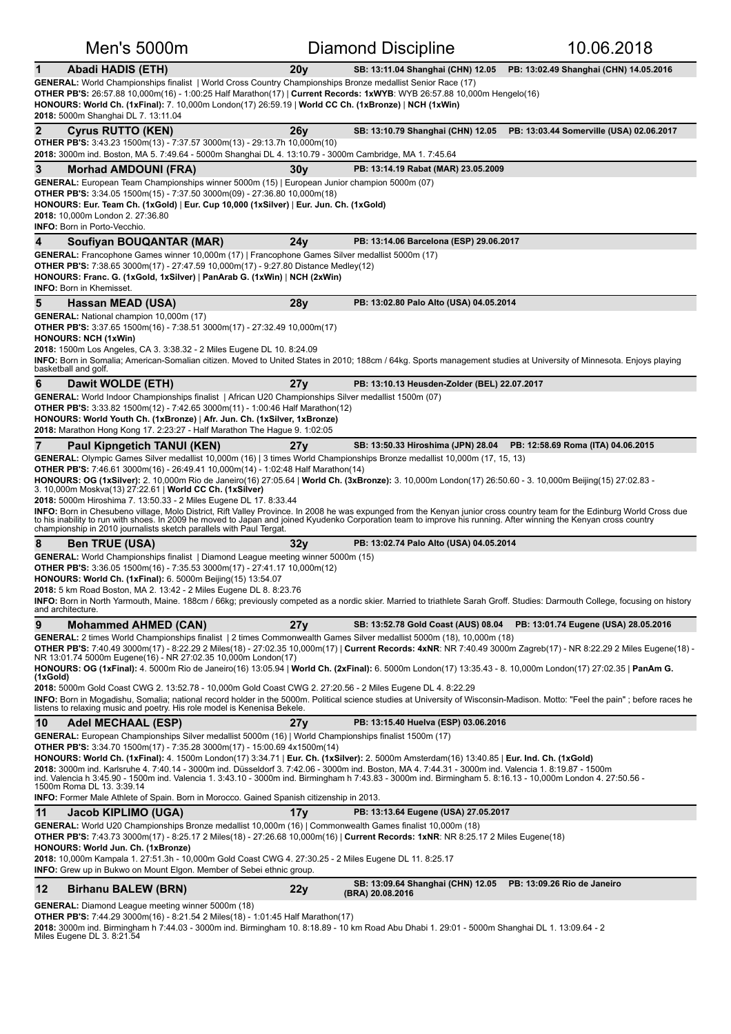| Men's 5000m                                                                                                                                                                                                                                                                                                                                                                                                                                                                                                                                                                                                                                                                                                                                                                                                                                                                                                                               |                 | <b>Diamond Discipline</b>                             | 10.06.2018                                                               |
|-------------------------------------------------------------------------------------------------------------------------------------------------------------------------------------------------------------------------------------------------------------------------------------------------------------------------------------------------------------------------------------------------------------------------------------------------------------------------------------------------------------------------------------------------------------------------------------------------------------------------------------------------------------------------------------------------------------------------------------------------------------------------------------------------------------------------------------------------------------------------------------------------------------------------------------------|-----------------|-------------------------------------------------------|--------------------------------------------------------------------------|
| $\mathbf{1}$<br><b>Abadi HADIS (ETH)</b><br>GENERAL: World Championships finalist   World Cross Country Championships Bronze medallist Senior Race (17)<br>OTHER PB'S: 26:57.88 10,000m(16) - 1:00:25 Half Marathon(17)   Current Records: 1xWYB: WYB 26:57.88 10,000m Hengelo(16)<br>HONOURS: World Ch. (1xFinal): 7. 10,000m London(17) 26:59.19   World CC Ch. (1xBronze)   NCH (1xWin)<br>2018: 5000m Shanghai DL 7. 13:11.04                                                                                                                                                                                                                                                                                                                                                                                                                                                                                                         | 20y             |                                                       | SB: 13:11.04 Shanghai (CHN) 12.05 PB: 13:02.49 Shanghai (CHN) 14.05.2016 |
| $\mathbf{2}$<br><b>Cyrus RUTTO (KEN)</b><br><b>OTHER PB'S:</b> 3:43.23 1500m(13) - 7:37.57 3000m(13) - 29:13.7h 10,000m(10)<br>2018: 3000m ind. Boston, MA 5. 7:49.64 - 5000m Shanghai DL 4. 13:10.79 - 3000m Cambridge, MA 1. 7:45.64                                                                                                                                                                                                                                                                                                                                                                                                                                                                                                                                                                                                                                                                                                    | 26y             | SB: 13:10.79 Shanghai (CHN) 12.05                     | PB: 13:03.44 Somerville (USA) 02.06.2017                                 |
| 3<br><b>Morhad AMDOUNI (FRA)</b>                                                                                                                                                                                                                                                                                                                                                                                                                                                                                                                                                                                                                                                                                                                                                                                                                                                                                                          | 30y             | PB: 13:14.19 Rabat (MAR) 23.05.2009                   |                                                                          |
| <b>GENERAL:</b> European Team Championships winner 5000m (15)   European Junior champion 5000m (07)<br><b>OTHER PB'S:</b> 3:34.05 1500m(15) - 7:37.50 3000m(09) - 27:36.80 10,000m(18)<br>HONOURS: Eur. Team Ch. (1xGold)   Eur. Cup 10,000 (1xSilver)   Eur. Jun. Ch. (1xGold)<br>2018: 10,000m London 2. 27:36.80<br><b>INFO:</b> Born in Porto-Vecchio.                                                                                                                                                                                                                                                                                                                                                                                                                                                                                                                                                                                |                 |                                                       |                                                                          |
| Soufiyan BOUQANTAR (MAR)<br>4<br>GENERAL: Francophone Games winner 10,000m (17)   Francophone Games Silver medallist 5000m (17)<br><b>OTHER PB'S:</b> 7:38.65 3000m(17) - 27:47.59 10,000m(17) - 9:27.80 Distance Medley(12)<br>HONOURS: Franc. G. (1xGold, 1xSilver)   PanArab G. (1xWin)   NCH (2xWin)<br><b>INFO:</b> Born in Khemisset.                                                                                                                                                                                                                                                                                                                                                                                                                                                                                                                                                                                               | 24y             | PB: 13:14.06 Barcelona (ESP) 29.06.2017               |                                                                          |
| 5<br>Hassan MEAD (USA)                                                                                                                                                                                                                                                                                                                                                                                                                                                                                                                                                                                                                                                                                                                                                                                                                                                                                                                    | 28y             | PB: 13:02.80 Palo Alto (USA) 04.05.2014               |                                                                          |
| <b>GENERAL:</b> National champion 10,000m (17)<br><b>OTHER PB'S:</b> 3:37.65 1500m(16) - 7:38.51 3000m(17) - 27:32.49 10,000m(17)<br><b>HONOURS: NCH (1xWin)</b><br>2018: 1500m Los Angeles, CA 3. 3:38.32 - 2 Miles Eugene DL 10. 8:24.09<br>INFO: Born in Somalia; American-Somalian citizen. Moved to United States in 2010; 188cm / 64kg. Sports management studies at University of Minnesota. Enjoys playing<br>basketball and golf.                                                                                                                                                                                                                                                                                                                                                                                                                                                                                                |                 |                                                       |                                                                          |
| 6<br>Dawit WOLDE (ETH)<br>GENERAL: World Indoor Championships finalist   African U20 Championships Silver medallist 1500m (07)                                                                                                                                                                                                                                                                                                                                                                                                                                                                                                                                                                                                                                                                                                                                                                                                            | 27y             | PB: 13:10.13 Heusden-Zolder (BEL) 22.07.2017          |                                                                          |
| <b>OTHER PB'S:</b> 3:33.82 1500m(12) - 7:42.65 3000m(11) - 1:00:46 Half Marathon(12)<br>HONOURS: World Youth Ch. (1xBronze)   Afr. Jun. Ch. (1xSilver, 1xBronze)<br>2018: Marathon Hong Kong 17. 2:23:27 - Half Marathon The Hague 9. 1:02:05                                                                                                                                                                                                                                                                                                                                                                                                                                                                                                                                                                                                                                                                                             |                 |                                                       |                                                                          |
| $\overline{7}$<br><b>Paul Kipngetich TANUI (KEN)</b>                                                                                                                                                                                                                                                                                                                                                                                                                                                                                                                                                                                                                                                                                                                                                                                                                                                                                      | 27y             | SB: 13:50.33 Hiroshima (JPN) 28.04                    | PB: 12:58.69 Roma (ITA) 04.06.2015                                       |
| GENERAL: Olympic Games Silver medallist 10,000m (16)   3 times World Championships Bronze medallist 10,000m (17, 15, 13)<br><b>OTHER PB'S:</b> 7:46.61 3000m(16) - 26:49.41 10,000m(14) - 1:02:48 Half Marathon(14)<br>HONOURS: OG (1xSilver): 2. 10,000m Rio de Janeiro(16) 27:05.64   World Ch. (3xBronze): 3. 10,000m London(17) 26:50.60 - 3. 10,000m Beijing(15) 27:02.83 -<br>3. 10,000m Moskva(13) 27:22.61   World CC Ch. (1xSilver)<br>2018: 5000m Hiroshima 7. 13:50.33 - 2 Miles Eugene DL 17. 8:33.44<br>INFO: Born in Chesubeno village, Molo District, Rift Valley Province. In 2008 he was expunged from the Kenyan junior cross country team for the Edinburg World Cross due<br>to his inability to run with shoes. In 2009 he moved to Japan and joined Kyudenko Corporation team to improve his running. After winning the Kenyan cross country<br>championship in 2010 journalists sketch parallels with Paul Tergat. |                 |                                                       |                                                                          |
| 8<br><b>Ben TRUE (USA)</b>                                                                                                                                                                                                                                                                                                                                                                                                                                                                                                                                                                                                                                                                                                                                                                                                                                                                                                                | 32y             | PB: 13:02.74 Palo Alto (USA) 04.05.2014               |                                                                          |
| GENERAL: World Championships finalist   Diamond League meeting winner 5000m (15)<br><b>OTHER PB'S:</b> $3:36.05$ 1500m(16) - 7:35.53 3000m(17) - 27:41.17 10,000m(12)<br><b>HONOURS: World Ch. (1xFinal):</b> 6. 5000m Beijing(15) 13:54.07<br>2018: 5 km Road Boston, MA 2. 13:42 - 2 Miles Eugene DL 8. 8:23.76<br>INFO: Born in North Yarmouth, Maine. 188cm / 66kg; previously competed as a nordic skier. Married to triathlete Sarah Groff. Studies: Darmouth College, focusing on history<br>and architecture.                                                                                                                                                                                                                                                                                                                                                                                                                     |                 |                                                       |                                                                          |
| 9<br><b>Mohammed AHMED (CAN)</b>                                                                                                                                                                                                                                                                                                                                                                                                                                                                                                                                                                                                                                                                                                                                                                                                                                                                                                          | 27y             | SB: 13:52.78 Gold Coast (AUS) 08.04                   | PB: 13:01.74 Eugene (USA) 28.05.2016                                     |
| GENERAL: 2 times World Championships finalist   2 times Commonwealth Games Silver medallist 5000m (18), 10,000m (18)<br>OTHER PB'S: 7:40.49 3000m(17) - 8:22.29 2 Miles(18) - 27:02.35 10,000m(17)   Current Records: 4xNR: NR 7:40.49 3000m Zagreb(17) - NR 8:22.29 2 Miles Eugene(18) -<br>NR 13:01.74 5000m Eugene(16) - NR 27:02.35 10,000m London(17)<br>HONOURS: OG (1xFinal): 4. 5000m Rio de Janeiro(16) 13:05.94   World Ch. (2xFinal): 6. 5000m London(17) 13:35.43 - 8. 10,000m London(17) 27:02.35   PanAm G.<br>(1xGold)<br>2018: 5000m Gold Coast CWG 2. 13:52.78 - 10,000m Gold Coast CWG 2. 27:20.56 - 2 Miles Eugene DL 4. 8:22.29<br>INFO: Born in Mogadishu, Somalia; national record holder in the 5000m. Political science studies at University of Wisconsin-Madison. Motto: "Feel the pain" ; before races he<br>listens to relaxing music and poetry. His role model is Kenenisa Bekele.                          |                 |                                                       |                                                                          |
| 10<br><b>Adel MECHAAL (ESP)</b>                                                                                                                                                                                                                                                                                                                                                                                                                                                                                                                                                                                                                                                                                                                                                                                                                                                                                                           | 27y             | PB: 13:15.40 Huelva (ESP) 03.06.2016                  |                                                                          |
| GENERAL: European Championships Silver medallist 5000m (16)   World Championships finalist 1500m (17)<br><b>OTHER PB'S:</b> 3:34.70 1500m(17) - 7:35.28 3000m(17) - 15:00.69 4x1500m(14)<br>HONOURS: World Ch. (1xFinal): 4. 1500m London(17) 3:34.71   Eur. Ch. (1xSilver): 2. 5000m Amsterdam(16) 13:40.85   Eur. Ind. Ch. (1xGold)<br>2018: 3000m ind. Karlsruhe 4. 7:40.14 - 3000m ind. Düsseldorf 3. 7:42.06 - 3000m ind. Boston, MA 4. 7:44.31 - 3000m ind. Valencia 1. 8:19.87 - 1500m<br>ind. Valencia h 3:45.90 - 1500m ind. Valencia 1. 3:43.10 - 3000m ind. Birmingham h 7:43.83 - 3000m ind. Birmingham 5. 8:16.13 - 10,000m London 4. 27:50.56 -<br>1500m Roma DL 13. 3:39.14<br><b>INFO:</b> Former Male Athlete of Spain. Born in Morocco. Gained Spanish citizenship in 2013.                                                                                                                                             |                 |                                                       |                                                                          |
| 11<br>Jacob KIPLIMO (UGA)                                                                                                                                                                                                                                                                                                                                                                                                                                                                                                                                                                                                                                                                                                                                                                                                                                                                                                                 | 17 <sub>y</sub> | PB: 13:13.64 Eugene (USA) 27.05.2017                  |                                                                          |
| GENERAL: World U20 Championships Bronze medallist 10,000m (16)   Commonwealth Games finalist 10,000m (18)<br>OTHER PB'S: 7:43.73 3000m(17) - 8:25.17 2 Miles(18) - 27:26.68 10,000m(16)   Current Records: 1xNR: NR 8:25.17 2 Miles Eugene(18)<br>HONOURS: World Jun. Ch. (1xBronze)<br>2018: 10,000m Kampala 1. 27:51.3h - 10,000m Gold Coast CWG 4. 27:30.25 - 2 Miles Eugene DL 11. 8:25.17<br><b>INFO:</b> Grew up in Bukwo on Mount Elgon. Member of Sebei ethnic group.                                                                                                                                                                                                                                                                                                                                                                                                                                                             |                 |                                                       |                                                                          |
| 12<br><b>Birhanu BALEW (BRN)</b>                                                                                                                                                                                                                                                                                                                                                                                                                                                                                                                                                                                                                                                                                                                                                                                                                                                                                                          | 22y             | SB: 13:09.64 Shanghai (CHN) 12.05<br>(BRA) 20.08.2016 | PB: 13:09.26 Rio de Janeiro                                              |
| <b>GENERAL:</b> Diamond League meeting winner 5000m (18)<br><b>OTHER PB'S:</b> 7:44.29 3000m(16) - 8:21.54 2 Miles(18) - 1:01:45 Half Marathon(17)<br>2018; 3000m ind. Birmingham h 7:44 03 - 3000m ind. Birmingham 10, 8:18 89 - 10 km Road Abu Dhabi 1, 29:01 - 5000m Shanghai DL 1, 13:09 64 - 2                                                                                                                                                                                                                                                                                                                                                                                                                                                                                                                                                                                                                                       |                 |                                                       |                                                                          |

.03 - 3000m ind. Birmingham 10. 8:18.89 - 10 km Road Abu Dhabi 1. 29:01 - 5000m Shanghai DL 1. 13:09.6 zu io: *Suuum* ind. Birminghan<br>Miles Eugene DL 3. 8:21.54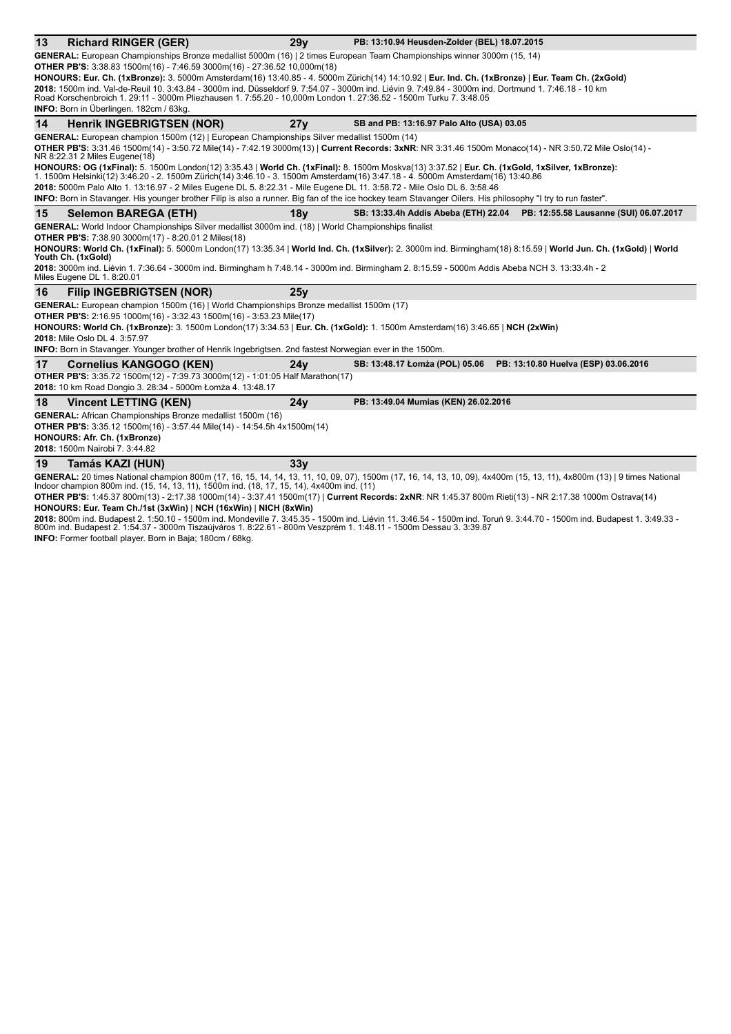| 13 | <b>Richard RINGER (GER)</b>                                                                                                                                                                                                                                                      | 29v             | PB: 13:10.94 Heusden-Zolder (BEL) 18.07.2015 |                                        |  |  |
|----|----------------------------------------------------------------------------------------------------------------------------------------------------------------------------------------------------------------------------------------------------------------------------------|-----------------|----------------------------------------------|----------------------------------------|--|--|
|    | GENERAL: European Championships Bronze medallist 5000m (16)   2 times European Team Championships winner 3000m (15, 14)                                                                                                                                                          |                 |                                              |                                        |  |  |
|    | OTHER PB'S: 3:38.83 1500m(16) - 7:46.59 3000m(16) - 27:36.52 10,000m(18)                                                                                                                                                                                                         |                 |                                              |                                        |  |  |
|    | HONOURS: Eur. Ch. (1xBronze): 3. 5000m Amsterdam(16) 13:40.85 - 4. 5000m Zürich(14) 14:10.92   Eur. Ind. Ch. (1xBronze)   Eur. Team Ch. (2xGold)                                                                                                                                 |                 |                                              |                                        |  |  |
|    | 2018: 1500m ind. Val-de-Reuil 10. 3:43.84 - 3000m ind. Düsseldorf 9. 7:54.07 - 3000m ind. Liévin 9. 7:49.84 - 3000m ind. Dortmund 1. 7:46.18 - 10 km                                                                                                                             |                 |                                              |                                        |  |  |
|    | Road Korschenbroich 1. 29:11 - 3000m Pliezhausen 1. 7:55.20 - 10.000m London 1. 27:36.52 - 1500m Turku 7. 3:48.05<br>INFO: Born in Überlingen. 182cm / 63kg.                                                                                                                     |                 |                                              |                                        |  |  |
| 14 |                                                                                                                                                                                                                                                                                  |                 |                                              |                                        |  |  |
|    | <b>Henrik INGEBRIGTSEN (NOR)</b>                                                                                                                                                                                                                                                 | 27y             | SB and PB: 13:16.97 Palo Alto (USA) 03.05    |                                        |  |  |
|    | GENERAL: European champion 1500m (12)   European Championships Silver medallist 1500m (14)                                                                                                                                                                                       |                 |                                              |                                        |  |  |
|    | OTHER PB'S: 3:31.46 1500m(14) - 3:50.72 Mile(14) - 7:42.19 3000m(13)   Current Records: 3xNR: NR 3:31.46 1500m Monaco(14) - NR 3:50.72 Mile Oslo(14) -<br>NR 8:22.31 2 Miles Eugene(18)                                                                                          |                 |                                              |                                        |  |  |
|    | HONOURS: OG (1xFinal): 5. 1500m London(12) 3:35.43   World Ch. (1xFinal): 8. 1500m Moskva(13) 3:37.52   Eur. Ch. (1xGold, 1xSilver, 1xBronze):<br>1. 1500m Helsinki(12) 3:46.20 - 2. 1500m Zürich(14) 3:46.10 - 3. 1500m Amsterdam(16) 3:47.18 - 4. 5000m Amsterdam(16) 13:40.86 |                 |                                              |                                        |  |  |
|    | 2018: 5000m Palo Alto 1. 13:16.97 - 2 Miles Eugene DL 5. 8:22.31 - Mile Eugene DL 11. 3:58.72 - Mile Oslo DL 6. 3:58.46                                                                                                                                                          |                 |                                              |                                        |  |  |
|    | INFO: Born in Stavanger. His younger brother Filip is also a runner. Big fan of the ice hockey team Stavanger Oilers. His philosophy "I try to run faster".                                                                                                                      |                 |                                              |                                        |  |  |
| 15 | <b>Selemon BAREGA (ETH)</b>                                                                                                                                                                                                                                                      | 18 <sub>V</sub> | SB: 13:33.4h Addis Abeba (ETH) 22.04         | PB: 12:55.58 Lausanne (SUI) 06.07.2017 |  |  |
|    | GENERAL: World Indoor Championships Silver medallist 3000m ind. (18)   World Championships finalist                                                                                                                                                                              |                 |                                              |                                        |  |  |
|    | <b>OTHER PB'S:</b> 7:38.90 3000m(17) - 8:20.01 2 Miles(18)                                                                                                                                                                                                                       |                 |                                              |                                        |  |  |
|    | HONOURS: World Ch. (1xFinal): 5. 5000m London(17) 13:35.34   World Ind. Ch. (1xSilver): 2. 3000m ind. Birmingham(18) 8:15.59   World Jun. Ch. (1xGold)   World<br>Youth Ch. (1xGold)                                                                                             |                 |                                              |                                        |  |  |
|    | 2018: 3000m ind. Liévin 1. 7:36.64 - 3000m ind. Birmingham h 7:48.14 - 3000m ind. Birmingham 2. 8:15.59 - 5000m Addis Abeba NCH 3. 13:33.4h - 2<br>Miles Eugene DL 1. 8:20.01                                                                                                    |                 |                                              |                                        |  |  |
| 16 | <b>Filip INGEBRIGTSEN (NOR)</b>                                                                                                                                                                                                                                                  | 25v             |                                              |                                        |  |  |
|    | GENERAL: European champion 1500m (16)   World Championships Bronze medallist 1500m (17)                                                                                                                                                                                          |                 |                                              |                                        |  |  |
|    | <b>OTHER PB'S:</b> 2:16.95 1000m(16) - 3:32.43 1500m(16) - 3:53.23 Mile(17)                                                                                                                                                                                                      |                 |                                              |                                        |  |  |
|    | HONOURS: World Ch. (1xBronze): 3. 1500m London(17) 3:34.53   Eur. Ch. (1xGold): 1. 1500m Amsterdam(16) 3:46.65   NCH (2xWin)                                                                                                                                                     |                 |                                              |                                        |  |  |
|    | 2018: Mile Oslo DL 4, 3:57.97                                                                                                                                                                                                                                                    |                 |                                              |                                        |  |  |
|    | INFO: Born in Stavanger. Younger brother of Henrik Ingebrigtsen. 2nd fastest Norwegian ever in the 1500m.                                                                                                                                                                        |                 |                                              |                                        |  |  |
| 17 | <b>Cornelius KANGOGO (KEN)</b>                                                                                                                                                                                                                                                   | 24v             | SB: 13:48.17 Lomza (POL) 05.06               | PB: 13:10.80 Huelva (ESP) 03.06.2016   |  |  |
|    | <b>OTHER PB'S:</b> 3:35.72 1500m(12) - 7:39.73 3000m(12) - 1:01:05 Half Marathon(17)                                                                                                                                                                                             |                 |                                              |                                        |  |  |
|    | 2018: 10 km Road Dongio 3. 28:34 - 5000m Łomża 4. 13:48.17                                                                                                                                                                                                                       |                 |                                              |                                        |  |  |
| 18 | <b>Vincent LETTING (KEN)</b>                                                                                                                                                                                                                                                     | 24y             | PB: 13:49.04 Mumias (KEN) 26.02.2016         |                                        |  |  |
|    | <b>GENERAL:</b> African Championships Bronze medallist 1500m (16)                                                                                                                                                                                                                |                 |                                              |                                        |  |  |
|    | OTHER PB'S: 3:35.12 1500m(16) - 3:57.44 Mile(14) - 14:54.5h 4x1500m(14)                                                                                                                                                                                                          |                 |                                              |                                        |  |  |
|    | HONOURS: Afr. Ch. (1xBronze)                                                                                                                                                                                                                                                     |                 |                                              |                                        |  |  |
|    | 2018: 1500m Nairobi 7, 3:44.82                                                                                                                                                                                                                                                   |                 |                                              |                                        |  |  |
| 19 | Tamás KAZI (HUN)                                                                                                                                                                                                                                                                 | 33 <sub>V</sub> |                                              |                                        |  |  |
|    | GENERAL: 20 times National champion 800m (17, 16, 15, 14, 14, 13, 11, 10, 09, 07), 1500m (17, 16, 14, 13, 10, 09), 4x400m (15, 13, 11), 4x800m (13)   9 times National<br>Indoor champion 800m ind. (15, 14, 13, 11), 1500m ind. (18, 17, 15, 14), 4x400m ind. (11)              |                 |                                              |                                        |  |  |

**OTHER PB'S:** 1:45.37 800m(13) - 2:17.38 1000m(14) - 3:37.41 1500m(17) | Current Records: 2xNR: NR 1:45.37 800m Rieti(13) - NR 2:17.38 1000m Ostrava(14) **HONOURS: Eur. Team Ch./1st (3xWin)** | **NCH (16xWin)** | **NICH (8xWin)**

**2018:** 800m ind. Budapest 2. 1:50.10 - 1500m ind. Mondeville 7. 3:45.35 - 1500m ind. Liévin 11. 3:46.54 - 1500m ind. Toruń 9. 3:44.70 - 1500m ind. Budapest 1. 3:49.33 -<br>800m ind. Budapest 2. 1:54.37 - 3000m Tiszaújváros 1

**INFO:** Former football player. Born in Baja; 180cm / 68kg.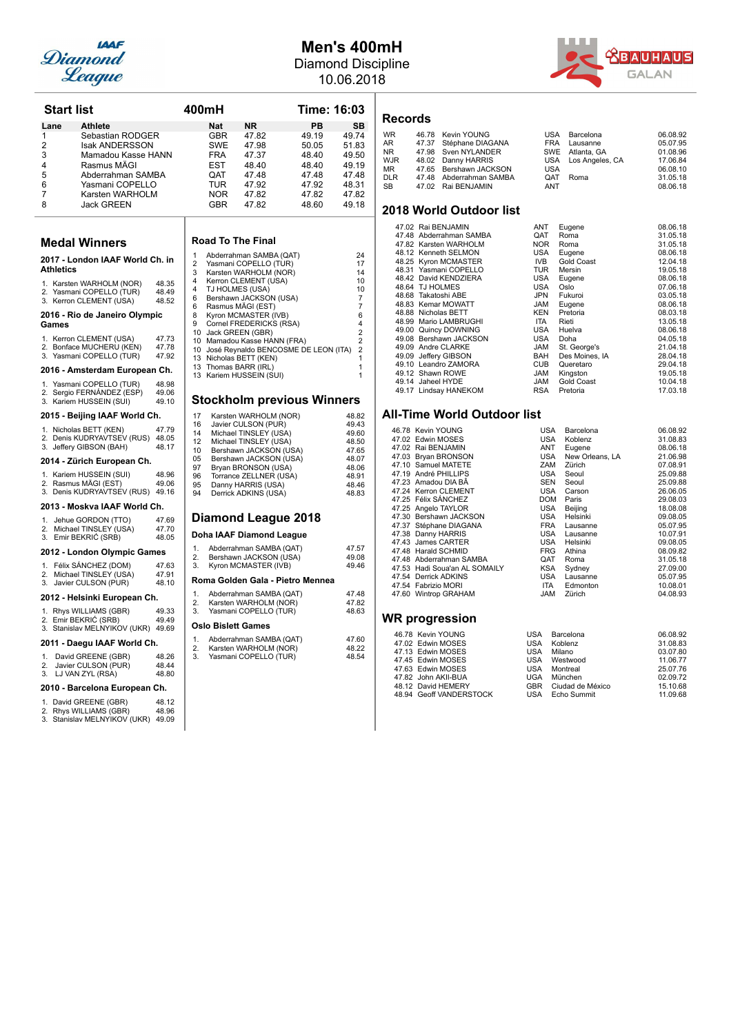

## **Men's 400mH** Diamond Discipline

10.06.2018



| Start list                                                                                                                                                                                                                                                          |                                                    | 400mH                                                    |                                                                                                       |                                                                                                                                                                                                                                                                                                                                                        |                                                                            | Time: 16:03                                                                                                                                                      |
|---------------------------------------------------------------------------------------------------------------------------------------------------------------------------------------------------------------------------------------------------------------------|----------------------------------------------------|----------------------------------------------------------|-------------------------------------------------------------------------------------------------------|--------------------------------------------------------------------------------------------------------------------------------------------------------------------------------------------------------------------------------------------------------------------------------------------------------------------------------------------------------|----------------------------------------------------------------------------|------------------------------------------------------------------------------------------------------------------------------------------------------------------|
| <b>Athlete</b><br>Lane<br>Sebastian RODGER<br>1<br>$\overline{2}$<br><b>Isak ANDERSSON</b><br>3<br>Mamadou Kasse HANN<br>Rasmus MÄGI<br>4<br>5<br>Abderrahman SAMBA<br>6<br>Yasmani COPELLO<br>7<br>Karsten WARHOLM<br>8<br><b>Jack GREEN</b>                       |                                                    |                                                          | <b>Nat</b><br><b>GBR</b><br><b>SWE</b><br><b>FRA</b><br>EST<br>QAT<br>TUR<br><b>NOR</b><br><b>GBR</b> | <b>NR</b><br>47.82<br>47.98<br>47.37<br>48.40<br>47.48<br>47.92<br>47.82<br>47.82                                                                                                                                                                                                                                                                      | PB<br>49.19<br>50.05<br>48.40<br>48.40<br>47.48<br>47.92<br>47.82<br>48.60 | SB<br>49.74<br>51.83<br>49.50<br>49.19<br>47.48<br>48.31<br>47.82<br>49.18                                                                                       |
| Medal Winners                                                                                                                                                                                                                                                       |                                                    |                                                          |                                                                                                       | <b>Road To The Final</b>                                                                                                                                                                                                                                                                                                                               |                                                                            |                                                                                                                                                                  |
| 2017 - London IAAF World Ch. in<br><b>Athletics</b><br>1. Karsten WARHOLM (NOR)<br>2. Yasmani COPELLO (TUR)<br>3. Kerron CLEMENT (USA)<br>2016 - Rio de Janeiro Olympic<br>Games<br>1. Kerron CLEMENT (USA)<br>2. Bonface MUCHERU (KEN)<br>3. Yasmani COPELLO (TUR) | 48.35<br>48.49<br>48.52<br>47.73<br>47.78<br>47.92 | 1<br>$\overline{2}$<br>3<br>4<br>4<br>6<br>6<br>8<br>9   | TJ HOLMES (USA)                                                                                       | Abderrahman SAMBA (QAT)<br>Yasmani COPELLO (TUR)<br>Karsten WARHOLM (NOR)<br>Kerron CLEMENT (USA)<br>Bershawn JACKSON (USA)<br>Rasmus MÄGI (EST)<br>Kyron MCMASTER (IVB)<br>Cornel FREDERICKS (RSA)<br>10 Jack GREEN (GBR)<br>10 Mamadou Kasse HANN (FRA)<br>10 José Reynaldo BENCOSME DE LEON (ITA)<br>13 Nicholas BETT (KEN)<br>13 Thomas BARR (IRL) |                                                                            | 24<br>17<br>14<br>10<br>10<br>$\overline{7}$<br>$\overline{7}$<br>6<br>$\overline{4}$<br>$\overline{2}$<br>$\overline{2}$<br>$\overline{2}$<br>1<br>$\mathbf{1}$ |
| 2016 - Amsterdam European Ch.                                                                                                                                                                                                                                       |                                                    |                                                          |                                                                                                       | 13 Kariem HUSSEIN (SUI)                                                                                                                                                                                                                                                                                                                                |                                                                            | 1                                                                                                                                                                |
| 1. Yasmani COPELLO (TUR)<br>2. Sergio FERNÁNDEZ (ESP)<br>3. Kariem HUSSEIN (SUI)                                                                                                                                                                                    | 48.98<br>49.06<br>49.10                            |                                                          |                                                                                                       | <b>Stockholm previous Winners</b>                                                                                                                                                                                                                                                                                                                      |                                                                            |                                                                                                                                                                  |
| 2015 - Beijing IAAF World Ch.<br>1. Nicholas BETT (KEN)<br>2. Denis KUDRYAVTSEV (RUS) 48.05<br>3. Jeffery GIBSON (BAH)<br>2014 - Zürich European Ch.<br>1. Kariem HUSSEIN (SUI)<br>2. Rasmus MÄGI (EST)<br>3. Denis KUDRYAVTSEV (RUS) 49.16                         | 47.79<br>48.17<br>48.96<br>49.06                   | 17<br>16<br>14<br>12<br>10<br>05<br>97<br>96<br>95<br>94 |                                                                                                       | Karsten WARHOLM (NOR)<br>Javier CULSON (PUR)<br>Michael TINSLEY (USA)<br>Michael TINSLEY (USA)<br>Bershawn JACKSON (USA)<br>Bershawn JACKSON (USA)<br>Bryan BRONSON (USA)<br>Torrance ZELLNER (USA)<br>Danny HARRIS (USA)<br>Derrick ADKINS (USA)                                                                                                      |                                                                            | 48.82<br>49.43<br>49.60<br>48.50<br>47.65<br>48.07<br>48.06<br>48.91<br>48.46<br>48.83                                                                           |
| 2013 - Moskva IAAF World Ch.                                                                                                                                                                                                                                        |                                                    |                                                          |                                                                                                       |                                                                                                                                                                                                                                                                                                                                                        |                                                                            |                                                                                                                                                                  |
| 1.<br>Jehue GORDON (TTO)<br>2.<br>Michael TINSLEY (USA)<br>3. Emir BEKRIĆ (SRB)                                                                                                                                                                                     | 47.69<br>47.70<br>48.05                            |                                                          |                                                                                                       | <b>Diamond League 2018</b><br>Doha IAAF Diamond League                                                                                                                                                                                                                                                                                                 |                                                                            |                                                                                                                                                                  |
| 2012 - London Olympic Games<br>Félix SANCHEZ (DOM)<br>1.<br>2.<br>Michael TINSLEY (USA)<br>3.<br>Javier CULSON (PUR)                                                                                                                                                | 47.63<br>47.91<br>48.10                            | 1.<br>2.<br>3.                                           |                                                                                                       | Abderrahman SAMBA (QAT)<br>Bershawn JACKSON (USA)<br>Kyron MCMASTER (IVB)<br>Roma Golden Gala - Pietro Mennea                                                                                                                                                                                                                                          |                                                                            | 47.57<br>49.08<br>49.46                                                                                                                                          |
| 2012 - Helsinki European Ch.                                                                                                                                                                                                                                        |                                                    | 1.<br>2.                                                 |                                                                                                       | Abderrahman SAMBA (QAT)<br>Karsten WARHOLM (NOR)                                                                                                                                                                                                                                                                                                       |                                                                            | 47.48<br>47.82                                                                                                                                                   |
| 1. Rhys WILLIAMS (GBR)<br>2. Emir BEKRIC (SRB)<br>3. Stanislav MELNYIKOV (UKR) 49.69                                                                                                                                                                                | 49.33<br>49.49                                     | 3.                                                       | <b>Oslo Bislett Games</b>                                                                             | Yasmani COPELLO (TUR)                                                                                                                                                                                                                                                                                                                                  |                                                                            | 48.63                                                                                                                                                            |
| 2011 - Daegu IAAF World Ch.<br>1.<br>David GREENE (GBR)<br>2.<br>Javier CULSON (PUR)<br>3.<br>LJ VAN ZYL (RSA)<br>2010 - Barcelona European Ch.<br>1. David GREENE (GBR)<br>2. Rhys WILLIAMS (GBR)<br>Stanislav MELNYIKOV (UKR) 49.09<br>3.                         | 48.26<br>48.44<br>48.80<br>48.12<br>48.96          | 1.<br>2.<br>3.                                           |                                                                                                       | Abderrahman SAMBA (QAT)<br>Karsten WARHOLM (NOR)<br>Yasmani COPELLO (TUR)                                                                                                                                                                                                                                                                              |                                                                            | 47.60<br>48.22<br>48.54                                                                                                                                          |

|                                                                                            | 00mH                                                                                                                |                                                                                                                                                                                                                                                           | Time: 16:03                                                                |                                                                                                                                               | Re                                                                                                                                                                    |
|--------------------------------------------------------------------------------------------|---------------------------------------------------------------------------------------------------------------------|-----------------------------------------------------------------------------------------------------------------------------------------------------------------------------------------------------------------------------------------------------------|----------------------------------------------------------------------------|-----------------------------------------------------------------------------------------------------------------------------------------------|-----------------------------------------------------------------------------------------------------------------------------------------------------------------------|
|                                                                                            | <b>Nat</b><br><b>GBR</b><br><b>SWE</b><br><b>FRA</b><br><b>EST</b><br><b>QAT</b><br>TUR<br><b>NOR</b><br><b>GBR</b> | NR.<br>47.82<br>47.98<br>47.37<br>48.40<br>47.48<br>47.92<br>47.82<br>47.82                                                                                                                                                                               | PB<br>49.19<br>50.05<br>48.40<br>48.40<br>47.48<br>47.92<br>47.82<br>48.60 | <b>SB</b><br>49.74<br>51.83<br>49.50<br>49.19<br>47.48<br>48.31<br>47.82<br>49.18                                                             | <b>WR</b><br>AR.<br>NR.<br>WJF<br>ΜR<br>DLR<br>SB<br>20                                                                                                               |
|                                                                                            | <b>Road To The Final</b>                                                                                            |                                                                                                                                                                                                                                                           |                                                                            |                                                                                                                                               |                                                                                                                                                                       |
| 1<br>$\overline{2}$<br>3<br>4<br>4<br>6<br>6<br>8<br>9<br>10<br>10<br>10<br>13<br>13<br>13 | TJ HOLMES (USA)<br>Rasmus MÄGI (EST)<br>Jack GREEN (GBR)<br>Thomas BARR (IRL)                                       | Abderrahman SAMBA (QAT)<br>Yasmani COPELLO (TUR)<br>Karsten WARHOLM (NOR)<br>Kerron CLEMENT (USA)<br>Bershawn JACKSON (USA)<br>Kyron MCMASTER (IVB)<br>Cornel FREDERICKS (RSA)<br>Mamadou Kasse HANN (FRA)<br>Nicholas BETT (KEN)<br>Kariem HUSSEIN (SUI) | José Reynaldo BENCOSME DE LEON (ITA)                                       | 24<br>17<br>14<br>10<br>10<br>$\overline{7}$<br>$\overline{7}$<br>6<br>4<br>$\overline{c}$<br>$\overline{2}$<br>$\overline{c}$<br>1<br>1<br>1 |                                                                                                                                                                       |
|                                                                                            |                                                                                                                     |                                                                                                                                                                                                                                                           | <b>Stockholm previous Winners</b>                                          |                                                                                                                                               |                                                                                                                                                                       |
| 17<br>16<br>14<br>12<br>10<br>05<br>97<br>96<br>95<br>94                                   |                                                                                                                     | Karsten WARHOLM (NOR)<br>Javier CULSON (PUR)<br>Michael TINSLEY (USA)<br>Michael TINSLEY (USA)<br>Bershawn JACKSON (USA)<br>Bershawn JACKSON (USA)<br>Bryan BRONSON (USA)<br>Torrance ZELLNER (USA)<br>Danny HARRIS (USA)<br>Derrick ADKINS (USA)         |                                                                            | 48.82<br>49.43<br>49.60<br>48.50<br>47.65<br>48.07<br>48.06<br>48.91<br>48.46<br>48.83                                                        | All<br>$\overline{4}$<br>$\overline{4}$<br>$\overline{4}$<br>$\overline{4}$<br>$\overline{4}$<br>$\overline{4}$<br>$\overline{4}$<br>$\overline{4}$<br>$\overline{4}$ |
|                                                                                            |                                                                                                                     | Diamond League 2018                                                                                                                                                                                                                                       |                                                                            |                                                                                                                                               | $\overline{4}$<br>$\overline{4}$<br>$\overline{4}$                                                                                                                    |
|                                                                                            |                                                                                                                     | Doha IAAF Diamond League                                                                                                                                                                                                                                  |                                                                            |                                                                                                                                               | $\overline{4}$                                                                                                                                                        |
| 1.<br>2.<br>3.                                                                             |                                                                                                                     | Abderrahman SAMBA (QAT)<br>Bershawn JACKSON (USA)<br>Kyron MCMASTER (IVB)                                                                                                                                                                                 |                                                                            | 47.57<br>49.08<br>49.46                                                                                                                       | $\overline{4}$<br>$\overline{4}$<br>$\overline{4}$<br>$\overline{4}$                                                                                                  |
|                                                                                            |                                                                                                                     |                                                                                                                                                                                                                                                           | Roma Golden Gala - Pietro Mennea                                           |                                                                                                                                               | $\overline{4}$<br>$\overline{4}$                                                                                                                                      |
| 1.<br>2.<br>3.                                                                             |                                                                                                                     | Abderrahman SAMBA (QAT)<br>Karsten WARHOLM (NOR)<br>Yasmani COPELLO (TUR)                                                                                                                                                                                 |                                                                            | 47.48<br>47.82<br>48.63                                                                                                                       | $\overline{4}$<br>WI                                                                                                                                                  |
|                                                                                            | <b>Oslo Bislett Games</b>                                                                                           |                                                                                                                                                                                                                                                           |                                                                            |                                                                                                                                               |                                                                                                                                                                       |
| 1.<br>2.<br>3.                                                                             |                                                                                                                     | Abderrahman SAMBA (QAT)<br>Karsten WARHOLM (NOR)<br>Yasmani COPELLO (TUR)                                                                                                                                                                                 |                                                                            | 47.60<br>48.22<br>48.54                                                                                                                       | $\overline{\phantom{a}}$<br>$\overline{\phantom{a}}$                                                                                                                  |

### **Records**

| <b>WR</b>  | 46.78 Kevin YOUNG       |            | USA Barcelona       | 06.08.92 |
|------------|-------------------------|------------|---------------------|----------|
| AR         | 47.37 Stéphane DIAGANA  |            | FRA Lausanne        | 05.07.95 |
| NR.        | 47.98 Sven NYLANDER     |            | SWE Atlanta, GA     | 01.08.96 |
| <b>WJR</b> | 48.02 Danny HARRIS      |            | USA Los Angeles, CA | 17.06.84 |
| MR.        | 47.65 Bershawn JACKSON  | <b>USA</b> |                     | 06.08.10 |
| <b>DLR</b> | 47.48 Abderrahman SAMBA | <b>OAT</b> | Roma                | 31.05.18 |
| SВ         | 47.02 Rai BENJAMIN      | ANT        |                     | 08.06.18 |

### **2018 World Outdoor list**

| 47.02 Rai BENJAMIN      | ANT        | Eugene            | 08.06.18 |
|-------------------------|------------|-------------------|----------|
| 47.48 Abderrahman SAMBA | QAT        | Roma              | 31.05.18 |
| 47.82 Karsten WARHOLM   | NOR.       | Roma              | 31.05.18 |
| 48.12 Kenneth SELMON    | USA        | Eugene            | 08.06.18 |
| 48.25 Kyron MCMASTER    | IVB        | <b>Gold Coast</b> | 12.04.18 |
| 48.31 Yasmani COPELLO   | <b>TUR</b> | Mersin            | 19.05.18 |
| 48.42 David KENDZIERA   | <b>USA</b> | Eugene            | 08.06.18 |
| 48.64 TJ HOLMES         | <b>USA</b> | Oslo              | 07.06.18 |
| 48.68 Takatoshi ABE     | JPN        | Fukuroi           | 03.05.18 |
| 48.83 Kemar MOWATT      | <b>JAM</b> | Eugene            | 08.06.18 |
| 48.88 Nicholas BETT     | <b>KEN</b> | Pretoria          | 08.03.18 |
| 48.99 Mario LAMBRUGHI   | <b>ITA</b> | Rieti             | 13.05.18 |
| 49.00 Quincy DOWNING    | <b>USA</b> | Huelva            | 08.06.18 |
| 49.08 Bershawn JACKSON  | <b>USA</b> | Doha              | 04.05.18 |
| 49.09 Andre CLARKE      | <b>JAM</b> | St. George's      | 21.04.18 |
| 49.09 Jeffery GIBSON    | <b>BAH</b> | Des Moines, IA    | 28.04.18 |
| 49.10 Leandro ZAMORA    | <b>CUB</b> | Queretaro         | 29.04.18 |
| 49.12 Shawn ROWE        | <b>JAM</b> | Kingston          | 19.05.18 |
| 49.14 Jaheel HYDE       | <b>JAM</b> | Gold Coast        | 10.04.18 |
| 49.17 Lindsay HANEKOM   | <b>RSA</b> | Pretoria          | 17.03.18 |

### **Allack World Outdoor list**

|  | 46.78 Kevin YOUNG             | USA          | Barcelona       | 06.08.92 |
|--|-------------------------------|--------------|-----------------|----------|
|  | 47.02 Edwin MOSES             | USA          | Koblenz         | 31.08.83 |
|  | 47.02 Rai BENJAMIN            | ANT          | Eugene          | 08.06.18 |
|  | 47.03 Bryan BRONSON           | USA          | New Orleans, LA | 21.06.98 |
|  | 47.10 Samuel MATETE           | ZAM          | Zürich          | 07.08.91 |
|  | 47.19 André PHILLIPS          | <b>USA</b>   | Seoul           | 25.09.88 |
|  | 47.23 Amadou DIA BÂ           | <b>SEN</b>   | Seoul           | 25.09.88 |
|  | 47.24 Kerron CLEMENT          | <b>USA</b>   | Carson          | 26.06.05 |
|  | 47.25 Félix SÁNCHEZ           | <b>DOM</b>   | Paris           | 29.08.03 |
|  | 47.25 Angelo TAYLOR           | <b>USA</b>   | Beijing         | 18.08.08 |
|  | 47.30 Bershawn JACKSON        | USA          | Helsinki        | 09.08.05 |
|  | 47.37 Stéphane DIAGANA        | <b>FRA</b>   | Lausanne        | 05.07.95 |
|  | 47.38 Danny HARRIS            | USA          | Lausanne        | 10.07.91 |
|  | 47.43 James CARTER            | <b>USA</b>   | Helsinki        | 09.08.05 |
|  | 47.48 Harald SCHMID           | <b>FRG</b>   | Athina          | 08.09.82 |
|  | 47.48 Abderrahman SAMBA       | QAT          | Roma            | 31.05.18 |
|  | 47.53 Hadi Soua'an AL SOMAILY | <b>KSA</b>   | Sydney          | 27.09.00 |
|  | 47.54 Derrick ADKINS          | <b>USA</b>   | Lausanne        | 05.07.95 |
|  | 47.54 Fabrizio MORI           | ITA          | Edmonton        | 10.08.01 |
|  | 47.60 Wintrop GRAHAM          | <b>JAM</b>   | Zürich          | 04.08.93 |
|  | WR progression                |              |                 |          |
|  | 46.78 Kevin YOUNG             | USA          | Barcelona       | 06.08.92 |
|  | $17.00 \pm 0.01000$           | $\mathbf{1}$ | $17 - 1.1 - $   | 0.4000   |

| 46.78 Kevin YOUNG       | USA | Barcelona        | <b>06.08.92</b> |
|-------------------------|-----|------------------|-----------------|
| 47.02 Edwin MOSES       | USA | Koblenz          | 31.08.83        |
| 47.13 Edwin MOSES       | USA | Milano           | 03.07.80        |
| 47.45 Edwin MOSES       | USA | Westwood         | 11.06.77        |
| 47.63 Edwin MOSES       | USA | Montreal         | 25.07.76        |
| 47.82 John AKII-BUA     | UGA | München          | 02.09.72        |
| 48.12 David HEMERY      | GBR | Ciudad de México | 15.10.68        |
| 48.94 Geoff VANDERSTOCK |     | USA Echo Summit  | 11.09.68        |
|                         |     |                  |                 |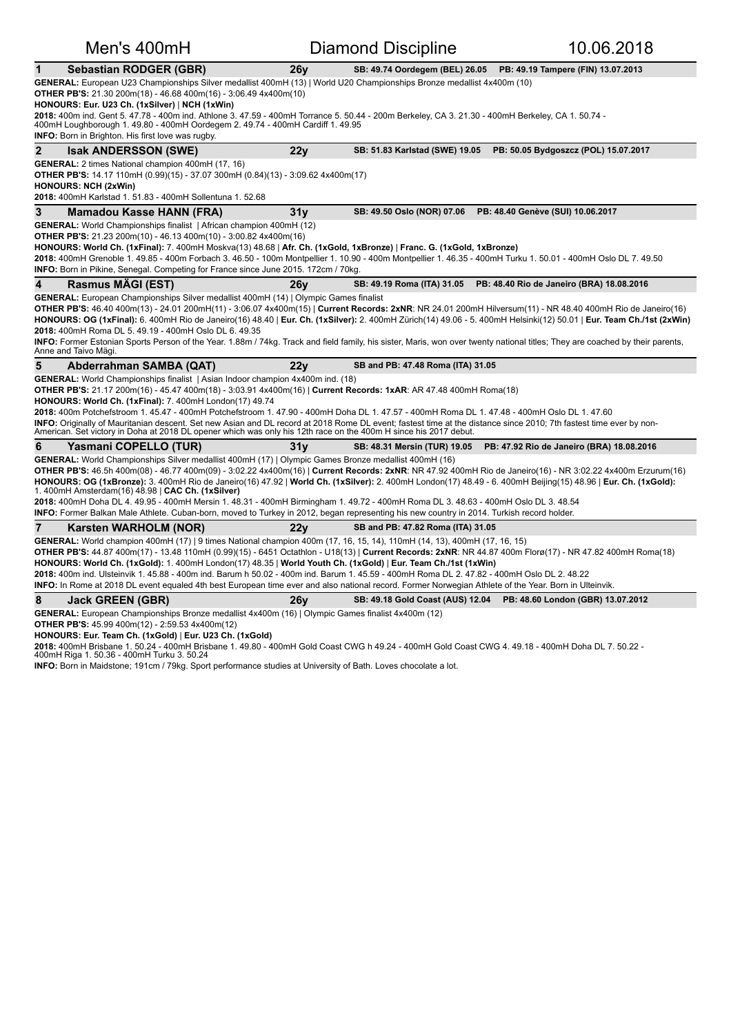| Men's 400mH                                                                                                                                                                                                                                                                                                                                                                                                                                                                                                                                                                                                                                                                                                                                                                                                                                                                                                                                                                                                                                                                                                                                                                                                                                                                                                                                                                   |                 | <b>Diamond Discipline</b>         | 10.06.2018                                                             |  |  |  |
|-------------------------------------------------------------------------------------------------------------------------------------------------------------------------------------------------------------------------------------------------------------------------------------------------------------------------------------------------------------------------------------------------------------------------------------------------------------------------------------------------------------------------------------------------------------------------------------------------------------------------------------------------------------------------------------------------------------------------------------------------------------------------------------------------------------------------------------------------------------------------------------------------------------------------------------------------------------------------------------------------------------------------------------------------------------------------------------------------------------------------------------------------------------------------------------------------------------------------------------------------------------------------------------------------------------------------------------------------------------------------------|-----------------|-----------------------------------|------------------------------------------------------------------------|--|--|--|
| $\mathbf{1}$<br><b>Sebastian RODGER (GBR)</b>                                                                                                                                                                                                                                                                                                                                                                                                                                                                                                                                                                                                                                                                                                                                                                                                                                                                                                                                                                                                                                                                                                                                                                                                                                                                                                                                 | 26v             |                                   | SB: 49.74 Oordegem (BEL) 26.05 PB: 49.19 Tampere (FIN) 13.07.2013      |  |  |  |
| GENERAL: European U23 Championships Silver medallist 400mH (13)   World U20 Championships Bronze medallist 4x400m (10)<br><b>OTHER PB'S:</b> 21.30 200m(18) - 46.68 400m(16) - 3:06.49 4x400m(10)<br>HONOURS: Eur. U23 Ch. (1xSilver)   NCH (1xWin)<br>2018: 400m ind. Gent 5. 47.78 - 400m ind. Athlone 3. 47.59 - 400mH Torrance 5. 50.44 - 200m Berkeley, CA 3. 21.30 - 400mH Berkeley, CA 1. 50.74 -<br>400mH Loughborough 1. 49.80 - 400mH Oordegem 2. 49.74 - 400mH Cardiff 1. 49.95<br><b>INFO:</b> Born in Brighton. His first love was rugby.                                                                                                                                                                                                                                                                                                                                                                                                                                                                                                                                                                                                                                                                                                                                                                                                                        |                 |                                   |                                                                        |  |  |  |
| $\mathbf{2}$<br><b>Isak ANDERSSON (SWE)</b>                                                                                                                                                                                                                                                                                                                                                                                                                                                                                                                                                                                                                                                                                                                                                                                                                                                                                                                                                                                                                                                                                                                                                                                                                                                                                                                                   | 22v             | SB: 51.83 Karlstad (SWE) 19.05    | PB: 50.05 Bydgoszcz (POL) 15.07.2017                                   |  |  |  |
| <b>GENERAL:</b> 2 times National champion 400mH (17, 16)<br><b>OTHER PB'S:</b> 14.17 110mH (0.99)(15) - 37.07 300mH (0.84)(13) - 3:09.62 4x400m(17)<br><b>HONOURS: NCH (2xWin)</b><br>2018: 400mH Karlstad 1. 51.83 - 400mH Sollentuna 1. 52.68                                                                                                                                                                                                                                                                                                                                                                                                                                                                                                                                                                                                                                                                                                                                                                                                                                                                                                                                                                                                                                                                                                                               |                 |                                   |                                                                        |  |  |  |
| 3<br>Mamadou Kasse HANN (FRA)                                                                                                                                                                                                                                                                                                                                                                                                                                                                                                                                                                                                                                                                                                                                                                                                                                                                                                                                                                                                                                                                                                                                                                                                                                                                                                                                                 | 31 v            | SB: 49.50 Oslo (NOR) 07.06        | PB: 48.40 Genève (SUI) 10.06.2017                                      |  |  |  |
| <b>GENERAL:</b> World Championships finalist   African champion 400mH (12)<br><b>OTHER PB'S:</b> 21.23 200m(10) - 46.13 400m(10) - 3:00.82 4x400m(16)<br>HONOURS: World Ch. (1xFinal): 7. 400mH Moskva(13) 48.68   Afr. Ch. (1xGold, 1xBronze)   Franc. G. (1xGold, 1xBronze)<br>2018: 400mH Grenoble 1. 49.85 - 400m Forbach 3. 46.50 - 100m Montpellier 1. 10.90 - 400m Montpellier 1. 46.35 - 400mH Turku 1. 50.01 - 400mH Oslo DL 7. 49.50<br>INFO: Born in Pikine, Senegal. Competing for France since June 2015. 172cm / 70kg.                                                                                                                                                                                                                                                                                                                                                                                                                                                                                                                                                                                                                                                                                                                                                                                                                                          |                 |                                   |                                                                        |  |  |  |
| 4<br><b>Rasmus MAGI (EST)</b>                                                                                                                                                                                                                                                                                                                                                                                                                                                                                                                                                                                                                                                                                                                                                                                                                                                                                                                                                                                                                                                                                                                                                                                                                                                                                                                                                 | 26v             | SB: 49.19 Roma (ITA) 31.05        | PB: 48.40 Rio de Janeiro (BRA) 18.08.2016                              |  |  |  |
| <b>GENERAL:</b> European Championships Silver medallist 400mH (14)   Olympic Games finalist<br>OTHER PB'S: 46.40 400m(13) - 24.01 200mH(11) - 3:06.07 4x400m(15)   Current Records: 2xNR: NR 24.01 200mH Hilversum(11) - NR 48.40 400mH Rio de Janeiro(16)<br>HONOURS: OG (1xFinal): 6. 400mH Rio de Janeiro(16) 48.40   Eur. Ch. (1xSilver): 2. 400mH Zürich(14) 49.06 - 5. 400mH Helsinki(12) 50.01   Eur. Team Ch./1st (2xWin)<br>2018: 400mH Roma DL 5. 49.19 - 400mH Oslo DL 6. 49.35<br>INFO: Former Estonian Sports Person of the Year. 1.88m / 74kg. Track and field family, his sister, Maris, won over twenty national titles; They are coached by their parents,<br>Anne and Taivo Mägi.<br>5<br>22y<br>SB and PB: 47.48 Roma (ITA) 31.05<br>Abderrahman SAMBA (QAT)<br><b>GENERAL:</b> World Championships finalist   Asian Indoor champion 4x400m ind. (18)<br>OTHER PB'S: 21.17 200m(16) - 45.47 400m(18) - 3:03.91 4x400m(16)   Current Records: 1xAR: AR 47.48 400mH Roma(18)<br>HONOURS: World Ch. (1xFinal): 7. 400mH London(17) 49.74<br>2018: 400m Potchefstroom 1. 45.47 - 400mH Potchefstroom 1. 47.90 - 400mH Doha DL 1. 47.57 - 400mH Roma DL 1. 47.48 - 400mH Oslo DL 1. 47.60<br>INFO: Originally of Mauritanian descent. Set new Asian and DL record at 2018 Rome DL event; fastest time at the distance since 2010; 7th fastest time ever by non- |                 |                                   |                                                                        |  |  |  |
| American. Set victory in Doha at 2018 DL opener which was only his 12th race on the 400m H since his 2017 debut.                                                                                                                                                                                                                                                                                                                                                                                                                                                                                                                                                                                                                                                                                                                                                                                                                                                                                                                                                                                                                                                                                                                                                                                                                                                              |                 |                                   |                                                                        |  |  |  |
| 6<br>Yasmani COPELLO (TUR)<br>GENERAL: World Championships Silver medallist 400mH (17)   Olympic Games Bronze medallist 400mH (16)<br>OTHER PB'S: 46.5h 400m(08) - 46.77 400m(09) - 3:02.22 4x400m(16)   Current Records: 2xNR: NR 47.92 400mH Rio de Janeiro(16) - NR 3:02.22 4x400m Erzurum(16)<br>HONOURS: OG (1xBronze): 3. 400mH Rio de Janeiro(16) 47.92   World Ch. (1xSilver): 2. 400mH London(17) 48.49 - 6. 400mH Beijing(15) 48.96   Eur. Ch. (1xGold):<br>1.400mH Amsterdam(16) 48.98   CAC Ch. (1xSilver)<br>2018: 400mH Doha DL 4. 49.95 - 400mH Mersin 1. 48.31 - 400mH Birmingham 1. 49.72 - 400mH Roma DL 3. 48.63 - 400mH Oslo DL 3. 48.54<br><b>INFO:</b> Former Balkan Male Athlete. Cuban-born, moved to Turkey in 2012, began representing his new country in 2014. Turkish record holder.                                                                                                                                                                                                                                                                                                                                                                                                                                                                                                                                                              | 31 v            |                                   | SB: 48.31 Mersin (TUR) 19.05 PB: 47.92 Rio de Janeiro (BRA) 18.08.2016 |  |  |  |
| $\overline{7}$<br>Karsten WARHOLM (NOR)                                                                                                                                                                                                                                                                                                                                                                                                                                                                                                                                                                                                                                                                                                                                                                                                                                                                                                                                                                                                                                                                                                                                                                                                                                                                                                                                       | 22 <sub>V</sub> | SB and PB: 47.82 Roma (ITA) 31.05 |                                                                        |  |  |  |
| GENERAL: World champion 400mH (17)   9 times National champion 400m (17, 16, 15, 14), 110mH (14, 13), 400mH (17, 16, 15)<br>OTHER PB'S: 44.87 400m(17) - 13.48 110mH (0.99)(15) - 6451 Octathlon - U18(13)   Current Records: 2xNR: NR 44.87 400m Florø(17) - NR 47.82 400mH Roma(18)<br>HONOURS: World Ch. (1xGold): 1. 400mH London(17) 48.35   World Youth Ch. (1xGold)   Eur. Team Ch./1st (1xWin)<br>2018: 400m ind. Ulsteinvik 1. 45.88 - 400m ind. Barum h 50.02 - 400m ind. Barum 1. 45.59 - 400mH Roma DL 2. 47.82 - 400mH Oslo DL 2. 48.22<br><b>INFO:</b> In Rome at 2018 DL event equaled 4th best European time ever and also national record. Former Norwegian Athlete of the Year. Born in Ulteinvik.                                                                                                                                                                                                                                                                                                                                                                                                                                                                                                                                                                                                                                                          |                 |                                   |                                                                        |  |  |  |
| 8<br><b>Jack GREEN (GBR)</b>                                                                                                                                                                                                                                                                                                                                                                                                                                                                                                                                                                                                                                                                                                                                                                                                                                                                                                                                                                                                                                                                                                                                                                                                                                                                                                                                                  | 26v             |                                   | SB: 49.18 Gold Coast (AUS) 12.04 PB: 48.60 London (GBR) 13.07.2012     |  |  |  |
| GENERAL: European Championships Bronze medallist 4x400m (16)   Olympic Games finalist 4x400m (12)<br><b>OTHER PB'S: 45.99 400m(12) - 2:59.53 4x400m(12)</b>                                                                                                                                                                                                                                                                                                                                                                                                                                                                                                                                                                                                                                                                                                                                                                                                                                                                                                                                                                                                                                                                                                                                                                                                                   |                 |                                   |                                                                        |  |  |  |

**HONOURS: Eur. Team Ch. (1xGold)** | **Eur. U23 Ch. (1xGold)**

**2018:** 400mH Brisbane 1. 50.24 - 400mH Brisbane 1. 49.80 - 400mH Gold Coast CWG h 49.24 - 400mH Gold Coast CWG 4. 49.18 - 400mH Doha DL 7. 50.22 -<br>400mH Riga 1. 50.36 - 400mH Turku 3. 50.24

**INFO:** Born in Maidstone; 191cm / 79kg. Sport performance studies at University of Bath. Loves chocolate a lot.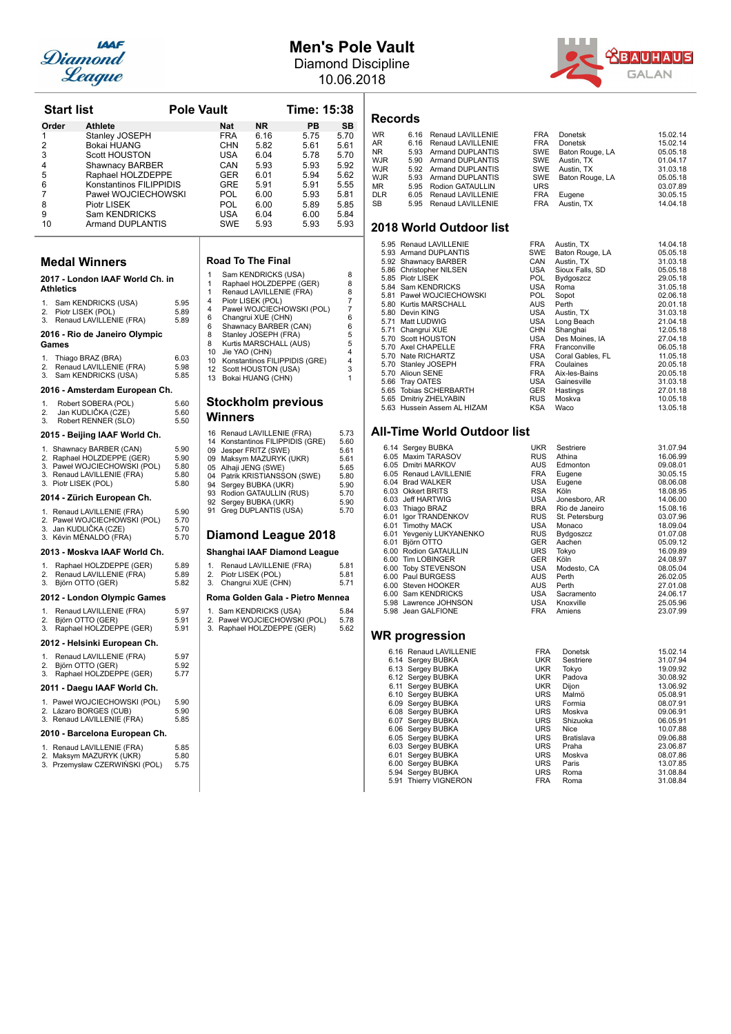

## **Men's Pole Vault**

Diamond Discipline 10.06.2018



| <b>Start list</b>    |                                                            | <b>Pole Vault</b> |              |                |                                                                 | Time: 15:38                      |              |
|----------------------|------------------------------------------------------------|-------------------|--------------|----------------|-----------------------------------------------------------------|----------------------------------|--------------|
| Order                | <b>Athlete</b>                                             |                   |              | Nat            | ΝR                                                              | PB                               | SB           |
| 1                    | Stanley JOSEPH                                             |                   |              | <b>FRA</b>     | 6.16                                                            | 5.75                             | 5.70         |
| 2<br>3               | <b>Bokai HUANG</b><br><b>Scott HOUSTON</b>                 |                   |              | CHN<br>USA     | 5.82<br>6.04                                                    | 5.61<br>5.78                     | 5.61<br>5.70 |
| 4                    | Shawnacy BARBER                                            |                   |              | CAN            | 5.93                                                            | 5.93                             | 5.92         |
| 5                    | Raphael HOLZDEPPE                                          |                   |              | GER            | 6.01                                                            | 5.94                             | 5.62         |
| 6                    | Konstantinos FILIPPIDIS                                    |                   |              | GRE            | 5.91                                                            | 5.91                             | 5.55         |
| 7                    | Paweł WOJCIECHOWSKI                                        |                   |              | POL            | 6.00                                                            | 5.93                             | 5.81         |
| 8<br>9               | Piotr LISEK<br>Sam KENDRICKS                               |                   |              | POL<br>USA     | 6.00<br>6.04                                                    | 5.89<br>6.00                     | 5.85<br>5.84 |
| 10                   | Armand DUPLANTIS                                           |                   |              | SWE            | 5.93                                                            | 5.93                             | 5.93         |
|                      | <b>Medal Winners</b>                                       |                   |              |                | <b>Road To The Final</b>                                        |                                  |              |
|                      | 2017 - London IAAF World Ch. in                            |                   | 1            |                | Sam KENDRICKS (USA)                                             |                                  | 8            |
| <b>Athletics</b>     |                                                            |                   | 1<br>1       |                | Raphael HOLZDEPPE (GER)<br>Renaud LAVILLENIE (FRA)              |                                  | 8<br>8       |
| 1.                   | Sam KENDRICKS (USA)                                        | 5.95              | 4            |                | Piotr LISEK (POL)                                               |                                  | 7            |
| 2.                   | Piotr LISEK (POL)                                          | 5.89              | 4<br>6       |                | Changrui XUE (CHN)                                              | Paweł WOJCIECHOWSKI (POL)        | 7<br>6       |
| 3.                   | Renaud LAVILLENIE (FRA)                                    | 5.89              | 6            |                | Shawnacy BARBER (CAN)                                           |                                  | 6            |
| Games                | 2016 - Rio de Janeiro Olympic                              |                   | 8<br>8<br>10 |                | Stanley JOSEPH (FRA)<br>Kurtis MARSCHALL (AUS)<br>Jie YAO (CHN) |                                  | 5<br>5<br>4  |
| 1.                   | Thiago BRAZ (BRA)                                          | 6.03              | 10           |                |                                                                 | Konstantinos FILIPPIDIS (GRE)    | 4            |
| 2.<br>3.             | Renaud LAVILLENIE (FRA)<br>Sam KENDRICKS (USA)             | 5.98<br>5.85      | 12<br>13     |                | Scott HOUSTON (USA)<br>Bokai HUANG (CHN)                        |                                  | 3<br>1       |
|                      | 2016 - Amsterdam European Ch.                              |                   |              |                |                                                                 |                                  |              |
| 1.                   | Robert SOBERA (POL)                                        | 5.60              |              |                | <b>Stockholm previous</b>                                       |                                  |              |
| 2.<br>3.             | Jan KUDLIČKA (CZE)<br>Robert RENNER (SLO)                  | 5.60<br>5.50      |              | <b>Winners</b> |                                                                 |                                  |              |
|                      | 2015 - Beijing IAAF World Ch.                              |                   |              |                | 16 Renaud LAVILLENIE (FRA)                                      | 14 Konstantinos FILIPPIDIS (GRE) | 5.73<br>5.60 |
|                      | 1. Shawnacy BARBER (CAN)                                   | 5.90              |              |                | 09 Jesper FRITZ (SWE)                                           |                                  | 5.61         |
|                      | 2. Raphael HOLZDEPPE (GER)<br>3. Paweł WOJCIECHOWSKI (POL) | 5.90<br>5.80      |              |                | 09 Maksym MAZURYK (UKR)<br>05 Alhaji JENG (SWE)                 |                                  | 5.61<br>5.65 |
|                      | 3. Renaud LAVILLENIE (FRA)                                 | 5.80              |              |                | 04 Patrik KRISTIANSSON (SWE)                                    |                                  | 5.80         |
| 3. Piotr LISEK (POL) |                                                            | 5.80              |              |                | 94 Sergey BUBKA (UKR)                                           |                                  | 5.90         |
|                      | 2014 - Zürich European Ch.                                 |                   |              |                | 93 Rodion GATAULLIN (RUS)<br>92 Sergey BUBKA (UKR)              |                                  | 5.70<br>5.90 |
|                      | 1. Renaud LAVILLENIE (FRA)                                 | 5.90<br>5.70      |              |                | 91 Greg DUPLANTIS (USA)                                         |                                  | 5.70         |
|                      | 2. Paweł WOJCIECHOWSKI (POL)<br>3. Jan KUDLICKA (CZE)      | 5.70              |              |                |                                                                 |                                  |              |
|                      | 3. Kévin MÉNALDO (FRA)                                     | 5.70              |              |                |                                                                 | Diamond League 2018              |              |
|                      | 2013 - Moskva IAAF World Ch.                               |                   |              |                |                                                                 | Shanghai IAAF Diamond League     |              |
| 1.<br>2.             | Raphael HOLZDEPPE (GER)<br>Renaud LAVILLENIE (FRA)         | 5.89<br>5.89      | 1.<br>2.     |                | Renaud LAVILLENIE (FRA)<br>Piotr LISEK (POL)                    |                                  | 5.81<br>5.81 |
| 3.                   | Björn OTTO (GER)                                           | 5.82              | 3.           |                | Changrui XUE (CHN)                                              |                                  | 5.71         |
|                      | 2012 - London Olympic Games                                |                   |              |                |                                                                 | Roma Golden Gala - Pietro Mennea |              |
| 1.<br>2.             | Renaud LAVILLENIE (FRA)<br>Björn OTTO (GER)                | 5.97<br>5.91      |              |                | 1. Sam KENDRICKS (USA)                                          | 2. Paweł WOJCIECHOWSKI (POL)     | 5.84<br>5.78 |
| 3.                   | Raphael HOLZDEPPE (GER)                                    | 5.91              |              |                | 3. Raphael HOLZDEPPE (GER)                                      |                                  | 5.62         |
|                      | 2012 - Helsinki European Ch.                               |                   |              |                |                                                                 |                                  |              |
| 1.                   | Renaud LAVILLENIE (FRA)                                    | 5.97              |              |                |                                                                 |                                  |              |
| 2.<br>3.             | Björn OTTO (GER)<br>Raphael HOLZDEPPE (GER)                | 5.92<br>5.77      |              |                |                                                                 |                                  |              |
|                      | 2011 - Daegu IAAF World Ch.                                |                   |              |                |                                                                 |                                  |              |
|                      | 1. Paweł WOJCIECHOWSKI (POL)<br>2. Lázaro BORGES (CUB)     | 5.90<br>5.90      |              |                |                                                                 |                                  |              |
|                      | 3. Renaud LAVILLENIE (FRA)                                 | 5.85              |              |                |                                                                 |                                  |              |
|                      | 2010 - Barcelona European Ch.                              |                   |              |                |                                                                 |                                  |              |
|                      | 1. Renaud LAVILLENIE (FRA)<br>2. Maksym MAZURYK (UKR)      | 5.85<br>5.80      |              |                |                                                                 |                                  |              |
|                      | 3. Przemysław CZERWINSKI (POL)                             | 5.75              |              |                |                                                                 |                                  |              |

|                                                                            | FRA<br><b>CHN</b><br><b>USA</b><br>CAN<br>GER<br>GRE<br>POL.<br>POL<br><b>USA</b><br><b>SWE</b>                                                                                                                                                                                                                                                                                                                        | 6.16<br>5.82<br>6.04<br>5.93<br>6.01<br>5.91<br>6.00<br>6.00<br>6.04<br>5.93                                                                                   | 5.75<br>5.61<br>5.78<br>5.93<br>5.94<br>5.91<br>5.93<br>5.89<br>6.00<br>5.93 | 5.70<br>5.61<br>5.70<br>5.92<br>5.62<br>5.55<br>5.81<br>5.85<br>5.84<br>5.93 |  |  |  |
|----------------------------------------------------------------------------|------------------------------------------------------------------------------------------------------------------------------------------------------------------------------------------------------------------------------------------------------------------------------------------------------------------------------------------------------------------------------------------------------------------------|----------------------------------------------------------------------------------------------------------------------------------------------------------------|------------------------------------------------------------------------------|------------------------------------------------------------------------------|--|--|--|
| $\mathbf{1}$<br>$\mathbf{1}$<br>$\mathbf{1}$<br>4<br>4<br>6<br>6<br>8<br>8 | <b>Road To The Final</b><br>Sam KENDRICKS (USA)<br>8<br>Raphael HOLZDEPPE (GER)<br>8<br>Renaud LAVILLENIE (FRA)<br>8<br>Piotr LISEK (POL)<br>7<br>Paweł WOJCIECHOWSKI (POL)<br>7<br>6<br>Changrui XUE (CHN)<br>Shawnacy BARBER (CAN)<br>6<br>Stanley JOSEPH (FRA)<br>5<br>5<br>Kurtis MARSCHALL (AUS)<br>4<br>10 <sup>1</sup><br>Jie YAO (CHN)<br>10 Konstantinos FILIPPIDIS (GRE)<br>4<br>3<br>12 Scott HOUSTON (USA) |                                                                                                                                                                |                                                                              |                                                                              |  |  |  |
| 13<br>16<br>14                                                             | Winners                                                                                                                                                                                                                                                                                                                                                                                                                | Bokai HUANG (CHN)<br><b>Stockholm previous</b><br>Renaud LAVILLENIE (FRA)<br>Konstantinos FILIPPIDIS (GRE)<br>09 Jesper FRITZ (SWE)<br>09 Maksym MAZURYK (UKR) |                                                                              | 1<br>5.73<br>5.60<br>5.61<br>5.61<br>5.65                                    |  |  |  |
| 91                                                                         | 05<br>Alhaji JENG (SWE)<br>04 Patrik KRISTIANSSON (SWE)<br>5.80<br>94<br>Sergey BUBKA (UKR)<br>5.90<br>93<br>Rodion GATAULLIN (RUS)<br>5.70<br>92<br>Sergey BUBKA (UKR)<br>5.90<br>Greg DUPLANTIS (USA)<br>5.70<br>Diamond League 2018<br>Shanghai IAAF Diamond League                                                                                                                                                 |                                                                                                                                                                |                                                                              |                                                                              |  |  |  |
| 1.<br>2.<br>3.                                                             | Piotr LISEK (POL)                                                                                                                                                                                                                                                                                                                                                                                                      | Renaud LAVILLENIE (FRA)<br>Changrui XUE (CHN)                                                                                                                  |                                                                              | 5.81<br>5.81<br>5.71                                                         |  |  |  |
|                                                                            |                                                                                                                                                                                                                                                                                                                                                                                                                        | Roma Golden Gala - Pietro Mennea<br>1. Sam KENDRICKS (USA)                                                                                                     |                                                                              | 5.84                                                                         |  |  |  |

### **Records**

| <b>WR</b>  | 6.16 Renaud LAVILLENIE | <b>FRA</b> | Donetsk             | 15.02.14 |
|------------|------------------------|------------|---------------------|----------|
| AR         | 6.16 Renaud LAVILLENIE | <b>FRA</b> | Donetsk             | 15.02.14 |
| NR.        | 5.93 Armand DUPLANTIS  |            | SWE Baton Rouge, LA | 05.05.18 |
| WJR        | 5.90 Armand DUPLANTIS  |            | SWE Austin, TX      | 01.04.17 |
| WJR        | 5.92 Armand DUPLANTIS  |            | SWE Austin, TX      | 31.03.18 |
| WJR        | 5.93 Armand DUPLANTIS  |            | SWE Baton Rouge, LA | 05.05.18 |
| MR         | 5.95 Rodion GATAULLIN  | <b>URS</b> |                     | 03.07.89 |
| <b>DLR</b> | 6.05 Renaud LAVILLENIE | <b>FRA</b> | Eugene              | 30.05.15 |
| SB         | 5.95 Renaud LAVILLENIE | <b>FRA</b> | Austin, TX          | 14.04.18 |
|            |                        |            |                     |          |

### **2018 World Outdoor list**

|      | 5.95 Renaud LAVILLENIE      | <b>FRA</b> | Austin, TX       | 14.04.18 |
|------|-----------------------------|------------|------------------|----------|
| 5.93 | <b>Armand DUPLANTIS</b>     | <b>SWE</b> | Baton Rouge, LA  | 05.05.18 |
|      | 5.92 Shawnacy BARBER        | CAN        | Austin, TX       | 31.03.18 |
|      | 5.86 Christopher NILSEN     | USA        | Sioux Falls, SD  | 05.05.18 |
|      | 5.85 Piotr LISEK            | <b>POL</b> | Bydgoszcz        | 29.05.18 |
|      | 5.84 Sam KENDRICKS          | USA        | Roma             | 31.05.18 |
|      | 5.81 Paweł WOJCIECHOWSKI    | POL.       | Sopot            | 02.06.18 |
| 5.80 | Kurtis MARSCHALL            | <b>AUS</b> | Perth            | 20.01.18 |
|      | 5.80 Devin KING             | <b>USA</b> | Austin, TX       | 31.03.18 |
|      | 5.71 Matt LUDWIG            | USA        | Long Beach       | 21.04.18 |
|      | 5.71 Changrui XUE           | <b>CHN</b> | Shanghai         | 12.05.18 |
|      | 5.70 Scott HOUSTON          | <b>USA</b> | Des Moines, IA   | 27.04.18 |
|      | 5.70 Axel CHAPELLE          | FRA        | Franconville     | 06.05.18 |
|      | 5.70 Nate RICHARTZ          | USA        | Coral Gables, FL | 11.05.18 |
|      | 5.70 Stanley JOSEPH         | <b>FRA</b> | Coulaines        | 20.05.18 |
| 5.70 | <b>Alioun SENE</b>          | <b>FRA</b> | Aix-les-Bains    | 20.05.18 |
| 5.66 | Tray OATES                  | USA        | Gainesville      | 31.03.18 |
|      | 5.65 Tobias SCHERBARTH      | <b>GER</b> | Hastings         | 27.01.18 |
|      | 5.65 Dmitriy ZHELYABIN      | <b>RUS</b> | Moskva           | 10.05.18 |
|      | 5.63 Hussein Assem AL HIZAM | KSA        | Waco             | 13.05.18 |

### **All-Time World Outdoor list**

|      | 6.14 Sergey BUBKA        | <b>UKR</b> | Sestriere      | 31.07.94 |
|------|--------------------------|------------|----------------|----------|
|      | 6.05 Maxim TARASOV       | <b>RUS</b> | Athina         | 16.06.99 |
|      | 6.05 Dmitri MARKOV       | <b>AUS</b> | Edmonton       | 09.08.01 |
|      | 6.05 Renaud LAVILLENIE   | <b>FRA</b> | Eugene         | 30.05.15 |
|      | 6.04 Brad WALKER         | <b>USA</b> | Eugene         | 08.06.08 |
|      | 6.03 Okkert BRITS        | <b>RSA</b> | Köln           | 18.08.95 |
|      | 6.03 Jeff HARTWIG        | <b>USA</b> | Jonesboro, AR  | 14.06.00 |
|      | 6.03 Thiago BRAZ         | <b>BRA</b> | Rio de Janeiro | 15.08.16 |
|      | 6.01 Igor TRANDENKOV     | <b>RUS</b> | St. Petersburg | 03.07.96 |
|      | 6.01 Timothy MACK        | <b>USA</b> | Monaco         | 18.09.04 |
|      | 6.01 Yevgeniy LUKYANENKO | <b>RUS</b> | Bydgoszcz      | 01.07.08 |
| 6.01 | Björn OTTO               | <b>GER</b> | Aachen         | 05.09.12 |
|      | 6.00 Rodion GATAULLIN    | <b>URS</b> | Tokyo          | 16.09.89 |
|      | 6.00 Tim LOBINGER        | <b>GER</b> | Köln           | 24.08.97 |
|      | 6.00 Toby STEVENSON      | <b>USA</b> | Modesto, CA    | 08.05.04 |
|      | 6.00 Paul BURGESS        | <b>AUS</b> | Perth          | 26.02.05 |
|      | 6.00 Steven HOOKER       | <b>AUS</b> | Perth          | 27.01.08 |
|      | 6.00 Sam KENDRICKS       | <b>USA</b> | Sacramento     | 24.06.17 |
|      | 5.98 Lawrence JOHNSON    | USA        | Knoxville      | 25.05.96 |
|      | 5.98 Jean GALFIONE       | <b>FRA</b> | Amiens         | 23.07.99 |
|      |                          |            |                |          |

| 6.16 Renaud LAVILLENIE | <b>FRA</b> | <b>Donetsk</b> | 15.02.14 |
|------------------------|------------|----------------|----------|
| 6.14 Sergey BUBKA      | <b>UKR</b> | Sestriere      | 31.07.94 |
| 6.13 Sergey BUBKA      | <b>UKR</b> | Tokvo          | 19.09.92 |
| 6.12 Sergey BUBKA      | <b>UKR</b> | Padova         | 30.08.92 |
| 6.11 Sergey BUBKA      | <b>UKR</b> | Dijon          | 13.06.92 |
| 6.10 Sergey BUBKA      | <b>URS</b> | Malmö          | 05.08.91 |
| 6.09 Sergey BUBKA      | <b>URS</b> | Formia         | 08.07.91 |
| 6.08 Sergey BUBKA      | <b>URS</b> | Moskva         | 09.06.91 |
| 6.07 Sergey BUBKA      | <b>URS</b> | Shizuoka       | 06.05.91 |
| 6.06 Sergey BUBKA      | <b>URS</b> | Nice           | 10.07.88 |
| 6.05 Sergey BUBKA      | URS        | Bratislava     | 09.06.88 |
| 6.03 Sergey BUBKA      | <b>URS</b> | Praha          | 23.06.87 |
| 6.01 Sergey BUBKA      | <b>URS</b> | Moskva         | 08.07.86 |
| 6.00 Sergey BUBKA      | <b>URS</b> | Paris          | 13.07.85 |
| 5.94 Sergey BUBKA      | <b>URS</b> | Roma           | 31.08.84 |
| 5.91 Thierry VIGNERON  | <b>FRA</b> | Roma           | 31.08.84 |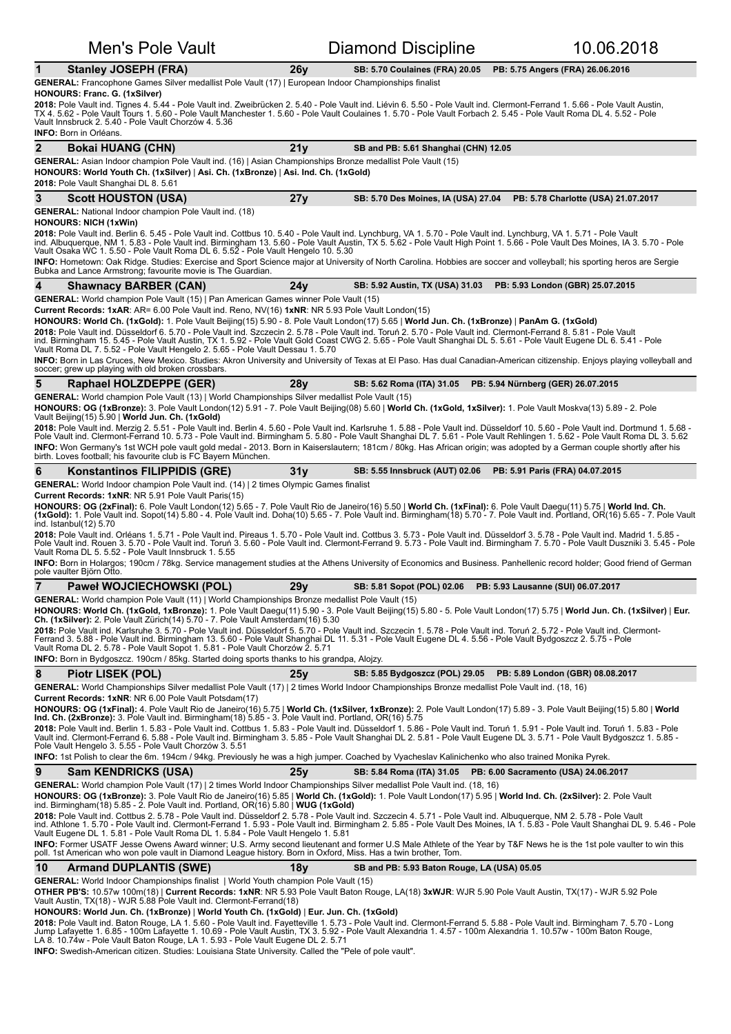| <b>Men's Pole Vault</b>                                                                                                                                                                                                                                                                                                                                                                                                                                                                                                                                                                                                                                                                                                                                                                                                                                                                                                                                                                                   |                 | <b>Diamond Discipline</b>                   | 10.06.2018                                                      |
|-----------------------------------------------------------------------------------------------------------------------------------------------------------------------------------------------------------------------------------------------------------------------------------------------------------------------------------------------------------------------------------------------------------------------------------------------------------------------------------------------------------------------------------------------------------------------------------------------------------------------------------------------------------------------------------------------------------------------------------------------------------------------------------------------------------------------------------------------------------------------------------------------------------------------------------------------------------------------------------------------------------|-----------------|---------------------------------------------|-----------------------------------------------------------------|
| 1<br><b>Stanley JOSEPH (FRA)</b>                                                                                                                                                                                                                                                                                                                                                                                                                                                                                                                                                                                                                                                                                                                                                                                                                                                                                                                                                                          | 26y             | <b>SB: 5.70 Coulaines (FRA) 20.05</b>       | PB: 5.75 Angers (FRA) 26.06.2016                                |
| GENERAL: Francophone Games Silver medallist Pole Vault (17)   European Indoor Championships finalist<br>HONOURS: Franc. G. (1xSilver)                                                                                                                                                                                                                                                                                                                                                                                                                                                                                                                                                                                                                                                                                                                                                                                                                                                                     |                 |                                             |                                                                 |
| 2018: Pole Vault ind. Tignes 4. 5.44 - Pole Vault ind. Zweibrücken 2. 5.40 - Pole Vault ind. Liévin 6. 5.50 - Pole Vault ind. Clermont-Ferrand 1. 5.66 - Pole Vault Austin,<br>TX 4. 5.62 - Pole Vault Tours 1. 5.60 - Pole Vault Manchester 1. 5.60 - Pole Vault Coulaines 1. 5.70 - Pole Vault Forbach 2. 5.45 - Pole Vault Roma DL 4. 5.52 - Pole<br>Vault Innsbruck 2. 5.40 - Pole Vault Chorzów 4. 5.36<br><b>INFO:</b> Born in Orléans.                                                                                                                                                                                                                                                                                                                                                                                                                                                                                                                                                             |                 |                                             |                                                                 |
| $\mathbf{2}$<br><b>Bokai HUANG (CHN)</b>                                                                                                                                                                                                                                                                                                                                                                                                                                                                                                                                                                                                                                                                                                                                                                                                                                                                                                                                                                  | 21y             | SB and PB: 5.61 Shanghai (CHN) 12.05        |                                                                 |
| GENERAL: Asian Indoor champion Pole Vault ind. (16)   Asian Championships Bronze medallist Pole Vault (15)<br>HONOURS: World Youth Ch. (1xSilver)   Asi. Ch. (1xBronze)   Asi. Ind. Ch. (1xGold)<br>2018: Pole Vault Shanghai DL 8. 5.61                                                                                                                                                                                                                                                                                                                                                                                                                                                                                                                                                                                                                                                                                                                                                                  |                 |                                             |                                                                 |
| 3<br><b>Scott HOUSTON (USA)</b>                                                                                                                                                                                                                                                                                                                                                                                                                                                                                                                                                                                                                                                                                                                                                                                                                                                                                                                                                                           | 27y             | SB: 5.70 Des Moines, IA (USA) 27.04         | PB: 5.78 Charlotte (USA) 21.07.2017                             |
| <b>GENERAL:</b> National Indoor champion Pole Vault ind. (18)                                                                                                                                                                                                                                                                                                                                                                                                                                                                                                                                                                                                                                                                                                                                                                                                                                                                                                                                             |                 |                                             |                                                                 |
| HONOURS: NICH (1xWin)<br>2018: Pole Vault ind. Berlin 6. 5.45 - Pole Vault ind. Cottbus 10. 5.40 - Pole Vault ind. Lynchburg, VA 1. 5.70 - Pole Vault ind. Lynchburg, VA 1. 5.71 - Pole Vault<br>ind. Albuquerque, NM 1. 5.83 - Pole Vault ind. Birmingham 13. 5.60 - Pole Vault Austin, TX 5. 5.62 - Pole Vault High Point 1. 5.66 - Pole Vault Des Moines, IA 3. 5.70 - Pole<br>Vault Osaka WC 1. 5.50 - Pole Vault Roma DL 6. 5.52 - Pole Vault Hengelo 10. 5.30<br>INFO: Hometown: Oak Ridge. Studies: Exercise and Sport Science major at University of North Carolina. Hobbies are soccer and volleyball; his sporting heros are Sergie<br>Bubka and Lance Armstrong; favourite movie is The Guardian.                                                                                                                                                                                                                                                                                              |                 |                                             |                                                                 |
| 4<br><b>Shawnacy BARBER (CAN)</b>                                                                                                                                                                                                                                                                                                                                                                                                                                                                                                                                                                                                                                                                                                                                                                                                                                                                                                                                                                         | 24v             | SB: 5.92 Austin, TX (USA) 31.03             | PB: 5.93 London (GBR) 25.07.2015                                |
| GENERAL: World champion Pole Vault (15)   Pan American Games winner Pole Vault (15)<br>Current Records: 1xAR: AR= 6.00 Pole Vault ind. Reno, NV(16) 1xNR: NR 5.93 Pole Vault London(15)<br>HONOURS: World Ch. (1xGold): 1. Pole Vault Beijing(15) 5.90 - 8. Pole Vault London(17) 5.65   World Jun. Ch. (1xBronze)   PanAm G. (1xGold)<br>2018: Pole Vault ind. Düsseldorf 6. 5.70 - Pole Vault ind. Szczecin 2. 5.78 - Pole Vault ind. Toruń 2. 5.70 - Pole Vault ind. Clermont-Ferrand 8. 5.81 - Pole Vault<br>ind. Birmingham 15. 5.45 - Pole Vault Austin, TX 1. 5.92 - Pole Vault Gold Coast CWG 2. 5.65 - Pole Vault Shanghai DL 5. 5.61 - Pole Vault Eugene DL 6. 5.41 - Pole<br>Vault Roma DL 7. 5.52 - Pole Vault Hengelo 2. 5.65 - Pole Vault Dessau 1. 5.70<br>INFO: Born in Las Cruces, New Mexico. Studies: Akron University and University of Texas at El Paso. Has dual Canadian-American citizenship. Enjoys playing volleyball and<br>soccer; grew up playing with old broken crossbars. |                 |                                             |                                                                 |
| 5<br>Raphael HOLZDEPPE (GER)                                                                                                                                                                                                                                                                                                                                                                                                                                                                                                                                                                                                                                                                                                                                                                                                                                                                                                                                                                              | 28 <sub>V</sub> | SB: 5.62 Roma (ITA) 31.05                   | PB: 5.94 Nürnberg (GER) 26.07.2015                              |
| GENERAL: World champion Pole Vault (13)   World Championships Silver medallist Pole Vault (15)<br>HONOURS: OG (1xBronze): 3. Pole Vault London(12) 5.91 - 7. Pole Vault Beijing(08) 5.60   World Ch. (1xGold, 1xSilver): 1. Pole Vault Moskva(13) 5.89 - 2. Pole<br>Vault Beijing(15) 5.90   World Jun. Ch. (1xGold)                                                                                                                                                                                                                                                                                                                                                                                                                                                                                                                                                                                                                                                                                      |                 |                                             |                                                                 |
| 2018: Pole Vault ind. Merzig 2. 5.51 - Pole Vault ind. Berlin 4. 5.60 - Pole Vault ind. Karlsruhe 1. 5.88 - Pole Vault ind. Düsseldorf 10. 5.60 - Pole Vault ind. Dortmund 1. 5.68 -<br>Pole Vault ind. Clermont-Ferrand 10. 5.73 - Pole Vault ind. Birmingham 5. 5.80 - Pole Vault Shanghai DL 7. 5.61 - Pole Vault Rehlingen 1. 5.62 - Pole Vault Roma DL 3. 5.62<br>INFO: Won Germany's 1st WCH pole vault gold medal - 2013. Born in Kaiserslautern; 181cm / 80kg. Has African origin; was adopted by a German couple shortly after his<br>birth. Loves football; his favourite club is FC Bayern München.                                                                                                                                                                                                                                                                                                                                                                                            |                 |                                             |                                                                 |
| 6<br>Konstantinos FILIPPIDIS (GRE)                                                                                                                                                                                                                                                                                                                                                                                                                                                                                                                                                                                                                                                                                                                                                                                                                                                                                                                                                                        | 31 v            | <b>SB: 5.55 Innsbruck (AUT) 02.06</b>       | PB: 5.91 Paris (FRA) 04.07.2015                                 |
| <b>GENERAL:</b> World Indoor champion Pole Vault ind. (14) 2 times Olympic Games finalist                                                                                                                                                                                                                                                                                                                                                                                                                                                                                                                                                                                                                                                                                                                                                                                                                                                                                                                 |                 |                                             |                                                                 |
| <b>Current Records: 1xNR: NR 5.91 Pole Vault Paris(15)</b><br>HONOURS: OG (2xFinal): 6. Pole Vault London(12) 5.65 - 7. Pole Vault Rio de Janeiro(16) 5.50   World Ch. (1xFinal): 6. Pole Vault Daegu(11) 5.75   World Ind. Ch.<br>(1xGold): 1. Pole Vault ind. Sopot(14) 5.80 - 4. Pole Vault ind. Doha(10) 5.65 - 7. Pole Vault ind. Birmingham(18) 5.70 - 7. Pole Vault ind. Portland, OR(16) 5.65 - 7. Pole Vault<br>ind. Istanbul(12) 5.70                                                                                                                                                                                                                                                                                                                                                                                                                                                                                                                                                           |                 |                                             |                                                                 |
| 2018: Pole Vault ind. Orléans 1. 5.71 - Pole Vault ind. Pireaus 1. 5.70 - Pole Vault ind. Cottbus 3. 5.73 - Pole Vault ind. Düsseldorf 3. 5.78 - Pole Vault ind. Madrid 1. 5.85 -<br>Pole Vault ind. Rouen 3. 5.70 - Pole Vault ind. Toruń 3. 5.60 - Pole Vault ind. Clermont-Ferrand 9. 5.73 - Pole Vault ind. Birmingham 7. 5.70 - Pole Vault Duszniki 3. 5.45 - Pole<br>Vault Roma DL 5, 5.52 - Pole Vault Innsbruck 1, 5.55                                                                                                                                                                                                                                                                                                                                                                                                                                                                                                                                                                           |                 |                                             |                                                                 |
| INFO: Born in Holargos; 190cm / 78kg. Service management studies at the Athens University of Economics and Business. Panhellenic record holder; Good friend of German<br>pole vaulter Björn Otto.                                                                                                                                                                                                                                                                                                                                                                                                                                                                                                                                                                                                                                                                                                                                                                                                         |                 |                                             |                                                                 |
| $\overline{7}$<br>Paweł WOJCIECHOWSKI (POL)                                                                                                                                                                                                                                                                                                                                                                                                                                                                                                                                                                                                                                                                                                                                                                                                                                                                                                                                                               | 29 <sub>V</sub> | SB: 5.81 Sopot (POL) 02.06                  | PB: 5.93 Lausanne (SUI) 06.07.2017                              |
| GENERAL: World champion Pole Vault (11)   World Championships Bronze medallist Pole Vault (15)<br>HONOURS: World Ch. (1xGold, 1xBronze): 1. Pole Vault Daegu(11) 5.90 - 3. Pole Vault Beijing(15) 5.80 - 5. Pole Vault London(17) 5.75   World Jun. Ch. (1xSilver)   Eur.<br>Ch. (1xSilver): 2. Pole Vault Zürich (14) 5.70 - 7. Pole Vault Amsterdam (16) 5.30<br>2018: Pole Vault ind. Karlsruhe 3. 5.70 - Pole Vault ind. Düsseldorf 5. 5.70 - Pole Vault ind. Szczecin 1. 5.78 - Pole Vault ind. Toruń 2. 5.72 - Pole Vault ind. Clermont-<br>Ferrand 3. 5.88 - Pole Vault ind. Birmingham 13. 5.60 - Pole Vault Shanghai DL 11. 5.31 - Pole Vault Eugene DL 4. 5.56 - Pole Vault Bydgoszcz 2. 5.75 - Pole<br>Vault Roma DL 2. 5.78 - Pole Vault Sopot 1. 5.81 - Pole Vault Chorzów 2. 5.71<br>INFO: Born in Bydgoszcz. 190cm / 85kg. Started doing sports thanks to his grandpa, Alojzy.                                                                                                             |                 |                                             |                                                                 |
| 8<br>Piotr LISEK (POL)                                                                                                                                                                                                                                                                                                                                                                                                                                                                                                                                                                                                                                                                                                                                                                                                                                                                                                                                                                                    | 25v             |                                             | SB: 5.85 Bydgoszcz (POL) 29.05 PB: 5.89 London (GBR) 08.08.2017 |
| GENERAL: World Championships Silver medallist Pole Vault (17)   2 times World Indoor Championships Bronze medallist Pole Vault ind. (18, 16)<br><b>Current Records: 1xNR: NR 6.00 Pole Vault Potsdam(17)</b>                                                                                                                                                                                                                                                                                                                                                                                                                                                                                                                                                                                                                                                                                                                                                                                              |                 |                                             |                                                                 |
| HONOURS: OG (1xFinal): 4. Pole Vault Rio de Janeiro(16) 5.75   World Ch. (1xSilver, 1xBronze): 2. Pole Vault London(17) 5.89 - 3. Pole Vault Beijing(15) 5.80   World<br>Ind. Ch. (2xBronze): 3. Pole Vault ind. Birmingham(18) 5.85 - 3. Pole Vault ind. Portland, OR(16) 5.75                                                                                                                                                                                                                                                                                                                                                                                                                                                                                                                                                                                                                                                                                                                           |                 |                                             |                                                                 |
| 2018: Pole Vault ind. Berlin 1. 5.83 - Pole Vault ind. Cottbus 1. 5.83 - Pole Vault ind. Düsseldorf 1. 5.86 - Pole Vault ind. Torun 1. 5.81 - Pole Vault ind. Torun 1. 5.83 - Pole Cault ind. Torun 1. 5.83 - Pole Vault Bydgo<br>Pole Vault Hengelo 3. 5.55 - Pole Vault Chorzów 3. 5.51<br>INFO: 1st Polish to clear the 6m. 194cm / 94kg. Previously he was a high jumper. Coached by Vyacheslav Kalinichenko who also trained Monika Pyrek.                                                                                                                                                                                                                                                                                                                                                                                                                                                                                                                                                           |                 |                                             |                                                                 |
| 9<br>Sam KENDRICKS (USA)                                                                                                                                                                                                                                                                                                                                                                                                                                                                                                                                                                                                                                                                                                                                                                                                                                                                                                                                                                                  | 25v             |                                             | SB: 5.84 Roma (ITA) 31.05 PB: 6.00 Sacramento (USA) 24.06.2017  |
| GENERAL: World champion Pole Vault (17)   2 times World Indoor Championships Silver medallist Pole Vault ind. (18, 16)                                                                                                                                                                                                                                                                                                                                                                                                                                                                                                                                                                                                                                                                                                                                                                                                                                                                                    |                 |                                             |                                                                 |
| HONOURS: OG (1xBronze): 3. Pole Vault Rio de Janeiro(16) 5.85   World Ch. (1xGold): 1. Pole Vault London(17) 5.95   World Ind. Ch. (2xSilver): 2. Pole Vault<br>ind. Birmingham(18) 5.85 - 2. Pole Vault ind. Portland, OR(16) 5.<br>2018: Pole Vault ind. Cottbus 2. 5.78 - Pole Vault ind. Düsseldorf 2. 5.78 - Pole Vault ind. Szczecin 4. 5.71 - Pole Vault ind. Albuquerque, NM 2. 5.78 - Pole Vault                                                                                                                                                                                                                                                                                                                                                                                                                                                                                                                                                                                                 |                 |                                             |                                                                 |
| ind. Athlone 1. 5.70 - Pole Vault ind. Clermont-Ferrand 1. 5.93 - Pole Vault ind. Birmingham 2. 5.85 - Pole Vault Des Moines, IA 1. 5.83 - Pole Vault Shanghai DL 9. 5.46 - Pole<br>Vault Eugene DL 1. 5.81 - Pole Vault Roma DL 1. 5.84 - Pole Vault Hengelo 1. 5.81<br>INFO: Former USATF Jesse Owens Award winner; U.S. Army second lieutenant and former U.S Male Athlete of the Year by T&F News he is the 1st pole vaulter to win this                                                                                                                                                                                                                                                                                                                                                                                                                                                                                                                                                              |                 |                                             |                                                                 |
| poll. 1st American who won pole vault in Diamond League history. Born in Oxford, Miss. Has a twin brother, Tom.                                                                                                                                                                                                                                                                                                                                                                                                                                                                                                                                                                                                                                                                                                                                                                                                                                                                                           |                 |                                             |                                                                 |
| 10<br><b>Armand DUPLANTIS (SWE)</b>                                                                                                                                                                                                                                                                                                                                                                                                                                                                                                                                                                                                                                                                                                                                                                                                                                                                                                                                                                       | 18 <sub>V</sub> | SB and PB: 5.93 Baton Rouge, LA (USA) 05.05 |                                                                 |
| <b>GENERAL:</b> World Indoor Championships finalist   World Youth champion Pole Vault (15)<br>OTHER PB'S: 10.57w 100m(18)   Current Records: 1xNR: NR 5.93 Pole Vault Baton Rouge, LA(18) 3xWJR: WJR 5.90 Pole Vault Austin, TX(17) - WJR 5.92 Pole<br>Vault Austin, TX(18) - WJR 5.88 Pole Vault ind. Clermont-Ferrand(18)<br>HONOURS: World Jun. Ch. (1xBronze)   World Youth Ch. (1xGold)   Eur. Jun. Ch. (1xGold)                                                                                                                                                                                                                                                                                                                                                                                                                                                                                                                                                                                     |                 |                                             |                                                                 |
| 2018: Pole Vault ind. Baton Rouge, LA 1. 5.60 - Pole Vault ind. Fayetteville 1. 5.73 - Pole Vault ind. Clermont-Ferrand 5. 5.88 - Pole Vault ind. Birmingham 7. 5.70 - Long<br>Jump Lafayette 1. 6.85 - 100m Lafayette 1. 10.69 - Pole Vault Austin, TX 3. 5.92 - Pole Vault Alexandria 1. 4.57 - 100m Alexandria 1. 10.57w - 100m Baton Rouge,<br>LA 8. 10.74w - Pole Vault Baton Rouge, LA 1. 5.93 - Pole Vault Eugene DL 2. 5.71                                                                                                                                                                                                                                                                                                                                                                                                                                                                                                                                                                       |                 |                                             |                                                                 |

**INFO:** Swedish-American citizen. Studies: Louisiana State University. Called the "Pele of pole vault".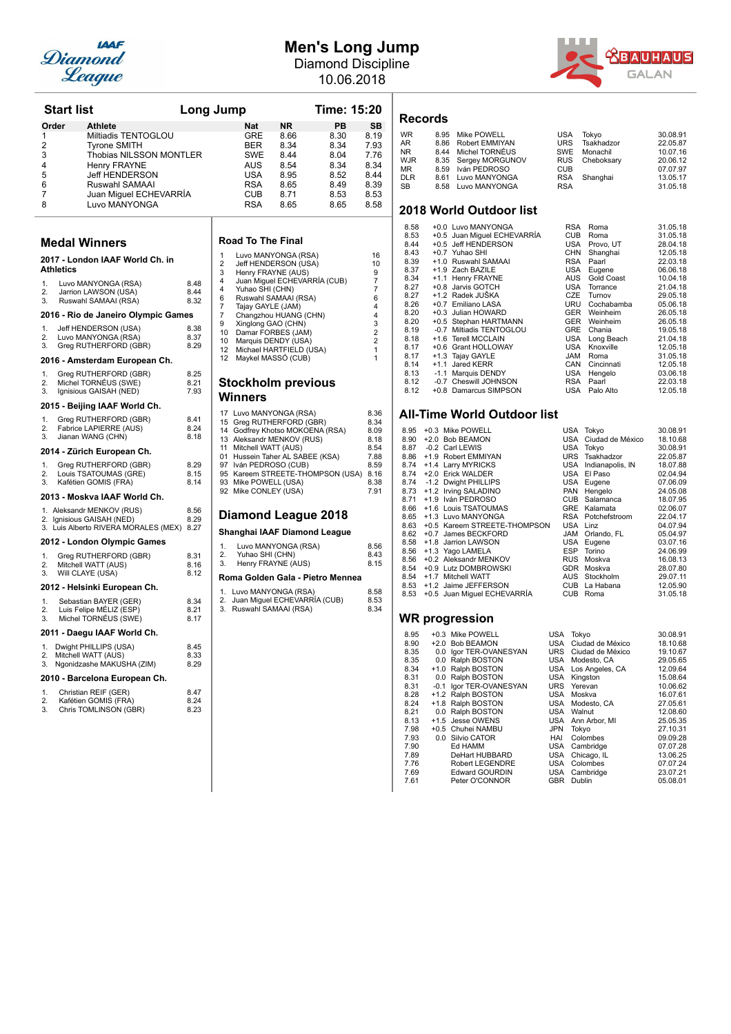

## **Men's Long Jump**

Diamond Discipline 10.06.2018



| <b>Start list</b>         |                                                              | <b>Long Jump</b> |             |                                                         |                                               | <b>Time: 15:20</b>           |                           |
|---------------------------|--------------------------------------------------------------|------------------|-------------|---------------------------------------------------------|-----------------------------------------------|------------------------------|---------------------------|
| Order<br>1<br>2           | <b>Athlete</b><br>Miltiadis TENTOGLOU<br><b>Tyrone SMITH</b> |                  |             | <b>Nat</b><br><b>GRE</b><br><b>BER</b>                  | ΝR<br>8.66<br>8.34                            | PB<br>8.30<br>8.34           | <b>SB</b><br>8.19<br>7.93 |
| 3<br>4                    | Thobias NILSSON MONTLER<br><b>Henry FRAYNE</b>               |                  |             | SWE<br>AUS                                              | 8.44<br>8.54                                  | 8.04<br>8.34                 | 7.76<br>8.34              |
| 5                         | <b>Jeff HENDERSON</b>                                        |                  |             | <b>USA</b>                                              | 8.95                                          | 8.52                         | 8.44                      |
| 6                         | Ruswahl SAMAAI                                               |                  |             | RSA                                                     | 8.65                                          | 8.49                         | 8.39                      |
| 7                         | Juan Miguel ECHEVARRÍA                                       |                  |             | CUB                                                     | 8.71                                          | 8.53                         | 8.53                      |
| 8                         | Luvo MANYONGA                                                |                  |             | RSA                                                     | 8.65                                          | 8.65                         | 8.58                      |
| <b>Medal Winners</b>      |                                                              |                  |             | <b>Road To The Final</b>                                |                                               |                              |                           |
| <b>Athletics</b>          | 2017 - London IAAF World Ch. in                              |                  | 1<br>2<br>3 |                                                         | Luvo MANYONGA (RSA)<br>Jeff HENDERSON (USA)   |                              | 16<br>10<br>9             |
| 1                         | Luvo MANYONGA (RSA)                                          | 8.48             | 4           | Henry FRAYNE (AUS)                                      |                                               | Juan Miguel ECHEVARRIA (CUB) | 7                         |
| 2.                        | Jarrion LAWSON (USA)                                         | 8.44             | 4           | Yuhao SHI (CHN)                                         |                                               |                              | 7                         |
| 3.                        | Ruswahl SAMAAI (RSA)                                         | 8.32             | 6<br>7      | Tajay GAYLE (JAM)                                       | Ruswahl SAMAAI (RSA)                          |                              | 6<br>4                    |
|                           | 2016 - Rio de Janeiro Olympic Games                          |                  | 7           |                                                         | Changzhou HUANG (CHN)                         |                              | 4                         |
| 1.                        | Jeff HENDERSON (USA)                                         | 8.38             | g<br>10     | Xinglong GAO (CHN)                                      | Damar FORBES (JAM)                            |                              | 3<br>$\overline{2}$       |
| 2.<br>3.                  | Luvo MANYONGA (RSA)<br>Greg RUTHERFORD (GBR)                 | 8.37<br>8.29     | 10          |                                                         | Marquis DENDY (USA)                           |                              | $\overline{2}$            |
|                           | 2016 - Amsterdam European Ch.                                |                  | 12<br>12    |                                                         | Michael HARTFIELD (USA)<br>Maykel MASSO (CUB) |                              | 1<br>1                    |
| 1.                        | Greg RUTHERFORD (GBR)                                        | 8.25             |             |                                                         |                                               |                              |                           |
| 2.                        | Michel TORNÉUS (SWE)                                         | 8.21             |             | <b>Stockholm previous</b>                               |                                               |                              |                           |
| 3.                        | Ignisious GAISAH (NED)                                       | 7.93             |             | <b>Winners</b>                                          |                                               |                              |                           |
|                           | 2015 - Beijing IAAF World Ch.                                |                  | 17          | Luvo MANYONGA (RSA)                                     |                                               |                              | 8.36                      |
| 1.                        | Greg RUTHERFORD (GBR)                                        | 8.41             | 15          | Greg RUTHERFORD (GBR)                                   |                                               |                              | 8.34                      |
| 2.<br>3.                  | Fabrice LAPIERRE (AUS)<br>Jianan WANG (CHN)                  | 8.24<br>8.18     | 14<br>13    | Godfrey Khotso MOKOENA (RSA)<br>Aleksandr MENKOV (RUS)  |                                               |                              | 8.09<br>8.18              |
|                           | 2014 - Zürich European Ch.                                   |                  | 11          | Mitchell WATT (AUS)                                     |                                               |                              | 8.54                      |
| 1.                        | Greg RUTHERFORD (GBR)                                        | 8.29             | 97          | 01 Hussein Taher AL SABEE (KSA)                         |                                               |                              | 7.88<br>8.59              |
| 2.                        | Louis TSATOUMAS (GRE)                                        | 8.15             |             | Iván PEDROSO (CUB)<br>95 Kareem STREETE-THOMPSON (USA)  |                                               |                              | 8.16                      |
| 3.                        | Kafétien GOMIS (FRA)                                         | 8.14             |             | 93 Mike POWELL (USA)                                    |                                               |                              | 8.38                      |
|                           | 2013 - Moskva IAAF World Ch.                                 |                  |             | 92 Mike CONLEY (USA)                                    |                                               |                              | 7.91                      |
|                           | 1. Aleksandr MENKOV (RUS)                                    | 8.56<br>8.29     |             | Diamond League 2018                                     |                                               |                              |                           |
| 2. Ignisious GAISAH (NED) | 3. Luis Alberto RIVERA MORALES (MEX)                         | 8.27             |             | Shanghai IAAF Diamond League                            |                                               |                              |                           |
|                           | 2012 - London Olympic Games                                  |                  | 1.          |                                                         | Luvo MANYONGA (RSA)                           |                              | 8.56                      |
| 1.<br>2.                  | Greg RUTHERFORD (GBR)<br>Mitchell WATT (AUS)                 | 8.31<br>8.16     | 2.<br>3.    | Yuhao SHI (CHN)                                         | Henry FRAYNE (AUS)                            |                              | 8.43<br>8.15              |
| 3.<br>Will CLAYE (USA)    |                                                              | 8.12             |             |                                                         |                                               |                              |                           |
|                           | 2012 - Helsinki European Ch.                                 |                  | 1.          | Roma Golden Gala - Pietro Mennea<br>Luvo MANYONGA (RSA) |                                               |                              | 8.58                      |
| 1.                        | Sebastian BAYER (GER)                                        | 8.34             | 2.          | Juan Miguel ECHEVARRIA (CUB)                            |                                               |                              | 8.53                      |
| 2.<br>3.                  | Luis Felipe MÉLIZ (ESP)<br>Michel TORNÉUS (SWE)              | 8.21<br>8.17     | 3.          | Ruswahl SAMAAI (RSA)                                    |                                               |                              | 8.34                      |
|                           | 2011 - Daegu IAAF World Ch.                                  |                  |             |                                                         |                                               |                              |                           |
| 1.<br>2.                  | Dwight PHILLIPS (USA)<br>Mitchell WATT (AUS)                 | 8.45<br>8.33     |             |                                                         |                                               |                              |                           |
| 3.                        | Ngonidzashe MAKUSHA (ZIM)                                    | 8.29             |             |                                                         |                                               |                              |                           |
|                           | 2010 - Barcelona European Ch.                                |                  |             |                                                         |                                               |                              |                           |
| 1.<br>2.                  | Christian REIF (GER)<br>Kafétien GOMIS (FRA)                 | 8.47<br>8.24     |             |                                                         |                                               |                              |                           |
| 3.                        | Chris TOMLINSON (GBR)                                        | 8.23             |             |                                                         |                                               |                              |                           |
|                           |                                                              |                  |             |                                                         |                                               |                              |                           |
|                           |                                                              |                  |             |                                                         |                                               |                              |                           |

| ∣ump                                                                                                     |                                                                                  |                                                                                                                                                                                                                                                  | Time: 15:20                                                  |    |                                                                                                        |
|----------------------------------------------------------------------------------------------------------|----------------------------------------------------------------------------------|--------------------------------------------------------------------------------------------------------------------------------------------------------------------------------------------------------------------------------------------------|--------------------------------------------------------------|----|--------------------------------------------------------------------------------------------------------|
|                                                                                                          | Nat<br>GRE<br><b>BER</b><br>SWE<br>AUS<br>USA<br><b>RSA</b><br>CUB<br><b>RSA</b> | <b>NR</b><br>8.66<br>8.34<br>8.44<br>8.54<br>8.95<br>8.65<br>8.71<br>8.65                                                                                                                                                                        | 8.30<br>8.34<br>8.04<br>8.34<br>8.52<br>8.49<br>8.53<br>8.65 | PB | <b>SB</b><br>8.19<br>7.93<br>7.76<br>8.34<br>8.44<br>8.39<br>8.53<br>8.58                              |
|                                                                                                          | <b>Road To The Final</b>                                                         |                                                                                                                                                                                                                                                  |                                                              |    |                                                                                                        |
| 1<br>2<br>3<br>$\overline{4}$<br>$\overline{4}$<br>6<br>7<br>$\overline{7}$<br>9<br>10<br>10<br>12<br>12 | Yuhao SHI (CHN)<br>Tajay GAYLE (JAM)<br>Xinglong GAO (CHN)                       | Luvo MANYONGA (RSA)<br>Jeff HENDERSON (USA)<br>Henry FRAYNE (AUS)<br>Juan Miguel ECHEVARRÍA (CUB)<br>Ruswahl SAMAAI (RSA)<br>Changzhou HUANG (CHN)<br>Damar FORBES (JAM)<br>Marquis DENDY (USA)<br>Michael HARTFIELD (USA)<br>Maykel MASSÓ (CUB) |                                                              |    | 16<br>10<br>9<br>$\overline{7}$<br>7<br>6<br>4<br>4<br>3<br>$\overline{2}$<br>$\overline{2}$<br>1<br>1 |
|                                                                                                          |                                                                                  | <b>Stockholm previous</b>                                                                                                                                                                                                                        |                                                              |    |                                                                                                        |
| Winners<br>17<br>15<br>14<br>13<br>11<br>01<br>97<br>95<br>93<br>92                                      | Mitchell WATT (AUS)<br>Mike POWELL (USA)<br>Mike CONLEY (USA)                    | Luvo MANYONGA (RSA)<br>Greg RUTHERFORD (GBR)<br>Godfrey Khotso MOKOENA (RSA)<br>Aleksandr MENKOV (RUS)<br>Hussein Taher AL SABEE (KSA)<br>Iván PEDROSO (CUB)<br>Kareem STREETE-THOMPSON (USA)                                                    |                                                              |    | 8.36<br>8.34<br>8.09<br>8.18<br>8.54<br>7.88<br>8.59<br>8.16<br>8.38<br>7.91                           |
|                                                                                                          |                                                                                  | Diamond League 2018                                                                                                                                                                                                                              |                                                              |    |                                                                                                        |
| 1.<br>2.<br>3.                                                                                           | Yuhao SHI (CHN)                                                                  | Shanghai IAAF Diamond League<br>Luvo MANYONGA (RSA)<br>Henry FRAYNE (AUS)<br>Roma Golden Gala - Pietro Mennea                                                                                                                                    |                                                              |    | 8.56<br>8.43<br>8.15                                                                                   |
| 1.<br>2.<br>3.                                                                                           |                                                                                  | Luvo MANYONGA (RSA)<br>Juan Miguel ECHEVARRÍA (CUB)<br>Ruswahl SAMAAI (RSA)                                                                                                                                                                      |                                                              |    | 8.58<br>8.53<br>8.34                                                                                   |
|                                                                                                          |                                                                                  |                                                                                                                                                                                                                                                  |                                                              |    |                                                                                                        |

### **Records**

| 8.95                    | Mike POWELL | <b>USA</b>                                                                                                                   | Tokvo      | 30.08.91   |  |  |
|-------------------------|-------------|------------------------------------------------------------------------------------------------------------------------------|------------|------------|--|--|
| 8.86                    |             | <b>URS</b>                                                                                                                   | Tsakhadzor | 22.05.87   |  |  |
|                         |             | SWE                                                                                                                          | Monachil   | 10.07.16   |  |  |
|                         |             |                                                                                                                              | Cheboksarv | 20.06.12   |  |  |
| 8.59                    |             | <b>CUB</b>                                                                                                                   |            | 07.07.97   |  |  |
|                         |             | <b>RSA</b>                                                                                                                   | Shanghai   | 13.05.17   |  |  |
|                         |             | <b>RSA</b>                                                                                                                   |            | 31.05.18   |  |  |
| 2018 World Outdoor list |             |                                                                                                                              |            |            |  |  |
|                         |             | Robert EMMIYAN<br>8.44 Michel TORNÉUS<br>8.35 Sergey MORGUNOV<br>Iván PEDROSO<br>Luvo MANYONGA<br>8.61<br>8.58 Luvo MANYONGA |            | <b>RUS</b> |  |  |

| 8.58 |        | +0.0 Luvo MANYONGA          | <b>RSA</b> | Roma       | 31.05.18 |
|------|--------|-----------------------------|------------|------------|----------|
| 8.53 |        | +0.5 Juan Miguel ECHEVARRÍA | <b>CUB</b> | Roma       | 31.05.18 |
| 8.44 |        | +0.5 Jeff HENDERSON         | USA        | Provo, UT  | 28.04.18 |
| 8.43 |        | +0.7 Yuhao SHI              | <b>CHN</b> | Shanghai   | 12.05.18 |
| 8.39 |        | +1.0 Ruswahl SAMAAI         | <b>RSA</b> | Paarl      | 22.03.18 |
| 8.37 |        | +1.9 Zach BAZILE            | USA        | Eugene     | 06.06.18 |
| 8.34 |        | +1.1 Henry FRAYNE           | AUS        | Gold Coast | 10.04.18 |
| 8.27 |        | +0.8 Jarvis GOTCH           | USA        | Torrance   | 21.04.18 |
| 8.27 |        | +1.2 Radek JUŠKA            | CZE        | Turnov     | 29.05.18 |
| 8.26 |        | +0.7 Emiliano LASA          | URU        | Cochabamba | 05.06.18 |
| 8.20 | $+0.3$ | Julian HOWARD               | <b>GER</b> | Weinheim   | 26.05.18 |
| 8.20 |        | +0.5 Stephan HARTMANN       | <b>GER</b> | Weinheim   | 26.05.18 |
| 8.19 |        | -0.7 Miltiadis TENTOGLOU    | <b>GRE</b> | Chania     | 19.05.18 |
| 8.18 |        | +1.6 Terell MCCLAIN         | USA        | Long Beach | 21.04.18 |
| 8.17 | $+0.6$ | <b>Grant HOLLOWAY</b>       | USA        | Knoxville  | 12.05.18 |
| 8.17 |        | +1.3 Tajay GAYLE            | <b>JAM</b> | Roma       | 31.05.18 |
| 8.14 | $+1.1$ | Jared KERR                  | CAN        | Cincinnati | 12.05.18 |
| 8.13 | $-1.1$ | Marquis DENDY               | USA        | Hengelo    | 03.06.18 |
| 8.12 |        | -0.7 Cheswill JOHNSON       | <b>RSA</b> | Paarl      | 22.03.18 |
| 8.12 |        | +0.8 Damarcus SIMPSON       | USA        | Palo Alto  | 12.05.18 |

### **All-Time World Outdoor list**

| 8.95 |        | +0.3 Mike POWELL             |            | USA Tokyo        | 30.08.91 |
|------|--------|------------------------------|------------|------------------|----------|
| 8.90 | $+2.0$ | <b>Bob BEAMON</b>            | USA        | Ciudad de México | 18.10.68 |
| 8.87 |        | -0.2 Carl LEWIS              | USA        | Tokyo            | 30.08.91 |
| 8.86 |        | +1.9 Robert EMMIYAN          | <b>URS</b> | Tsakhadzor       | 22.05.87 |
| 8.74 |        | +1.4 Larry MYRICKS           | <b>USA</b> | Indianapolis, IN | 18.07.88 |
| 8.74 |        | +2.0 Erick WALDER            | USA        | El Paso          | 02.04.94 |
| 8.74 |        | -1.2 Dwight PHILLIPS         | USA        | Eugene           | 07.06.09 |
| 8.73 |        | +1.2 Irving SALADINO         | <b>PAN</b> | Hengelo          | 24.05.08 |
| 8.71 |        | +1.9 Iván PEDROSO            | <b>CUB</b> | Salamanca        | 18.07.95 |
| 8.66 |        | +1.6 Louis TSATOUMAS         | <b>GRE</b> | Kalamata         | 02.06.07 |
| 8.65 |        | +1.3 Luvo MANYONGA           | RSA        | Potchefstroom    | 22.04.17 |
| 8.63 |        | +0.5 Kareem STREETE-THOMPSON | <b>USA</b> | Linz             | 04.07.94 |
| 8.62 |        | +0.7 James BECKFORD          | <b>JAM</b> | Orlando, FL      | 05.04.97 |
| 8.58 |        | +1.8 Jarrion LAWSON          | USA        | Eugene           | 03.07.16 |
| 8.56 |        | +1.3 Yago LAMELA             | <b>ESP</b> | Torino           | 24.06.99 |
| 8.56 |        | +0.2 Aleksandr MENKOV        | <b>RUS</b> | Moskva           | 16.08.13 |
| 8.54 |        | +0.9 Lutz DOMBROWSKI         | <b>GDR</b> | Moskva           | 28.07.80 |
| 8.54 |        | +1.7 Mitchell WATT           | AUS        | Stockholm        | 29.07.11 |
| 8.53 |        | +1.2 Jaime JEFFERSON         | <b>CUB</b> | La Habana        | 12.05.90 |
| 8.53 |        | +0.5 Juan Miguel ECHEVARRÍA  | <b>CUB</b> | Roma             | 31.05.18 |

| 8.95 |        | +0.3 Mike POWELL       | USA        | Tokyo            | 30.08.91 |
|------|--------|------------------------|------------|------------------|----------|
| 8.90 |        | +2.0 Bob BEAMON        | USA        | Ciudad de México | 18.10.68 |
| 8.35 | 0.0    | Igor TER-OVANESYAN     | <b>URS</b> | Ciudad de México | 19.10.67 |
| 8.35 | 0.0    | Ralph BOSTON           | <b>USA</b> | Modesto, CA      | 29.05.65 |
| 8.34 | $+1.0$ | Ralph BOSTON           | <b>USA</b> | Los Angeles, CA  | 12.09.64 |
| 8.31 | 0.0    | Ralph BOSTON           | <b>USA</b> | Kingston         | 15.08.64 |
| 8.31 | -0.1   | Igor TER-OVANESYAN     | <b>URS</b> | Yerevan          | 10.06.62 |
| 8.28 |        | +1.2 Ralph BOSTON      | <b>USA</b> | Moskva           | 16.07.61 |
| 8.24 |        | +1.8 Ralph BOSTON      | <b>USA</b> | Modesto, CA      | 27.05.61 |
| 8.21 | 0.0    | Ralph BOSTON           | <b>USA</b> | Walnut           | 12.08.60 |
| 8.13 |        | +1.5 Jesse OWENS       | <b>USA</b> | Ann Arbor, MI    | 25.05.35 |
| 7.98 |        | +0.5 Chuhei NAMBU      | <b>JPN</b> | Tokvo            | 27.10.31 |
| 7.93 | 0.0    | Silvio CATOR           | HAI        | Colombes         | 09.09.28 |
| 7.90 |        | Ed HAMM                | <b>USA</b> | Cambridge        | 07.07.28 |
| 7.89 |        | DeHart HUBBARD         | <b>USA</b> | Chicago, IL      | 13.06.25 |
| 7.76 |        | <b>Robert LEGENDRE</b> | <b>USA</b> | Colombes         | 07.07.24 |
| 7.69 |        | <b>Edward GOURDIN</b>  | <b>USA</b> | Cambridge        | 23.07.21 |
| 7.61 |        | Peter O'CONNOR         | <b>GBR</b> | Dublin           | 05.08.01 |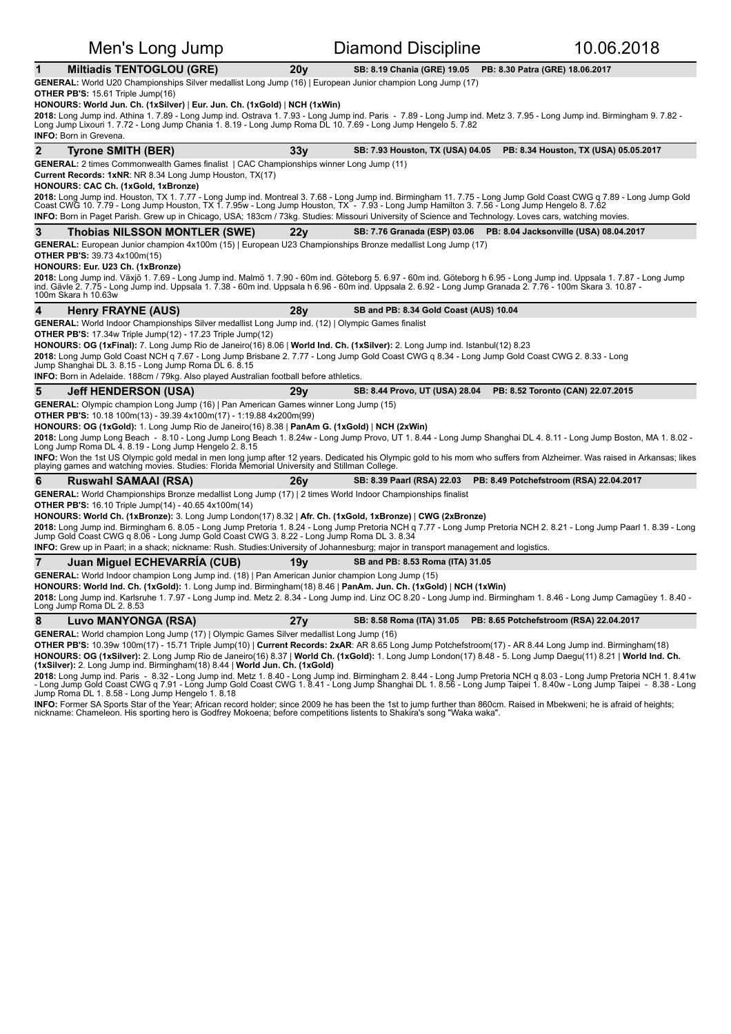### Men's Long Jump **Diamond Discipline** 10.06.2018 **1 Miltiadis TENTOGLOU (GRE)** 20y **SB:** 8.19 Chania (GRE) 19.05 **PB:** 8.30 Patra (GRE) 18.06.2017 **GENERAL:** World U20 Championships Silver medallist Long Jump (16) | European Junior champion Long Jump (17) **OTHER PB'S:** 15.61 Triple Jump(16) **HONOURS: World Jun. Ch. (1xSilver)** | **Eur. Jun. Ch. (1xGold)** | **NCH (1xWin) 2018:** Long Jump ind. Athina 1. 7.89 - Long Jump ind. Ostrava 1. 7.93 - Long Jump ind. Paris - 7.89 - Long Jump ind. Dimingham 1. 7.82 - Long Jump ind. Birmingham 9. 7.82 -<br>Long Jump Lixouri 1. 7.72 - Long Jump Chania 1. **INFO: Born in Grevena. 2 Tyrone SMITH (BER)** 33y SB: 7.93 Houston, TX (USA) 04.05 PB: 8.34 Houston, TX (USA) 05.05.2017 **GENERAL:** 2 times Commonwealth Games finalist | CAC Championships winner Long Jump (11) **Current Records: 1xNR: NR 8.34 Long Jump Houston, TX(17) HONOURS: CAC Ch. (1xGold, 1xBronze) 2018:** Long Jump ind. Houston, TX 1. 7.77 - Long Jump ind. Montreal 3. 7.68 - Long Jump ind. Birmingham 11. 7.75 - Long Jump Gold Coast CWG q 7.89 - Long Jump Gold<br>Coast CWG 10. 7.79 - Long Jump Houston, TX 1. 7.95w - Lon INFO: Born in Paget Parish. Grew up in Chicago, USA; 183cm / 73kg. Studies: Missouri University of Science and Technology. Loves cars, watching movies **3** Thobias NILSSON MONTLER (SWE) 22y SB: 7.76 Granada (ESP) 03.06 PB: 8.04 Jacksonville (USA) 08.04.2017 GENERAL: European Junior champion  $4x100m (15)$  | European U23 Championships Bronze medallist Long Jump (17) **OTHER PB'S: 39.73 4x100m(15) HONOURS: Eur. U23 Ch. (1xBronze) 2018:** Long Jump ind. Växjö 1. 7.69 - Long Jump ind. Malmö 1. 7.90 - 60m ind. Göteborg 5. 6.97 - 60m ind. Göteborg h 6.95 - Long Jump ind. Uppsala 1. 7.87 - Long Jump<br>ind. Gävle 2. 7.75 - Long Jump ind. Uppsala 1. 7.38 - 100m Skara h 10.63w **4** Henry FRAYNE (AUS) **28y** SB and PB: 8.34 Gold Coast (AUS) 10.04 GENERAL: World Indoor Championships Silver medallist Long Jump ind. (12) | Olympic Games finalist **OTHER PB'S:** 17.34w Triple Jump(12) - 17.23 Triple Jump(12) HONOURS: OG (1xFinal): 7. Long Jump Rio de Janeiro(16) 8.06 | World Ind. Ch. (1xSilver): 2. Long Jump ind. Istanbul(12) 8.23 **2018:** Long Jump Gold Coast NCH q 7.67 - Long Jump Brisbane 2. 7.77 - Long Jump Gold Coast CWG q 8.34 - Long Jump Gold Coast CWG 2. 8.33 - Long<br>Jump Shanghai DL 3. 8.15 - Long Jump Roma DL 6. 8.15 **INFO:** Born in Adelaide. 188cm / 79kg. Also played Australian football before athletics **5 Jeff HENDERSON (USA)** 29y **SB:** 8.44 Provo, UT (USA) 28.04 PB: 8.52 Toronto (CAN) 22.07.2015 **GENERAL:** Olympic champion Long Jump (16) | Pan American Games winner Long Jump (15) **OTHER PB'S:** 10.18 100m(13) - 39.39 4x100m(17) - 1:19.88 4x200m(99) HONOURS: OG (1xGold): 1. Long Jump Rio de Janeiro(16) 8.38 | PanAm G. (1xGold) | NCH (2xWin) **2018:** Long Jump Long Beach - 8.10 - Long Jump Long Beach 1. 8.24w - Long Jump Provo, UT 1. 8.44 - Long Jump Shanghai DL 4. 8.11 - Long Jump Boston, MA 1. 8.02 -<br>Long Jump Roma DL 4. 8.19 - Long Jump Hengelo 2. 8.15 **INFO:** Won the 1st US Olympic gold medal in men long jump after 12 years. Dedicated his Olympic gold to his mom who suffers from Alzheimer. Was raised in Arkansas; likes<br>playing games and watching movies. Studies: Florida **6** Ruswahl SAMAAI (RSA) 26y SB: 8.39 Paarl (RSA) 22.03 PB: 8.49 Potchefstroom (RSA) 22.04.2017 GENERAL: World Championships Bronze medallist Long Jump (17) | 2 times World Indoor Championships finalist **OTHER PB'S:** 16.10 Triple Jump(14) - 40.65 4x100m(14) HONOURS: World Ch. (1xBronze): 3. Long Jump London(17) 8.32 | Afr. Ch. (1xGold, 1xBronze) | CWG (2xBronze) 2018: Long Jump ind. Birmingham 6. 8.05 - Long Jump Pretoria 1. 8.24 - Long Jump Pretoria NCH q 7.77 - Long Jump Pretoria NCH 2. 8.21 - Long Jump Paarl 1. 8.39 - Long Jump Gold Coast CWG q 8.06 - Long Jump Gold Coast CWG 3. 8.22 - Long Jump Roma DL 3. 8.34 **INFO:** Grew up in Paarl; in a shack; nickname: Rush. Studies:University of Johannesburg; major in transport management and logistics. **7** Juan Miquel ECHEVARRÍA (CUB) 19y SB and PB: 8.53 Roma (ITA) 31.05 GENERAL: World Indoor champion Long Jump ind. (18) | Pan American Junior champion Long Jump (15) **HONOURS: World Ind. Ch. (1xGold):** 1. Long Jump ind. Birmingham(18) 8.46 | PanAm. Jun. Ch. (1xGold) | NCH (1xWin) 2018: Long Jump ind. Karlsruhe 1. 7.97 - Long Jump ind. Metz 2. 8.34 - Long Jump ind. Linz OC 8.20 - Long Jump ind. Birmingham 1. 8.46 - Long Jump Camagüey 1. 8.40 -Long Jump Roma DL 2. 8.53 **8 Luvo MANYONGA (RSA) 27y SB:** 8.58 Roma (ITA) 31.05 PB: 8.65 Potchefstroom (RSA) 22.04.2017 **GENERAL:** World champion Long Jump (17) | Olympic Games Silver medallist Long Jump (16) OTHER PB'S: 10.39w 100m(17) - 15.71 Triple Jump(10) | Current Records: 2xAR: AR 8.65 Long Jump Potchefstroom(17) - AR 8.44 Long Jump ind. Birmingham(18)

HONOURS: OG (1xSilver): 2. Long Jump Rio de Janeiro(16) 8.37 | World Ch. (1xGold): 1. Long Jump London(17) 8.48 - 5. Long Jump Daegu(11) 8.21 | World Ind. Ch. **(1xSilver):** 2. Long Jump ind. Birmingham(18) 8.44 | **World Jun. Ch. (1xGold)** 

**2018:** Long Jump ind. Paris - 8.32 - Long Jump ind. Metz 1. 8.40 - Long Jump ind. Birmingham 2. 8.44 - Long Jump Pretoria NOH 3. 0.03 - Long Jump Pretoria NCH 1. 8.41w<br>- Long Jump Gold Coast CWG q 7.91 - Long Jump Gold Co

**INFO:** Former SA Sports Star of the Year; African record holder; since 2009 he has been the 1st to jump further than 860cm. Raised in Mbekweni; he is afraid of heights; nickname: Chameleon. His sporting hero is Godfrey Mokoena; before competitions listents to Shakira's song "Waka waka".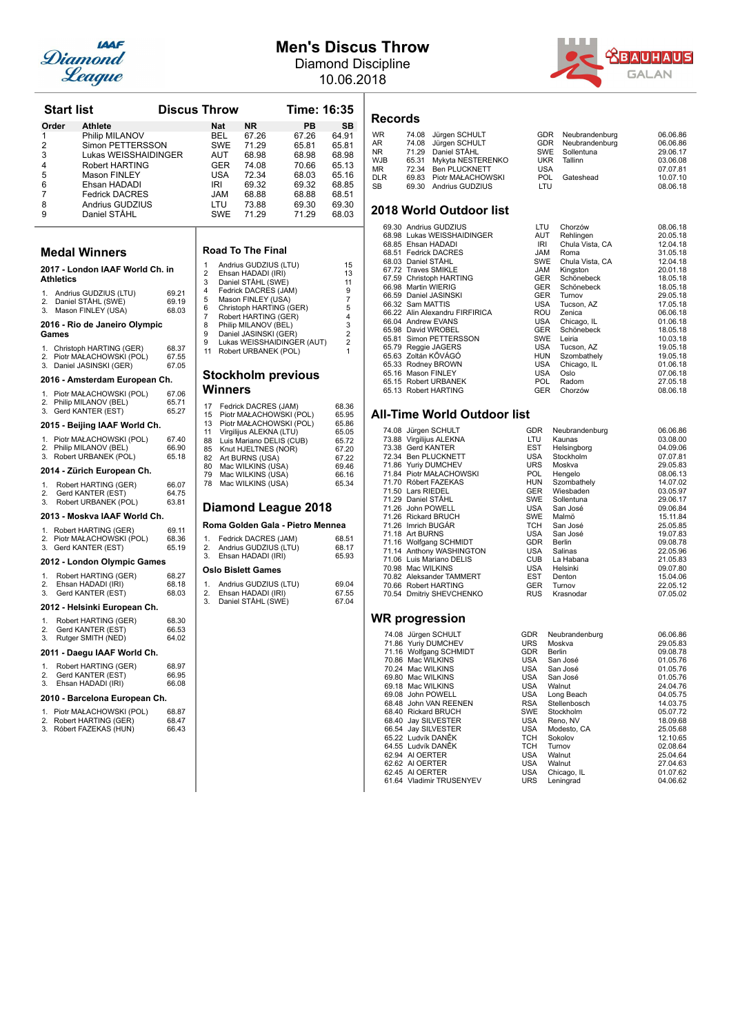

## **Men's Discus Throw**

Diamond Discipline 10.06.2018



| <b>Start list</b>                                      |                                                                                                                                                                                 | <b>Discus Throw</b>     |                      |                                                                    |                                                                                               | Time: 16:35                                                                   |                                                                               |
|--------------------------------------------------------|---------------------------------------------------------------------------------------------------------------------------------------------------------------------------------|-------------------------|----------------------|--------------------------------------------------------------------|-----------------------------------------------------------------------------------------------|-------------------------------------------------------------------------------|-------------------------------------------------------------------------------|
| Order                                                  | <b>Athlete</b>                                                                                                                                                                  |                         |                      | <b>Nat</b>                                                         | <b>NR</b>                                                                                     | PВ                                                                            | SB                                                                            |
| 1<br>$\overline{2}$<br>3<br>4<br>5<br>6<br>7<br>8<br>9 | Philip MILANOV<br>Simon PETTERSSON<br>Lukas WEISSHAIDINGER<br>Robert HARTING<br><b>Mason FINLEY</b><br>Ehsan HADADI<br><b>Fedrick DACRES</b><br>Andrius GUDZIUS<br>Daniel STAHL |                         |                      | BEL<br>SWE<br>AUT<br>GER<br>USA<br>IRI<br>JAM<br>LTU<br><b>SWE</b> | 67.26<br>71.29<br>68.98<br>74.08<br>72.34<br>69.32<br>68.88<br>73.88<br>71.29                 | 67.26<br>65.81<br>68.98<br>70.66<br>68.03<br>69.32<br>68.88<br>69.30<br>71.29 | 64.91<br>65.81<br>68.98<br>65.13<br>65.16<br>68.85<br>68.51<br>69.30<br>68.03 |
|                                                        | <b>Medal Winners</b>                                                                                                                                                            |                         |                      |                                                                    | <b>Road To The Final</b>                                                                      |                                                                               |                                                                               |
| <b>Athletics</b>                                       | 2017 - London IAAF World Ch. in                                                                                                                                                 |                         | 1<br>2<br>3<br>4     |                                                                    | Andrius GUDZIUS (LTU)<br>Ehsan HADADI (IRI)<br>Daniel STÅHL (SWE)<br>Fedrick DACRES (JAM)     |                                                                               | 15<br>13<br>11<br>9                                                           |
| 1.<br>2.<br>3.                                         | Andrius GUDZIUS (LTU)<br>Daniel STÅHL (SWE)<br>Mason FINLEY (USA)                                                                                                               | 69.21<br>69.19<br>68.03 | 5<br>6<br>7          |                                                                    | Mason FINLEY (USA)<br>Christoph HARTING (GER)<br>Robert HARTING (GER)                         |                                                                               | 7<br>5<br>4                                                                   |
| Games                                                  | 2016 - Rio de Janeiro Olympic                                                                                                                                                   |                         | 8<br>9<br>9          |                                                                    | Philip MILANOV (BEL)<br>Daniel JASINSKI (GER)                                                 | Lukas WEISSHAIDINGER (AUT)                                                    | 3<br>$\overline{\mathbf{c}}$<br>$\overline{2}$                                |
| 1.<br>2.                                               | Christoph HARTING (GER)<br>Piotr MAŁACHOWSKI (POL)<br>3. Daniel JASINSKI (GER)                                                                                                  | 68.37<br>67.55<br>67.05 | 11                   |                                                                    | Robert URBANEK (POL)                                                                          |                                                                               | 1                                                                             |
|                                                        | 2016 - Amsterdam European Ch.                                                                                                                                                   |                         |                      |                                                                    |                                                                                               | <b>Stockholm previous</b>                                                     |                                                                               |
| 1.<br>2.<br>3.                                         | Piotr MAŁACHOWSKI (POL)<br>Philip MILANOV (BEL)<br>Gerd KANTER (EST)                                                                                                            | 67.06<br>65.71<br>65.27 | 17<br>15             | Winners                                                            | Fedrick DACRES (JAM)<br>Piotr MAŁACHOWSKI (POL)                                               |                                                                               | 68.36<br>65.95                                                                |
|                                                        | 2015 - Beijing IAAF World Ch.                                                                                                                                                   |                         | 13                   |                                                                    | Piotr MAŁACHOWSKI (POL)                                                                       |                                                                               | 65.86                                                                         |
| 1.                                                     | Piotr MAŁACHOWSKI (POL)<br>2. Philip MILANOV (BEL)<br>3. Robert URBANEK (POL)                                                                                                   | 67.40<br>66.90<br>65.18 | 11<br>88<br>85<br>82 |                                                                    | Virgilijus ALEKNA (LTU)<br>Luis Mariano DELIS (CUB)<br>Knut HJELTNES (NOR)<br>Art BURNS (USA) |                                                                               | 65.05<br>65.72<br>67.20<br>67.22                                              |
|                                                        | 2014 - Zürich European Ch.                                                                                                                                                      |                         | 80<br>79             |                                                                    | Mac WILKINS (USA)<br>Mac WILKINS (USA)                                                        |                                                                               | 69.46<br>66.16                                                                |
| 1.<br>$\mathcal{P}$<br>3.                              | Robert HARTING (GER)<br>Gerd KANTER (EST)<br>Robert URBANEK (POL)                                                                                                               | 66.07<br>64.75<br>63.81 | 78                   |                                                                    | Mac WILKINS (USA)                                                                             |                                                                               | 65.34                                                                         |
|                                                        | 2013 - Moskva IAAF World Ch.                                                                                                                                                    |                         |                      |                                                                    |                                                                                               | Diamond League 2018                                                           |                                                                               |
| 1.                                                     | Robert HARTING (GER)<br>2. Piotr MAŁACHOWSKI (POL)<br>3. Gerd KANTER (EST)                                                                                                      | 69.11<br>68.36<br>65.19 | 1.<br>2.             |                                                                    | Fedrick DACRES (JAM)<br>Andrius GUDZIUS (LTU)                                                 | Roma Golden Gala - Pietro Mennea                                              | 68.51<br>68.17                                                                |
|                                                        | 2012 - London Olympic Games                                                                                                                                                     |                         | 3.                   |                                                                    | Ehsan HADADI (IRI)                                                                            |                                                                               | 65.93                                                                         |
| 1.<br>2.<br>3.                                         | Robert HARTING (GER)<br>Ehsan HADADI (IRI)<br>Gerd KANTER (EST)                                                                                                                 | 68.27<br>68.18<br>68.03 | 1.<br>2.<br>3.       |                                                                    | Oslo Bislett Games<br>Andrius GUDZIUS (LTU)<br>Ehsan HADADI (IRI)<br>Daniel STAHL (SWE)       |                                                                               | 69.04<br>67.55<br>67.04                                                       |
|                                                        | 2012 - Helsinki European Ch.                                                                                                                                                    |                         |                      |                                                                    |                                                                                               |                                                                               |                                                                               |
| 1.<br>2.<br>3.                                         | Robert HARTING (GER)<br>Gerd KANTER (EST)<br>Rutger SMITH (NED)                                                                                                                 | 68.30<br>66.53<br>64.02 |                      |                                                                    |                                                                                               |                                                                               |                                                                               |
|                                                        | 2011 - Daegu IAAF World Ch.                                                                                                                                                     |                         |                      |                                                                    |                                                                                               |                                                                               |                                                                               |
| 1.<br>2.<br>3.                                         | Robert HARTING (GER)<br>Gerd KANTER (EST)<br>Ehsan HADADI (IRI)                                                                                                                 | 68.97<br>66.95<br>66.08 |                      |                                                                    |                                                                                               |                                                                               |                                                                               |
|                                                        | 2010 - Barcelona European Ch.                                                                                                                                                   |                         |                      |                                                                    |                                                                                               |                                                                               |                                                                               |
|                                                        | 1. Piotr MAŁACHOWSKI (POL)                                                                                                                                                      | 68.87                   |                      |                                                                    |                                                                                               |                                                                               |                                                                               |

## 1. Piotr MAŁACHOWSKI (POL) 68.87 2. Robert HARTING (GER) 68.47 3. Róbert FAZEKAS (HUN) 66.43

### **R**

| 1              | Andrius GUDZIUS (LTU)      | 15             |
|----------------|----------------------------|----------------|
| $\overline{2}$ | Ehsan HADADI (IRI)         | 13             |
| 3              | Daniel STÅHL (SWE)         | 11             |
| $\overline{4}$ | Fedrick DACRES (JAM)       | 9              |
| 5              | Mason FINLEY (USA)         | $\overline{7}$ |
| 6              | Christoph HARTING (GER)    | 5              |
| 7              | Robert HARTING (GER)       | 4              |
| 8              | Philip MILANOV (BEL)       | 3              |
| 9              | Daniel JASINSKI (GER)      | $\overline{2}$ |
| 9              | Lukas WEISSHAIDINGER (AUT) | $\overline{2}$ |
| 11             | Robert URBANEK (POL)       | 1              |
|                |                            |                |
|                |                            |                |
|                | <b>Stockholm previous</b>  |                |
|                |                            |                |

| 17 | Fedrick DACRES (JAM)     | 68.36 |
|----|--------------------------|-------|
| 15 | Piotr MAŁACHOWSKI (POL)  | 65.95 |
| 13 | Piotr MAŁACHOWSKI (POL)  | 65.86 |
| 11 | Virgilijus ALEKNA (LTU)  | 65.05 |
| 88 | Luis Mariano DELIS (CUB) | 65.72 |
| 85 | Knut HJELTNES (NOR)      | 67.20 |
| 82 | Art BURNS (USA)          | 67.22 |
| 80 | Mac WILKINS (USA)        | 69.46 |
| 79 | Mac WILKINS (USA)        | 66.16 |
| 78 | Mac WILKINS (USA)        | 65.34 |
|    |                          |       |
|    |                          |       |

### **<u>ague 2018</u>**

### **a** - Pietro Mennea

|    | 3. Ehsan HADADI (IRI)<br>Oslo Bislett Games | 65.93 |
|----|---------------------------------------------|-------|
| 2. | Andrius GUDZIUS (LTU)                       | 68.17 |
|    | 1. Fedrick DACRES (JAM)                     | 68.51 |
|    |                                             |       |

|    | Andrius GUDZIUS (LTU) | 69.04 |
|----|-----------------------|-------|
|    | Ehsan HADADI (IRI)    | 67.55 |
| 3. | Daniel STÅHL (SWE)    | 67.04 |

### **Records**

| <b>WR</b>  | 74.08 Jürgen SCHULT     |            | GDR Neubrandenburg | 06.06.86 |
|------------|-------------------------|------------|--------------------|----------|
| AR         | 74.08 Jürgen SCHULT     |            | GDR Neubrandenburg | 06.06.86 |
| NR.        | 71.29 Daniel STÅHL      |            | SWE Sollentuna     | 29.06.17 |
| WJB        | 65.31 Mykyta NESTERENKO |            | UKR Tallinn        | 03.06.08 |
| MR         | 72.34 Ben PLUCKNETT     | <b>USA</b> |                    | 07.07.81 |
| <b>DLR</b> | 69.83 Piotr MAŁACHOWSKI | POL        | Gateshead          | 10.07.10 |
| SB         | 69.30 Andrius GUDZIUS   | LTU        |                    | 08.06.18 |
|            |                         |            |                    |          |

### **2018 World Outdoor list**

| 69.30 Andrius GUDZIUS          | LTU        | Chorzów         | 08.06.18 |
|--------------------------------|------------|-----------------|----------|
| 68.98 Lukas WEISSHAIDINGER     | AUT        | Rehlingen       | 20.05.18 |
| 68.85 Ehsan HADADI             | IRI        | Chula Vista, CA | 12.04.18 |
| 68.51 Fedrick DACRES           | <b>JAM</b> | Roma            | 31.05.18 |
| 68.03 Daniel STÅHL             | SWE        | Chula Vista, CA | 12.04.18 |
| 67.72 Traves SMIKLE            | JAM        | Kingston        | 20.01.18 |
| 67.59 Christoph HARTING        | <b>GER</b> | Schönebeck      | 18.05.18 |
| 66.98 Martin WIERIG            | <b>GER</b> | Schönebeck      | 18.05.18 |
| 66.59 Daniel JASINSKI          | <b>GER</b> | Turnov          | 29.05.18 |
| 66.32 Sam MATTIS               | <b>USA</b> | Tucson, AZ      | 17.05.18 |
| 66.22 Alin Alexandru FIRFIRICA | <b>ROU</b> | Zenica          | 06.06.18 |
| 66.04 Andrew EVANS             | USA        | Chicago, IL     | 01.06.18 |
| 65.98 David WROBEL             | GER        | Schönebeck      | 18.05.18 |
| 65.81 Simon PETTERSSON         | SWE        | Leiria          | 10.03.18 |
| 65.79 Reggie JAGERS            | USA        | Tucson, AZ      | 19.05.18 |
| 65.63 Zoltán KŐVÁGÓ            | <b>HUN</b> | Szombathely     | 19.05.18 |
| 65.33 Rodney BROWN             | USA        | Chicago, IL     | 01.06.18 |
| 65.16 Mason FINLEY             | <b>USA</b> | Oslo            | 07.06.18 |
| 65.15 Robert URBANEK           | <b>POL</b> | Radom           | 27.05.18 |
| 65.13 Robert HARTING           | <b>GER</b> | Chorzów         | 08.06.18 |

### **All-Time World Outdoor list**

| 74.08 Jürgen SCHULT      | GDR        | Neubrandenburg | 06.06.86 |
|--------------------------|------------|----------------|----------|
| 73.88 Virgilijus ALEKNA  | LTU        | Kaunas         | 03.08.00 |
| 73.38 Gerd KANTER        | <b>EST</b> | Helsingborg    | 04.09.06 |
| 72.34 Ben PLUCKNETT      | USA        | Stockholm      | 07.07.81 |
| 71.86 Yuriy DUMCHEV      | <b>URS</b> | Moskva         | 29.05.83 |
| 71.84 Piotr MAŁACHOWSKI  | <b>POL</b> | Hengelo        | 08.06.13 |
| 71.70 Róbert FAZEKAS     | <b>HUN</b> | Szombathely    | 14.07.02 |
| 71.50 Lars RIEDEL        | GER        | Wiesbaden      | 03.05.97 |
| 71.29 Daniel STÅHL       | SWE        | Sollentuna     | 29.06.17 |
| 71.26 John POWELL        | USA        | San José       | 09.06.84 |
| 71.26 Rickard BRUCH      | SWE        | Malmö          | 15.11.84 |
| 71.26 Imrich BUGAR       | тсн        | San José       | 25.05.85 |
| 71.18 Art BURNS          | USA        | San José       | 19.07.83 |
| 71.16 Wolfgang SCHMIDT   | <b>GDR</b> | Berlin         | 09.08.78 |
| 71.14 Anthony WASHINGTON | USA        | Salinas        | 22.05.96 |
| 71.06 Luis Mariano DELIS | <b>CUB</b> | La Habana      | 21.05.83 |
| 70.98 Mac WILKINS        | USA        | Helsinki       | 09.07.80 |
| 70.82 Aleksander TAMMERT | EST        | Denton         | 15.04.06 |
| 70.66 Robert HARTING     | <b>GER</b> | Turnov         | 22.05.12 |
| 70.54 Dmitriy SHEVCHENKO | <b>RUS</b> | Krasnodar      | 07.05.02 |
|                          |            |                |          |
|                          |            |                |          |

| 74.08 Jürgen SCHULT      | <b>GDR</b> | Neubrandenburg | 06.06.86 |
|--------------------------|------------|----------------|----------|
| 71.86 Yuriy DUMCHEV      | <b>URS</b> | Moskva         | 29.05.83 |
| 71.16 Wolfgang SCHMIDT   | <b>GDR</b> | Berlin         | 09.08.78 |
| 70.86 Mac WILKINS        | <b>USA</b> | San José       | 01.05.76 |
| 70.24 Mac WILKINS        | <b>USA</b> | San José       | 01.05.76 |
| 69.80 Mac WILKINS        | USA        | San José       | 01.05.76 |
| 69.18 Mac WILKINS        | USA        | Walnut         | 24.04.76 |
| 69.08 John POWELL        | USA        | Long Beach     | 04.05.75 |
| 68.48 John VAN REENEN    | <b>RSA</b> | Stellenbosch   | 14.03.75 |
| 68.40 Rickard BRUCH      | <b>SWE</b> | Stockholm      | 05.07.72 |
| 68.40 Jay SILVESTER      | USA        | Reno, NV       | 18.09.68 |
| 66.54 Jay SILVESTER      | <b>USA</b> | Modesto, CA    | 25.05.68 |
| 65.22 Ludvík DANĚK       | TCH        | Sokolov        | 12.10.65 |
| 64.55 Ludvík DANĚK       | <b>TCH</b> | Turnov         | 02.08.64 |
| 62.94 AI OERTER          | USA        | Walnut         | 25.04.64 |
| 62.62 AI OERTER          | USA        | Walnut         | 27.04.63 |
| 62.45 AI OERTER          | USA        | Chicago, IL    | 01.07.62 |
| 61.64 Vladimir TRUSENYEV | <b>URS</b> | Leningrad      | 04.06.62 |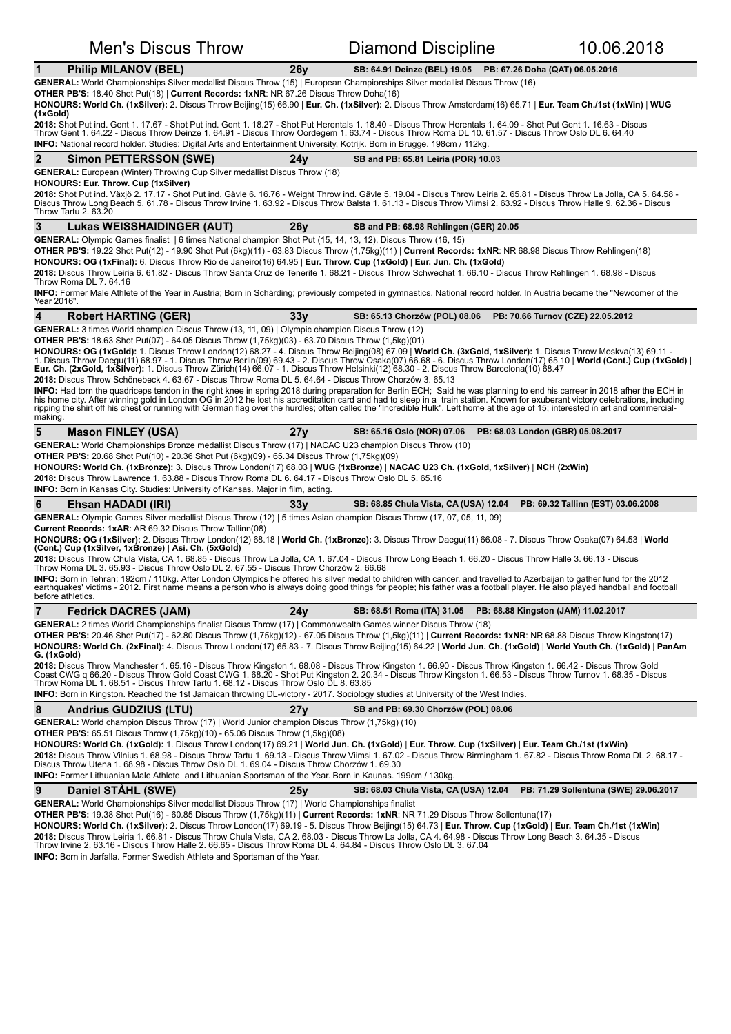| <b>Men's Discus Throw</b>                                                                                                                                                                                                                                                                                                                                                                                                                                                                                                                                                                                                                                                                                                                                                                                                                                                                                                                                                                                                                                                                                                                                                                                                                                                                                                                                                       |                                                                                                                                                                                                                                                                                                                                                                                                                                                                                                                                                                                                                                                                                                                                                                               | Diamond Discipline                                                | 10.06.2018                            |  |  |  |
|---------------------------------------------------------------------------------------------------------------------------------------------------------------------------------------------------------------------------------------------------------------------------------------------------------------------------------------------------------------------------------------------------------------------------------------------------------------------------------------------------------------------------------------------------------------------------------------------------------------------------------------------------------------------------------------------------------------------------------------------------------------------------------------------------------------------------------------------------------------------------------------------------------------------------------------------------------------------------------------------------------------------------------------------------------------------------------------------------------------------------------------------------------------------------------------------------------------------------------------------------------------------------------------------------------------------------------------------------------------------------------|-------------------------------------------------------------------------------------------------------------------------------------------------------------------------------------------------------------------------------------------------------------------------------------------------------------------------------------------------------------------------------------------------------------------------------------------------------------------------------------------------------------------------------------------------------------------------------------------------------------------------------------------------------------------------------------------------------------------------------------------------------------------------------|-------------------------------------------------------------------|---------------------------------------|--|--|--|
| $\mathbf 1$<br><b>Philip MILANOV (BEL)</b>                                                                                                                                                                                                                                                                                                                                                                                                                                                                                                                                                                                                                                                                                                                                                                                                                                                                                                                                                                                                                                                                                                                                                                                                                                                                                                                                      | 26y                                                                                                                                                                                                                                                                                                                                                                                                                                                                                                                                                                                                                                                                                                                                                                           | SB: 64.91 Deinze (BEL) 19.05<br>PB: 67.26 Doha (QAT) 06.05.2016   |                                       |  |  |  |
| GENERAL: World Championships Silver medallist Discus Throw (15)   European Championships Silver medallist Discus Throw (16)<br><b>OTHER PB'S:</b> 18.40 Shot Put(18)   Current Records: 1xNR: NR 67.26 Discus Throw Doha(16)<br>HONOURS: World Ch. (1xSilver): 2. Discus Throw Beijing(15) 66.90   Eur. Ch. (1xSilver): 2. Discus Throw Amsterdam(16) 65.71   Eur. Team Ch./1st (1xWin)   WUG<br>(1xGold)<br>2018: Shot Put ind. Gent 1. 17.67 - Shot Put ind. Gent 1. 18.27 - Shot Put Herentals 1. 18.40 - Discus Throw Herentals 1. 64.09 - Shot Put Gent 1. 16.63 - Discus                                                                                                                                                                                                                                                                                                                                                                                                                                                                                                                                                                                                                                                                                                                                                                                                  |                                                                                                                                                                                                                                                                                                                                                                                                                                                                                                                                                                                                                                                                                                                                                                               |                                                                   |                                       |  |  |  |
| Throw Gent 1. 64.22 - Discus Throw Deinze 1. 64.91 - Discus Throw Oordegem 1. 63.74 - Discus Throw Roma DL 10. 61.57 - Discus Throw Oslo DL 6. 64.40<br>INFO: National record holder. Studies: Digital Arts and Entertainment University, Kotrijk. Born in Brugge. 198cm / 112kg.                                                                                                                                                                                                                                                                                                                                                                                                                                                                                                                                                                                                                                                                                                                                                                                                                                                                                                                                                                                                                                                                                               |                                                                                                                                                                                                                                                                                                                                                                                                                                                                                                                                                                                                                                                                                                                                                                               |                                                                   |                                       |  |  |  |
| $\mathbf{2}$<br><b>Simon PETTERSSON (SWE)</b>                                                                                                                                                                                                                                                                                                                                                                                                                                                                                                                                                                                                                                                                                                                                                                                                                                                                                                                                                                                                                                                                                                                                                                                                                                                                                                                                   | 24v                                                                                                                                                                                                                                                                                                                                                                                                                                                                                                                                                                                                                                                                                                                                                                           | SB and PB: 65.81 Leiria (POR) 10.03                               |                                       |  |  |  |
| <b>GENERAL:</b> European (Winter) Throwing Cup Silver medallist Discus Throw (18)<br><b>HONOURS: Eur. Throw. Cup (1xSilver)</b><br>2018: Shot Put ind. Växjö 2. 17.17 - Shot Put ind. Gävle 6. 16.76 - Weight Throw ind. Gävle 5. 19.04 - Discus Throw Leiria 2. 65.81 - Discus Throw La Jolla, CA 5. 64.58 -<br>Discus Throw Long Beach 5. 61.78 - Discus Throw Irvine 1. 63.92 - Discus Throw Balsta 1. 61.13 - Discus Throw Viimsi 2. 63.92 - Discus Throw Halle 9. 62.36 - Discus<br>Throw Tartu 2. 63.20                                                                                                                                                                                                                                                                                                                                                                                                                                                                                                                                                                                                                                                                                                                                                                                                                                                                   |                                                                                                                                                                                                                                                                                                                                                                                                                                                                                                                                                                                                                                                                                                                                                                               |                                                                   |                                       |  |  |  |
| 3<br><b>Lukas WEISSHAIDINGER (AUT)</b>                                                                                                                                                                                                                                                                                                                                                                                                                                                                                                                                                                                                                                                                                                                                                                                                                                                                                                                                                                                                                                                                                                                                                                                                                                                                                                                                          | 26y                                                                                                                                                                                                                                                                                                                                                                                                                                                                                                                                                                                                                                                                                                                                                                           | SB and PB: 68.98 Rehlingen (GER) 20.05                            |                                       |  |  |  |
| GENERAL: Olympic Games finalist   6 times National champion Shot Put (15, 14, 13, 12), Discus Throw (16, 15)<br>OTHER PB'S: 19.22 Shot Put(12) - 19.90 Shot Put (6kg)(11) - 63.83 Discus Throw (1,75kg)(11)   Current Records: 1xNR: NR 68.98 Discus Throw Rehlingen(18)<br>HONOURS: OG (1xFinal): 6. Discus Throw Rio de Janeiro(16) 64.95   Eur. Throw. Cup (1xGold)   Eur. Jun. Ch. (1xGold)<br>2018: Discus Throw Leiria 6. 61.82 - Discus Throw Santa Cruz de Tenerife 1. 68.21 - Discus Throw Schwechat 1. 66.10 - Discus Throw Rehlingen 1. 68.98 - Discus<br>Throw Roma DL 7. 64.16<br><b>INFO:</b> Former Male Athlete of the Year in Austria; Born in Schärding; previously competed in gymnastics. National record holder. In Austria became the "Newcomer of the<br>Year 2016".                                                                                                                                                                                                                                                                                                                                                                                                                                                                                                                                                                                     |                                                                                                                                                                                                                                                                                                                                                                                                                                                                                                                                                                                                                                                                                                                                                                               |                                                                   |                                       |  |  |  |
| 4<br><b>Robert HARTING (GER)</b>                                                                                                                                                                                                                                                                                                                                                                                                                                                                                                                                                                                                                                                                                                                                                                                                                                                                                                                                                                                                                                                                                                                                                                                                                                                                                                                                                | 33 <sub>V</sub>                                                                                                                                                                                                                                                                                                                                                                                                                                                                                                                                                                                                                                                                                                                                                               | SB: 65.13 Chorzów (POL) 08.06                                     | PB: 70.66 Turnov (CZE) 22.05.2012     |  |  |  |
| <b>GENERAL:</b> 3 times World champion Discus Throw (13, 11, 09)   Olympic champion Discus Throw (12)<br><b>OTHER PB'S:</b> 18.63 Shot Put(07) - 64.05 Discus Throw (1,75kg)(03) - 63.70 Discus Throw (1,5kg)(01)<br>HONOURS: OG (1xGold): 1. Discus Throw London(12) 68.27 - 4. Discus Throw Beijing(08) 67.09   World Ch. (3xGold, 1xSilver): 1. Discus Throw Moskva(13) 69.11 -<br>1. Discus Throw Daegu(11) 68.97 - 1. Discus Throw Berlin(09) 69.43 - 2. Discus Throw Osaka(07) 66.68 - 6. Discus Throw London(17) 65.10   World (Cont.) Cup (1xGold)  <br>Eur. Ch. (2xGold, 1xSilver): 1. Discus Throw Zürich(14) 66.07 - 1. Discus Throw Helsinki(12) 68.30 - 2. Discus Throw Barcelona(10) 68.47<br>2018: Discus Throw Schönebeck 4. 63.67 - Discus Throw Roma DL 5. 64.64 - Discus Throw Chorzów 3. 65.13<br>INFO: Had torn the quadriceps tendon in the right knee in spring 2018 during preparation for Berlin ECH; Said he was planning to end his carreer in 2018 afher the ECH in<br>his home city. After winning gold in London OG in 2012 he lost his accreditation card and had to sleep in a train station. Known for exuberant victory celebrations, including<br>ripping the shirt off his chest or running with German flag over the hurdles; often called the "Incredible Hulk". Left home at the age of 15; interested in art and commercial-<br>making. |                                                                                                                                                                                                                                                                                                                                                                                                                                                                                                                                                                                                                                                                                                                                                                               |                                                                   |                                       |  |  |  |
| 5<br><b>Mason FINLEY (USA)</b>                                                                                                                                                                                                                                                                                                                                                                                                                                                                                                                                                                                                                                                                                                                                                                                                                                                                                                                                                                                                                                                                                                                                                                                                                                                                                                                                                  | 27y                                                                                                                                                                                                                                                                                                                                                                                                                                                                                                                                                                                                                                                                                                                                                                           | SB: 65.16 Oslo (NOR) 07.06<br>PB: 68.03 London (GBR) 05.08.2017   |                                       |  |  |  |
| GENERAL: World Championships Bronze medallist Discus Throw (17)   NACAC U23 champion Discus Throw (10)<br><b>OTHER PB'S:</b> 20.68 Shot Put(10) - 20.36 Shot Put (6kg)(09) - 65.34 Discus Throw (1,75kg)(09)<br>HONOURS: World Ch. (1xBronze): 3. Discus Throw London(17) 68.03   WUG (1xBronze)   NACAC U23 Ch. (1xGold, 1xSilver)   NCH (2xWin)<br>2018: Discus Throw Lawrence 1. 63.88 - Discus Throw Roma DL 6. 64.17 - Discus Throw Oslo DL 5. 65.16<br><b>INFO:</b> Born in Kansas City. Studies: University of Kansas. Major in film, acting.                                                                                                                                                                                                                                                                                                                                                                                                                                                                                                                                                                                                                                                                                                                                                                                                                            |                                                                                                                                                                                                                                                                                                                                                                                                                                                                                                                                                                                                                                                                                                                                                                               |                                                                   |                                       |  |  |  |
| 6<br>Ehsan HADADI (IRI)                                                                                                                                                                                                                                                                                                                                                                                                                                                                                                                                                                                                                                                                                                                                                                                                                                                                                                                                                                                                                                                                                                                                                                                                                                                                                                                                                         | 33y                                                                                                                                                                                                                                                                                                                                                                                                                                                                                                                                                                                                                                                                                                                                                                           | SB: 68.85 Chula Vista, CA (USA) 12.04                             | PB: 69.32 Tallinn (EST) 03.06.2008    |  |  |  |
| GENERAL: Olympic Games Silver medallist Discus Throw (12)   5 times Asian champion Discus Throw (17, 07, 05, 11, 09)<br><b>Current Records: 1xAR: AR 69.32 Discus Throw Tallinn(08)</b><br>HONOURS: OG (1xSilver): 2. Discus Throw London(12) 68.18   World Ch. (1xBronze): 3. Discus Throw Daegu(11) 66.08 - 7. Discus Throw Osaka(07) 64.53   World<br>(Cont.) Cup (1xSilver, 1xBronze)   Asi. Ch. (5xGold)<br>2018: Discus Throw Chula Vista, CA 1. 68.85 - Discus Throw La Jolla, CA 1. 67.04 - Discus Throw Long Beach 1. 66.20 - Discus Throw Halle 3. 66.13 - Discus<br>Throw Roma DL 3. 65.93 - Discus Throw Oslo DL 2. 67.55 - Discus Throw Chorzów 2. 66.68<br>INFO: Born in Tehran; 192cm / 110kg. After London Olympics he offered his silver medal to children with cancer, and travelled to Azerbaijan to gather fund for the 2012<br>earthquakes' victims - 2012. First name means a person who is always doing good things for people; his father was a football player. He also played handball and football<br>before athletics.                                                                                                                                                                                                                                                                                                                              |                                                                                                                                                                                                                                                                                                                                                                                                                                                                                                                                                                                                                                                                                                                                                                               |                                                                   |                                       |  |  |  |
| 7<br><b>Fedrick DACRES (JAM)</b>                                                                                                                                                                                                                                                                                                                                                                                                                                                                                                                                                                                                                                                                                                                                                                                                                                                                                                                                                                                                                                                                                                                                                                                                                                                                                                                                                | 24 v                                                                                                                                                                                                                                                                                                                                                                                                                                                                                                                                                                                                                                                                                                                                                                          | SB: 68.51 Roma (ITA) 31.05<br>PB: 68.88 Kingston (JAM) 11.02.2017 |                                       |  |  |  |
| G. (1xGold)<br>INFO: Born in Kingston. Reached the 1st Jamaican throwing DL-victory - 2017. Sociology studies at University of the West Indies.                                                                                                                                                                                                                                                                                                                                                                                                                                                                                                                                                                                                                                                                                                                                                                                                                                                                                                                                                                                                                                                                                                                                                                                                                                 | GENERAL: 2 times World Championships finalist Discus Throw (17)   Commonwealth Games winner Discus Throw (18)<br>OTHER PB'S: 20.46 Shot Put(17) - 62.80 Discus Throw (1,75kg)(12) - 67.05 Discus Throw (1,5kg)(11)   Current Records: 1xNR: NR 68.88 Discus Throw Kingston(17)<br>HONOURS: World Ch. (2xFinal): 4. Discus Throw London(17) 65.83 - 7. Discus Throw Beijing(15) 64.22   World Jun. Ch. (1xGold)   World Youth Ch. (1xGold)   PanAm<br>2018: Discus Throw Manchester 1. 65.16 - Discus Throw Kingston 1. 68.08 - Discus Throw Kingston 1. 66.90 - Discus Throw Kingston 1. 66.42 - Discus Throw Gold<br>Coast CWG q 66.20 - Discus Throw Gold Coast CWG 1. 68.20 - Shot<br>Throw Roma DL 1. 68.51 - Discus Throw Tartu 1. 68.12 - Discus Throw Oslo DL 8. 63.85 |                                                                   |                                       |  |  |  |
| 8<br><b>Andrius GUDZIUS (LTU)</b>                                                                                                                                                                                                                                                                                                                                                                                                                                                                                                                                                                                                                                                                                                                                                                                                                                                                                                                                                                                                                                                                                                                                                                                                                                                                                                                                               | 27 <sub>V</sub>                                                                                                                                                                                                                                                                                                                                                                                                                                                                                                                                                                                                                                                                                                                                                               | SB and PB: 69.30 Chorzów (POL) 08.06                              |                                       |  |  |  |
| GENERAL: World champion Discus Throw (17)   World Junior champion Discus Throw (1,75kg) (10)<br><b>OTHER PB'S:</b> 65.51 Discus Throw (1,75kg)(10) - 65.06 Discus Throw (1,5kg)(08)<br>HONOURS: World Ch. (1xGold): 1. Discus Throw London(17) 69.21   World Jun. Ch. (1xGold)   Eur. Throw. Cup (1xSilver)   Eur. Team Ch./1st (1xWin)<br>2018: Discus Throw Vilnius 1. 68.98 - Discus Throw Tartu 1. 69.13 - Discus Throw Viimsi 1. 67.02 - Discus Throw Birmingham 1. 67.82 - Discus Throw Roma DL 2. 68.17 -<br>Discus Throw Utena 1. 68.98 - Discus Throw Oslo DL 1. 69.04 - Discus Throw Chorzów 1. 69.30<br>INFO: Former Lithuanian Male Athlete and Lithuanian Sportsman of the Year. Born in Kaunas. 199cm / 130kg.                                                                                                                                                                                                                                                                                                                                                                                                                                                                                                                                                                                                                                                    |                                                                                                                                                                                                                                                                                                                                                                                                                                                                                                                                                                                                                                                                                                                                                                               |                                                                   |                                       |  |  |  |
| 9<br>Daniel STÅHL (SWE)<br>GENERAL: World Championships Silver medallist Discus Throw (17)   World Championships finalist                                                                                                                                                                                                                                                                                                                                                                                                                                                                                                                                                                                                                                                                                                                                                                                                                                                                                                                                                                                                                                                                                                                                                                                                                                                       | 25y                                                                                                                                                                                                                                                                                                                                                                                                                                                                                                                                                                                                                                                                                                                                                                           | SB: 68.03 Chula Vista, CA (USA) 12.04                             | PB: 71.29 Sollentuna (SWE) 29.06.2017 |  |  |  |
| OTHER PB'S: 19.38 Shot Put(16) - 60.85 Discus Throw (1,75kg)(11)   Current Records: 1xNR: NR 71.29 Discus Throw Sollentuna(17)<br>HONOURS: World Ch. (1xSilver): 2. Discus Throw London(17) 69.19 - 5. Discus Throw Beijing(15) 64.73   Eur. Throw. Cup (1xGold)   Eur. Team Ch./1st (1xWin)<br>2018: Discus Throw Leiria 1. 66.81 - Discus Throw Chula Vista, CA 2. 68.03 - Discus Throw La Jolla, CA 4. 64.98 - Discus Throw Long Beach 3. 64.35 - Discus<br>Throw Irvine 2. 63.16 - Discus Throw Halle 2. 66.65 - Discus Throw<br><b>INFO:</b> Born in Jarfalla. Former Swedish Athlete and Sportsman of the Year.                                                                                                                                                                                                                                                                                                                                                                                                                                                                                                                                                                                                                                                                                                                                                           |                                                                                                                                                                                                                                                                                                                                                                                                                                                                                                                                                                                                                                                                                                                                                                               |                                                                   |                                       |  |  |  |

**I**ish Athlete and Sportsman of the Yea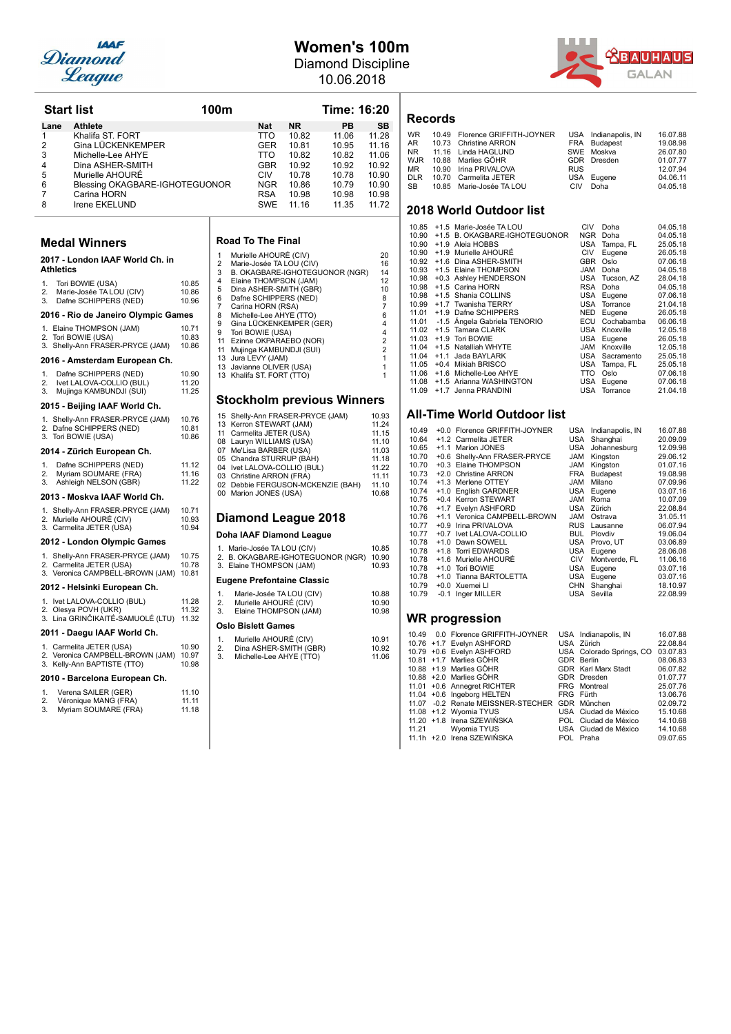

## **Women's 100m** Diamond Discipline

10.06.2018



| <b>Start list</b>                                               |                                                                                                                                                                                                                                                                                                                                                                                                                                                                                                                                                                                                                                                                                                                                                                                                                                                                                                                                                                                                                                                                                                                                          |                                                                                                                                                                                                                                                | 100m                                                                                                              |                                                                                                                                                                                                                                                                                                          |                                                                                                                                                                                                                                                                                                                                                                                                                                                                                                                                                                                                                                                                                      | Time: 16:20                                                                                                                                   |                                                                                                                                                                                                                                                                                                |
|-----------------------------------------------------------------|------------------------------------------------------------------------------------------------------------------------------------------------------------------------------------------------------------------------------------------------------------------------------------------------------------------------------------------------------------------------------------------------------------------------------------------------------------------------------------------------------------------------------------------------------------------------------------------------------------------------------------------------------------------------------------------------------------------------------------------------------------------------------------------------------------------------------------------------------------------------------------------------------------------------------------------------------------------------------------------------------------------------------------------------------------------------------------------------------------------------------------------|------------------------------------------------------------------------------------------------------------------------------------------------------------------------------------------------------------------------------------------------|-------------------------------------------------------------------------------------------------------------------|----------------------------------------------------------------------------------------------------------------------------------------------------------------------------------------------------------------------------------------------------------------------------------------------------------|--------------------------------------------------------------------------------------------------------------------------------------------------------------------------------------------------------------------------------------------------------------------------------------------------------------------------------------------------------------------------------------------------------------------------------------------------------------------------------------------------------------------------------------------------------------------------------------------------------------------------------------------------------------------------------------|-----------------------------------------------------------------------------------------------------------------------------------------------|------------------------------------------------------------------------------------------------------------------------------------------------------------------------------------------------------------------------------------------------------------------------------------------------|
| Lane<br>1<br>2<br>3<br>4<br>5<br>6<br>7<br>8                    | <b>Athlete</b><br>Khalifa ST. FORT<br>Gina LÜCKENKEMPER<br>Michelle-Lee AHYE<br>Dina ASHER-SMITH<br>Murielle AHOURE<br>Blessing OKAGBARE-IGHOTEGUONOR<br>Carina HORN<br>Irene EKELUND                                                                                                                                                                                                                                                                                                                                                                                                                                                                                                                                                                                                                                                                                                                                                                                                                                                                                                                                                    |                                                                                                                                                                                                                                                |                                                                                                                   | Nat<br>TTO<br>GER<br>TTO<br><b>GBR</b><br>CIV<br><b>NGR</b><br><b>RSA</b><br>SWE                                                                                                                                                                                                                         | <b>NR</b><br>10.82<br>10.81<br>10.82<br>10.92<br>10.78<br>10.86<br>10.98<br>11.16                                                                                                                                                                                                                                                                                                                                                                                                                                                                                                                                                                                                    | PB<br>11.06<br>10.95<br>10.82<br>10.92<br>10.78<br>10.79<br>10.98<br>11.35                                                                    | SΒ<br>11.28<br>11.16<br>11.06<br>10.92<br>10.90<br>10.90<br>10.98<br>11.72                                                                                                                                                                                                                     |
| Athletics<br>1.<br>2.<br>3.<br>1.<br>2.<br>3.<br>1.<br>2.<br>3. | <b>Medal Winners</b><br>2017 - London IAAF World Ch. in<br>Tori BOWIE (USA)<br>Marie-Josée TA LOU (CIV)<br>Dafne SCHIPPERS (NED)<br>2016 - Rio de Janeiro Olympic Games<br>1. Elaine THOMPSON (JAM)<br>2. Tori BOWIE (USA)<br>3. Shelly-Ann FRASER-PRYCE (JAM)<br>2016 - Amsterdam European Ch.<br>Dafne SCHIPPERS (NED)<br>Ivet LALOVA-COLLIO (BUL)<br>Mujinga KAMBUNDJI (SUI)<br>2015 - Beijing IAAF World Ch.<br>1. Shelly-Ann FRASER-PRYCE (JAM)<br>2. Dafne SCHIPPERS (NED)<br>3. Tori BOWIE (USA)<br>2014 - Zürich European Ch.<br>Dafne SCHIPPERS (NED)<br>Myriam SOUMARE (FRA)<br>Ashleigh NELSON (GBR)<br>2013 - Moskva IAAF World Ch.<br>1. Shelly-Ann FRASER-PRYCE (JAM)<br>2. Murielle AHOURÉ (CIV)<br>3. Carmelita JETER (USA)<br>2012 - London Olympic Games<br>1. Shelly-Ann FRASER-PRYCE (JAM)<br>2. Carmelita JETER (USA)<br>3. Veronica CAMPBELL-BROWN (JAM)<br>2012 - Helsinki European Ch.<br>1. Ivet LALOVA-COLLIO (BUL)<br>2. Olesya POVH (UKR)<br>3. Lina GRINČIKAITÉ-SAMUOLÉ (LTU)<br>2011 - Daegu IAAF World Ch.<br>1. Carmelita JETER (USA)<br>2. Veronica CAMPBELL-BROWN (JAM)<br>3. Kelly-Ann BAPTISTE (TTO) | 10.85<br>10.86<br>10.96<br>1071<br>10.83<br>10.86<br>10.90<br>11.20<br>11.25<br>10.76<br>10.81<br>10.86<br>11.12<br>11.16<br>11.22<br>10.71<br>10.93<br>10.94<br>10.75<br>10.78<br>10.81<br>11.28<br>11.32<br>11.32<br>10.90<br>10.97<br>10.98 | 1<br>$\overline{2}$<br>3<br>4<br>5<br>6<br>7<br>8<br>9<br>9<br>11<br>11<br>13<br>1.<br>2.<br>3.<br>1.<br>2.<br>3. | <b>Road To The Final</b><br>Murielle AHOURÉ (CIV)<br>Carina HORN (RSA)<br>Tori BOWIE (USA)<br>Jura LEVY (JAM)<br>13 Javianne OLIVER (USA)<br>13 Khalifa ST. FORT (TTO)<br>11 Carmelita JETER (USA)<br>07 Me'Lisa BARBER (USA)<br>03 Christine ARRON (FRA)<br>00 Marion JONES (USA)<br>Oslo Bislett Games | Marie-Josée TA LOU (CIV)<br>Elaine THOMPSON (JAM)<br>Dina ASHER-SMITH (GBR)<br>Dafne SCHIPPERS (NED)<br>Michelle-Lee AHYE (TTO)<br>Gina LÜCKENKEMPER (GER)<br>Ezinne OKPARAEBO (NOR)<br>Mujinga KAMBUNDJI (SUI)<br>15 Shelly-Ann FRASER-PRYCE (JAM)<br>13 Kerron STEWART (JAM)<br>08 Lauryn WILLIAMS (USA)<br>05 Chandra STURRUP (BAH)<br>04 Ivet LALOVA-COLLIO (BUL)<br><b>Diamond League 2018</b><br>Doha IAAF Diamond League<br>1. Marie-Josée TA LOU (CIV)<br>3. Elaine THOMPSON (JAM)<br>Eugene Prefontaine Classic<br>Marie-Josée TA LOU (CIV)<br>Murielle AHOURÉ (CIV)<br>Elaine THOMPSON (JAM)<br>Murielle AHOURÉ (CIV)<br>Dina ASHER-SMITH (GBR)<br>Michelle-Lee AHYE (TTO) | B. OKAGBARE-IGHOTEGUONOR (NGR)<br><b>Stockholm previous Winners</b><br>02 Debbie FERGUSON-MCKENZIE (BAH)<br>2. B. OKAGBARE-IGHOTEGUONOR (NGR) | 20<br>16<br>14<br>12<br>10<br>8<br>$\overline{7}$<br>6<br>4<br>4<br>$\overline{2}$<br>$\overline{2}$<br>1<br>1<br>1<br>10.93<br>11.24<br>11.15<br>11.10<br>11.03<br>11.18<br>11.22<br>11.11<br>11.10<br>10.68<br>10.85<br>10.90<br>10.93<br>10.88<br>10.90<br>10.98<br>10.91<br>10.92<br>11.06 |
| 1.<br>2.<br>3.                                                  | 2010 - Barcelona European Ch.<br>Verena SAILER (GER)<br>Véronique MANG (FRA)<br>Myriam SOUMARE (FRA)                                                                                                                                                                                                                                                                                                                                                                                                                                                                                                                                                                                                                                                                                                                                                                                                                                                                                                                                                                                                                                     | 11.10<br>11.11<br>11.18                                                                                                                                                                                                                        |                                                                                                                   |                                                                                                                                                                                                                                                                                                          |                                                                                                                                                                                                                                                                                                                                                                                                                                                                                                                                                                                                                                                                                      |                                                                                                                                               |                                                                                                                                                                                                                                                                                                |
|                                                                 |                                                                                                                                                                                                                                                                                                                                                                                                                                                                                                                                                                                                                                                                                                                                                                                                                                                                                                                                                                                                                                                                                                                                          |                                                                                                                                                                                                                                                |                                                                                                                   |                                                                                                                                                                                                                                                                                                          |                                                                                                                                                                                                                                                                                                                                                                                                                                                                                                                                                                                                                                                                                      |                                                                                                                                               |                                                                                                                                                                                                                                                                                                |

| 1              | Murielle AHOURÉ (CIV)             | 20                      |
|----------------|-----------------------------------|-------------------------|
| $\overline{2}$ | Marie-Josée TA LOU (CIV)          | 16                      |
| 3              | B. OKAGBARE-IGHOTEGUONOR (NGR)    | 14                      |
| 4              | Elaine THOMPSON (JAM)             | 12                      |
| 5              | Dina ASHER-SMITH (GBR)            | 10                      |
| 6              | Dafne SCHIPPERS (NED)             | 8                       |
| $\overline{7}$ | Carina HORN (RSA)                 | $\overline{7}$          |
| 8              | Michelle-Lee AHYE (TTO)           | 6                       |
| 9              | Gina LÜCKENKEMPER (GER)           | 4                       |
| 9              | Tori BOWIE (USA)                  | 4                       |
| 11             | Ezinne OKPARAEBO (NOR)            | $\overline{\mathbf{c}}$ |
| 11             | Mujinga KAMBUNDJI (SUI)           | $\overline{2}$          |
| 13             | Jura LEVY (JAM)                   | 1                       |
| 13             | Javianne OLIVER (USA)             | 1                       |
| 13             | Khalifa ST. FORT (TTO)            |                         |
|                |                                   |                         |
|                |                                   |                         |
|                | <b>Stockholm previous Winners</b> |                         |
| 15             | Shelly-Ann FRASER-PRYCE (JAM)     | 10.93                   |
| 13             | Kerron STEWART (JAM)              | 11.24                   |
| 11             | Carmelita JETER (USA)             | 11.15                   |
| 08             | Lauryn WILLIAMS (USA)             | 11.10                   |
| 07             | Me'Lisa BARBER (USA)              | 11.03                   |
|                |                                   |                         |

| <b>Diamond League 2018</b> |                                   |        |  |  |  |  |
|----------------------------|-----------------------------------|--------|--|--|--|--|
|                            | 00 Marion JONES (USA)             | 10.68  |  |  |  |  |
|                            | 02 Debbie FERGUSON-MCKENZIE (BAH) | 11.10  |  |  |  |  |
|                            | 03 Christine ARRON (FRA)          | 11.11  |  |  |  |  |
|                            | 04 Ivet LALOVA-COLLIO (BUL)       | 11.22  |  |  |  |  |
|                            | 05 Chandra STURRUP (BAH)          | 11.18  |  |  |  |  |
|                            | 07 Me'Lisa BARBER (USA)           | 11.03  |  |  |  |  |
|                            | 08 Lauryn WILLIAMS (USA)          | 11.10  |  |  |  |  |
|                            | TER (USA)                         | 11. ID |  |  |  |  |

### **League**

| 2.             | 1. Marie-Josée TA LOU (CIV)<br>B. OKAGBARE-IGHOTEGUONOR (NGR)<br>3. Elaine THOMPSON (JAM) | 10.85<br>10.90<br>10.93 |  |  |  |  |  |
|----------------|-------------------------------------------------------------------------------------------|-------------------------|--|--|--|--|--|
|                | <b>Eugene Prefontaine Classic</b>                                                         |                         |  |  |  |  |  |
| 1.<br>2.<br>3. | Marie-Josée TA LOU (CIV)<br>Murielle AHOURÉ (CIV)<br>Elaine THOMPSON (JAM)                | 10.88<br>10.90<br>10.98 |  |  |  |  |  |
|                | Oslo Bislett Games                                                                        |                         |  |  |  |  |  |
| 1.<br>2.<br>3. | Murielle AHOURÉ (CIV)<br>Dina ASHER-SMITH (GBR)<br>Michelle-Lee AHYE (TTO)                | 10.91<br>10.92<br>11.06 |  |  |  |  |  |
|                |                                                                                           |                         |  |  |  |  |  |

### **Records**

| WR. | 10.49 Florence GRIFFITH-JOYNER |            | USA Indianapolis, IN | 16.07.88 |
|-----|--------------------------------|------------|----------------------|----------|
|     | AR 10.73 Christine ARRON       |            | FRA Budapest         | 19.08.98 |
|     | NR 11.16 Linda HAGLUND         |            | SWE Moskva           | 26.07.80 |
|     | WJR 10.88 Marlies GÖHR         |            | GDR Dresden          | 01.07.77 |
|     | MR 10.90 Irina PRIVALOVA       | <b>RUS</b> |                      | 12.07.94 |
|     | DLR 10.70 Carmelita JETER      |            | USA Eugene           | 04.06.11 |
|     | SB 10.85 Marie-Josée TA LOU    | CIV        | Doha                 | 04.05.18 |
|     |                                |            |                      |          |

### **2018 World Outdoor list**

| 10.85 |        | +1.5 Marie-Josée TA LOU       | CIV        | Doha         | 04.05.18 |
|-------|--------|-------------------------------|------------|--------------|----------|
| 10.90 |        | +1.5 B. OKAGBARE-IGHOTEGUONOR | <b>NGR</b> | Doha         | 04.05.18 |
| 10.90 | $+1.9$ | Aleia HOBBS                   | USA        | Tampa, FL    | 25.05.18 |
| 10.90 | $+1.9$ | Murielle AHOURÉ               | CIV        | Eugene       | 26.05.18 |
| 10.92 |        | +1.6 Dina ASHER-SMITH         | <b>GBR</b> | Oslo         | 07.06.18 |
| 10.93 |        | +1.5 Elaine THOMPSON          | JAM        | Doha         | 04.05.18 |
| 10.98 |        | +0.3 Ashley HENDERSON         | USA        | Tucson, AZ   | 28.04.18 |
| 10.98 |        | +1.5 Carina HORN              | <b>RSA</b> | Doha         | 04.05.18 |
| 10.98 |        | +1.5 Shania COLLINS           | <b>USA</b> | Eugene       | 07.06.18 |
| 10.99 |        | +1.7 Twanisha TERRY           |            | USA Torrance | 21.04.18 |
| 11.01 |        | +1.9 Dafne SCHIPPERS          | <b>NED</b> | Eugene       | 26.05.18 |
| 11.01 |        | -1.5 Ángela Gabriela TENORIO  | ECU        | Cochabamba   | 06.06.18 |
| 11.02 |        | +1.5 Tamara CLARK             | USA        | Knoxville    | 12.05.18 |
| 11.03 |        | +1.9 Tori BOWIE               | USA        | Eugene       | 26.05.18 |
| 11.04 | $+1.5$ | Natalliah WHYTE               | JAM        | Knoxville    | 12.05.18 |
| 11.04 | $+1.1$ | Jada BAYLARK                  | <b>USA</b> | Sacramento   | 25.05.18 |
| 11.05 | $+0.4$ | Mikiah BRISCO                 | USA        | Tampa, FL    | 25.05.18 |
| 11.06 | $+1.6$ | Michelle-Lee AHYE             | TTO        | Oslo         | 07.06.18 |
| 11.08 |        | +1.5 Arianna WASHINGTON       | <b>USA</b> | Eugene       | 07.06.18 |
| 11.09 |        | +1.7 Jenna PRANDINI           |            | USA Torrance | 21.04.18 |

### **All-Time World Outdoor list**

| 10.49 |        | +0.0 Florence GRIFFITH-JOYNER | <b>USA</b> | Indianapolis, IN | 16.07.88 |
|-------|--------|-------------------------------|------------|------------------|----------|
| 10.64 |        | +1.2 Carmelita JETER          | USA        | Shanghai         | 20.09.09 |
| 10.65 | $+1.1$ | Marion JONES                  | <b>USA</b> | Johannesburg     | 12.09.98 |
| 10.70 | +0.6   | Shelly-Ann FRASER-PRYCE       | <b>JAM</b> | Kingston         | 29.06.12 |
| 10.70 |        | +0.3 Elaine THOMPSON          | <b>JAM</b> | Kingston         | 01.07.16 |
| 10.73 | $+2.0$ | <b>Christine ARRON</b>        | <b>FRA</b> | <b>Budapest</b>  | 19.08.98 |
| 10.74 | $+1.3$ | Merlene OTTEY                 | <b>JAM</b> | Milano           | 07.09.96 |
| 10.74 |        | +1.0 English GARDNER          | <b>USA</b> | Eugene           | 03.07.16 |
| 10.75 |        | +0.4 Kerron STEWART           | <b>JAM</b> | Roma             | 10.07.09 |
| 10.76 |        | +1.7 Evelvn ASHFORD           | <b>USA</b> | Zürich           | 22.08.84 |
| 10.76 |        | +1.1 Veronica CAMPBELL-BROWN  | <b>JAM</b> | Ostrava          | 31.05.11 |
| 10.77 | $+0.9$ | Irina PRIVALOVA               | <b>RUS</b> | Lausanne         | 06.07.94 |
| 10.77 | $+0.7$ | Ivet LALOVA-COLLIO            | <b>BUL</b> | Plovdiv          | 19.06.04 |
| 10.78 | $+1.0$ | Dawn SOWELL                   | <b>USA</b> | Provo, UT        | 03.06.89 |
| 10.78 |        | +1.8 Torri EDWARDS            | <b>USA</b> | Eugene           | 28.06.08 |
| 10.78 |        | +1.6 Murielle AHOURÉ          | <b>CIV</b> | Montverde, FL    | 11.06.16 |
| 10.78 | $+1.0$ | <b>Tori BOWIE</b>             | USA        | Eugene           | 03.07.16 |
| 10.78 | $+1.0$ | Tianna BARTOLETTA             | <b>USA</b> | Eugene           | 03.07.16 |
| 10.79 | $+0.0$ | Xuemei Ll                     | <b>CHN</b> | Shanghai         | 18.10.97 |
| 10.79 | $-0.1$ | Inger MILLER                  | USA        | Sevilla          | 22.08.99 |
|       |        |                               |            |                  |          |

| 10.49 | 0.0 Florence GRIFFITH-JOYNER       | USA Indianapolis, IN       | 16.07.88 |
|-------|------------------------------------|----------------------------|----------|
|       | 10.76 +1.7 Evelyn ASHFORD          | USA Zürich                 | 22.08.84 |
|       | 10.79 +0.6 Evelyn ASHFORD          | USA Colorado Springs, CO   | 03.07.83 |
|       | 10.81 +1.7 Marlies GÖHR            | GDR Berlin                 | 08.06.83 |
|       | 10.88 +1.9 Marlies GÖHR            | <b>GDR</b> Karl Marx Stadt | 06.07.82 |
|       | 10.88 +2.0 Marlies GÖHR            | GDR Dresden                | 01.07.77 |
|       | 11.01 +0.6 Annegret RICHTER        | FRG Montreal               | 25.07.76 |
|       | 11.04 +0.6 Ingeborg HELTEN         | FRG Fürth                  | 13.06.76 |
|       | 11.07 -0.2 Renate MEISSNER-STECHER | GDR München                | 02.09.72 |
|       | 11.08 +1.2 Wyomia TYUS             | USA Ciudad de México       | 15.10.68 |
|       | 11.20 +1.8 Irena SZEWIŃSKA         | POL Ciudad de México       | 14.10.68 |
|       | 11.21 Wyomia TYUS                  | USA Ciudad de México       | 14.10.68 |
|       | 11.1h +2.0 Irena SZEWIŃSKA         | POL Praha                  | 09.07.65 |
|       |                                    |                            |          |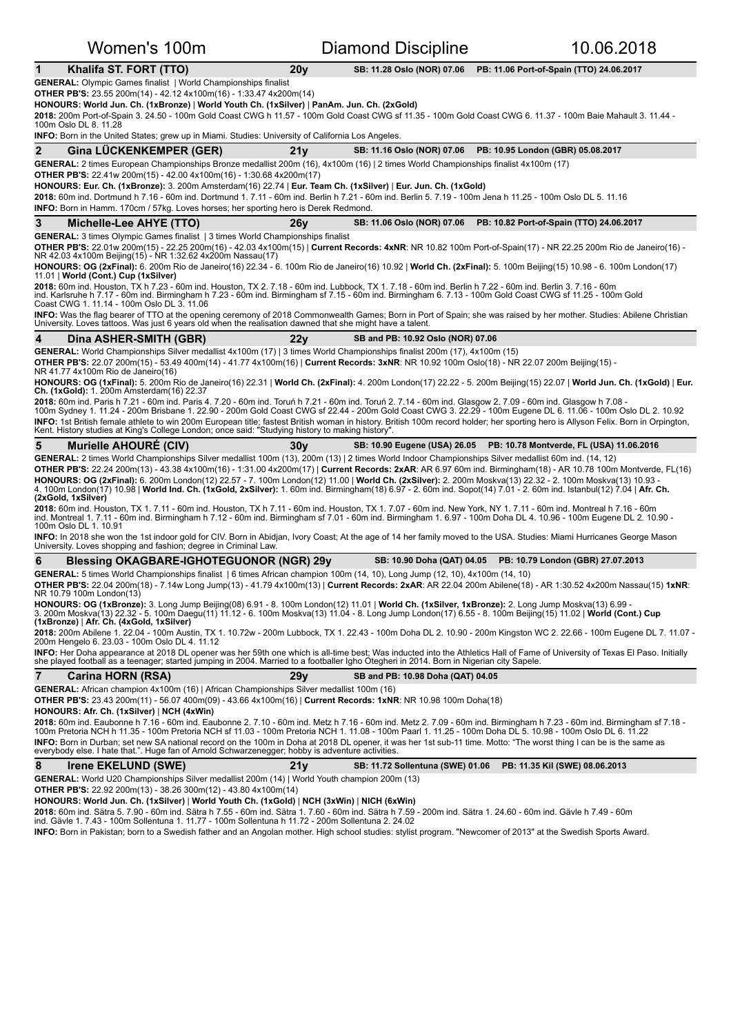| Women's 100m                                                                                                                                                                                                                                                                                                                                                                                                                                                                                                                                                                                                           |                                                                                                                                                                     | Diamond Discipline                | 10.06.2018                                                               |  |  |  |  |
|------------------------------------------------------------------------------------------------------------------------------------------------------------------------------------------------------------------------------------------------------------------------------------------------------------------------------------------------------------------------------------------------------------------------------------------------------------------------------------------------------------------------------------------------------------------------------------------------------------------------|---------------------------------------------------------------------------------------------------------------------------------------------------------------------|-----------------------------------|--------------------------------------------------------------------------|--|--|--|--|
| Khalifa ST. FORT (TTO)<br>1                                                                                                                                                                                                                                                                                                                                                                                                                                                                                                                                                                                            | 20 <sub>V</sub>                                                                                                                                                     | SB: 11.28 Oslo (NOR) 07.06        | PB: 11.06 Port-of-Spain (TTO) 24.06.2017                                 |  |  |  |  |
| <b>GENERAL:</b> Olympic Games finalist   World Championships finalist<br><b>OTHER PB'S:</b> 23.55 200m(14) - 42.12 4x100m(16) - 1:33.47 4x200m(14)<br>HONOURS: World Jun. Ch. (1xBronze)   World Youth Ch. (1xSilver)   PanAm. Jun. Ch. (2xGold)<br>2018: 200m Port-of-Spain 3, 24.50 - 100m Gold Coast CWG h 11.57 - 100m Gold Coast CWG sf 11.35 - 100m Gold Coast CWG 6, 11.37 - 100m Baie Mahault 3, 11.44 -<br>100m Oslo DL 8. 11.28<br>INFO: Born in the United States; grew up in Miami. Studies: University of California Los Angeles.                                                                         |                                                                                                                                                                     |                                   |                                                                          |  |  |  |  |
| 2<br><b>Gina LUCKENKEMPER (GER)</b>                                                                                                                                                                                                                                                                                                                                                                                                                                                                                                                                                                                    | 21 <sub>V</sub>                                                                                                                                                     | SB: 11.16 Oslo (NOR) 07.06        | PB: 10.95 London (GBR) 05.08.2017                                        |  |  |  |  |
| GENERAL: 2 times European Championships Bronze medallist 200m (16), 4x100m (16)   2 times World Championships finalist 4x100m (17)<br><b>OTHER PB'S:</b> 22.41w 200m(15) - 42.00 4x100m(16) - 1:30.68 4x200m(17)<br>HONOURS: Eur. Ch. (1xBronze): 3. 200m Amsterdam(16) 22.74   Eur. Team Ch. (1xSilver)   Eur. Jun. Ch. (1xGold)<br>2018: 60m ind. Dortmund h 7.16 - 60m ind. Dortmund 1. 7.11 - 60m ind. Berlin h 7.21 - 60m ind. Berlin 5. 7.19 - 100m Jena h 11.25 - 100m Oslo DL 5. 11.16<br><b>INFO:</b> Born in Hamm. 170cm / 57kg. Loves horses; her sporting hero is Derek Redmond.                           |                                                                                                                                                                     |                                   |                                                                          |  |  |  |  |
| 3<br>Michelle-Lee AHYE (TTO)                                                                                                                                                                                                                                                                                                                                                                                                                                                                                                                                                                                           | 26 <sub>V</sub>                                                                                                                                                     |                                   | SB: 11.06 Oslo (NOR) 07.06    PB: 10.82 Port-of-Spain (TTO) 24.06.2017   |  |  |  |  |
| <b>GENERAL:</b> 3 times Olympic Games finalist   3 times World Championships finalist<br>OTHER PB'S: 22.01w 200m(15) - 22.25 200m(16) - 42.03 4x100m(15)   Current Records: 4xNR: NR 10.82 100m Port-of-Spain(17) - NR 22.25 200m Rio de Janeiro(16) -<br>NR 42.03 4x100m Beijing(15) - NR 1:32.62 4x200m Nassau(17)<br>HONOURS: OG (2xFinal): 6. 200m Rio de Janeiro(16) 22.34 - 6. 100m Rio de Janeiro(16) 10.92   World Ch. (2xFinal): 5. 100m Beijing(15) 10.98 - 6. 100m London(17)                                                                                                                               |                                                                                                                                                                     |                                   |                                                                          |  |  |  |  |
| 11.01   World (Cont.) Cup (1xSilver)<br>2018: 60m ind. Houston, TX h 7.23 - 60m ind. Houston, TX 2. 7.18 - 60m ind. Lubbock, TX 1. 7.18 - 60m ind. Berlin h 7.22 - 60m ind. Berlin 3. 7.16 - 60m                                                                                                                                                                                                                                                                                                                                                                                                                       |                                                                                                                                                                     |                                   |                                                                          |  |  |  |  |
| ind. Karlsruhe h 7.17 - 60m ind. Birmingham h 7.23 - 60m ind. Birmingham sf 7.15 - 60m ind. Birmingham 6. 7.13 - 100m Gold Coast CWG sf 11.25 - 100m Gold<br>Coast CWG 1. 11.14 - 100m Oslo DL 3. 11.06                                                                                                                                                                                                                                                                                                                                                                                                                |                                                                                                                                                                     |                                   |                                                                          |  |  |  |  |
| INFO: Was the flag bearer of TTO at the opening ceremony of 2018 Commonwealth Games; Born in Port of Spain; she was raised by her mother. Studies: Abilene Christian<br>University. Loves tattoos. Was just 6 years old when the realisation dawned that she might have a talent.                                                                                                                                                                                                                                                                                                                                      |                                                                                                                                                                     |                                   |                                                                          |  |  |  |  |
| 4<br>Dina ASHER-SMITH (GBR)                                                                                                                                                                                                                                                                                                                                                                                                                                                                                                                                                                                            | 22v                                                                                                                                                                 | SB and PB: 10.92 Oslo (NOR) 07.06 |                                                                          |  |  |  |  |
| GENERAL: World Championships Silver medallist 4x100m (17)   3 times World Championships finalist 200m (17), 4x100m (15)<br>OTHER PB'S: 22.07 200m(15) - 53.49 400m(14) - 41.77 4x100m(16)   Current Records: 3xNR: NR 10.92 100m Oslo(18) - NR 22.07 200m Beijing(15) -<br>NR 41.77 4x100m Rio de Janeiro(16)                                                                                                                                                                                                                                                                                                          |                                                                                                                                                                     |                                   |                                                                          |  |  |  |  |
| HONOURS: OG (1xFinal): 5. 200m Rio de Janeiro(16) 22.31   World Ch. (2xFinal): 4. 200m London(17) 22.22 - 5. 200m Beijing(15) 22.07   World Jun. Ch. (1xGold)   Eur.<br>Ch. (1xGold): 1. 200m Amsterdam(16) 22.37                                                                                                                                                                                                                                                                                                                                                                                                      |                                                                                                                                                                     |                                   |                                                                          |  |  |  |  |
| 2018: 60m ind. Paris h 7.21 - 60m ind. Paris 4. 7.20 - 60m ind. Toruń h 7.21 - 60m ind. Toruń 2. 7.14 - 60m ind. Glasgow 2. 7.09 - 60m ind. Glasgow h 7.08 -<br>100m Sydney 1. 11.24 - 200m Brisbane 1. 22.90 - 200m Gold Coast CWG sf 22.44 - 200m Gold Coast CWG 3. 22.29 - 100m Eugene DL 6. 11.06 - 100m Oslo DL 2. 10.92<br>INFO: 1st British female athlete to win 200m European title; fastest British woman in history. British 100m record holder; her sporting hero is Allyson Felix. Born in Orpington,<br>Kent. History studies at King's College London; once said: "Studying history to making history". |                                                                                                                                                                     |                                   |                                                                          |  |  |  |  |
| 5<br><b>Murielle AHOURE (CIV)</b>                                                                                                                                                                                                                                                                                                                                                                                                                                                                                                                                                                                      | 30 <sub>V</sub>                                                                                                                                                     |                                   | SB: 10.90 Eugene (USA) 26.05    PB: 10.78 Montverde, FL (USA) 11.06.2016 |  |  |  |  |
| GENERAL: 2 times World Championships Silver medallist 100m (13), 200m (13)   2 times World Indoor Championships Silver medallist 60m ind. (14, 12)<br>OTHER PB'S: 22.24 200m(13) - 43.38 4x100m(16) - 1:31.00 4x200m(17)   Current Records: 2xAR: AR 6.97 60m ind. Birmingham(18) - AR 10.78 100m Montverde, FL(16)                                                                                                                                                                                                                                                                                                    |                                                                                                                                                                     |                                   |                                                                          |  |  |  |  |
| HONOURS: OG (2xFinal): 6. 200m London(12) 22.57 - 7. 100m London(12) 11.00   World Ch. (2xSilver): 2. 200m Moskva(13) 22.32 - 2. 100m Moskva(13) 10.93 -<br>4. 100m London(17) 10.98   World Ind. Ch. (1xGold, 2xSilver): 1. 60m ind. Birmingham(18) 6.97 - 2. 60m ind. Sopot(14) 7.01 - 2. 60m ind. Istanbul(12) 7.04   Afr. Ch.<br>(2xGold, 1xSilver)                                                                                                                                                                                                                                                                |                                                                                                                                                                     |                                   |                                                                          |  |  |  |  |
| 2018: 60m ind. Houston, TX 1. 7.11 - 60m ind. Houston, TX h 7.11 - 60m ind. Houston, TX 1. 7.07 - 60m ind. New York, NY 1. 7.11 - 60m ind. Montreal h 7.16 - 60m<br>ind. Montreal 1. 7.11 - 60m ind. Birmingham h 7.12 - 60m ind. Birmingham sf 7.01 - 60m ind. Birmingham 1. 6.97 - 100m Doha DL 4. 10.96 - 100m Eugene DL 2. 10.90 -<br>100m Oslo DL 1. 10.91                                                                                                                                                                                                                                                        |                                                                                                                                                                     |                                   |                                                                          |  |  |  |  |
| INFO: In 2018 she won the 1st indoor gold for CIV. Born in Abidjan, Ivory Coast; At the age of 14 her family moved to the USA. Studies: Miami Hurricanes George Mason<br>University. Loves shopping and fashion; degree in Criminal Law.                                                                                                                                                                                                                                                                                                                                                                               |                                                                                                                                                                     |                                   |                                                                          |  |  |  |  |
| 6<br><b>Blessing OKAGBARE-IGHOTEGUONOR (NGR) 29y</b>                                                                                                                                                                                                                                                                                                                                                                                                                                                                                                                                                                   |                                                                                                                                                                     | SB: 10.90 Doha (QAT) 04.05        | PB: 10.79 London (GBR) 27.07.2013                                        |  |  |  |  |
| GENERAL: 5 times World Championships finalist   6 times African champion 100m (14, 10), Long Jump (12, 10), 4x100m (14, 10)<br>OTHER PB'S: 22.04 200m(18) - 7.14w Long Jump(13) - 41.79 4x100m(13)   Current Records: 2xAR: AR 22.04 200m Abilene(18) - AR 1:30.52 4x200m Nassau(15) 1xNR:<br>NR 10.79 100m London(13)                                                                                                                                                                                                                                                                                                 |                                                                                                                                                                     |                                   |                                                                          |  |  |  |  |
| HONOURS: OG (1xBronze): 3. Long Jump Beijing(08) 6.91 - 8. 100m London(12) 11.01   World Ch. (1xSilver, 1xBronze): 2. Long Jump Moskva(13) 6.99 -<br>3. 200m Moskva(13) 22.32 - 5. 100m Daequ(11) 11.12 - 6. 100m Moskva(13) 11.04 - 8. Long Jump London(17) 6.55 - 8. 100m Beijing(15) 11.02   World (Cont.) Cup<br>(1xBronze)   Afr. Ch. (4xGold, 1xSilver)                                                                                                                                                                                                                                                          |                                                                                                                                                                     |                                   |                                                                          |  |  |  |  |
| 200m Hengelo 6. 23.03 - 100m Oslo DL 4. 11.12                                                                                                                                                                                                                                                                                                                                                                                                                                                                                                                                                                          | 2018: 200m Abilene 1. 22.04 - 100m Austin, TX 1. 10.72w - 200m Lubbock, TX 1. 22.43 - 100m Doha DL 2. 10.90 - 200m Kingston WC 2. 22.66 - 100m Eugene DL 7. 11.07 - |                                   |                                                                          |  |  |  |  |
| INFO: Her Doha appearance at 2018 DL opener was her 59th one which is all-time best; Was inducted into the Athletics Hall of Fame of University of Texas El Paso. Initially<br>she played football as a teenager; started jumping in 2004. Married to a footballer Igho Otegheri in 2014. Born in Nigerian city Sapele.                                                                                                                                                                                                                                                                                                |                                                                                                                                                                     |                                   |                                                                          |  |  |  |  |
| 7<br><b>Carina HORN (RSA)</b>                                                                                                                                                                                                                                                                                                                                                                                                                                                                                                                                                                                          | 29 <sub>V</sub>                                                                                                                                                     | SB and PB: 10.98 Doha (QAT) 04.05 |                                                                          |  |  |  |  |
| GENERAL: African champion 4x100m (16)   African Championships Silver medallist 100m (16)<br><b>OTHER PB'S:</b> 23.43 200m(11) - 56.07 400m(09) - 43.66 4x100m(16)   Current Records: 1xNR: NR 10.98 100m Doha(18)<br>HONOURS: Afr. Ch. (1xSilver)   NCH (4xWin)                                                                                                                                                                                                                                                                                                                                                        |                                                                                                                                                                     |                                   |                                                                          |  |  |  |  |
| 2018: 60m ind. Eaubonne h 7.16 - 60m ind. Eaubonne 2. 7.10 - 60m ind. Metz h 7.16 - 60m ind. Metz 2. 7.09 - 60m ind. Birmingham h 7.23 - 60m ind. Birmingham sf 7.18 -<br>100m Pretoria NCH h 11.35 - 100m Pretoria NCH sf 11.03 - 100m Pretoria NCH 1. 11.08 - 100m Paarl 1. 11.25 - 100m Doha DL 5. 10.98 - 100m Oslo DL 6. 11.22<br>INFO: Born in Durban; set new SA national record on the 100m in Doha at 2018 DL opener, it was her 1st sub-11 time. Motto: "The worst thing I can be is the same as<br>everybody else. I hate that.". Huge fan of Arnold Schwarzenegger; hobby is adventure activities.         |                                                                                                                                                                     |                                   |                                                                          |  |  |  |  |
| 8<br><b>Irene EKELUND (SWE)</b>                                                                                                                                                                                                                                                                                                                                                                                                                                                                                                                                                                                        | 21y<br>SB: 11.72 Sollentuna (SWE) 01.06<br>PB: 11.35 Kil (SWE) 08.06.2013                                                                                           |                                   |                                                                          |  |  |  |  |
| <b>GENERAL:</b> World U20 Championships Silver medallist 200m (14)   World Youth champion 200m (13)<br><b>OTHER PB'S:</b> 22.92 200m(13) - 38.26 300m(12) - 43.80 4x100m(14)                                                                                                                                                                                                                                                                                                                                                                                                                                           |                                                                                                                                                                     |                                   |                                                                          |  |  |  |  |
| HONOURS: World Jun. Ch. (1xSilver)   World Youth Ch. (1xGold)   NCH (3xWin)   NICH (6xWin)<br>2018: 60m ind. Sätra 5. 7.90 - 60m ind. Sätra h 7.55 - 60m ind. Sätra 1. 7.60 - 60m ind. Sätra h 7.59 - 200m ind. Sätra 1. 24.60 - 60m ind. Gävle h 7.49 - 60m<br>ind. Gävle 1. 7.43 - 100m Sollentuna 1. 11.77 - 100m Sollentuna h 11.72 - 200m Sollentuna 2. 24.02                                                                                                                                                                                                                                                     |                                                                                                                                                                     |                                   |                                                                          |  |  |  |  |
| INFO: Born in Pakistan; born to a Swedish father and an Angolan mother. High school studies: stylist program. "Newcomer of 2013" at the Swedish Sports Award.                                                                                                                                                                                                                                                                                                                                                                                                                                                          |                                                                                                                                                                     |                                   |                                                                          |  |  |  |  |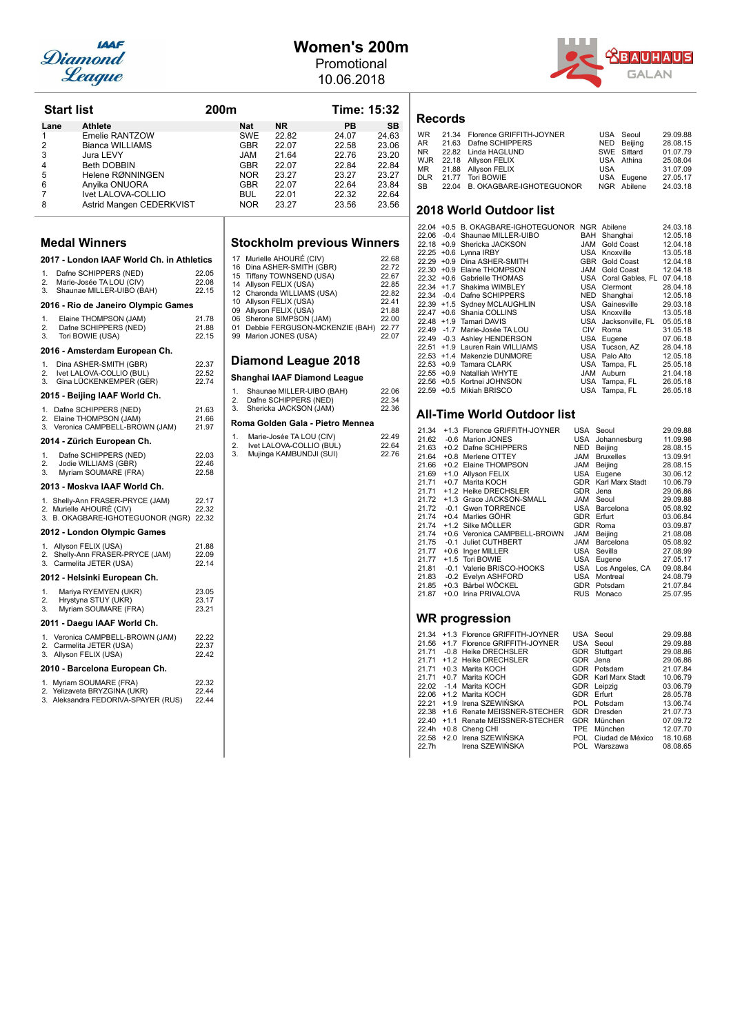

### **Women's 200m** Promotional

10.06.2018



| <b>Start list</b><br>200m |                                                                     |                |          |            |                                                      | Time: 15:32                             |                |
|---------------------------|---------------------------------------------------------------------|----------------|----------|------------|------------------------------------------------------|-----------------------------------------|----------------|
| Lane                      | <b>Athlete</b>                                                      |                |          | Nat        | <b>NR</b>                                            | PB                                      | <b>SB</b>      |
| 1                         | <b>Emelie RANTZOW</b>                                               |                |          | SWE        | 22.82                                                | 24.07                                   | 24.63          |
| $\overline{2}$            | <b>Bianca WILLIAMS</b>                                              |                |          | <b>GBR</b> | 22.07                                                | 22.58                                   | 23.06          |
| 3                         | Jura LEVY                                                           |                |          | JAM        | 21.64                                                | 22.76                                   | 23.20          |
| 4                         | <b>Beth DOBBIN</b>                                                  |                |          | GBR        | 22.07                                                | 22.84                                   | 22.84          |
| 5                         | Helene RØNNINGEN                                                    |                |          | <b>NOR</b> | 23.27                                                | 23.27                                   | 23.27          |
| 6                         | Anyika ONUORA                                                       |                |          | GBR        | 22.07                                                | 22.64                                   | 23.84          |
| 7                         | Ivet LALOVA-COLLIO                                                  |                |          | BUL        | 22.01                                                | 22.32                                   | 22.64          |
| 8                         | Astrid Mangen CEDERKVIST                                            |                |          | <b>NOR</b> | 23.27                                                | 23.56                                   | 23.56          |
|                           |                                                                     |                |          |            |                                                      |                                         |                |
|                           | <b>Medal Winners</b>                                                |                |          |            |                                                      | <b>Stockholm previous Winners</b>       |                |
|                           | 2017 - London IAAF World Ch. in Athletics                           |                |          |            | 17 Murielle AHOURÉ (CIV)                             |                                         | 22.68          |
| 1.                        | Dafne SCHIPPERS (NED)                                               | 22.05          |          |            | 16 Dina ASHER-SMITH (GBR)                            |                                         | 22.72<br>22.67 |
| 2.                        | Marie-Josée TA LOU (CIV)                                            | 22.08          |          |            | 15 Tiffany TOWNSEND (USA)<br>14 Allyson FELIX (USA)  |                                         | 22.85          |
| 3.                        | Shaunae MILLER-UIBO (BAH)                                           | 22.15          |          |            | 12 Charonda WILLIAMS (USA)                           |                                         | 22.82          |
|                           | 2016 - Rio de Janeiro Olympic Games                                 |                |          |            | 10 Allyson FELIX (USA)                               |                                         | 22.41          |
|                           |                                                                     |                |          |            | 09 Allyson FELIX (USA)                               |                                         | 21.88          |
| 1.                        | Elaine THOMPSON (JAM)                                               | 21.78          |          |            | 06 Sherone SIMPSON (JAM)                             |                                         | 22.00          |
| 2.<br>3.                  | Dafne SCHIPPERS (NED)                                               | 21.88<br>22.15 |          |            |                                                      | 01 Debbie FERGUSON-MCKENZIE (BAH) 22.77 |                |
|                           | Tori BOWIE (USA)                                                    |                |          |            | 99 Marion JONES (USA)                                |                                         | 22.07          |
| 1.                        | 2016 - Amsterdam European Ch.                                       | 22.37          |          |            | Diamond League 2018                                  |                                         |                |
| 2.                        | Dina ASHER-SMITH (GBR)<br>Ivet LALOVA-COLLIO (BUL)                  | 22.52          |          |            |                                                      |                                         |                |
| 3.                        | Gina LÜCKENKEMPER (GER)                                             | 22.74          |          |            | Shanghai IAAF Diamond League                         |                                         |                |
|                           | 2015 - Beijing IAAF World Ch.                                       |                | 1.<br>2. |            | Shaunae MILLER-UIBO (BAH)<br>Dafne SCHIPPERS (NED)   |                                         | 22.06<br>22.34 |
|                           | 1. Dafne SCHIPPERS (NED)                                            | 21.63          | 3.       |            | Shericka JACKSON (JAM)                               |                                         | 22.36          |
|                           | 2. Elaine THOMPSON (JAM)<br>3. Veronica CAMPBELL-BROWN (JAM)        | 21.66<br>21.97 |          |            |                                                      | Roma Golden Gala - Pietro Mennea        |                |
|                           | 2014 - Zürich European Ch.                                          |                | 1.<br>2. |            | Marie-Josée TA LOU (CIV)<br>Ivet LALOVA-COLLIO (BUL) |                                         | 22.49<br>22.64 |
| 1.                        | Dafne SCHIPPERS (NED)                                               | 22.03          | 3.       |            | Mujinga KAMBUNDJI (SUI)                              |                                         | 22.76          |
| 2.<br>3.                  | Jodie WILLIAMS (GBR)<br>Myriam SOUMARE (FRA)                        | 22.46<br>22.58 |          |            |                                                      |                                         |                |
|                           | 2013 - Moskva IAAF World Ch.                                        |                |          |            |                                                      |                                         |                |
|                           |                                                                     |                |          |            |                                                      |                                         |                |
|                           | 1. Shelly-Ann FRASER-PRYCE (JAM)                                    | 22.17          |          |            |                                                      |                                         |                |
|                           | 2. Murielle AHOURÉ (CIV)<br>3. B. OKAGBARE-IGHOTEGUONOR (NGR) 22.32 | 22.32          |          |            |                                                      |                                         |                |
|                           | 2012 - London Olympic Games                                         |                |          |            |                                                      |                                         |                |
|                           | 1. Allyson FELIX (USA)                                              | 21.88          |          |            |                                                      |                                         |                |
|                           | 2. Shelly-Ann FRASER-PRYCE (JAM)                                    | 22.09          |          |            |                                                      |                                         |                |
|                           | 3. Carmelita JETER (USA)                                            | 22.14          |          |            |                                                      |                                         |                |
|                           | 2012 - Helsinki European Ch.                                        |                |          |            |                                                      |                                         |                |
| 1.                        | Mariya RYEMYEN (UKR)                                                | 23.05          |          |            |                                                      |                                         |                |
| 2.<br>3.                  | Hrystyna STUY (UKR)<br>Myriam SOUMARE (FRA)                         | 23.17<br>23.21 |          |            |                                                      |                                         |                |
|                           | 2011 - Daegu IAAF World Ch.                                         |                |          |            |                                                      |                                         |                |
|                           | 1. Veronica CAMPBELL-BROWN (JAM)                                    | 22.22          |          |            |                                                      |                                         |                |
|                           | 2. Carmelita JETER (USA)                                            | 22.37          |          |            |                                                      |                                         |                |
|                           | 3. Allyson FELIX (USA)                                              | 22.42          |          |            |                                                      |                                         |                |
|                           | 2010 - Barcelona European Ch.                                       |                |          |            |                                                      |                                         |                |
|                           | 1. Myriam SOUMARE (FRA)                                             | 22.32          |          |            |                                                      |                                         |                |
|                           | 2. Yelizaveta BRYZGINA (UKR)                                        | 22.44          |          |            |                                                      |                                         |                |
|                           | 3. Aleksandra FEDORIVA-SPAYER (RUS)                                 | 22.44          |          |            |                                                      |                                         |                |
|                           |                                                                     |                |          |            |                                                      |                                         |                |
|                           |                                                                     |                |          |            |                                                      |                                         |                |

|                                                                                     | <b>Stockholm previous Winners</b>                                                                                                                                                                                                                          |                                                                                        |
|-------------------------------------------------------------------------------------|------------------------------------------------------------------------------------------------------------------------------------------------------------------------------------------------------------------------------------------------------------|----------------------------------------------------------------------------------------|
| 17<br>16<br>15<br>14<br>12 <sup>12</sup><br>10 <sup>1</sup><br>09<br>06<br>01<br>99 | Murielle AHOURÉ (CIV)<br>Dina ASHER-SMITH (GBR)<br>Tiffany TOWNSEND (USA)<br>Allyson FELIX (USA)<br>Charonda WILLIAMS (USA)<br>Allyson FELIX (USA)<br>Allyson FELIX (USA)<br>Sherone SIMPSON (JAM)<br>Debbie FERGUSON-MCKENZIE (BAH)<br>Marion JONES (USA) | 22.68<br>22.72<br>22.67<br>22.85<br>22.82<br>22.41<br>21.88<br>22.00<br>22.77<br>22.07 |
|                                                                                     | Diamond League 2018                                                                                                                                                                                                                                        |                                                                                        |
|                                                                                     | Shanghai IAAF Diamond League                                                                                                                                                                                                                               |                                                                                        |
| 1.<br>2.<br>3.                                                                      | Shaunae MILLER-UIBO (BAH)<br>Dafne SCHIPPERS (NED)<br>Shericka JACKSON (JAM)                                                                                                                                                                               | 22.06<br>22.34<br>22.36                                                                |
|                                                                                     | Roma Golden Gala - Pietro Mennea                                                                                                                                                                                                                           |                                                                                        |
| 1.<br>2.<br>3.                                                                      | Marie-Josée TA LOU (CIV)<br>Ivet LALOVA-COLLIO (BUL)<br>Mujinga KAMBUNDJI (SUI)                                                                                                                                                                            | 22.49<br>22.64<br>22.76                                                                |
|                                                                                     |                                                                                                                                                                                                                                                            |                                                                                        |

### **Records**

|  | WR 21.34 Florence GRIFFITH-JOYNER |     | USA Seoul   | 29.09.88 |
|--|-----------------------------------|-----|-------------|----------|
|  | AR 21.63 Dafne SCHIPPERS          |     | NED Beijing | 28.08.15 |
|  | NR 22.82 Linda HAGLUND            |     | SWE Sittard | 01.07.79 |
|  | WJR 22.18 Allyson FELIX           |     | USA Athina  | 25.08.04 |
|  | MR 21.88 Allyson FELIX            | USA |             | 31.07.09 |
|  | DLR 21.77 Tori BOWIE              |     | USA Eugene  | 27.05.17 |
|  | SB 22.04 B. OKAGBARE-IGHOTEGUONOR |     | NGR Abilene | 24.03.18 |
|  |                                   |     |             |          |

### **2018 World Outdoor list**

|  | 22.04 +0.5 B. OKAGBARE-IGHOTEGUONOR |     | NGR Abilene          | 24.03.18 |
|--|-------------------------------------|-----|----------------------|----------|
|  | 22.06 -0.4 Shaunae MILLER-UIBO      | BAH | Shanghai             | 12.05.18 |
|  | 22.18 +0.9 Shericka JACKSON         | JAM | Gold Coast           | 12.04.18 |
|  | 22.25 +0.6 Lynna IRBY               |     | USA Knoxville        | 13.05.18 |
|  | 22.29 +0.9 Dina ASHER-SMITH         | GBR | Gold Coast           | 12.04.18 |
|  | 22.30 +0.9 Elaine THOMPSON          | JAM | Gold Coast           | 12.04.18 |
|  | 22.32 +0.6 Gabrielle THOMAS         |     | USA Coral Gables, FL | 07.04.18 |
|  | 22.34 +1.7 Shakima WIMBLEY          | USA | Clermont             | 28.04.18 |
|  | 22.34 -0.4 Dafne SCHIPPERS          | NED | Shanghai             | 12.05.18 |
|  | 22.39 +1.5 Sydney MCLAUGHLIN        |     | USA Gainesville      | 29.03.18 |
|  | 22.47 +0.6 Shania COLLINS           |     | USA Knoxville        | 13.05.18 |
|  | 22.48 +1.9 Tamari DAVIS             |     | USA Jacksonville, FL | 05.05.18 |
|  | 22.49 -1.7 Marie-Josée TA LOU       | CIV | Roma                 | 31.05.18 |
|  | 22.49 -0.3 Ashley HENDERSON         |     | USA Eugene           | 07.06.18 |
|  | 22.51 +1.9 Lauren Rain WILLIAMS     |     | USA Tucson, AZ       | 28.04.18 |
|  | 22.53 +1.4 Makenzie DUNMORE         | USA | Palo Alto            | 12.05.18 |
|  | 22.53 +0.9 Tamara CLARK             |     | USA Tampa, FL        | 25.05.18 |
|  | 22.55 +0.9 Natalliah WHYTE          | JAM | Auburn               | 21.04.18 |
|  | 22.56 +0.5 Kortnei JOHNSON          |     | USA Tampa, FL        | 26.05.18 |
|  | 22.59 +0.5 Mikiah BRISCO            |     | USA Tampa, FL        | 26.05.18 |

### **All-Time World Outdoor list**

| 21.34        |        | +1.3 Florence GRIFFITH-JOYNER                             |            | USA Seoul              | 29.09.88             |
|--------------|--------|-----------------------------------------------------------|------------|------------------------|----------------------|
| 21.62        |        | -0.6 Marion JONES                                         | USA        | Johannesburg           | 11.09.98             |
| 21.63        |        | +0.2 Dafne SCHIPPERS                                      | NED        | Beijing                | 28.08.15             |
| 21.64        |        | +0.8 Merlene OTTEY                                        | MAL        | <b>Bruxelles</b>       | 13.09.91             |
| 21.66        |        | +0.2 Elaine THOMPSON                                      | <b>JAM</b> | Beijing                | 28.08.15             |
| 21.69        |        | +1.0 Allyson FELIX                                        | USA        | Eugene                 | 30.06.12             |
| 21.71        |        | +0.7 Marita KOCH                                          | GDR        | Karl Marx Stadt        | 10.06.79             |
| 21.71        |        | +1.2 Heike DRECHSLER                                      | GDR        | Jena                   | 29.06.86             |
| 21.72        |        | +1.3 Grace JACKSON-SMALL                                  | <b>JAM</b> | Seoul                  | 29.09.88             |
| 21.72        |        | -0.1 Gwen TORRENCE                                        |            | USA Barcelona          | 05.08.92             |
| 21.74        |        | +0.4 Marlies GÖHR                                         | GDR        | Erfurt                 | 03.06.84             |
| 21.74        |        | +1.2 Silke MÖLLER                                         | GDR        | Roma                   | 03.09.87             |
| 21.74        |        | +0.6 Veronica CAMPBELL-BROWN                              | MAL        | Beijing                | 21.08.08             |
| 21.75        | $-0.1$ | Juliet CUTHBERT                                           | MAL        | Barcelona              | 05.08.92             |
| 21.77        |        | +0.6 Inger MILLER                                         | USA        | Sevilla                | 27.08.99             |
| 21.77        |        | +1.5 Tori BOWIE                                           | USA        | Eugene                 | 27.05.17             |
| 21.81        |        | -0.1 Valerie BRISCO-HOOKS                                 |            | USA Los Angeles, CA    | 09.08.84             |
| 21.83        |        | -0.2 Evelyn ASHFORD                                       | USA        | Montreal               | 24.08.79             |
| 21.85        |        | +0.3 Bärbel WÖCKEL                                        | GDR        | Potsdam                | 21.07.84             |
| 21.87        |        | +0.0 Irina PRIVALOVA                                      | <b>RUS</b> | Monaco                 | 25.07.95             |
|              |        | WR progression                                            |            |                        |                      |
|              |        |                                                           |            |                        |                      |
|              |        | 21.34 +1.3 Florence GRIFFITH-JOYNER                       |            | USA Seoul              | 29.09.88             |
| $21.56$ +1.7 |        | Florence GRIFFITH-JOYNER                                  | USA        | Seoul                  | 29.09.88             |
| 21.71        |        | -0.8 Heike DRECHSLER<br><b>04.74 LA O HAILA BRECHOLER</b> | GDR        | Stuttgart<br>$CDD = 1$ | 29.08.86<br>oo oo oo |
|              |        |                                                           |            |                        |                      |

|  | 21.56 +1.7 Florence GRIFFITH-JOYNER | USA Seoul                  | 29.09.88 |
|--|-------------------------------------|----------------------------|----------|
|  | 21.71 -0.8 Heike DRECHSLER          | GDR Stuttgart              | 29.08.86 |
|  | 21.71 +1.2 Heike DRECHSLER          | GDR Jena                   | 29.06.86 |
|  | $21.71 +0.3$ Marita KOCH            | GDR Potsdam                | 21.07.84 |
|  | 21.71 +0.7 Marita KOCH              | <b>GDR</b> Karl Marx Stadt | 10.06.79 |
|  | 22.02 -1.4 Marita KOCH              | GDR Leipzig                | 03.06.79 |
|  | 22.06 +1.2 Marita KOCH              | GDR Erfurt                 | 28.05.78 |
|  | 22.21 +1.9 Irena SZEWINSKA          | POL Potsdam                | 13.06.74 |
|  | 22.38 +1.6 Renate MEISSNER-STECHER  | GDR Dresden                | 21.07.73 |
|  | 22.40 +1.1 Renate MEISSNER-STECHER  | GDR München                | 07.09.72 |
|  | 22.4h +0.8 Cheng CHI                | TPE München                | 12.07.70 |
|  | 22.58 +2.0 Irena SZEWIŃSKA          | POL Ciudad de México       | 18.10.68 |
|  | 22.7h Irena SZEWIŃSKA               | POL Warszawa               | 08.08.65 |
|  |                                     |                            |          |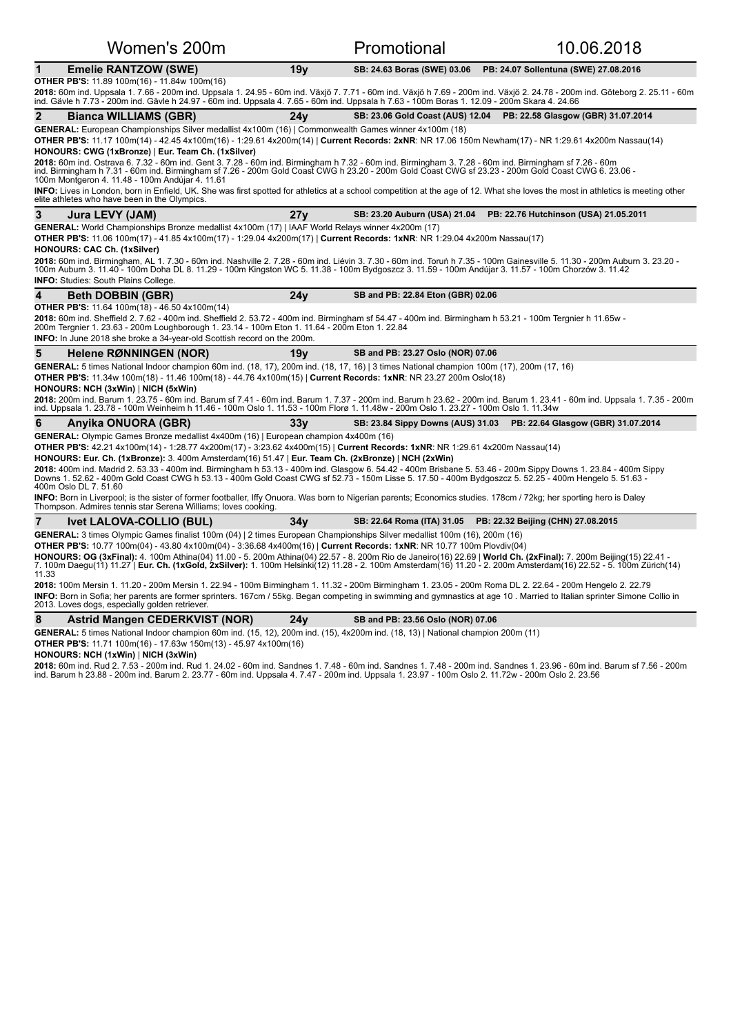| Women's 200m                                                                                                                                                                                                                                                                                                                                                                                                                                                                                                                                                                                                                                                                                                                                                                                                                                                                                                                                                                                 |                 | Promotional                              | 10.06.2018                                                           |  |  |
|----------------------------------------------------------------------------------------------------------------------------------------------------------------------------------------------------------------------------------------------------------------------------------------------------------------------------------------------------------------------------------------------------------------------------------------------------------------------------------------------------------------------------------------------------------------------------------------------------------------------------------------------------------------------------------------------------------------------------------------------------------------------------------------------------------------------------------------------------------------------------------------------------------------------------------------------------------------------------------------------|-----------------|------------------------------------------|----------------------------------------------------------------------|--|--|
| 1<br><b>Emelie RANTZOW (SWE)</b>                                                                                                                                                                                                                                                                                                                                                                                                                                                                                                                                                                                                                                                                                                                                                                                                                                                                                                                                                             | 19y             |                                          | SB: 24.63 Boras (SWE) 03.06 PB: 24.07 Sollentuna (SWE) 27.08.2016    |  |  |
| <b>OTHER PB'S:</b> 11.89 100m(16) - 11.84w 100m(16)<br>2018: 60m ind. Uppsala 1.7.66 - 200m ind. Uppsala 1. 24.95 - 60m ind. Växjö 7. 7.71 - 60m ind. Växjö h 7.69 - 200m ind. Växjö 2. 24.78 - 200m ind. Göteborg 2. 25.11 - 60m<br>ind. Gävle h 7.73 - 200m ind. Gävle h 24.97 - 60m ind. Uppsala 4. 7.65 - 60m ind. Uppsala h 7.63 - 100m Boras 1. 12.09 - 200m Skara 4. 24.66                                                                                                                                                                                                                                                                                                                                                                                                                                                                                                                                                                                                            |                 |                                          |                                                                      |  |  |
| 2<br>Bianca WILLIAMS (GBR)                                                                                                                                                                                                                                                                                                                                                                                                                                                                                                                                                                                                                                                                                                                                                                                                                                                                                                                                                                   | 24v             |                                          | SB: 23.06 Gold Coast (AUS) 12.04  PB: 22.58 Glasgow (GBR) 31.07.2014 |  |  |
| GENERAL: European Championships Silver medallist 4x100m (16)   Commonwealth Games winner 4x100m (18)<br>OTHER PB'S: 11.17 100m(14) - 42.45 4x100m(16) - 1:29.61 4x200m(14)   Current Records: 2xNR: NR 17.06 150m Newham(17) - NR 1:29.61 4x200m Nassau(14)<br>HONOURS: CWG (1xBronze)   Eur. Team Ch. (1xSilver)<br>2018: 60m ind. Ostrava 6. 7.32 - 60m ind. Gent 3. 7.28 - 60m ind. Birmingham h 7.32 - 60m ind. Birmingham 5. 7.28 - 60m ind. Birmingham sf 7.26 - 60m<br>ind. Birmingham h 7.31 - 60m ind. Birmingham sf 7.26 - 200m Gold Coast C<br>100m Montgeron 4. 11.48 - 100m Andújar 4. 11.61                                                                                                                                                                                                                                                                                                                                                                                    |                 |                                          |                                                                      |  |  |
| INFO: Lives in London, born in Enfield, UK. She was first spotted for athletics at a school competition at the age of 12. What she loves the most in athletics is meeting other<br>elite athletes who have been in the Olympics.                                                                                                                                                                                                                                                                                                                                                                                                                                                                                                                                                                                                                                                                                                                                                             |                 |                                          |                                                                      |  |  |
| 3<br>Jura LEVY (JAM)                                                                                                                                                                                                                                                                                                                                                                                                                                                                                                                                                                                                                                                                                                                                                                                                                                                                                                                                                                         | 27 <sub>V</sub> | SB: 23.20 Auburn (USA) 21.04             | PB: 22.76 Hutchinson (USA) 21.05.2011                                |  |  |
| GENERAL: World Championships Bronze medallist 4x100m (17)   IAAF World Relays winner 4x200m (17)<br>OTHER PB'S: 11.06 100m(17) - 41.85 4x100m(17) - 1:29.04 4x200m(17)   Current Records: 1xNR: NR 1:29.04 4x200m Nassau(17)<br><b>HONOURS: CAC Ch. (1xSilver)</b><br>2018: 60m ind. Birmingham, AL 1. 7.30 - 60m ind. Nashville 2. 7.28 - 60m ind. Liévin 3. 7.30 - 60m ind. Toruń h 7.35 - 100m Gainesville 5. 11.30 - 200m Auburn 3. 23.20 -<br>100m Auburn 3. 11.40 - 100m Doha DL 8. 11.29 - 100m Kingston WC 5. 11.38 - 100m Bydgoszcz 3. 11.59 - 100m Andújar 3. 11.57 - 100m Chorzów 3. 11.42<br><b>INFO:</b> Studies: South Plains College.                                                                                                                                                                                                                                                                                                                                         |                 |                                          |                                                                      |  |  |
| 4<br><b>Beth DOBBIN (GBR)</b>                                                                                                                                                                                                                                                                                                                                                                                                                                                                                                                                                                                                                                                                                                                                                                                                                                                                                                                                                                | 24y             | SB and PB: 22.84 Eton (GBR) 02.06        |                                                                      |  |  |
| <b>OTHER PB'S:</b> 11.64 100m(18) - 46.50 4x100m(14)<br>2018: 60m ind. Sheffield 2. 7.62 - 400m ind. Sheffield 2. 53.72 - 400m ind. Birmingham sf 54.47 - 400m ind. Birmingham h 53.21 - 100m Tergnier h 11.65w -<br>200m Tergnier 1. 23.63 - 200m Loughborough 1. 23.14 - 100m Eton 1. 11.64 - 200m Eton 1. 22.84<br>INFO: In June 2018 she broke a 34-year-old Scottish record on the 200m.                                                                                                                                                                                                                                                                                                                                                                                                                                                                                                                                                                                                |                 |                                          |                                                                      |  |  |
| 5<br>Helene RØNNINGEN (NOR)                                                                                                                                                                                                                                                                                                                                                                                                                                                                                                                                                                                                                                                                                                                                                                                                                                                                                                                                                                  | 19y             | SB and PB: 23.27 Oslo (NOR) 07.06        |                                                                      |  |  |
| GENERAL: 5 times National Indoor champion 60m ind. (18, 17), 200m ind. (18, 17, 16)   3 times National champion 100m (17), 200m (17, 16)<br>OTHER PB'S: 11.34w 100m(18) - 11.46 100m(18) - 44.76 4x100m(15)   Current Records: 1xNR: NR 23.27 200m Oslo(18)<br>HONOURS: NCH (3xWin)   NICH (5xWin)<br>2018: 200m ind. Barum 1. 23.75 - 60m ind. Barum sf 7.41 - 60m ind. Barum 1. 7.37 - 200m ind. Barum h 23.62 - 200m ind. Barum 1. 23.41 - 60m ind. Uppsala 1. 7.35 - 200m<br>ind. Uppsala 1. 23.78 - 100m Weinheim h 11.46 - 100m Oslo 1. 11.53 - 100m Florø 1. 11.48w - 200m Oslo 1. 23.27 - 100m Oslo 1. 11.34w                                                                                                                                                                                                                                                                                                                                                                        |                 |                                          |                                                                      |  |  |
| 6<br>Anyika ONUORA (GBR)                                                                                                                                                                                                                                                                                                                                                                                                                                                                                                                                                                                                                                                                                                                                                                                                                                                                                                                                                                     | 33y             | <b>SB: 23.84 Sippy Downs (AUS) 31.03</b> | PB: 22.64 Glasgow (GBR) 31.07.2014                                   |  |  |
| GENERAL: Olympic Games Bronze medallist 4x400m (16)   European champion 4x400m (16)<br>OTHER PB'S: 42.21 4x100m(14) - 1:28.77 4x200m(17) - 3:23.62 4x400m(15)   Current Records: 1xNR: NR 1:29.61 4x200m Nassau(14)<br>HONOURS: Eur. Ch. (1xBronze): 3. 400m Amsterdam(16) 51.47   Eur. Team Ch. (2xBronze)   NCH (2xWin)<br>2018: 400m ind. Madrid 2. 53.33 - 400m ind. Birmingham h 53.13 - 400m ind. Glasgow 6. 54.42 - 400m Brisbane 5. 53.46 - 200m Sippy Downs 1. 23.84 - 400m Sippy<br>Downs 1. 52.62 - 400m Gold Coast CWG h 53.13 - 400m Gold Coast CWG sf 52.73 - 150m Lisse 5. 17.50 - 400m Bydgoszcz 5. 52.25 - 400m Hengelo 5. 51.63 -<br>400m Oslo DL 7. 51.60<br>INFO: Born in Liverpool; is the sister of former footballer, Iffy Onuora. Was born to Nigerian parents; Economics studies. 178cm / 72kg; her sporting hero is Daley<br>Thompson. Admires tennis star Serena Williams; loves cooking.                                                                         |                 |                                          |                                                                      |  |  |
| 7<br><b>Ivet LALOVA-COLLIO (BUL)</b>                                                                                                                                                                                                                                                                                                                                                                                                                                                                                                                                                                                                                                                                                                                                                                                                                                                                                                                                                         | 34v             | SB: 22.64 Roma (ITA) 31.05               | PB: 22.32 Beijing (CHN) 27.08.2015                                   |  |  |
| GENERAL: 3 times Olympic Games finalist 100m (04)   2 times European Championships Silver medallist 100m (16), 200m (16)<br>OTHER PB'S: 10.77 100m(04) - 43.80 4x100m(04) - 3:36.68 4x400m(16)   Current Records: 1xNR: NR 10.77 100m Plovdiv(04)<br>HONOURS: OG (3xFinal): 4. 100m Athina(04) 11.00 - 5. 200m Athina(04) 22.57 - 8. 200m Rio de Janeiro(16) 22.69   World Ch. (2xFinal): 7. 200m Beijing(15) 22.41 -<br>7. 100m Daegu(11) 11.27   Eur. Ch. (1xGold, 2xSilver): 1. 100m Helsinki(12) 11.28 - 2. 100m Amsterdam(16) 11.20 - 2. 200m Amsterdam(16) 22.52 - 5. 100m Zürich(14)<br>11.33<br>2018: 100m Mersin 1. 11.20 - 200m Mersin 1. 22.94 - 100m Birmingham 1. 11.32 - 200m Birmingham 1. 23.05 - 200m Roma DL 2. 22.64 - 200m Hengelo 2. 22.79<br>INFO: Born in Sofia; her parents are former sprinters. 167cm / 55kg. Began competing in swimming and gymnastics at age 10. Married to Italian sprinter Simone Collio in<br>2013. Loves dogs, especially golden retriever. |                 |                                          |                                                                      |  |  |
|                                                                                                                                                                                                                                                                                                                                                                                                                                                                                                                                                                                                                                                                                                                                                                                                                                                                                                                                                                                              |                 |                                          |                                                                      |  |  |
| <b>Astrid Mangen CEDERKVIST (NOR)</b><br>8                                                                                                                                                                                                                                                                                                                                                                                                                                                                                                                                                                                                                                                                                                                                                                                                                                                                                                                                                   | 24 v            | SB and PB: 23.56 Oslo (NOR) 07.06        |                                                                      |  |  |

### **HONOURS: NCH (1xWin)** | **NICH (3xWin)**

**2018:** 60m ind. Rud 2. 7.53 - 200m ind. Rud 1. 24.02 - 60m ind. Sandnes 1. 7.48 - 60m ind. Sandnes 1. 200m ind. Bandnes 1. 23.96 - 60m ind. Barum sf 7.56 - 200m<br>ind. Barum h 23.88 - 200m ind. Barum 2. 23.77 - 60m ind. Upp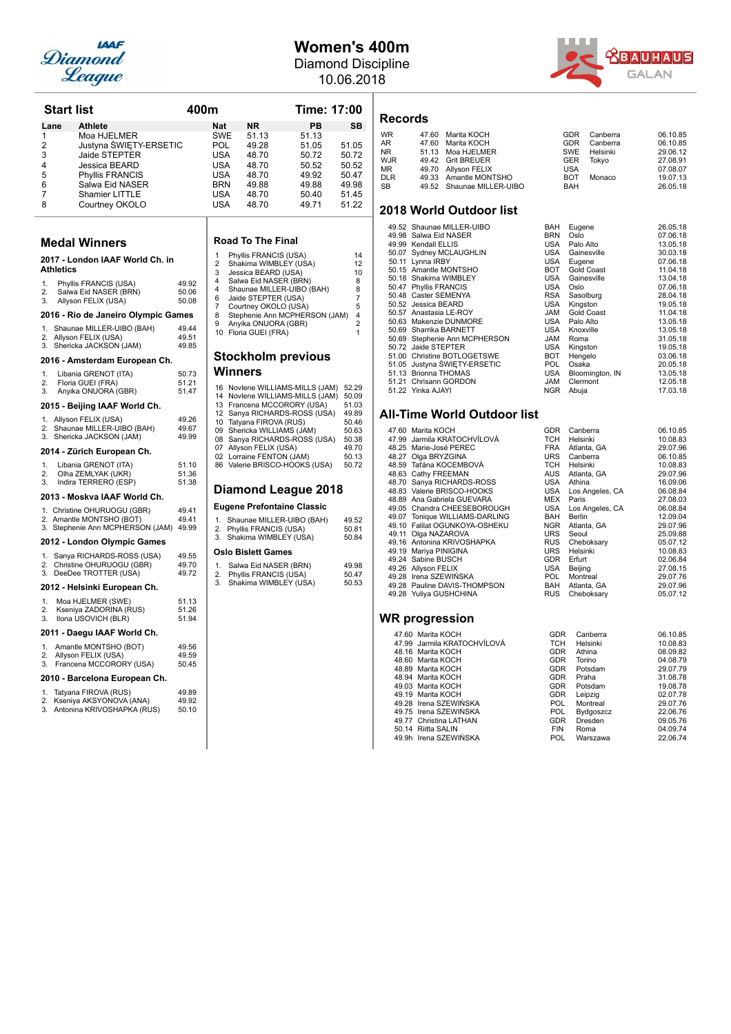

## **Women's 400m**

Diamond Discipline 10.06.2018



**Records**

| WR         | 47.60 Marita KOCH         | GDR        | Canberra     | 06.10.85 |
|------------|---------------------------|------------|--------------|----------|
| AR         | 47.60 Marita KOCH         |            | GDR Canberra | 06.10.85 |
| NR.        | 51.13 Moa HJELMER         |            | SWE Helsinki | 29.06.12 |
| WJR        | 49.42 Grit BREUER         | <b>GER</b> | Tokvo        | 27.08.91 |
| МR         | 49.70 Allyson FELIX       | <b>USA</b> |              | 07.08.07 |
| <b>DLR</b> | 49.33 Amantle MONTSHO     | <b>BOT</b> | Monaco       | 19.07.13 |
| SB         | 49.52 Shaunae MILLER-UIBO | BAH        |              | 26.05.18 |
|            |                           |            |              |          |

### **2018 World Outdoor list**

| 49.52 Shaunae MILLER-UIBO     | BAH        | Eugene          | 26.05.18 |
|-------------------------------|------------|-----------------|----------|
| 49.98 Salwa Eid NASER         | <b>BRN</b> | Oslo            | 07.06.18 |
| 49.99 Kendall ELLIS           | USA        | Palo Alto       | 13.05.18 |
| 50.07 Sydney MCLAUGHLIN       | USA        | Gainesville     | 30.03.18 |
| 50.11 Lynna IRBY              | USA        | Eugene          | 07.06.18 |
| 50.15 Amantle MONTSHO         | BOT        | Gold Coast      | 11.04.18 |
| 50.18 Shakima WIMBLEY         | USA        | Gainesville     | 13.04.18 |
| 50.47 Phyllis FRANCIS         | USA        | Oslo            | 07.06.18 |
| 50.48 Caster SEMENYA          | RSA        | Sasolburg       | 28.04.18 |
| 50.52 Jessica BEARD           | USA        | Kingston        | 19.05.18 |
| 50.57 Anastasia LE-ROY        | <b>JAM</b> | Gold Coast      | 11.04.18 |
| 50.63 Makenzie DUNMORE        | USA        | Palo Alto       | 13.05.18 |
| 50.69 Sharrika BARNETT        | USA        | Knoxville       | 13.05.18 |
| 50.69 Stephenie Ann MCPHERSON | <b>JAM</b> | Roma            | 31.05.18 |
| 50.72 Jaide STEPTER           | USA        | Kingston        | 19.05.18 |
| 51.00 Christine BOTLOGETSWE   | BOT        | Hengelo         | 03.06.18 |
| 51.05 Justyna ŚWIĘTY-ERSETIC  | POL.       | Osaka           | 20.05.18 |
| 51.13 Brionna THOMAS          | USA        | Bloomington, IN | 13.05.18 |
| 51.21 Chrisann GORDON         | <b>JAM</b> | Clermont        | 12.05.18 |
| 51.22 Yinka AJAYI             | <b>NGR</b> | Abuja           | 17.03.18 |

### **All-Time World Outdoor list**

| 47.60 Marita KOCH              | <b>GDR</b><br>Canberra   | 06.10.85 |
|--------------------------------|--------------------------|----------|
| 47.99 Jarmila KRATOCHVÍLOVÁ    | TCH<br>Helsinki          | 10.08.83 |
| 48.25 Marie-José PEREC         | FRA<br>Atlanta, GA       | 29.07.96 |
| 48.27 Olga BRYZGINA            | URS<br>Canberra          | 06.10.85 |
| 48.59 Taťána KOCEMBOVÁ         | TCH<br>Helsinki          | 10.08.83 |
| 48.63 Cathy FREEMAN            | AUS<br>Atlanta, GA       | 29.07.96 |
| 48.70 Sanya RICHARDS-ROSS      | USA<br>Athina            | 16.09.06 |
| 48.83 Valerie BRISCO-HOOKS     | USA<br>Los Angeles, CA   | 06.08.84 |
| 48.89 Ana Gabriela GUEVARA     | MEX<br>Paris             | 27.08.03 |
| 49.05 Chandra CHEESEBOROUGH    | USA<br>Los Angeles, CA   | 06.08.84 |
| 49.07 Tonique WILLIAMS-DARLING | <b>BAH</b><br>Berlin     | 12.09.04 |
| 49.10 Falilat OGUNKOYA-OSHEKU  | NGR<br>Atlanta, GA       | 29.07.96 |
| 49.11 Olga NAZAROVA            | <b>URS</b><br>Seoul      | 25.09.88 |
| 49.16 Antonina KRIVOSHAPKA     | <b>RUS</b><br>Cheboksary | 05.07.12 |
| 49.19 Mariya PINIGINA          | URS<br>Helsinki          | 10.08.83 |
| 49.24 Sabine BUSCH             | GDR<br>Erfurt            | 02.06.84 |
| 49.26 Allyson FELIX            | USA<br>Beijing           | 27.08.15 |
| 49.28 Irena SZEWIŃSKA          | <b>POL</b><br>Montreal   | 29.07.76 |
| 49.28 Pauline DAVIS-THOMPSON   | BAH<br>Atlanta, GA       | 29.07.96 |
| 49.28 Yuliya GUSHCHINA         | <b>RUS</b><br>Cheboksary | 05.07.12 |
|                                |                          |          |
| <b>WR</b> progression          |                          |          |
| 47.60 Marita KOCH              | <b>GDR</b><br>Canberra   | 06.10.85 |
| 47.99 Jarmila KRATOCHVÍLOVÁ    | TCH<br>Helsinki          | 10.08.83 |

| 47.99 Jarmila KRATOCHVÍLOVÁ | TCH        | Helsinki  | 10.08.83 |
|-----------------------------|------------|-----------|----------|
| 48.16 Marita KOCH           | <b>GDR</b> | Athina    | 08.09.82 |
| 48.60 Marita KOCH           | <b>GDR</b> | Torino    | 04.08.79 |
| 48.89 Marita KOCH           | <b>GDR</b> | Potsdam   | 29.07.79 |
| 48.94 Marita KOCH           | <b>GDR</b> | Praha     | 31.08.78 |
| 49.03 Marita KOCH           | <b>GDR</b> | Potsdam   | 19.08.78 |
| 49.19 Marita KOCH           | <b>GDR</b> | Leipzig   | 02.07.78 |
| 49.28 Irena SZEWIŃSKA       | POL.       | Montreal  | 29.07.76 |
| 49.75 Irena SZEWIŃSKA       | POL.       | Bydgoszcz | 22.06.76 |
| 49.77 Christina LATHAN      | <b>GDR</b> | Dresden   | 09.05.76 |
| 50.14 Riitta SALIN          | <b>FIN</b> | Roma      | 04.09.74 |
| 49.9h Irena SZEWIŃSKA       | POL.       | Warszawa  | 22.06.74 |

|                  | <b>Start list</b>                                | 400m           |                     |                                                            | <b>Time: 17:00</b> |                |
|------------------|--------------------------------------------------|----------------|---------------------|------------------------------------------------------------|--------------------|----------------|
| Lane             | <b>Athlete</b>                                   |                | Nat                 | ΝR                                                         | PВ                 | SB             |
| 1                | Moa HJELMER                                      |                | SWE                 | 51.13                                                      | 51.13              |                |
| 2                | Justyna ŚWIĘTY-ERSETIC                           |                | POL                 | 49.28                                                      | 51.05              | 51.05          |
| 3                | Jaide STEPTER                                    |                | USA                 | 48.70                                                      | 50.72              | 50.72          |
| 4                | Jessica BEARD                                    |                | USA                 | 48.70                                                      | 50.52              | 50.52          |
| 5                | <b>Phyllis FRANCIS</b>                           |                | USA                 | 48.70                                                      | 49.92              | 50.47          |
| 6                | Salwa Eid NASER                                  |                | BRN                 | 49.88                                                      | 49.88              | 49.98          |
| 7                | Shamier LITTLE                                   |                | USA                 | 48.70                                                      | 50.40              | 51.45          |
| 8                | Courtney OKOLO                                   |                | USA                 | 48.70                                                      | 49.71              | 51.22          |
|                  | Medal Winners                                    |                |                     | Road To The Final                                          |                    |                |
| <b>Athletics</b> | 2017 - London IAAF World Ch. in                  |                | 1<br>2<br>3         | Phyllis FRANCIS (USA)<br>Shakima WIMBLEY (USA)             |                    | 14<br>12<br>10 |
| 1.               |                                                  | 49.92          | 4                   | Jessica BEARD (USA)<br>Salwa Eid NASER (BRN)               |                    | 8              |
| 2.               | Phyllis FRANCIS (USA)<br>Salwa Eid NASER (BRN)   | 50.06          | 4                   | Shaunae MILLER-UIBO (BAH)                                  |                    | 8              |
| 3.               | Allyson FELIX (USA)                              | 50.08          | 6                   | Jaide STEPTER (USA)                                        |                    | $\overline{7}$ |
|                  | 2016 - Rio de Janeiro Olympic Games              |                | $\overline{7}$<br>8 | Courtney OKOLO (USA)<br>Stephenie Ann MCPHERSON (JAM)      |                    | 5<br>4         |
| 1.               | Shaunae MILLER-UIBO (BAH)                        | 49.44          | 9                   | Anyika ONUORA (GBR)                                        |                    | $\overline{2}$ |
| 2.               | Allyson FELIX (USA)                              | 49.51          |                     | 10 Floria GUEI (FRA)                                       |                    | 1              |
| 3.               | Shericka JACKSON (JAM)                           | 49.85          |                     |                                                            |                    |                |
|                  | 2016 - Amsterdam European Ch.                    |                |                     | Stockholm previous                                         |                    |                |
| 1.               | Libania GRENOT (ITA)                             | 50.73          |                     | Winners                                                    |                    |                |
| 2.               | Floria GUEI (FRA)                                | 51.21          |                     | 16 Noviene WILLIAMS-MILLS (JAM)                            |                    | 52.29          |
| 3.               | Anyika ONUORA (GBR)                              | 51.47          |                     | 14 Noviene WILLIAMS-MILLS (JAM)                            |                    | 50.09          |
|                  | 2015 - Beijing IAAF World Ch.                    |                |                     | 13 Francena MCCORORY (USA)                                 |                    | 51.03          |
|                  | 1. Allyson FELIX (USA)                           | 49.26          |                     | 12 Sanya RICHARDS-ROSS (USA)                               |                    | 49.89          |
|                  | 2. Shaunae MILLER-UIBO (BAH)                     | 49.67          |                     | 10 Tatyana FIROVA (RUS)                                    |                    | 50.46<br>50.63 |
|                  | 3. Shericka JACKSON (JAM)                        | 49.99          |                     | 09 Shericka WILLIAMS (JAM)<br>08 Sanya RICHARDS-ROSS (USA) |                    | 50.38          |
|                  | 2014 - Zürich European Ch.                       |                |                     | 07 Allyson FELIX (USA)<br>02 Lorraine FENTON (JAM)         |                    | 49.70<br>50.13 |
| 1.               | Libania GRENOT (ITA)                             | 51.10          |                     | 86 Valerie BRISCO-HOOKS (USA)                              |                    | 50.72          |
| 2.               | Olha ZEMLYAK (UKR)                               | 51.36          |                     |                                                            |                    |                |
| 3.               | Indira TERRERO (ESP)                             | 51.38          |                     |                                                            |                    |                |
|                  | 2013 - Moskva IAAF World Ch.                     |                |                     | Diamond League 2018                                        |                    |                |
|                  | 1. Christine OHURUOGU (GBR)                      | 49.41          |                     | Eugene Prefontaine Classic                                 |                    |                |
|                  | 2. Amantle MONTSHO (BOT)                         | 49.41          | 1.                  | Shaunae MILLER-UIBO (BAH)                                  |                    | 49.52          |
|                  | 3. Stephenie Ann MCPHERSON (JAM)                 | 49.99          |                     | 2. Phyllis FRANCIS (USA)                                   |                    | 50.81          |
|                  | 2012 - London Olympic Games                      |                | 3.                  | Shakima WIMBLEY (USA)<br>Oslo Bislett Games                |                    | 50.84          |
| 1.               | Sanya RICHARDS-ROSS (USA)                        | 49.55          |                     |                                                            |                    |                |
| 2.<br>3.         | Christine OHURUOGU (GBR)<br>DeeDee TROTTER (USA) | 49.70<br>49.72 | 1.                  | Salwa Eid NASER (BRN)                                      |                    | 49.98          |
|                  | 2012 - Helsinki European Ch.                     |                | 2.<br>3.            | Phyllis FRANCIS (USA)<br>Shakima WIMBLEY (USA)             |                    | 50.47<br>50.53 |
|                  |                                                  |                |                     |                                                            |                    |                |
| 1.<br>2.         | Moa HJELMER (SWE)<br>Kseniya ZADORINA (RUS)      | 51.13<br>51.26 |                     |                                                            |                    |                |
| 3.               | Ilona USOVICH (BLR)                              | 51.94          |                     |                                                            |                    |                |
|                  | 2011 - Daegu IAAF World Ch.                      |                |                     |                                                            |                    |                |
| 1.               | Amantle MONTSHO (BOT)                            | 49.56          |                     |                                                            |                    |                |
| 2.               | Allyson FELIX (USA)                              | 49.59          |                     |                                                            |                    |                |
| 3.               | Francena MCCORORY (USA)                          | 50.45          |                     |                                                            |                    |                |
|                  | 2010 - Barcelona European Ch.                    |                |                     |                                                            |                    |                |
| 1.               | Tatyana FIROVA (RUS)                             | 49.89          |                     |                                                            |                    |                |
| 2.               | Kseniya AKSYONOVA (ANA)                          | 49.92          |                     |                                                            |                    |                |
|                  | 3. Antonina KRIVOSHAPKA (RUS)                    | 50.10          |                     |                                                            |                    |                |
|                  |                                                  |                |                     |                                                            |                    |                |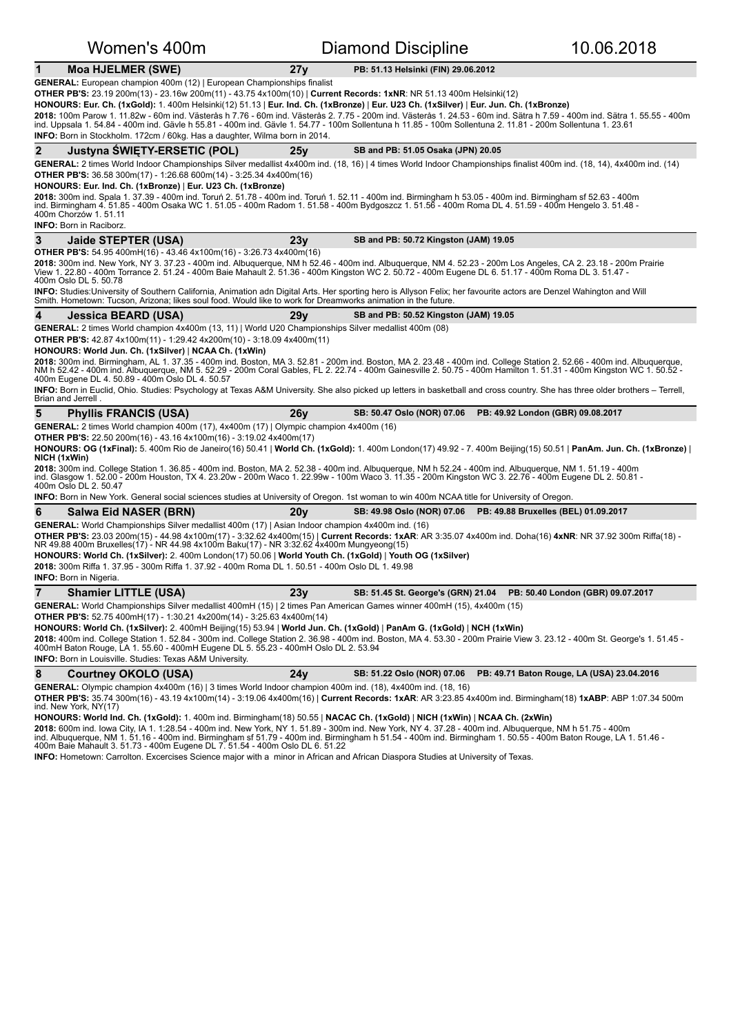| Women's 400m                                                                                                                                                                                                                                                                                                                                                                                                                                                                                                                                                                                                                                                                                                                                                                   | <b>Diamond Discipline</b>                                            | 10.06.2018                                 |
|--------------------------------------------------------------------------------------------------------------------------------------------------------------------------------------------------------------------------------------------------------------------------------------------------------------------------------------------------------------------------------------------------------------------------------------------------------------------------------------------------------------------------------------------------------------------------------------------------------------------------------------------------------------------------------------------------------------------------------------------------------------------------------|----------------------------------------------------------------------|--------------------------------------------|
| <b>Moa HJELMER (SWE)</b><br>1<br>27 <sub>V</sub>                                                                                                                                                                                                                                                                                                                                                                                                                                                                                                                                                                                                                                                                                                                               | PB: 51.13 Helsinki (FIN) 29.06.2012                                  |                                            |
| <b>GENERAL:</b> European champion 400m (12)   European Championships finalist<br><b>OTHER PB'S:</b> 23.19 200m(13) - 23.16w 200m(11) - 43.75 4x100m(10)   Current Records: 1xNR: NR 51.13 400m Helsinki(12)<br>HONOURS: Eur. Ch. (1xGold): 1. 400m Helsinki(12) 51.13   Eur. Ind. Ch. (1xBronze)   Eur. U23 Ch. (1xSilver)   Eur. Jun. Ch. (1xBronze)<br>2018: 100m Parow 1. 11.82w - 60m ind. Västerås h 7.76 - 60m ind. Västerås 2. 7.75 - 200m ind. Västerås 1. 24.53 - 60m ind. Sätra h 7.59 - 400m ind. Sätra 1. 55.55 - 400m<br>ind. Uppsala 1. 54.84 - 400m ind. Gävle h 55.81 - 400m ind. Gävle 1. 54.77 - 100m Sollentuna h 11.85 - 100m Sollentuna 2. 11.81 - 200m Sollentuna 1. 23.61<br>INFO: Born in Stockholm. 172cm / 60kg. Has a daughter, Wilma born in 2014. |                                                                      |                                            |
| $\mathbf{2}$<br>Justyna SWIETY-ERSETIC (POL)<br>25v                                                                                                                                                                                                                                                                                                                                                                                                                                                                                                                                                                                                                                                                                                                            | SB and PB: 51.05 Osaka (JPN) 20.05                                   |                                            |
| GENERAL: 2 times World Indoor Championships Silver medallist 4x400m ind. (18, 16)   4 times World Indoor Championships finalist 400m ind. (18, 14), 4x400m ind. (14)<br><b>OTHER PB'S:</b> 36.58 300m(17) - 1:26.68 600m(14) - 3:25.34 4x400m(16)<br>HONOURS: Eur. Ind. Ch. (1xBronze)   Eur. U23 Ch. (1xBronze)<br>2018: 300m ind. Spala 1. 37.39 - 400m ind. Toruń 2. 51.78 - 400m ind. Toruń 1. 52.11 - 400m ind. Birmingham h 53.05 - 400m ind. Birmingham sf 52.63 - 400m<br>ind. Birmingham 4.51.85 - 400m Osaka WC 1.51.05 - 400m Radom 1.51.58 - 400m Bydgoszcz 1.51.58 - 400m Roma DL 4.51.59 - 400m Hengelo 3.51.48 -<br>400m Chorzów 1. 51.11<br><b>INFO: Born in Raciborz.</b>                                                                                     |                                                                      |                                            |
| 23y<br>3<br>Jaide STEPTER (USA)                                                                                                                                                                                                                                                                                                                                                                                                                                                                                                                                                                                                                                                                                                                                                | SB and PB: 50.72 Kingston (JAM) 19.05                                |                                            |
| <b>OTHER PB'S:</b> 54.95 400mH(16) - 43.46 4x100m(16) - 3:26.73 4x400m(16)<br>2018: 300m ind. New York, NY 3. 37.23 - 400m ind. Albuquerque, NM h 52.46 - 400m ind. Albuquerque, NM 4. 52.23 - 200m Los Angeles, CA 2. 23.18 - 200m Prairie<br>View 1. 22.80 - 400m Torrance 2. 51.24 - 400m Baie Mahault 2. 51.36 - 400m Kingston WC 2. 50.72 - 400m Eugene DL 6. 51.17 - 400m Roma DL 3. 51.47 -<br>400m Oslo DL 5. 50.78<br>INFO: Studies:University of Southern California, Animation adn Digital Arts. Her sporting hero is Allyson Felix; her favourite actors are Denzel Wahington and Will                                                                                                                                                                             |                                                                      |                                            |
| Smith. Hometown: Tucson, Arizona; likes soul food. Would like to work for Dreamworks animation in the future.                                                                                                                                                                                                                                                                                                                                                                                                                                                                                                                                                                                                                                                                  |                                                                      |                                            |
| 4<br><b>Jessica BEARD (USA)</b><br>29 <sub>V</sub><br>GENERAL: 2 times World champion 4x400m (13, 11)   World U20 Championships Silver medallist 400m (08)                                                                                                                                                                                                                                                                                                                                                                                                                                                                                                                                                                                                                     | SB and PB: 50.52 Kingston (JAM) 19.05                                |                                            |
| <b>OTHER PB'S:</b> 42.87 4x100m(11) - 1:29.42 4x200m(10) - 3:18.09 4x400m(11)<br>HONOURS: World Jun. Ch. (1xSilver)   NCAA Ch. (1xWin)                                                                                                                                                                                                                                                                                                                                                                                                                                                                                                                                                                                                                                         |                                                                      |                                            |
| 2018: 300m ind. Birmingham, AL 1. 37.35 - 400m ind. Boston, MA 3. 52.81 - 200m ind. Boston, MA 2. 23.48 - 400m ind. College Station 2. 52.66 - 400m ind. Albuquerque,<br>NM h 52.42 - 400m ind. Albuquerque, NM 5. 52.29 - 200m Coral Gables, FL 2. 22.74 - 400m Gainesville 2. 50.75 - 400m Hamilton 1. 51.31 - 400m Kingston WC 1. 50.52 -<br>400m Eugene DL 4. 50.89 - 400m Oslo DL 4. 50.57                                                                                                                                                                                                                                                                                                                                                                                |                                                                      |                                            |
| INFO: Born in Euclid, Ohio. Studies: Psychology at Texas A&M University. She also picked up letters in basketball and cross country. She has three older brothers – Terrell,<br>Brian and Jerrell.                                                                                                                                                                                                                                                                                                                                                                                                                                                                                                                                                                             |                                                                      |                                            |
| 5<br><b>Phyllis FRANCIS (USA)</b><br>26 <sub>V</sub>                                                                                                                                                                                                                                                                                                                                                                                                                                                                                                                                                                                                                                                                                                                           | SB: 50.47 Oslo (NOR) 07.06                                           | PB: 49.92 London (GBR) 09.08.2017          |
| GENERAL: 2 times World champion 400m (17), 4x400m (17)   Olympic champion 4x400m (16)<br><b>OTHER PB'S:</b> 22.50 200m(16) - 43.16 4x100m(16) - 3:19.02 4x400m(17)<br>HONOURS: OG (1xFinal): 5. 400m Rio de Janeiro(16) 50.41   World Ch. (1xGold): 1. 400m London(17) 49.92 - 7. 400m Beijing(15) 50.51   PanAm. Jun. Ch. (1xBronze)  <br>NICH (1xWin)<br>2018: 300m ind. College Station 1. 36.85 - 400m ind. Boston, MA 2. 52.38 - 400m ind. Albuquerque, NM h 52.24 - 400m ind. Albuquerque, NM 1. 51.19 - 400m<br>ind. Glasgow 1. 52.00 - 200m Houston, TX 4. 23.20w - 200m Waco 1. 22.99w - 100m Waco 3. 11.35 - 200m Kingston WC 3. 22.76 - 400m Eugene DL 2. 50.81 -<br>400m Oslo DL 2. 50.47                                                                          |                                                                      |                                            |
| INFO: Born in New York. General social sciences studies at University of Oregon. 1st woman to win 400m NCAA title for University of Oregon.                                                                                                                                                                                                                                                                                                                                                                                                                                                                                                                                                                                                                                    |                                                                      |                                            |
| 6<br>Salwa Eid NASER (BRN)<br>20y                                                                                                                                                                                                                                                                                                                                                                                                                                                                                                                                                                                                                                                                                                                                              | SB: 49.98 Oslo (NOR) 07.06  PB: 49.88 Bruxelles (BEL) 01.09.2017     |                                            |
| GENERAL: World Championships Silver medallist 400m (17)   Asian Indoor champion 4x400m ind. (16)<br>OTHER PB'S: 23.03 200m(15) - 44.98 4x100m(17) - 3:32.62 4x400m(15)   Current Records: 1xAR: AR 3:35.07 4x400m ind. Doha(16) 4xNR: NR 37.92 300m Riffa(18) -<br>NR 49.88 400m Bruxelles(17) - NR 44.98 4x100m Baku(17) - NR 3:32.62 4x400m Mungyeong(15)<br>HONOURS: World Ch. (1xSilver): 2. 400m London(17) 50.06   World Youth Ch. (1xGold)   Youth OG (1xSilver)<br>2018: 300m Riffa 1. 37.95 - 300m Riffa 1. 37.92 - 400m Roma DL 1. 50.51 - 400m Oslo DL 1. 49.98<br><b>INFO: Born in Nigeria.</b>                                                                                                                                                                    |                                                                      |                                            |
| <b>Shamier LITTLE (USA)</b><br>23y                                                                                                                                                                                                                                                                                                                                                                                                                                                                                                                                                                                                                                                                                                                                             | SB: 51.45 St. George's (GRN) 21.04 PB: 50.40 London (GBR) 09.07.2017 |                                            |
| GENERAL: World Championships Silver medallist 400mH (15)   2 times Pan American Games winner 400mH (15), 4x400m (15)<br><b>OTHER PB'S:</b> 52.75 400mH(17) - 1:30.21 4x200m(14) - 3:25.63 4x400m(14)<br>HONOURS: World Ch. (1xSilver): 2. 400mH Beijing(15) 53.94   World Jun. Ch. (1xGold)   PanAm G. (1xGold)   NCH (1xWin)<br>2018: 400m ind. College Station 1. 52.84 - 300m ind. College Station 2. 36.98 - 400m ind. Boston, MA 4. 53.30 - 200m Prairie View 3. 23.12 - 400m St. George's 1. 51.45 -                                                                                                                                                                                                                                                                     |                                                                      |                                            |
| 400mH Baton Rouge, LA 1. 55.60 - 400mH Eugene DL 5. 55.23 - 400mH Oslo DL 2. 53.94<br><b>INFO:</b> Born in Louisville. Studies: Texas A&M University.                                                                                                                                                                                                                                                                                                                                                                                                                                                                                                                                                                                                                          |                                                                      |                                            |
| 8<br>24y<br><b>Courtney OKOLO (USA)</b>                                                                                                                                                                                                                                                                                                                                                                                                                                                                                                                                                                                                                                                                                                                                        | SB: 51.22 Oslo (NOR) 07.06                                           | PB: 49.71 Baton Rouge, LA (USA) 23.04.2016 |
| GENERAL: Olympic champion 4x400m (16)   3 times World Indoor champion 400m ind. (18), 4x400m ind. (18, 16)<br>OTHER PB'S: 35.74 300m(16) - 43.19 4x100m(14) - 3:19.06 4x400m(16)   Current Records: 1xAR: AR 3:23.85 4x400m ind. Birmingham(18) 1xABP: ABP 1:07.34 500m<br>ind. New York, NY(17)<br>HONOURS: World Ind. Ch. (1xGold): 1. 400m ind. Birmingham(18) 50.55   NACAC Ch. (1xGold)   NICH (1xWin)   NCAA Ch. (2xWin)                                                                                                                                                                                                                                                                                                                                                 |                                                                      |                                            |
| 2018: 600m ind. Iowa City, IA 1. 1:28.54 - 400m ind. New York, NY 1. 51.89 - 300m ind. New York, NY 4. 37.28 - 400m ind. Albuquerque, NM h 51.75 - 400m<br>ind. Albuquerque, NM 1. 51.16 - 400m ind. Birmingham sf 51.79 - 400m i<br>400m Baie Mahault 3. 51.73 - 400m Eugene DL 7. 51.54 - 400m Oslo DL 6. 51.22                                                                                                                                                                                                                                                                                                                                                                                                                                                              |                                                                      |                                            |

**INFO:** Hometown: Carrolton. Excercises Science major with a minor in African and African Diaspora Studies at University of Texas.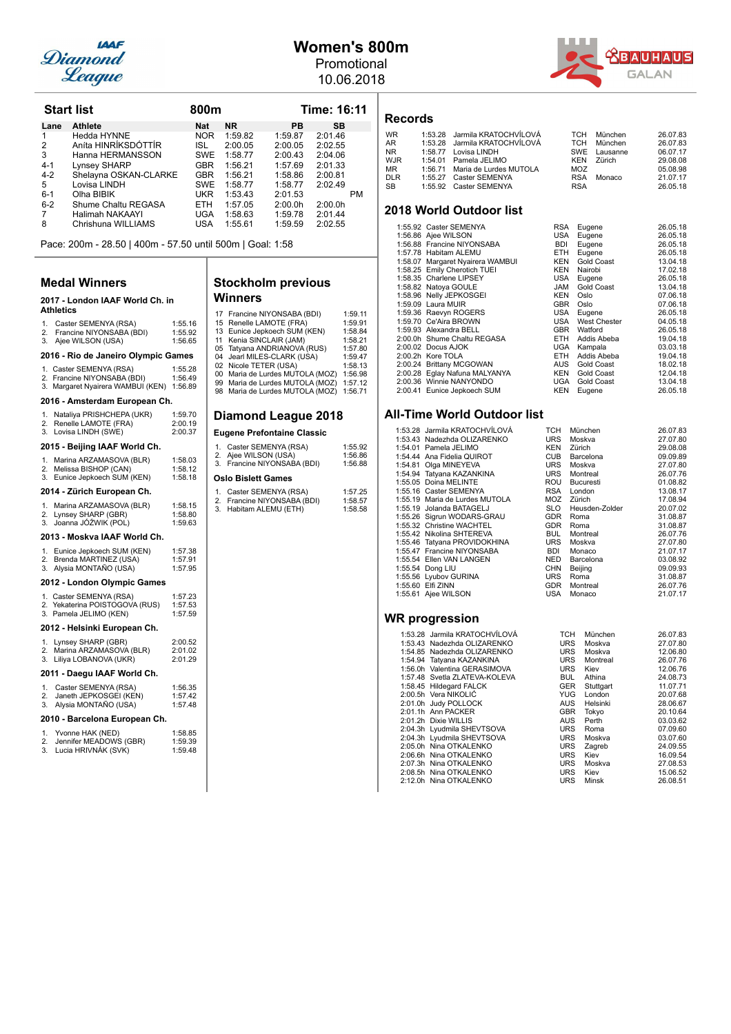

## **Women's 800m**

Promotional 10.06.2018



**Records**

### WR 1:53.28 Jarmila KRATOCHVÍLOVÁ TCH München 26.07.83<br>AR 1:53.28 Jarmila KRATOCHVÍLOVÁ TCH München 26.07.83<br>NR 1:58.77 Lovisa LINDH SWE Lausanne 06.07.17 1:53.28 Jarmila KRATOCHVÍLOVÁ TCH München<br>1:58.77 Lovisa LINDH SWE Lausanne NR 1:58.77 Lovisa LINDH SWE Lausanne 06.07.17<br>MR 1:58.77 Lovisa LINDH SWE Lausanne 06.07.17<br>WIR 1:54.01 Pamela IELIMO KEN Zürich 29.08.08 WJR 1:54.01 Pamela JELIMO KEN Zürich 29.08.08<br>MR 1:54.01 Pamela JELIMO KEN Zürich 29.08.08 MR 1:56.71 Maria de Lurdes MUTOLA MOZ<br>DIR 1:55.77 Caster SEMENYA RSA Monaco 21.07.17 DLR 1:55.27 Caster SEMENYA RSA Monaco 21.07.17<br>
SB 1:55.92 Caster SEMENYA RSA RSA 26.05.18 1:55.92 Caster SEMENYA

### **2018 World Outdoor list**

| 1:55.92 Caster SEMENYA           | <b>RSA</b> | Eugene       | 26.05.18 |
|----------------------------------|------------|--------------|----------|
| 1:56.86 Ajee WILSON              | USA        | Eugene       | 26.05.18 |
| 1:56.88 Francine NIYONSABA       | <b>BDI</b> | Eugene       | 26.05.18 |
| 1:57.78 Habitam ALEMU            | ETH.       | Eugene       | 26.05.18 |
| 1:58.07 Margaret Nyairera WAMBUI | <b>KEN</b> | Gold Coast   | 13.04.18 |
| 1:58.25 Emily Cherotich TUEI     | <b>KEN</b> | Nairobi      | 17.02.18 |
| 1:58.35 Charlene LIPSEY          | USA        | Eugene       | 26.05.18 |
| 1:58.82 Natoya GOULE             | <b>JAM</b> | Gold Coast   | 13.04.18 |
| 1:58.96 Nelly JEPKOSGEI          | <b>KEN</b> | Oslo         | 07.06.18 |
| 1:59.09 Laura MUIR               | <b>GBR</b> | Oslo         | 07.06.18 |
| 1:59.36 Raevyn ROGERS            | USA        | Eugene       | 26.05.18 |
| 1:59.70 Ce'Aira BROWN            | USA        | West Chester | 04.05.18 |
| 1:59.93 Alexandra BELL           | <b>GBR</b> | Watford      | 26.05.18 |
| 2:00.0h Shume Chaltu REGASA      | ETH.       | Addis Abeba  | 19.04.18 |
| 2:00.02 Docus AJOK               | UGA        | Kampala      | 03.03.18 |
| 2:00.2h Kore TOLA                | ETH.       | Addis Abeba  | 19.04.18 |
| 2:00.24 Brittany MCGOWAN         | AUS        | Gold Coast   | 18.02.18 |
| 2:00.28 Eglay Nafuna MALYANYA    | <b>KEN</b> | Gold Coast   | 12.04.18 |
| 2:00.36 Winnie NANYONDO          | UGA        | Gold Coast   | 13.04.18 |
| 2:00.41 Eunice Jepkoech SUM      | <b>KEN</b> | Eugene       | 26.05.18 |

### **All-Time World Outdoor list**

|  | 1:53.28 Jarmila KRATOCHVÍLOVÁ  | TCH        | München        | 26.07.83 |
|--|--------------------------------|------------|----------------|----------|
|  | 1:53.43 Nadezhda OLIZARENKO    | URS        | Moskva         | 27.07.80 |
|  | 1:54.01 Pamela JELIMO          | KEN        | Zürich         | 29.08.08 |
|  | 1:54.44 Ana Fidelia QUIROT     | CUB        | Barcelona      | 09.09.89 |
|  | 1:54.81 Olga MINEYEVA          | URS        | Moskva         | 27.07.80 |
|  | 1:54.94 Tatyana KAZANKINA      | URS        | Montreal       | 26.07.76 |
|  | 1:55.05 Doina MELINTE          | ROU        | Bucuresti      | 01.08.82 |
|  | 1:55.16 Caster SEMENYA         | RSA        | London         | 13.08.17 |
|  | 1:55.19 Maria de Lurdes MUTOLA |            | MOZ Zürich     | 17.08.94 |
|  | 1:55.19 Jolanda BATAGELJ       | SLO        | Heusden-Zolder | 20.07.02 |
|  | 1:55.26 Sigrun WODARS-GRAU     | GDR        | Roma           | 31.08.87 |
|  | 1:55.32 Christine WACHTEL      | GDR        | Roma           | 31.08.87 |
|  | 1:55.42 Nikolina SHTEREVA      | <b>BUL</b> | Montreal       | 26.07.76 |
|  | 1:55.46 Tatyana PROVIDOKHINA   | URS        | Moskva         | 27.07.80 |
|  | 1:55.47 Francine NIYONSABA     | BDI        | Monaco         | 21.07.17 |
|  | 1:55.54 Ellen VAN LANGEN       | NED        | Barcelona      | 03.08.92 |
|  | 1:55.54 Dong LIU               | <b>CHN</b> | Beijing        | 09.09.93 |
|  | 1:55.56 Lyubov GURINA          | URS        | Roma           | 31.08.87 |
|  | 1:55.60 Elfi ZINN              | GDR        | Montreal       | 26.07.76 |
|  | 1:55.61 Ajee WILSON            | USA        | Monaco         | 21.07.17 |
|  |                                |            |                |          |
|  |                                |            |                |          |
|  | WR progression                 |            |                |          |

|  | 1:53.28 Jarmila KRATOCHVÍLOVÁ | TCH        | München      | 26.07.83 |
|--|-------------------------------|------------|--------------|----------|
|  | 1:53.43 Nadezhda OLIZARENKO   | <b>URS</b> | Moskva       | 27.07.80 |
|  | 1:54.85 Nadezhda OLIZARENKO   | <b>URS</b> | Moskva       | 12.06.80 |
|  | 1:54.94 Tatyana KAZANKINA     | <b>URS</b> | Montreal     | 26.07.76 |
|  | 1:56.0h Valentina GERASIMOVA  | <b>URS</b> | Kiev         | 12.06.76 |
|  | 1:57.48 Svetla ZLATEVA-KOLEVA | <b>BUL</b> | Athina       | 24.08.73 |
|  | 1:58.45 Hildegard FALCK       | <b>GER</b> | Stuttgart    | 11.07.71 |
|  | 2:00.5h Vera NIKOLIĆ          | YUG.       | London       | 20.07.68 |
|  | 2:01.0h Judy POLLOCK          | <b>AUS</b> | Helsinki     | 28.06.67 |
|  | 2:01.1h Ann PACKER            | <b>GBR</b> | Tokyo        | 20.10.64 |
|  | 2:01.2h Dixie WILLIS          | <b>AUS</b> | Perth        | 03.03.62 |
|  | 2:04.3h Lyudmila SHEVTSOVA    | <b>URS</b> | Roma         | 07.09.60 |
|  | 2:04.3h Lyudmila SHEVTSOVA    | <b>URS</b> | Moskva       | 03.07.60 |
|  | 2:05.0h Nina OTKALENKO        | <b>URS</b> | Zagreb       | 24.09.55 |
|  | 2:06.6h Nina OTKALENKO        | <b>URS</b> | Kiev         | 16.09.54 |
|  | 2:07.3h Nina OTKALENKO        | <b>URS</b> | Moskva       | 27.08.53 |
|  | 2:08.5h Nina OTKALENKO        | <b>URS</b> | Kiev         | 15.06.52 |
|  | 2:12.0h Nina OTKALENKO        | <b>URS</b> | <b>Minsk</b> | 26.08.51 |

Pace: 200m - 28.50 | 400m - 57.50 until 500m | Goal: 1:58

**Start list 6100 and 16:11** 800 m **Lane Athlete Nat NR PB SB**<br>1 Hedda HYNNE NOR 1:59.82 1:59.87 2:01.46 1 Hedda HYNNE NOR 1:56.82 1:56.87 2:01.46 2 Aníta HINRÍKSDÓTTÍR ISL 2:00.05 2:00.05 2:02.55<br>3 Hanna HERMANSSON SWE 1:58.77 2:00.43 2:04.06 1.3 Anna HERMANSSON SWE 1:58.77 2:00.43 2:04.06<br>
Lynsey SHARP GBR 1:56.21 1:57.69 2:01.33 4-1 Lynsey SHARP GBR 1:56.21 1:57.69 2:01.33<br>4-2 Shelayna OSKAN-CLARKE GBR 1:56.21 1:58.86 2:00.81 4-2 Shelayna OSKAN-CLARKE GBR 1:56.21 1:58.86 2:00.81 5 Lovisa LINDH SWE 1:58.77 1:58.77 2:02.46 6-1 Olha BIBIK UKR 1:53.43 2:01.53 PM<br>6-2 Shume Chaltu REGASA ETH 1:57.05 2:00.0h 2:00.0h 6-2 Shume Chaltu REGASA ETH 1:57.05 2:00.0h 2:00.0h 7 Halimah NAKAAYI UGA 1:58.63 1:59.78 2:01.44<br>8 Chrishuna WILLIAMS USA 1:55.61 1:59.59 2:02.55

### **Medal Winners**

### 2017 - London IAAF World Ch. in **Athletics** 1. Caster SEMENYA (RSA) 1:55.16<br>2. Francine NIYONSABA (BDI) 1:55.92 Francine NIYONSABA (BDI) 1:55.92<br>Ajee WILSON (USA) 1:56.65

Chrishuna WILLIAMS

### 3. Ajee WILSON (USA) **2016 - Rio de Janeiro Osympic Games**

|          | zu le - Rio de Janeiro Olympic Games                                                        |                               |
|----------|---------------------------------------------------------------------------------------------|-------------------------------|
|          | 1. Caster SEMENYA (RSA)<br>2. Francine NIYONSABA (BDI)<br>3. Margaret Nyairera WAMBUI (KEN) | 1:55.28<br>1:56.49<br>1:56.89 |
|          | 2016 - Amsterdam European Ch.                                                               |                               |
| 1.<br>3. | Nataliya PRISHCHEPA (UKR)<br>2. Renelle LAMOTE (FRA)<br>Lovisa LINDH (SWE)                  | 1:59.70<br>2:00.19<br>2:00.37 |
|          | 2015 - Beijing IAAF World Ch.                                                               |                               |
|          | 1. Marina ARZAMASOVA (BLR)                                                                  | 1:58.03                       |

### 1. Marina ARZAMASOVA (BLR) 1:58.03<br>2. Melissa BISHOP (CAN) 1:58.12<br>3. Eunice Jepkoech SUM (KEN) 1:58.18 **2014 - Zürich European Ch.** 1. Marina ARZAMASOVA (BLR) 1:58.15

| 2013 - Moskva IAAF World Ch.                   |         |
|------------------------------------------------|---------|
| 3. Joanna JÓŹWIK (POL)                         | 1:59.63 |
| 2. Lynsey SHARP (GBR)                          | 1:58.80 |
| $\ldots$ was not not be an above that $\ldots$ |         |

| 2012 - London Olympic Games |                              |         |
|-----------------------------|------------------------------|---------|
|                             | 3. Alysia MONTAÑO (USA)      | 1:57.95 |
|                             | 2. Brenda MARTINEZ (USA)     | 1:57.91 |
|                             | 1. Eunice Jepkoech SUM (KEN) | 1:57.38 |

|    | ___ __ _______________________ |         |
|----|--------------------------------|---------|
|    | 1. Caster SEMENYA (RSA)        | 1:57.23 |
|    | 2. Yekaterina POISTOGOVA (RUS) | 1:57.53 |
|    | 3. Pamela JELIMO (KEN)         | 1:57.59 |
|    | 2012 - Helsinki European Ch.   |         |
| 1. | Lynsey SHARP (GBR)             | 2:00.52 |
| 2. | Marina ARZAMASOVA (BLR)        | 2:01.02 |
| 3. | Liliya LOBANOVA (UKR)          | 2:01.29 |

### 2011 - Daegu IAAF World Ch.

| 1. Caster SEMENYA (RSA)   | 1:56.35 |
|---------------------------|---------|
| 2. Janeth JEPKOSGEI (KEN) | 1:57.42 |
| 3. Alysia MONTAÑO (USA)   | 1:57.48 |
|                           |         |

### 2010 - Barcelona European Ch.

|    | Yvonne HAK (NED)       | 1:58.85 |
|----|------------------------|---------|
| 2. | Jennifer MEADOWS (GBR) | 1:59.39 |
|    | 3. Lucia HRIVNÁK (SVK) | 1:59.48 |

| 17<br>15<br>13<br>11<br>05<br>04                         | Francine NIYONSABA (BDI)<br>Renelle LAMOTE (FRA)<br>Eunice Jepkoech SUM (KEN)<br>Kenia SINCLAIR (JAM)<br>Tatyana ANDRIANOVA (RUS)<br>Jearl MILES-CLARK (USA) | 1:59.11<br>1:59.91<br>1:58.84<br>1:58.21<br>1:57.80<br>1:59.47 |  |  |
|----------------------------------------------------------|--------------------------------------------------------------------------------------------------------------------------------------------------------------|----------------------------------------------------------------|--|--|
| 02                                                       | Nicole TETER (USA)                                                                                                                                           | 1:58.13                                                        |  |  |
| 00                                                       | Maria de Lurdes MUTOLA (MOZ)                                                                                                                                 | 1:56.98                                                        |  |  |
| 99                                                       | Maria de Lurdes MUTOLA (MOZ)                                                                                                                                 | 1:57.12                                                        |  |  |
| 98                                                       | Maria de Lurdes MUTOLA (MOZ)                                                                                                                                 | 1:56.71                                                        |  |  |
| Diamond League 2018<br><b>Eugene Prefontaine Classic</b> |                                                                                                                                                              |                                                                |  |  |
|                                                          |                                                                                                                                                              |                                                                |  |  |
| 1.                                                       | Caster SEMENYA (RSA)                                                                                                                                         | 1:55.92                                                        |  |  |
| 2.                                                       | Ajee WILSON (USA)                                                                                                                                            | 1:56.86                                                        |  |  |
| 3.                                                       | Francine NIYONSABA (BDI)                                                                                                                                     | 1:56.88                                                        |  |  |
|                                                          | <b>Oslo Bislett Games</b>                                                                                                                                    |                                                                |  |  |

**Stockholm previous** 

**Winners**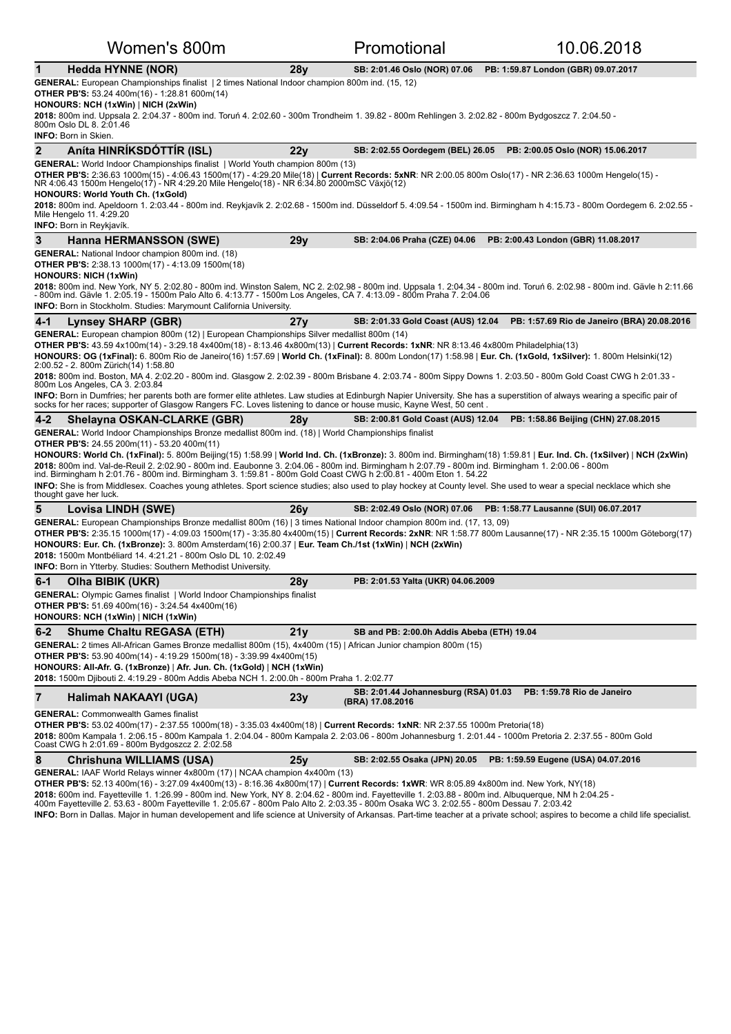|                | Women's 800m                                                                                                                                                                                                                                                                                                                                                                                                                                                                                                                                                                                                                                                                                                                                                                                                                                                                                                                                          |     | Promotional                                              | 10.06.2018                                  |
|----------------|-------------------------------------------------------------------------------------------------------------------------------------------------------------------------------------------------------------------------------------------------------------------------------------------------------------------------------------------------------------------------------------------------------------------------------------------------------------------------------------------------------------------------------------------------------------------------------------------------------------------------------------------------------------------------------------------------------------------------------------------------------------------------------------------------------------------------------------------------------------------------------------------------------------------------------------------------------|-----|----------------------------------------------------------|---------------------------------------------|
| $\mathbf{1}$   | <b>Hedda HYNNE (NOR)</b>                                                                                                                                                                                                                                                                                                                                                                                                                                                                                                                                                                                                                                                                                                                                                                                                                                                                                                                              | 28y | SB: 2:01.46 Oslo (NOR) 07.06                             | PB: 1:59.87 London (GBR) 09.07.2017         |
|                | GENERAL: European Championships finalist   2 times National Indoor champion 800m ind. (15, 12)<br><b>OTHER PB'S:</b> 53.24 400m(16) - 1:28.81 600m(14)<br>HONOURS: NCH (1xWin)   NICH (2xWin)<br>2018: 800m ind. Uppsala 2. 2:04.37 - 800m ind. Toruń 4. 2:02.60 - 300m Trondheim 1. 39.82 - 800m Rehlingen 3. 2:02.82 - 800m Bydgoszcz 7. 2:04.50 -<br>800m Oslo DL 8. 2:01.46<br><b>INFO: Born in Skien.</b>                                                                                                                                                                                                                                                                                                                                                                                                                                                                                                                                        |     |                                                          |                                             |
| $\overline{2}$ | Aníta HINRÍKSDÓTTÍR (ISL)                                                                                                                                                                                                                                                                                                                                                                                                                                                                                                                                                                                                                                                                                                                                                                                                                                                                                                                             | 22y | SB: 2:02.55 Oordegem (BEL) 26.05                         | PB: 2:00.05 Oslo (NOR) 15.06.2017           |
|                | <b>GENERAL:</b> World Indoor Championships finalist   World Youth champion 800m (13)<br>OTHER PB'S: 2:36.63 1000m(15) - 4:06.43 1500m(17) - 4:29.20 Mile(18)   Current Records: 5xNR: NR 2:00.05 800m Oslo(17) - NR 2:36.63 1000m Hengelo(15) -<br>NR 4:06.43 1500m Hengelo(17) - NR 4:29.20 Mile Hengelo(18) - NR 6:34.80 2000mSC Växjö(12)<br><b>HONOURS: World Youth Ch. (1xGold)</b><br>2018: 800m ind. Apeldoorn 1. 2:03.44 - 800m ind. Reykjavík 2. 2:02.68 - 1500m ind. Düsseldorf 5. 4:09.54 - 1500m ind. Birmingham h 4:15.73 - 800m Oordegem 6. 2:02.55 -<br>Mile Hengelo 11. 4:29.20<br><b>INFO:</b> Born in Reykjavík.                                                                                                                                                                                                                                                                                                                    |     |                                                          |                                             |
| 3              | <b>Hanna HERMANSSON (SWE)</b>                                                                                                                                                                                                                                                                                                                                                                                                                                                                                                                                                                                                                                                                                                                                                                                                                                                                                                                         | 29y | SB: 2:04.06 Praha (CZE) 04.06                            | PB: 2:00.43 London (GBR) 11.08.2017         |
|                | <b>GENERAL:</b> National Indoor champion 800m ind. (18)<br><b>OTHER PB'S:</b> 2:38.13 1000m(17) - 4:13.09 1500m(18)<br><b>HONOURS: NICH (1xWin)</b><br>2018: 800m ind. New York, NY 5. 2:02.80 - 800m ind. Winston Salem, NC 2. 2:02.98 - 800m ind. Uppsala 1. 2:04.34 - 800m ind. Toruń 6. 2:02.98 - 800m ind. Gävle h 2:11.66<br>- 800m ind. Gävle 1. 2:05.19 - 1500m Palo Alto 6. 4:13.77 - 1500m Los Angeles, CA 7. 4:13.09 - 800m Praha 7. 2:04.06<br><b>INFO:</b> Born in Stockholm. Studies: Marymount California University.                                                                                                                                                                                                                                                                                                                                                                                                                  |     |                                                          |                                             |
| $4 - 1$        | <b>Lynsey SHARP (GBR)</b>                                                                                                                                                                                                                                                                                                                                                                                                                                                                                                                                                                                                                                                                                                                                                                                                                                                                                                                             | 27y | SB: 2:01.33 Gold Coast (AUS) 12.04                       | PB: 1:57.69 Rio de Janeiro (BRA) 20.08.2016 |
|                | GENERAL: European champion 800m (12)   European Championships Silver medallist 800m (14)<br>OTHER PB'S: 43.59 4x100m(14) - 3:29.18 4x400m(18) - 8:13.46 4x800m(13)   Current Records: 1xNR: NR 8:13.46 4x800m Philadelphia(13)<br>HONOURS: OG (1xFinal): 6. 800m Rio de Janeiro(16) 1:57.69   World Ch. (1xFinal): 8. 800m London(17) 1:58.98   Eur. Ch. (1xGold, 1xSilver): 1. 800m Helsinki(12)<br>2:00.52 - 2. 800m Zürich(14) 1:58.80<br>2018: 800m ind. Boston, MA 4. 2:02.20 - 800m ind. Glasgow 2. 2:02.39 - 800m Brisbane 4. 2:03.74 - 800m Sippy Downs 1. 2:03.50 - 800m Gold Coast CWG h 2:01.33 -<br>800m Los Angeles, CA 3. 2:03.84<br>INFO: Born in Dumfries; her parents both are former elite athletes. Law studies at Edinburgh Napier University. She has a superstition of always wearing a specific pair of<br>socks for her races; supporter of Glasgow Rangers FC. Loves listening to dance or house music, Kayne West, 50 cent. |     |                                                          |                                             |
| $4 - 2$        | Shelayna OSKAN-CLARKE (GBR)                                                                                                                                                                                                                                                                                                                                                                                                                                                                                                                                                                                                                                                                                                                                                                                                                                                                                                                           | 28y | SB: 2:00.81 Gold Coast (AUS) 12.04                       | PB: 1:58.86 Beijing (CHN) 27.08.2015        |
|                | <b>GENERAL:</b> World Indoor Championships Bronze medallist 800m ind. (18)   World Championships finalist<br><b>OTHER PB'S:</b> 24.55 200m(11) - 53.20 400m(11)<br>HONOURS: World Ch. (1xFinal): 5. 800m Beijing(15) 1:58.99   World Ind. Ch. (1xBronze): 3. 800m ind. Birmingham(18) 1:59.81   Eur. Ind. Ch. (1xSilver)   NCH (2xWin)<br>2018: 800m ind. Val-de-Reuil 2. 2:02.90 - 800m ind. Eaubonne 3. 2:04.06 - 800m ind. Birmingham h 2:07.79 - 800m ind. Birmingham 1. 2:00.06 - 800m<br>ind. Birmingham h 2:01.76 - 800m ind. Birmingham 3. 1:59.81 - 800m Gold Coast CWG h 2:00.81 - 400m Eton 1. 54.22<br><b>INFO:</b> She is from Middlesex. Coaches young athletes. Sport science studies; also used to play hockey at County level. She used to wear a special necklace which she<br>thought gave her luck.                                                                                                                               |     |                                                          |                                             |
| 5              | Lovisa LINDH (SWE)                                                                                                                                                                                                                                                                                                                                                                                                                                                                                                                                                                                                                                                                                                                                                                                                                                                                                                                                    | 26y | SB: 2:02.49 Oslo (NOR) 07.06                             | PB: 1:58.77 Lausanne (SUI) 06.07.2017       |
|                | GENERAL: European Championships Bronze medallist 800m (16)   3 times National Indoor champion 800m ind. (17, 13, 09)<br>OTHER PB'S: 2:35.15 1000m(17) - 4:09.03 1500m(17) - 3:35.80 4x400m(15)   Current Records: 2xNR: NR 1:58.77 800m Lausanne(17) - NR 2:35.15 1000m Göteborg(17)<br>HONOURS: Eur. Ch. (1xBronze): 3. 800m Amsterdam(16) 2:00.37   Eur. Team Ch./1st (1xWin)   NCH (2xWin)<br>2018: 1500m Montbéliard 14. 4:21.21 - 800m Oslo DL 10. 2:02.49<br><b>INFO:</b> Born in Ytterby. Studies: Southern Methodist University.                                                                                                                                                                                                                                                                                                                                                                                                              |     |                                                          |                                             |
| $6 - 1$        | Olha BIBIK (UKR)                                                                                                                                                                                                                                                                                                                                                                                                                                                                                                                                                                                                                                                                                                                                                                                                                                                                                                                                      | 28y | PB: 2:01.53 Yalta (UKR) 04.06.2009                       |                                             |
|                | <b>GENERAL:</b> Olympic Games finalist   World Indoor Championships finalist<br>OTHER PB'S: 51.69 400m(16) - 3:24.54 4x400m(16)<br>HONOURS: NCH (1xWin)   NICH (1xWin)                                                                                                                                                                                                                                                                                                                                                                                                                                                                                                                                                                                                                                                                                                                                                                                |     |                                                          |                                             |
| $6 - 2$        | <b>Shume Chaltu REGASA (ETH)</b>                                                                                                                                                                                                                                                                                                                                                                                                                                                                                                                                                                                                                                                                                                                                                                                                                                                                                                                      | 21y | SB and PB: 2:00.0h Addis Abeba (ETH) 19.04               |                                             |
|                | GENERAL: 2 times All-African Games Bronze medallist 800m (15), 4x400m (15)   African Junior champion 800m (15)<br><b>OTHER PB'S:</b> 53.90 400m(14) - 4:19.29 1500m(18) - 3:39.99 4x400m(15)<br>HONOURS: All-Afr. G. (1xBronze)   Afr. Jun. Ch. (1xGold)   NCH (1xWin)<br>2018: 1500m Djibouti 2. 4:19.29 - 800m Addis Abeba NCH 1. 2:00.0h - 800m Praha 1. 2:02.77                                                                                                                                                                                                                                                                                                                                                                                                                                                                                                                                                                                   |     |                                                          |                                             |
| $\overline{7}$ | Halimah NAKAAYI (UGA)                                                                                                                                                                                                                                                                                                                                                                                                                                                                                                                                                                                                                                                                                                                                                                                                                                                                                                                                 | 23y | SB: 2:01.44 Johannesburg (RSA) 01.03<br>(BRA) 17.08.2016 | PB: 1:59.78 Rio de Janeiro                  |
|                | <b>GENERAL:</b> Commonwealth Games finalist<br><b>OTHER PB'S:</b> 53.02 400m(17) - 2:37.55 1000m(18) - 3:35.03 4x400m(18)   Current Records: 1xNR: NR 2:37.55 1000m Pretoria(18)<br>2018: 800m Kampala 1. 2:06.15 - 800m Kampala 1. 2:04.04 - 800m Kampala 2. 2:03.06 - 800m Johannesburg 1. 2:01.44 - 1000m Pretoria 2. 2:37.55 - 800m Gold<br>Coast CWG h 2:01.69 - 800m Bydgoszcz 2. 2:02.58                                                                                                                                                                                                                                                                                                                                                                                                                                                                                                                                                       |     |                                                          |                                             |
| 8              | Chrishuna WILLIAMS (USA)<br>GENERAL: IAAF World Relays winner 4x800m (17)   NCAA champion 4x400m (13)                                                                                                                                                                                                                                                                                                                                                                                                                                                                                                                                                                                                                                                                                                                                                                                                                                                 | 25y | SB: 2:02.55 Osaka (JPN) 20.05                            | PB: 1:59.59 Eugene (USA) 04.07.2016         |

OTHER PB'S: 52.13 400m(16) - 3:27.09 4x400m(13) - 8:16.36 4x800m(17) | Current Records: 1xWR: WR 8:05.89 4x800m ind. New York, NY(18)

**2018:** 600m ind. Fayetteville 1. 1:26.99 - 800m ind. New York, NY 8. 2:04.62 - 800m ind. Fayetteville 1. 2:03.88 - 800m ind. Albuquerque, NM h 2:04.25 -<br>400m Fayetteville 2. 53.63 - 800m Fayetteville 1. 2:05.67 - 800m Pal

INFO: Born in Dallas. Major in human developement and life science at University of Arkansas. Part-time teacher at a private school; aspires to become a child life specialist.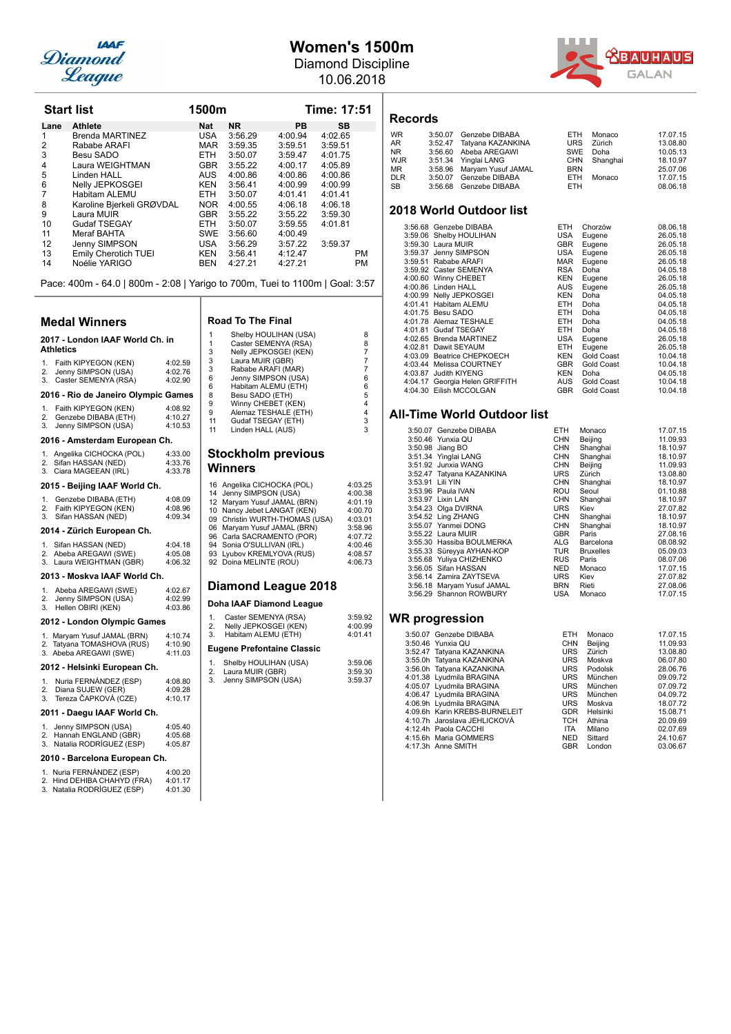

## **Women's 1500m**

Diamond Discipline 10.06.2018



|      | <b>Start list</b>         | 1500m      |           |         | Time: 17:51 |  |  |
|------|---------------------------|------------|-----------|---------|-------------|--|--|
| Lane | <b>Athlete</b>            | Nat        | <b>NR</b> | PВ      | <b>SB</b>   |  |  |
|      | Brenda MARTINEZ           | <b>USA</b> | 3:56.29   | 4:00.94 | 4:02.65     |  |  |
| 2    | Rababe ARAFI              | <b>MAR</b> | 3:59.35   | 3:59.51 | 3:59.51     |  |  |
| 3    | Besu SADO                 | <b>ETH</b> | 3:50.07   | 3:59.47 | 4:01.75     |  |  |
| 4    | Laura WEIGHTMAN           | <b>GBR</b> | 3:55.22   | 4:00.17 | 4:05.89     |  |  |
| 5    | Linden HALL               | AUS.       | 4:00.86   | 4:00.86 | 4:00.86     |  |  |
| 6    | Nelly JEPKOSGEI           | KEN        | 3:56.41   | 4:00.99 | 4:00.99     |  |  |
| 7    | Habitam ALEMU             | <b>ETH</b> | 3:50.07   | 4:01.41 | 4:01.41     |  |  |
| 8    | Karoline Bjerkeli GRØVDAL | NOR.       | 4:00.55   | 4:06.18 | 4:06.18     |  |  |
| 9    | Laura MUIR                | <b>GBR</b> | 3:55.22   | 3:55.22 | 3:59.30     |  |  |
| 10   | <b>Gudaf TSEGAY</b>       | <b>ETH</b> | 3:50.07   | 3:59.55 | 4:01.81     |  |  |
| 11   | Meraf BAHTA               | <b>SWE</b> | 3:56.60   | 4:00.49 |             |  |  |
| 12   | Jenny SIMPSON             | USA        | 3:56.29   | 3:57.22 | 3:59.37     |  |  |
| 13   | Emily Cherotich TUEI      | KEN        | 3:56.41   | 4:12.47 | <b>PM</b>   |  |  |
| 14   | Noélie YARIGO             | <b>BEN</b> | 4:27.21   | 4:27.21 | PM          |  |  |

Pace: 400m - 64.0 | 800m - 2:08 | Yarigo to 700m, Tuei to 1100m | Goal: 3:57

### **Medal Winners**

### 2017 - London IAAF World Ch. in **Athletics**

| 1. Faith KIPYEGON (KEN)<br>2. Jenny SIMPSON (USA)<br>3. Caster SEMENYA (RSA) | 4:02.59<br>4:02.76<br>4:02.90 |
|------------------------------------------------------------------------------|-------------------------------|
|                                                                              |                               |

### **2016 - Rio de Janeiro Olympic Games**

| 1.<br>2.<br>3.                | Faith KIPYEGON (KEN)<br>Genzebe DIBABA (ETH)<br>Jenny SIMPSON (USA) | 4:08.92<br>4:10.27<br>4:10.53 |  |  |
|-------------------------------|---------------------------------------------------------------------|-------------------------------|--|--|
| 2016 - Amsterdam European Ch. |                                                                     |                               |  |  |
|                               | 1. Angelika CICHOCKA (POL)                                          | 4:33.00                       |  |  |
|                               | 2. Sifan HASSAN (NED)                                               | 4:33.76                       |  |  |

| 2015 - Beijing IAAF World Ch.                                      |                                                                                   |  |  |  |
|--------------------------------------------------------------------|-----------------------------------------------------------------------------------|--|--|--|
| Genzebe DIBABA (ETH)<br>Faith KIPYEGON (KEN)<br>Sifan HASSAN (NED) | 4:08.09<br>4:08.96<br>4:09.34                                                     |  |  |  |
| 2014 - Zürich European Ch.                                         |                                                                                   |  |  |  |
|                                                                    | 4:04.18<br>4:05.08<br>4:06.32                                                     |  |  |  |
|                                                                    | 2.<br>1. Sifan HASSAN (NED)<br>2. Abeba AREGAWI (SWE)<br>3. Laura WEIGHTMAN (GBR) |  |  |  |

1. Abeba AREGAWI (SWE) 4:02.67<br>
2. Jenny SIMPSON (USA) 4:02.99<br>
3. Hellen OBIRI (KEN) 4:03.86 2. Jenny SIMPSON (USA) 4:02.99<br>3. Hellen OBIRI (KEN) 4:03.86

### **2012 - London Olympic Games**

| 1. Maryam Yusuf JAMAL (BRN)<br>2. Tatyana TOMASHOVA (RUS)<br>3. Abeba AREGAWI (SWE) | 4:10.74<br>4:10.90<br>4:11.03 |
|-------------------------------------------------------------------------------------|-------------------------------|
|                                                                                     |                               |

### 2012 - Helsinki European Ch.

| 1 <sub>1</sub> | Nuria FERNÁNDEZ (ESP)   | 4:08.80 |
|----------------|-------------------------|---------|
| 2.             | Diana SUJEW (GER)       | 4:09.28 |
|                | 3. Tereza ČAPKOVÁ (CZE) | 4:10.17 |

### **2011 - Daegu IAAF World Ch.**

| ZU I I - Daegu IAAF WUNG CII. |                            |         |
|-------------------------------|----------------------------|---------|
|                               | 1. Jenny SIMPSON (USA)     | 4:05.40 |
|                               | 2. Hannah ENGLAND (GBR)    | 4:05.68 |
|                               | 3. Natalia RODRÍGUEZ (ESP) | 4:05.87 |

### 2010 - Barcelona European Ch.

| 1. Nuria FERNÁNDEZ (ESP)    | 4:00.20 |
|-----------------------------|---------|
| 2. Hind DEHIBA CHAHYD (FRA) | 4:01.17 |
| 3. Natalia RODRÍGUEZ (ESP)  | 4:01.30 |

| <b>Road To The Final</b>            |                       |   |  |
|-------------------------------------|-----------------------|---|--|
| 1                                   | Shelby HOULIHAN (USA) | 8 |  |
| 1                                   | Caster SEMENYA (RSA)  | 8 |  |
| 3                                   | Nelly JEPKOSGEI (KEN) | 7 |  |
| 3                                   | Laura MUIR (GBR)      | 7 |  |
| 3                                   | Rababe ARAFI (MAR)    | 7 |  |
| 6                                   | Jenny SIMPSON (USA)   | 6 |  |
| 6                                   | Habitam ALEMU (ETH)   | 6 |  |
| 8                                   | Besu SADO (ETH)       | 5 |  |
| 9                                   | Winny CHEBET (KEN)    | 4 |  |
| 9                                   | Alemaz TESHALE (ETH)  | 4 |  |
| 11                                  | Gudaf TSEGAY (ETH)    | 3 |  |
| 11                                  | Linden HALL (AUS)     | 3 |  |
| ومساويه ويستحدث والمستقاد والمناسبة |                       |   |  |

### **Stockholm previous Winners**

|  | 16 Angelika CICHOCKA (POL)     | 4:03.25 |
|--|--------------------------------|---------|
|  | 14 Jenny SIMPSON (USA)         | 4:00.38 |
|  | 12 Maryam Yusuf JAMAL (BRN)    | 4:01.19 |
|  | 10 Nancy Jebet LANGAT (KEN)    | 4:00.70 |
|  | 09 Christin WURTH-THOMAS (USA) | 4:03.01 |
|  | 06 Maryam Yusuf JAMAL (BRN)    | 3:58.96 |
|  | 96 Carla SACRAMENTO (POR)      | 4:07.72 |
|  | 94 Sonia O'SULLIVAN (IRL)      | 4:00.46 |
|  | 93 Lyubov KREMLYOVA (RUS)      | 4:08.57 |
|  | 92 Doina MELINTE (ROU)         | 4:06.73 |
|  |                                |         |

### **Diamond League 2018**

### **Doha IAAF Diamond League**

| 1.<br>2.<br>3.             | Caster SEMENYA (RSA)<br>Nelly JEPKOSGEI (KEN)<br>Habitam ALEMU (ETH) | 3:59.92<br>4:00.99<br>4:01.41 |  |
|----------------------------|----------------------------------------------------------------------|-------------------------------|--|
| Eugene Prefontaine Classic |                                                                      |                               |  |
| 1.                         | Shelby HOULIHAN (USA)                                                | 3:59.06                       |  |

| 2. | Laura MUIR (GBR)    | 3:59.30 |
|----|---------------------|---------|
| 3. | Jenny SIMPSON (USA) | 3:59.37 |
|    |                     |         |

### **Records**

### WR 3:50.07 Genzebe DIBABA ETH Monaco 17.07.15<br>
AR 3:52.47 Tatyana KAZANKINA URS Zürich 13.08.80<br>
NR 3:56.60 Abeba AREGAWI SWE Doha 10.05.13<br>
WJR 3:51.34 Yinglai LANG CHN Shanghai 18.10.97 AR 3:52.47 Tatyana KAZANKINA URS Zürich 13.08.80 NR 3:56.60 Abeba AREGAWI SWE Doha 10.05.13 WJR 3:51.34 Yinglai LANG CHN Shanghai 18.10.67 MR 3:58.96 Maryam Yusuf JAMAL BRN 3.16.97.06 25.07.06<br>DLR 3:50.07 Genzebe DIBABA ETH Monaco 17.07.15 DLR 3:50.07 Genzebe DIBABA ETH Monaco 17.07.15 SB 3:56.68 Genzebe DIBABA ETH 08.06.18

### **2018 World Outdoor list**

|         | 3:56.68 Genzebe DIBABA         | ETH        | Chorzów    | 08.06.18 |
|---------|--------------------------------|------------|------------|----------|
|         | 3:59.06 Shelby HOULIHAN        | USA        | Eugene     | 26.05.18 |
|         | 3:59.30 Laura MUIR             | <b>GBR</b> | Eugene     | 26.05.18 |
|         | 3:59.37 Jenny SIMPSON          | USA        | Eugene     | 26.05.18 |
|         | 3:59.51 Rababe ARAFI           | <b>MAR</b> | Eugene     | 26.05.18 |
|         | 3:59.92 Caster SEMENYA         | <b>RSA</b> | Doha       | 04.05.18 |
|         | 4:00.60 Winny CHEBET           | <b>KEN</b> | Eugene     | 26.05.18 |
|         | 4:00.86 Linden HALL            | <b>AUS</b> | Eugene     | 26.05.18 |
|         | 4:00.99 Nelly JEPKOSGEI        | <b>KEN</b> | Doha       | 04.05.18 |
|         | 4:01.41 Habitam ALEMU          | <b>ETH</b> | Doha       | 04.05.18 |
|         | 4:01.75 Besu SADO              | <b>ETH</b> | Doha       | 04.05.18 |
|         | 4:01.78 Alemaz TESHALE         | <b>ETH</b> | Doha       | 04.05.18 |
|         | 4:01.81 Gudaf TSEGAY           | <b>ETH</b> | Doha       | 04.05.18 |
|         | 4:02.65 Brenda MARTINEZ        | USA        | Eugene     | 26.05.18 |
|         | 4:02.81 Dawit SEYAUM           | ETH.       | Eugene     | 26.05.18 |
|         | 4:03.09 Beatrice CHEPKOECH     | <b>KEN</b> | Gold Coast | 10.04.18 |
|         | 4:03.44 Melissa COURTNEY       | <b>GBR</b> | Gold Coast | 10.04.18 |
| 4:03.87 | Judith KIYENG                  | <b>KEN</b> | Doha       | 04.05.18 |
|         | 4:04.17 Georgia Helen GRIFFITH | <b>AUS</b> | Gold Coast | 10.04.18 |
|         | 4:04.30 Eilish MCCOLGAN        | GBR        | Gold Coast | 10.04.18 |

### **All-Time World Outdoor list**

|                  | 3:50.07 Genzebe DIBABA     | ETH.       | Monaco           | 17.07.15 |
|------------------|----------------------------|------------|------------------|----------|
|                  | 3:50.46 Yunxia QU          | CHN        | Beijing          | 11.09.93 |
|                  | 3:50.98 Jiang BO           | <b>CHN</b> | Shanghai         | 18.10.97 |
|                  | 3:51.34 Yinglai LANG       | <b>CHN</b> | Shanghai         | 18.10.97 |
|                  | 3:51.92 Junxia WANG        | <b>CHN</b> | Beijing          | 11.09.93 |
|                  | 3:52.47 Tatyana KAZANKINA  | <b>URS</b> | Zürich           | 13.08.80 |
| 3:53.91 Lili YIN |                            | <b>CHN</b> | Shanghai         | 18.10.97 |
|                  | 3:53.96 Paula IVAN         | ROU        | Seoul            | 01.10.88 |
|                  | 3:53.97 Lixin LAN          | <b>CHN</b> | Shanghai         | 18.10.97 |
|                  | 3:54.23 Olga DVIRNA        | URS        | Kiev             | 27.07.82 |
|                  | 3:54.52 Ling ZHANG         | CHN        | Shanghai         | 18.10.97 |
|                  | 3:55.07 Yanmei DONG        | <b>CHN</b> | Shanghai         | 18.10.97 |
|                  | 3:55.22 Laura MUIR         | <b>GBR</b> | Paris            | 27.08.16 |
|                  | 3:55.30 Hassiba BOULMERKA  | ALG        | Barcelona        | 08.08.92 |
|                  | 3:55.33 Süreyya AYHAN-KOP  | TUR        | <b>Bruxelles</b> | 05.09.03 |
|                  | 3:55.68 Yuliya CHIZHENKO   | <b>RUS</b> | Paris            | 08.07.06 |
|                  | 3:56.05 Sifan HASSAN       | NED        | Monaco           | 17.07.15 |
|                  | 3:56.14 Zamira ZAYTSEVA    | URS        | Kiev             | 27.07.82 |
|                  | 3:56.18 Maryam Yusuf JAMAL | BRN        | Rieti            | 27.08.06 |
|                  | 3:56.29 Shannon ROWBURY    | USA        | Monaco           | 17.07.15 |
|                  |                            |            |                  |          |

|  | 3:50.07 Genzebe DIBABA        | <b>ETH</b> | Monaco   | 17.07.15 |
|--|-------------------------------|------------|----------|----------|
|  | 3:50.46 Yunxia QU             | <b>CHN</b> | Beijing  | 11.09.93 |
|  | 3:52.47 Tatyana KAZANKINA     | <b>URS</b> | Zürich   | 13.08.80 |
|  | 3:55.0h Tatyana KAZANKINA     | <b>URS</b> | Moskva   | 06.07.80 |
|  | 3:56.0h Tatyana KAZANKINA     | URS        | Podolsk  | 28.06.76 |
|  | 4:01.38 Lyudmila BRAGINA      | URS        | München  | 09.09.72 |
|  | 4:05.07 Lyudmila BRAGINA      | URS        | München  | 07.09.72 |
|  | 4:06.47 Lyudmila BRAGINA      | <b>URS</b> | München  | 04.09.72 |
|  | 4:06.9h Lyudmila BRAGINA      | URS.       | Moskva   | 18.07.72 |
|  | 4:09.6h Karin KREBS-BURNELEIT | <b>GDR</b> | Helsinki | 15.08.71 |
|  | 4:10.7h Jaroslava JEHLICKOVÁ  | <b>TCH</b> | Athina   | 20.09.69 |
|  | 4:12.4h Paola CACCHI          | <b>ITA</b> | Milano   | 02.07.69 |
|  | 4:15.6h Maria GOMMERS         | <b>NED</b> | Sittard  | 24.10.67 |
|  | 4:17.3h Anne SMITH            | <b>GBR</b> | London   | 03.06.67 |
|  |                               |            |          |          |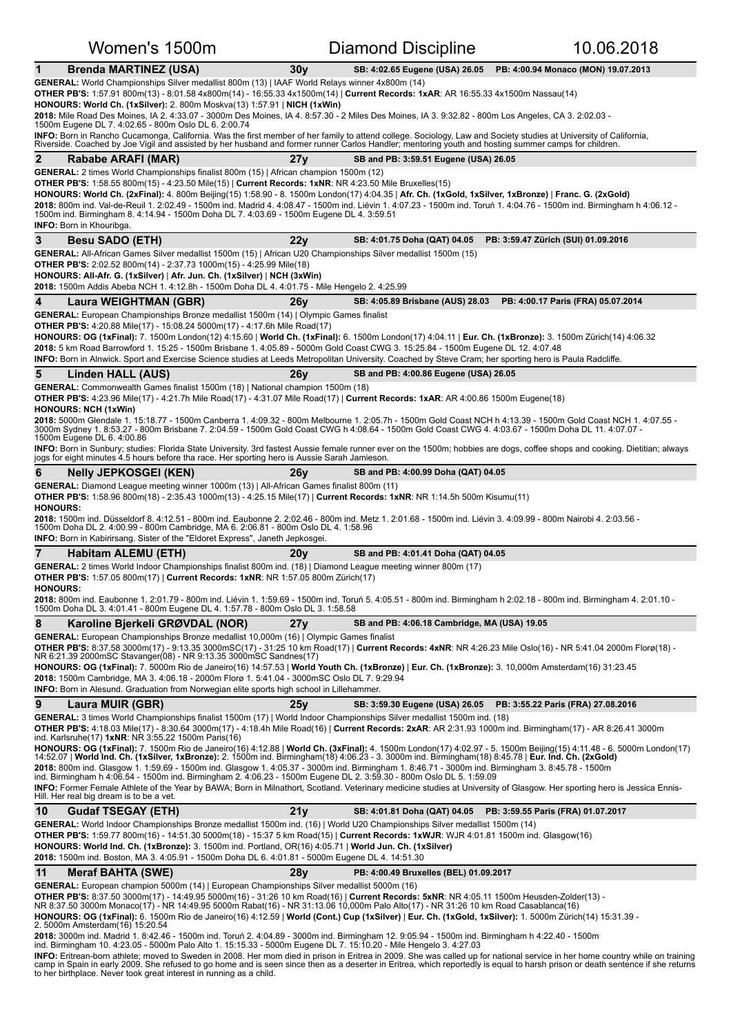| Women's 1500m                                                                                                                                                                                                                                                                                                                                      |                 | <b>Diamond Discipline</b>                                       | 10.06.2018                          |
|----------------------------------------------------------------------------------------------------------------------------------------------------------------------------------------------------------------------------------------------------------------------------------------------------------------------------------------------------|-----------------|-----------------------------------------------------------------|-------------------------------------|
| <b>Brenda MARTINEZ (USA)</b><br>1                                                                                                                                                                                                                                                                                                                  | 30 <sub>V</sub> | SB: 4:02.65 Eugene (USA) 26.05                                  | PB: 4:00.94 Monaco (MON) 19.07.2013 |
| GENERAL: World Championships Silver medallist 800m (13)   IAAF World Relays winner 4x800m (14)                                                                                                                                                                                                                                                     |                 |                                                                 |                                     |
| OTHER PB'S: 1:57.91 800m(13) - 8:01.58 4x800m(14) - 16:55.33 4x1500m(14)   Current Records: 1xAR: AR 16:55.33 4x1500m Nassau(14)<br>HONOURS: World Ch. (1xSilver): 2. 800m Moskva(13) 1:57.91   NICH (1xWin)                                                                                                                                       |                 |                                                                 |                                     |
| 2018: Mile Road Des Moines, IA 2. 4:33.07 - 3000m Des Moines, IA 4. 8:57.30 - 2 Miles Des Moines, IA 3. 9:32.82 - 800m Los Angeles, CA 3. 2:02.03 -<br>1500m Eugene DL 7. 4:02.65 - 800m Oslo DL 6. 2:00.74                                                                                                                                        |                 |                                                                 |                                     |
| INFO: Born in Rancho Cucamonga, California. Was the first member of her family to attend college. Sociology, Law and Society studies at University of California,<br>Riverside. Coached by Joe Vigil and assisted by her husband and former runner Carlos Handler; mentoring youth and hosting summer camps for children.                          |                 |                                                                 |                                     |
| $\mathbf{2}$<br>Rababe ARAFI (MAR)                                                                                                                                                                                                                                                                                                                 | 27y             | SB and PB: 3:59.51 Eugene (USA) 26.05                           |                                     |
| <b>GENERAL:</b> 2 times World Championships finalist 800m (15)   African champion 1500m (12)                                                                                                                                                                                                                                                       |                 |                                                                 |                                     |
| <b>OTHER PB'S:</b> $1:58.55800$ m(15) - $4:23.50$ Mile(15)   Current Records: $1xNR$ : NR $4:23.50$ Mile Bruxelles(15)<br>HONOURS: World Ch. (2xFinal): 4. 800m Beijing(15) 1:58.90 - 8. 1500m London(17) 4:04.35   Afr. Ch. (1xGold, 1xSilver, 1xBronze)   Franc. G. (2xGold)                                                                     |                 |                                                                 |                                     |
| 2018: 800m ind. Val-de-Reuil 1. 2:02.49 - 1500m ind. Madrid 4. 4:08.47 - 1500m ind. Liévin 1. 4:07.23 - 1500m ind. Toruń 1. 4:04.76 - 1500m ind. Birmingham h 4:06.12 -<br>1500m ind. Birmingham 8. 4:14.94 - 1500m Doha DL 7. 4:03.69 - 1500m Eugene DL 4. 3:59.51                                                                                |                 |                                                                 |                                     |
| <b>INFO:</b> Born in Khouribga.                                                                                                                                                                                                                                                                                                                    |                 |                                                                 |                                     |
| 3<br><b>Besu SADO (ETH)</b>                                                                                                                                                                                                                                                                                                                        | 22y             | SB: 4:01.75 Doha (QAT) 04.05                                    | PB: 3:59.47 Zürich (SUI) 01.09.2016 |
| GENERAL: All-African Games Silver medallist 1500m (15)   African U20 Championships Silver medallist 1500m (15)<br><b>OTHER PB'S:</b> 2:02.52 800m(14) - 2:37.73 1000m(15) - 4:25.99 Mile(18)                                                                                                                                                       |                 |                                                                 |                                     |
| HONOURS: All-Afr. G. (1xSilver)   Afr. Jun. Ch. (1xSilver)   NCH (3xWin)                                                                                                                                                                                                                                                                           |                 |                                                                 |                                     |
| 2018: 1500m Addis Abeba NCH 1. 4:12.8h - 1500m Doha DL 4. 4:01.75 - Mile Hengelo 2. 4:25.99                                                                                                                                                                                                                                                        |                 |                                                                 |                                     |
| 4<br>Laura WEIGHTMAN (GBR)<br><b>GENERAL:</b> European Championships Bronze medallist 1500m (14)   Olympic Games finalist                                                                                                                                                                                                                          | 26v             | SB: 4:05.89 Brisbane (AUS) 28.03                                | PB: 4:00.17 Paris (FRA) 05.07.2014  |
| <b>OTHER PB'S:</b> 4:20.88 Mile(17) - 15:08.24 5000m(17) - 4:17.6h Mile Road(17)                                                                                                                                                                                                                                                                   |                 |                                                                 |                                     |
| HONOURS: OG (1xFinal): 7. 1500m London(12) 4:15.60   World Ch. (1xFinal): 6. 1500m London(17) 4:04.11   Eur. Ch. (1xBronze): 3. 1500m Zürich(14) 4:06.32<br>2018: 5 km Road Barrowford 1. 15:25 - 1500m Brisbane 1. 4:05.89 - 5000m Gold Coast CWG 3. 15:25.84 - 1500m Eugene DL 12. 4:07.48                                                       |                 |                                                                 |                                     |
| <b>INFO:</b> Born in Alnwick. Sport and Exercise Science studies at Leeds Metropolitan University. Coached by Steve Cram; her sporting hero is Paula Radcliffe.                                                                                                                                                                                    |                 |                                                                 |                                     |
| 5<br>Linden HALL (AUS)                                                                                                                                                                                                                                                                                                                             | 26v             | SB and PB: 4:00.86 Eugene (USA) 26.05                           |                                     |
| GENERAL: Commonwealth Games finalist 1500m (18)   National champion 1500m (18)<br>OTHER PB'S: 4:23.96 Mile(17) - 4:21.7h Mile Road(17) - 4:31.07 Mile Road(17)   Current Records: 1xAR: AR 4:00.86 1500m Eugene(18)<br><b>HONOURS: NCH (1xWin)</b>                                                                                                 |                 |                                                                 |                                     |
| 2018: 5000m Glendale 1. 15:18.77 - 1500m Canberra 1. 4:09.32 - 800m Melbourne 1. 2:05.7h - 1500m Gold Coast NCH h 4:13.39 - 1500m Gold Coast NCH 1. 4:07.55 -<br>3000m Sydney 1. 8:53.27 - 800m Brisbane 7. 2:04.59 - 1500m Gold Coast CWG h 4:08.64 - 1500m Gold Coast CWG 4. 4:03.67 - 1500m Doha DL 11. 4:07.07 -<br>1500m Eugene DL 6. 4:00.86 |                 |                                                                 |                                     |
| INFO: Born in Sunbury; studies: Florida State University. 3rd fastest Aussie female runner ever on the 1500m; hobbies are dogs, coffee shops and cooking. Dietitian; always<br>jogs for eight minutes 4.5 hours before tha race. Her sporting hero is Aussie Sarah Jamieson.                                                                       |                 |                                                                 |                                     |
| 6<br><b>Nelly JEPKOSGEI (KEN)</b>                                                                                                                                                                                                                                                                                                                  | 26 <sub>V</sub> | SB and PB: 4:00.99 Doha (QAT) 04.05                             |                                     |
| GENERAL: Diamond League meeting winner 1000m (13)   All-African Games finalist 800m (11)<br>OTHER PB'S: 1:58.96 800m(18) - 2:35.43 1000m(13) - 4:25.15 Mile(17)   Current Records: 1xNR: NR 1:14.5h 500m Kisumu(11)                                                                                                                                |                 |                                                                 |                                     |
| <b>HONOURS:</b><br>2018: 1500m ind. Düsseldorf 8. 4:12.51 - 800m ind. Eaubonne 2. 2:02.46 - 800m ind. Metz 1. 2:01.68 - 1500m ind. Liévin 3. 4:09.99 - 800m Nairobi 4. 2:03.56 -                                                                                                                                                                   |                 |                                                                 |                                     |
| 1500m Doha DL 2. 4:00.99 - 800m Cambridge, MA 6. 2:06.81 - 800m Oslo DL 4. 1:58.96<br><b>INFO:</b> Born in Kabirirsang. Sister of the "Eldoret Express", Janeth Jepkosgei.                                                                                                                                                                         |                 |                                                                 |                                     |
| $\overline{7}$<br>Habitam ALEMU (ETH)                                                                                                                                                                                                                                                                                                              | 20y             | SB and PB: 4:01.41 Doha (QAT) 04.05                             |                                     |
| GENERAL: 2 times World Indoor Championships finalist 800m ind. (18)   Diamond League meeting winner 800m (17)                                                                                                                                                                                                                                      |                 |                                                                 |                                     |
| <b>OTHER PB'S:</b> 1:57.05 800m(17)   Current Records: 1xNR: NR 1:57.05 800m Zürich(17)<br><b>HONOURS:</b>                                                                                                                                                                                                                                         |                 |                                                                 |                                     |
| 2018: 800m ind. Eaubonne 1. 2:01.79 - 800m ind. Liévin 1. 1:59.69 - 1500m ind. Toruń 5. 4:05.51 - 800m ind. Birmingham h 2:02.18 - 800m ind. Birmingham 4. 2:01.10 -<br>1500m Doha DL 3. 4:01.41 - 800m Eugene DL 4. 1:57.78 - 800m Oslo DL 3. 1:58.58                                                                                             |                 |                                                                 |                                     |
| 8<br>Karoline Bjerkeli GRØVDAL (NOR)                                                                                                                                                                                                                                                                                                               | 27y             | SB and PB: 4:06.18 Cambridge, MA (USA) 19.05                    |                                     |
| GENERAL: European Championships Bronze medallist 10,000m (16)   Olympic Games finalist<br>OTHER PB'S: 8:37.58 3000m(17) - 9:13.35 3000mSC(17) - 31:25 10 km Road(17)   Current Records: 4xNR: NR 4:26.23 Mile Oslo(16) - NR 5:41.04 2000m Florø(18) -                                                                                              |                 |                                                                 |                                     |
| NR 6:21.39 2000mSC Stavanger(08) - NR 9:13.35 3000mSC Sandnes(17)                                                                                                                                                                                                                                                                                  |                 |                                                                 |                                     |
| HONOURS: OG (1xFinal): 7. 5000m Rio de Janeiro(16) 14:57.53   World Youth Ch. (1xBronze)   Eur. Ch. (1xBronze): 3. 10,000m Amsterdam(16) 31:23.45<br>2018: 1500m Cambridge, MA 3. 4:06.18 - 2000m Florø 1. 5:41.04 - 3000mSC Oslo DL 7. 9:29.94                                                                                                    |                 |                                                                 |                                     |
| <b>INFO:</b> Born in Alesund. Graduation from Norwegian elite sports high school in Lillehammer.                                                                                                                                                                                                                                                   |                 |                                                                 |                                     |
| 9<br>Laura MUIR (GBR)                                                                                                                                                                                                                                                                                                                              | 25v             | SB: 3:59.30 Eugene (USA) 26.05                                  | PB: 3:55.22 Paris (FRA) 27.08.2016  |
| GENERAL: 3 times World Championships finalist 1500m (17)   World Indoor Championships Silver medallist 1500m ind. (18)<br>OTHER PB'S: 4:18.03 Mile(17) - 8:30.64 3000m(17) - 4:18.4h Mile Road(16)   Current Records: 2xAR: AR 2:31.93 1000m ind. Birmingham(17) - AR 8:26.41 3000m<br>ind. Karlsruhe(17) 1xNR: NR 3:55.22 1500m Paris(16)         |                 |                                                                 |                                     |
| HONOURS: OG (1xFinal): 7. 1500m Rio de Janeiro(16) 4:12.88   World Ch. (3xFinal): 4. 1500m London(17) 4:02.97 - 5. 1500m Beijing(15) 4:11.48 - 6. 5000m London(17)<br>14:52.07   World Ind. Ch. (1xSilver, 1xBronze): 2. 1500m ind. Birmingham(18) 4:06.23 - 3. 3000m ind. Birmingham(18) 8:45.78   Eur. Ind. Ch. (2xGold)                         |                 |                                                                 |                                     |
| 2018: 800m ind. Glasgow 1. 1:59.69 - 1500m ind. Glasgow 1. 4:05.37 - 3000m ind. Birmingham 1. 8:46.71 - 3000m ind. Birmingham 3. 8:45.78 - 1500m                                                                                                                                                                                                   |                 |                                                                 |                                     |
| ind. Birmingham h 4:06.54 - 1500m ind. Birmingham 2. 4:06.23 - 1500m Eugene DL 2. 3:59.30 - 800m Oslo DL 5. 1:59.09<br>INFO: Former Female Athlete of the Year by BAWA; Born in Milnathort, Scotland. Veterinary medicine studies at University of Glasgow. Her sporting hero is Jessica Ennis-                                                    |                 |                                                                 |                                     |
| Hill. Her real big dream is to be a vet.                                                                                                                                                                                                                                                                                                           |                 |                                                                 |                                     |
| 10<br><b>Gudaf TSEGAY (ETH)</b><br>GENERAL: World Indoor Championships Bronze medallist 1500m ind. (16)   World U20 Championships Silver medallist 1500m (14)                                                                                                                                                                                      | 21y             | SB: 4:01.81 Doha (QAT) 04.05 PB: 3:59.55 Paris (FRA) 01.07.2017 |                                     |
| OTHER PB'S: 1:59.77 800m(16) - 14:51.30 5000m(18) - 15:37 5 km Road(15)   Current Records: 1xWJR: WJR 4:01.81 1500m ind. Glasgow(16)                                                                                                                                                                                                               |                 |                                                                 |                                     |
| HONOURS: World Ind. Ch. (1xBronze): 3. 1500m ind. Portland, OR(16) 4:05.71   World Jun. Ch. (1xSilver)<br>2018: 1500m ind. Boston, MA 3. 4:05.91 - 1500m Doha DL 6. 4:01.81 - 5000m Eugene DL 4. 14:51.30                                                                                                                                          |                 |                                                                 |                                     |
| 11<br><b>Meraf BAHTA (SWE)</b>                                                                                                                                                                                                                                                                                                                     | 28y             | PB: 4:00.49 Bruxelles (BEL) 01.09.2017                          |                                     |
| GENERAL: European champion 5000m (14)   European Championships Silver medallist 5000m (16)                                                                                                                                                                                                                                                         |                 |                                                                 |                                     |
| OTHER PB'S: 8:37.50 3000m(17) - 14:49.95 5000m(16) - 31:26 10 km Road(16)   Current Records: 5xNR: NR 4:05.11 1500m Heusden-Zolder(13) -<br>NR 8:37.50 3000m Monaco(17) - NR 14:49.95 5000m Rabat(16) - NR 31:13.06 10,000m Palo Alto(17) - NR 31:26 10 km Road Casablanca(16)                                                                     |                 |                                                                 |                                     |
| HONOURS: OG (1xFinal): 6. 1500m Rio de Janeiro(16) 4:12.59   World (Cont.) Cup (1xSilver)   Eur. Ch. (1xGold, 1xSilver): 1. 5000m Zürich(14) 15:31.39 -<br>2. 5000m Amsterdam(16) 15:20.54                                                                                                                                                         |                 |                                                                 |                                     |
| 2018: 3000m ind. Madrid 1. 8:42.46 - 1500m ind. Toruń 2. 4:04.89 - 3000m ind. Birmingham 12. 9:05.94 - 1500m ind. Birmingham h 4:22.40 - 1500m<br>ind. Birmingham 10. 4:23.05 - 5000m Palo Alto 1. 15:15.33 - 5000m Eugene DL 7. 15:10.20 - Mile Hengelo 3. 4:27.03                                                                                |                 |                                                                 |                                     |
| <b>INFO:</b> Eritrean-born athlete; moved to Sweden in 2008. Her mom died in prison in Eritrea in 2009. She was called up for national service in her home country while on training                                                                                                                                                               |                 |                                                                 |                                     |
| camp in Spain in early 2009. She refused to go home and is seen since then as a deserter in Eritrea, which reportedly is equal to harsh prison or death sentence if she returns<br>to her birthplace. Never took great interest in running as a child.                                                                                             |                 |                                                                 |                                     |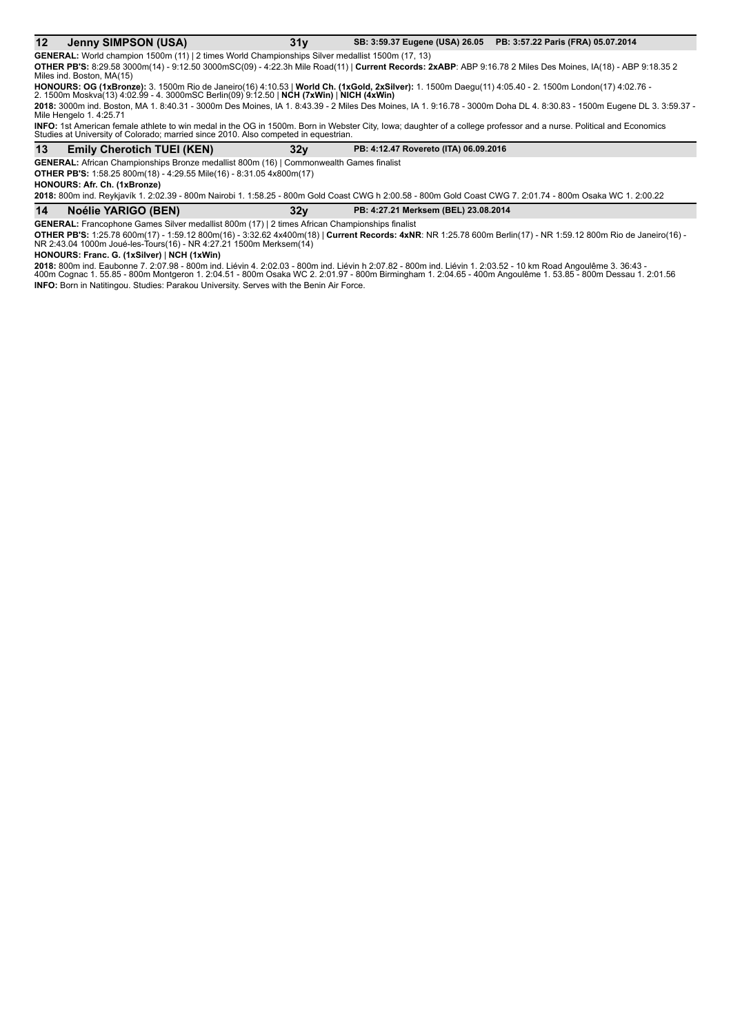### 12 Jenny SIMPSON (USA) 31y SB: 3:59.37 Eugene (USA) 26.05 PB: 3:57.22 Paris (FRA) 05.07.2014

**GENERAL:** World champion 1500m (11) | 2 times World Championships Silver medallist 1500m (17, 13) **OTHER PB'S:** 8:29.58 3000m(14) - 9:12.50 3000mSC(09) - 4:22.3h Mile Road(11) | Current Records: 2xABP: ABP 9:16.78 2 Miles Des Moines, IA(18) - ABP 9:18.35 2 Miles ind. Boston, MA(15)

**HONOURS: OG (1xBronze):** 3. 1500m Rio de Janeiro(16) 4:10.53 | **World Ch. (1xGold, 2xSilver):** 1. 1500m Daegu(11) 4:05.40 - 2. 1500m London(17) 4:02.76 -<br>2. 1500m Moskva(13) 4:02.99 - 4. 3000mSC Berlin(09) 9:12.50 | **NCH** 

**2018:** 3000m ind. Boston, MA 1. 8:40.31 - 3000m Des Moines, IA 1. 8:43.39 - 2 Miles Des Moines, IA 1. 9:16.78 - 3000m Doha DL 4. 8:30.83 - 1500m Eugene DL 3. 3:59.37 -<br>Mile Hengelo 1. 4:25.71

**INFO:** 1st American female athlete to win medal in the OG in 1500m. Born in Webster City, Iowa; daughter of a college professor and a nurse. Political and Economics<br>Studies at University of Colorado; married since 2010. A

### 13 Emily Cherotich TUEI (KEN) 32y PB: 4:12.47 Rovereto (ITA) 06.09.2016

**GENERAL:** African Championships Bronze medallist 800m (16) | Commonwealth Games finalist

**OTHER PB'S:** 1:58.25 800m(18) - 4:29.55 Mile(16) - 8:31.05 4x800m(17)

**HONOURS: Afr. Ch. (1xBronze)**

2018: 800m ind. Reykjavík 1. 2:02.39 - 800m Nairobi 1. 1:58.25 - 800m Gold Coast CWG h 2:00.58 - 800m Gold Coast CWG 7. 2:01.74 - 800m Osaka WC 1. 2:00.22

### **14 Noélie YARIGO (BEN)** 32y PB: 4:27.21 Merksem (BEL) 23.08.2014

**GENERAL:** Francophone Games Silver medallist 800m (17) | 2 times African Championships finalist

**OTHER PB'S:** 1:25.78 600m(17) - 1:59.12 800m(16) - 3:32.62 4x400m(18) | **Current Records: 4xNR**: NR 1:25.78 600m Berlin(17) - NR 1:59.12 800m Rio de Janeiro(16) -<br>NR 2:43.04 1000m Joué-les-Tours(16) - NR 4:27.21 1500m Mer

**HONOURS: Franc. G. (1xSilver)** | NCH (1xWin)

**2018:** 800m ind. Eaubonne 7. 2:07.98 - 800m ind. Liévin 4. 2:02.03 - 800m ind. Liévin h 2:07.82 - 800m ind. Liévin 1. 2:03.52 - 10 km Road Angoulême 3. 36:43 -<br>400m Cognac 1. 55.85 - 800m Montgeron 1. 2:04.51 - 800m Osaka **INFO:** Born in Natitingou. Studies: Parakou University. Serves with the Benin Air Force.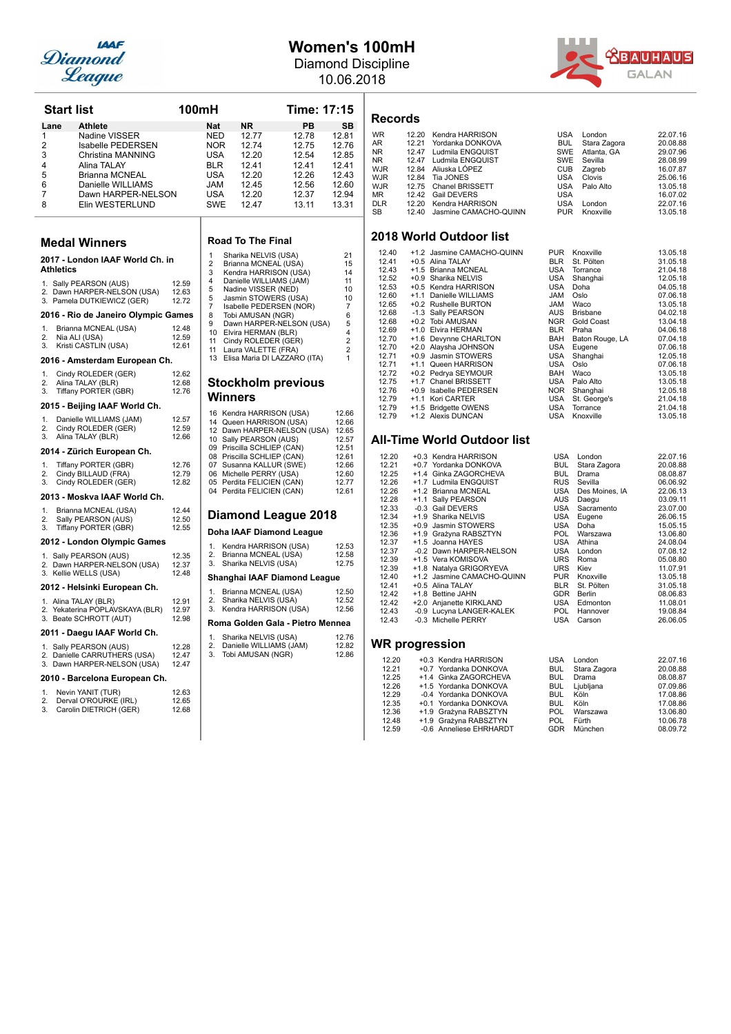

## **Women's 100mH**

Diamond Discipline 10.06.2018



| <b>Start list</b>                                                                                                                                                                                            | 100mH                   |                                                                                  |                                                                                                                                           | Time: 17:15                                                          |                                                                      |
|--------------------------------------------------------------------------------------------------------------------------------------------------------------------------------------------------------------|-------------------------|----------------------------------------------------------------------------------|-------------------------------------------------------------------------------------------------------------------------------------------|----------------------------------------------------------------------|----------------------------------------------------------------------|
| Lane<br><b>Athlete</b>                                                                                                                                                                                       |                         | <b>Nat</b>                                                                       | <b>NR</b>                                                                                                                                 | PB                                                                   | SВ                                                                   |
| Nadine VISSER<br>1<br>2<br><b>Isabelle PEDERSEN</b><br>3<br>Christina MANNING<br>4<br>Alina TALAY<br>5<br><b>Brianna MCNEAL</b><br>6<br>Danielle WILLIAMS<br>7<br>Dawn HARPER-NELSON<br>8<br>Elin WESTERLUND |                         | NED<br><b>NOR</b><br><b>USA</b><br>BLR<br>USA<br>JAM<br><b>USA</b><br><b>SWE</b> | 12.77<br>12.74<br>12.20<br>12.41<br>12.20<br>12.45<br>12.20<br>12.47                                                                      | 12.78<br>12.75<br>12.54<br>12.41<br>12.26<br>12.56<br>12.37<br>13.11 | 12.81<br>12.76<br>12.85<br>12.41<br>12.43<br>12.60<br>12.94<br>13.31 |
| <b>Medal Winners</b>                                                                                                                                                                                         |                         |                                                                                  | <b>Road To The Final</b>                                                                                                                  |                                                                      |                                                                      |
| 2017 - London IAAF World Ch. in<br><b>Athletics</b>                                                                                                                                                          |                         | 1<br>2<br>3                                                                      | Sharika NELVIS (USA)<br>Brianna MCNEAL (USA)<br>Kendra HARRISON (USA)                                                                     |                                                                      | 21<br>15<br>14                                                       |
| 1. Sally PEARSON (AUS)<br>2. Dawn HARPER-NELSON (USA)<br>3. Pamela DUTKIEWICZ (GER)                                                                                                                          | 12.59<br>12.63<br>12.72 | 4<br>5<br>5<br>7                                                                 | Danielle WILLIAMS (JAM)<br>Nadine VISSER (NED)<br>Jasmin STOWERS (USA)<br>Isabelle PEDERSEN (NOR)                                         |                                                                      | 11<br>10<br>10<br>7                                                  |
| 2016 - Rio de Janeiro Olympic Games                                                                                                                                                                          |                         | 8                                                                                | Tobi AMUSAN (NGR)                                                                                                                         |                                                                      | 6                                                                    |
| Brianna MCNEAL (USA)<br>1.<br>Nia ALI (USA)<br>2.<br>3.<br>Kristi CASTLIN (USA)<br>2016 - Amsterdam European Ch.                                                                                             | 12.48<br>12.59<br>12.61 | 9<br>10<br>11<br>11<br>13                                                        | Elvira HERMAN (BLR)<br>Cindy ROLEDER (GER)<br>Laura VALETTE (FRA)<br>Elisa Maria DI LAZZARO (ITA)                                         | Dawn HARPER-NELSON (USA)                                             | 5<br>4<br>$\overline{2}$<br>$\overline{c}$<br>1                      |
| Cindy ROLEDER (GER)<br>1.<br>2.<br>Alina TALAY (BLR)<br>3.<br>Tiffany PORTER (GBR)                                                                                                                           | 12.62<br>12.68<br>12.76 |                                                                                  |                                                                                                                                           | <b>Stockholm previous</b>                                            |                                                                      |
| 2015 - Beijing IAAF World Ch.                                                                                                                                                                                |                         |                                                                                  | Winners                                                                                                                                   |                                                                      |                                                                      |
| 1.<br>Danielle WILLIAMS (JAM)<br>2.<br>Cindy ROLEDER (GER)<br>3.<br>Alina TALAY (BLR)<br>2014 - Zürich European Ch.                                                                                          | 12.57<br>12.59<br>12.66 |                                                                                  | 16 Kendra HARRISON (USA)<br>14 Queen HARRISON (USA)<br>10 Sally PEARSON (AUS)<br>09 Priscilla SCHLIEP (CAN)<br>08 Priscilla SCHLIEP (CAN) | 12 Dawn HARPER-NELSON (USA)                                          | 12.66<br>12.66<br>12.65<br>12.57<br>12.51<br>12.61                   |
| 1.<br>Tiffany PORTER (GBR)<br>2.<br>Cindy BILLAUD (FRA)<br>3.<br>Cindy ROLEDER (GER)<br>2013 - Moskva IAAF World Ch.                                                                                         | 12.76<br>12.79<br>12.82 |                                                                                  | 07 Susanna KALLUR (SWE)<br>06 Michelle PERRY (USA)<br>05 Perdita FELICIEN (CAN)<br>04 Perdita FELICIEN (CAN)                              |                                                                      | 12.66<br>12.60<br>12.77<br>12.61                                     |
| 1.<br>Brianna MCNEAL (USA)                                                                                                                                                                                   | 12.44                   |                                                                                  |                                                                                                                                           |                                                                      |                                                                      |
| 2.<br>Sally PEARSON (AUS)<br>3.<br>Tiffany PORTER (GBR)                                                                                                                                                      | 12.50<br>12.55          |                                                                                  | Doha IAAF Diamond League                                                                                                                  | <b>Diamond League 2018</b>                                           |                                                                      |
| 2012 - London Olympic Games                                                                                                                                                                                  |                         | 1.                                                                               | Kendra HARRISON (USA)                                                                                                                     |                                                                      | 12.53                                                                |
| 1. Sally PEARSON (AUS)<br>2. Dawn HARPER-NELSON (USA)<br>3. Kellie WELLS (USA)                                                                                                                               | 12.35<br>12.37<br>12.48 | 2.<br>3.                                                                         | Brianna MCNEAL (USA)<br>Sharika NELVIS (USA)                                                                                              |                                                                      | 12.58<br>12.75                                                       |
| 2012 - Helsinki European Ch.                                                                                                                                                                                 |                         |                                                                                  |                                                                                                                                           | Shanghai IAAF Diamond League                                         |                                                                      |
| 1. Alina TALAY (BLR)<br>2. Yekaterina POPLAVSKAYA (BLR)<br>3. Beate SCHROTT (AUT)                                                                                                                            | 12.91<br>12.97<br>12.98 | 1.<br>2.<br>3.                                                                   | Brianna MCNEAL (USA)<br>Sharika NELVIS (USA)<br>Kendra HARRISON (USA)                                                                     | Roma Golden Gala - Pietro Mennea                                     | 12.50<br>12.52<br>12.56                                              |
| 2011 - Daegu IAAF World Ch.                                                                                                                                                                                  |                         | 1.                                                                               | Sharika NELVIS (USA)                                                                                                                      |                                                                      | 12.76                                                                |
| 1. Sally PEARSON (AUS)<br>2. Danielle CARRUTHERS (USA)<br>3. Dawn HARPER-NELSON (USA)                                                                                                                        | 12.28<br>12.47<br>12.47 | 2.<br>3.                                                                         | Danielle WILLIAMS (JAM)<br>Tobi AMUSAN (NGR)                                                                                              |                                                                      | 12.82<br>12.86                                                       |
| 2010 - Barcelona European Ch.                                                                                                                                                                                |                         |                                                                                  |                                                                                                                                           |                                                                      |                                                                      |
| 1.<br>Nevin YANIT (TUR)<br>2.<br>Derval O'ROURKE (IRL)<br>3.<br>Carolin DIETRICH (GER)                                                                                                                       | 12.63<br>12.65<br>12.68 |                                                                                  |                                                                                                                                           |                                                                      |                                                                      |

### **Records**

| <b>WR</b>  | 12.20 Kendra HARRISON       | <b>USA</b> | London          | 22.07.16 |
|------------|-----------------------------|------------|-----------------|----------|
| AR         | 12.21 Yordanka DONKOVA      | <b>BUL</b> | Stara Zagora    | 20.08.88 |
| NR.        | 12.47 Ludmila ENGQUIST      |            | SWE Atlanta, GA | 29.07.96 |
| NR         | 12.47 Ludmila ENGQUIST      |            | SWE Sevilla     | 28.08.99 |
| WJR        | 12.84 Aliuska LÓPEZ         | <b>CUB</b> | Zagreb          | 16.07.87 |
| WJR        | 12.84 Tia JONES             | USA        | Clovis          | 25.06.16 |
| WJR        | 12.75 Chanel BRISSETT       |            | USA Palo Alto   | 13.05.18 |
| ΜR         | 12.42 Gail DEVERS           | <b>USA</b> |                 | 16.07.02 |
| <b>DLR</b> | 12.20 Kendra HARRISON       | <b>USA</b> | London          | 22.07.16 |
| SB         | 12.40 Jasmine CAMACHO-QUINN | <b>PUR</b> | Knoxville       | 13.05.18 |
|            |                             |            |                 |          |

### **2018 World Outdoor list**

| 12.40 | +1.2 Jasmine CAMACHO-QUINN  | <b>PUR</b> | Knoxville       | 13.05.18 |
|-------|-----------------------------|------------|-----------------|----------|
| 12.41 | +0.5 Alina TALAY            | <b>BLR</b> | St. Pölten      | 31.05.18 |
| 12.43 | +1.5 Brianna MCNEAL         | <b>USA</b> | Torrance        | 21.04.18 |
| 12.52 | +0.9 Sharika NELVIS         | <b>USA</b> | Shanghai        | 12.05.18 |
| 12.53 | +0.5 Kendra HARRISON        | <b>USA</b> | Doha            | 04.05.18 |
| 12.60 | Danielle WILLIAMS<br>$+1.1$ | <b>JAM</b> | Oslo            | 07.06.18 |
| 12.65 | +0.2 Rushelle BURTON        | <b>JAM</b> | Waco            | 13.05.18 |
| 12.68 | -1.3 Sally PEARSON          | <b>AUS</b> | <b>Brisbane</b> | 04.02.18 |
| 12.68 | +0.2 Tobi AMUSAN            | <b>NGR</b> | Gold Coast      | 13.04.18 |
| 12.69 | +1.0 Elvira HERMAN          | <b>BLR</b> | Praha           | 04.06.18 |
| 12.70 | +1.6 Devynne CHARLTON       | <b>BAH</b> | Baton Rouge, LA | 07.04.18 |
| 12.70 | +2.0 Alaysha JOHNSON        | <b>USA</b> | Eugene          | 07.06.18 |
| 12.71 | +0.9 Jasmin STOWERS         | <b>USA</b> | Shanghai        | 12.05.18 |
| 12.71 | +1.1 Queen HARRISON         | <b>USA</b> | Oslo            | 07.06.18 |
| 12.72 | +0.2 Pedrya SEYMOUR         | BAH        | Waco            | 13.05.18 |
| 12.75 | +1.7 Chanel BRISSETT        | <b>USA</b> | Palo Alto       | 13.05.18 |
| 12.76 | +0.9 Isabelle PEDERSEN      | NOR.       | Shanghai        | 12.05.18 |
| 12.79 | +1.1 Kori CARTER            | USA        | St. George's    | 21.04.18 |
| 12.79 | +1.5 Bridgette OWENS        | <b>USA</b> | Torrance        | 21.04.18 |
| 12.79 | +1.2 Alexis DUNCAN          | USA        | Knoxville       | 13.05.18 |

### **All-Time World Outdoor list**

| 12.20 | +0.3 Kendra HARRISON       | USA        | London         | 22.07.16 |
|-------|----------------------------|------------|----------------|----------|
| 12.21 | +0.7 Yordanka DONKOVA      | <b>BUL</b> | Stara Zagora   | 20.08.88 |
| 12.25 | +1.4 Ginka ZAGORCHEVA      | <b>BUL</b> | Drama          | 08.08.87 |
| 12.26 | +1.7 Ludmila ENGQUIST      | <b>RUS</b> | Sevilla        | 06.06.92 |
| 12.26 | +1.2 Brianna MCNEAL        | USA        | Des Moines, IA | 22.06.13 |
| 12.28 | +1.1 Sally PEARSON         | <b>AUS</b> | Daegu          | 03.09.11 |
| 12.33 | -0.3 Gail DEVERS           | USA        | Sacramento     | 23.07.00 |
| 12.34 | +1.9 Sharika NELVIS        | USA        | Eugene         | 26.06.15 |
| 12.35 | +0.9 Jasmin STOWERS        | USA        | Doha           | 15.05.15 |
| 12.36 | +1.9 Grażyna RABSZTYN      | <b>POL</b> | Warszawa       | 13.06.80 |
| 12.37 | +1.5 Joanna HAYES          | USA        | Athina         | 24.08.04 |
| 12.37 | -0.2 Dawn HARPER-NELSON    | <b>USA</b> | London         | 07.08.12 |
| 12.39 | +1.5 Vera KOMISOVA         | <b>URS</b> | Roma           | 05.08.80 |
| 12.39 | +1.8 Natalya GRIGORYEVA    | <b>URS</b> | Kiev           | 11.07.91 |
| 12.40 | +1.2 Jasmine CAMACHO-QUINN | <b>PUR</b> | Knoxville      | 13.05.18 |
| 12.41 | +0.5 Alina TALAY           | <b>BLR</b> | St. Pölten     | 31.05.18 |
| 12.42 | +1.8 Bettine JAHN          | <b>GDR</b> | Berlin         | 08.06.83 |
| 12.42 | +2.0 Anjanette KIRKLAND    | USA        | Edmonton       | 11.08.01 |
| 12.43 | -0.9 Lucyna LANGER-KALEK   | <b>POL</b> | Hannover       | 19.08.84 |
| 12.43 | -0.3 Michelle PERRY        | USA        | Carson         | 26.06.05 |
|       |                            |            |                |          |

| 12.20 | +0.3 Kendra HARRISON    | USA        | London       | 22.07.16 |
|-------|-------------------------|------------|--------------|----------|
| 12.21 | +0.7 Yordanka DONKOVA   | <b>BUL</b> | Stara Zagora | 20.08.88 |
| 12.25 | +1.4 Ginka ZAGORCHEVA   | <b>BUL</b> | Drama        | 08.08.87 |
| 12.26 | +1.5 Yordanka DONKOVA   | <b>BUL</b> | Ljubljana    | 07.09.86 |
| 12.29 | -0.4 Yordanka DONKOVA   | <b>BUL</b> | Köln         | 17.08.86 |
| 12.35 | +0.1 Yordanka DONKOVA   | <b>BUL</b> | Köln         | 17.08.86 |
| 12.36 | +1.9 Grażyna RABSZTYN   | POL.       | Warszawa     | 13.06.80 |
| 12.48 | +1.9 Grażyna RABSZTYN   | POL        | Fürth        | 10.06.78 |
| 12.59 | -0.6 Anneliese EHRHARDT | GDR        | München      | 08.09.72 |
|       |                         |            |              |          |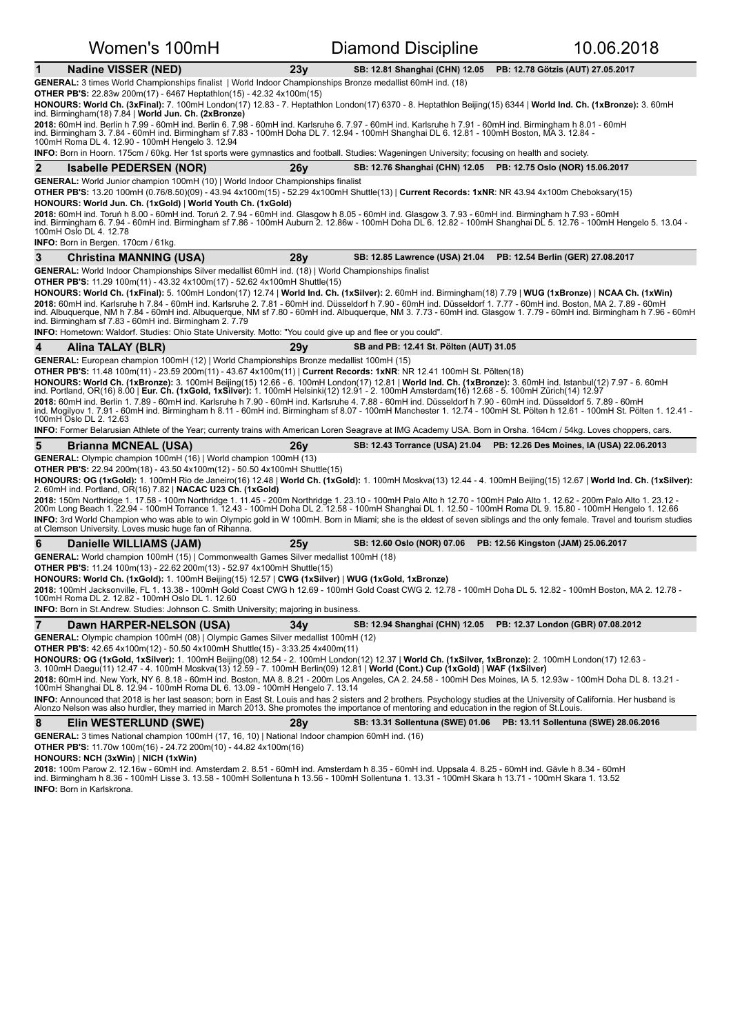|                                                                     |                                | Women's 100mH                                                                                                                                                                                                                                                                                                                                                                                                                |             | Diamond Discipline                                                                                                                                                                                                                                                                                   | 10.06.2018                                                                                                                                                                                                                                                                                                                                                                                                                                                                                                                                                                                                                                                                           |
|---------------------------------------------------------------------|--------------------------------|------------------------------------------------------------------------------------------------------------------------------------------------------------------------------------------------------------------------------------------------------------------------------------------------------------------------------------------------------------------------------------------------------------------------------|-------------|------------------------------------------------------------------------------------------------------------------------------------------------------------------------------------------------------------------------------------------------------------------------------------------------------|--------------------------------------------------------------------------------------------------------------------------------------------------------------------------------------------------------------------------------------------------------------------------------------------------------------------------------------------------------------------------------------------------------------------------------------------------------------------------------------------------------------------------------------------------------------------------------------------------------------------------------------------------------------------------------------|
| $\mathbf{1}$                                                        | <b>Nadine VISSER (NED)</b>     |                                                                                                                                                                                                                                                                                                                                                                                                                              | 23y         | SB: 12.81 Shanghai (CHN) 12.05                                                                                                                                                                                                                                                                       | PB: 12.78 Götzis (AUT) 27.05.2017                                                                                                                                                                                                                                                                                                                                                                                                                                                                                                                                                                                                                                                    |
|                                                                     |                                | GENERAL: 3 times World Championships finalist   World Indoor Championships Bronze medallist 60mH ind. (18)<br><b>OTHER PB'S:</b> 22.83w 200m(17) - 6467 Heptathlon(15) - 42.32 4x100m(15)<br>ind. Birmingham(18) 7.84   World Jun. Ch. (2xBronze)                                                                                                                                                                            |             | 2018: 60mH ind. Berlin h 7.99 - 60mH ind. Berlin 6. 7.98 - 60mH ind. Karlsruhe 6. 7.97 - 60mH ind. Karlsruhe h 7.91 - 60mH ind. Birmingham h 8.01 - 60mH                                                                                                                                             | HONOURS: World Ch. (3xFinal): 7. 100mH London(17) 12.83 - 7. Heptathlon London(17) 6370 - 8. Heptathlon Beijing(15) 6344   World Ind. Ch. (1xBronze): 3. 60mH                                                                                                                                                                                                                                                                                                                                                                                                                                                                                                                        |
|                                                                     |                                | 100mH Roma DL 4. 12.90 - 100mH Hengelo 3. 12.94                                                                                                                                                                                                                                                                                                                                                                              |             | ind. Birmingham 3. 7.84 - 60mH ind. Birmingham sf 7.83 - 100mH Doha DL 7. 12.94 - 100mH Shanghai DL 6. 12.81 - 100mH Boston, MA 3. 12.84 -<br><b>INFO:</b> Born in Hoorn. 175cm / 60kg. Her 1st sports were gymnastics and football. Studies: Wageningen University; focusing on health and society. |                                                                                                                                                                                                                                                                                                                                                                                                                                                                                                                                                                                                                                                                                      |
| $\mathbf{2}$                                                        | <b>Isabelle PEDERSEN (NOR)</b> |                                                                                                                                                                                                                                                                                                                                                                                                                              | 26y         | SB: 12.76 Shanghai (CHN) 12.05 PB: 12.75 Oslo (NOR) 15.06.2017                                                                                                                                                                                                                                       |                                                                                                                                                                                                                                                                                                                                                                                                                                                                                                                                                                                                                                                                                      |
| 100mH Oslo DL 4. 12.78<br><b>INFO:</b> Born in Bergen. 170cm / 61kg |                                | <b>GENERAL:</b> World Junior champion 100mH (10)   World Indoor Championships finalist<br>HONOURS: World Jun. Ch. (1xGold)   World Youth Ch. (1xGold)                                                                                                                                                                                                                                                                        |             | OTHER PB'S: 13.20 100mH (0.76/8.50)(09) - 43.94 4x100m(15) - 52.29 4x100mH Shuttle(13)   Current Records: 1xNR: NR 43.94 4x100m Cheboksary(15)<br>2018: 60mH ind. Toruń h 8.00 - 60mH ind. Toruń 2. 7.94 - 60mH ind. Glasgow h 8.05 - 60mH ind. Glasgow 3. 7.93 - 60mH ind. Birmingham h 7.93 - 60mH | ind. Birmingham 6. 7.94 - 60mH ind. Birmingham sf 7.86 - 100mH Auburn 2. 12.86w - 100mH Doha DL 6. 12.82 - 100mH Shanghai DL 5. 12.76 - 100mH Hengelo 5. 13.04 -                                                                                                                                                                                                                                                                                                                                                                                                                                                                                                                     |
| 3                                                                   | <b>Christina MANNING (USA)</b> |                                                                                                                                                                                                                                                                                                                                                                                                                              | 28 <b>y</b> | <b>SB: 12.85 Lawrence (USA) 21.04</b>                                                                                                                                                                                                                                                                | PB: 12.54 Berlin (GER) 27.08.2017                                                                                                                                                                                                                                                                                                                                                                                                                                                                                                                                                                                                                                                    |
|                                                                     |                                | <b>GENERAL:</b> World Indoor Championships Silver medallist 60mH ind. (18)   World Championships finalist<br><b>OTHER PB'S:</b> 11.29 100m(11) - 43.32 4x100m(17) - 52.62 4x100mH Shuttle(15)<br>ind. Birmingham sf 7.83 - 60mH ind. Birmingham 2.7.79<br>INFO: Hometown: Waldorf. Studies: Ohio State University. Motto: "You could give up and flee or you could".                                                         |             |                                                                                                                                                                                                                                                                                                      | HONOURS: World Ch. (1xFinal): 5. 100mH London(17) 12.74   World Ind. Ch. (1xSilver): 2. 60mH ind. Birmingham(18) 7.79   WUG (1xBronze)   NCAA Ch. (1xWin)<br>2018: 60mH ind. Karlsruhe h 7.84 - 60mH ind. Karlsruhe 2. 7.81 - 60mH ind. Düsseldorf h 7.90 - 60mH ind. Düsseldorf 1. 7.77 - 60mH ind. Boston, MA 2. 7.89 - 60mH<br>ind. Albuquerque, NM h 7.84 - 60mH ind. Albuquerque, NM sf 7.80 - 60mH ind. Albuquerque, NM 3. 7.73 - 60mH ind. Glasgow 1. 7.79 - 60mH ind. Birmingham h 7.96 - 60mH                                                                                                                                                                               |
| 4                                                                   | Alina TALAY (BLR)              |                                                                                                                                                                                                                                                                                                                                                                                                                              | 29y         | SB and PB: 12.41 St. Pölten (AUT) 31.05                                                                                                                                                                                                                                                              |                                                                                                                                                                                                                                                                                                                                                                                                                                                                                                                                                                                                                                                                                      |
| 100mH Oslo DL 2. 12.63                                              |                                |                                                                                                                                                                                                                                                                                                                                                                                                                              |             | <b>OTHER PB'S:</b> 11.48 100m(11) - 23.59 200m(11) - 43.67 4x100m(11)   Current Records: 1xNR: NR 12.41 100mH St. Pölten(18)<br>ind. Portland, OR(16) 8.00   Eur. Ch. (1xGold, 1xSilver): 1. 100mH Helsinki(12) 12.91 - 2. 100mH Amsterdam(16) 12.68 - 5. 100mH Zürich(14) 12.97                     | HONOURS: World Ch. (1xBronze): 3. 100mH Beijing(15) 12.66 - 6. 100mH London(17) 12.81   World Ind. Ch. (1xBronze): 3. 60mH ind. Istanbul(12) 7.97 - 6. 60mH<br>2018: 60mH ind. Berlin 1.7.89 - 60mH ind. Karlsruhe h 7.90 - 60mH ind. Karlsruhe 4.7.88 - 60mH ind. Düsseldorf h 7.90 - 60mH ind. Düsseldorf 5.7.89 - 60mH<br>ind. Mogilyov 1. 7.91 - 60mH ind. Birmingham h 8.11 - 60mH ind. Birmingham sf 8.07 - 100mH Manchester 1. 12.74 - 100mH St. Pölten h 12.61 - 100mH St. Pölten 1. 12.41 -<br>INFO: Former Belarusian Athlete of the Year; currenty trains with American Loren Seagrave at IMG Academy USA. Born in Orsha. 164cm / 54kg. Loves choppers, cars.             |
| 5                                                                   | <b>Brianna MCNEAL (USA)</b>    |                                                                                                                                                                                                                                                                                                                                                                                                                              | 26y         | SB: 12.43 Torrance (USA) 21.04                                                                                                                                                                                                                                                                       | PB: 12.26 Des Moines, IA (USA) 22.06.2013                                                                                                                                                                                                                                                                                                                                                                                                                                                                                                                                                                                                                                            |
|                                                                     |                                | <b>GENERAL:</b> Olympic champion 100mH (16)   World champion 100mH (13)<br><b>OTHER PB'S:</b> 22.94 200m(18) - 43.50 4x100m(12) - 50.50 4x100mH Shuttle(15)<br>2. 60mH ind. Portland, OR(16) 7.82   NACAC U23 Ch. (1xGold)<br>at Clemson University. Loves music huge fan of Rihanna.                                                                                                                                        |             |                                                                                                                                                                                                                                                                                                      | HONOURS: OG (1xGold): 1. 100mH Rio de Janeiro(16) 12.48   World Ch. (1xGold): 1. 100mH Moskva(13) 12.44 - 4. 100mH Beijing(15) 12.67   World Ind. Ch. (1xSilver):<br>2018: 150m Northridge 1. 17.58 - 100m Northridge 1. 11.45 - 200m Northridge 1. 23.10 - 100mH Palo Alto h 12.70 - 100mH Palo Alto 1. 12.62 - 200m Palo Alto 1. 23.12 -<br>200m Long Beach 1. 22.94 - 100mH Torrance 1. 12.43 - 100mH Doha DL 2. 12.58 - 100mH Shanghai DL 1. 12.50 - 100mH Roma DL 9. 15.80 - 100mH Hengelo 1. 12.66<br>INFO: 3rd World Champion who was able to win Olympic gold in W 100mH. Born in Miami; she is the eldest of seven siblings and the only female. Travel and tourism studies |
| 6                                                                   | Danielle WILLIAMS (JAM)        |                                                                                                                                                                                                                                                                                                                                                                                                                              | 25v         | SB: 12.60 Oslo (NOR) 07.06                                                                                                                                                                                                                                                                           | PB: 12.56 Kingston (JAM) 25.06.2017                                                                                                                                                                                                                                                                                                                                                                                                                                                                                                                                                                                                                                                  |
|                                                                     |                                | GENERAL: World champion 100mH (15)   Commonwealth Games Silver medallist 100mH (18)<br><b>OTHER PB'S:</b> 11.24 100m(13) - 22.62 200m(13) - 52.97 4x100mH Shuttle(15)<br>HONOURS: World Ch. (1xGold): 1. 100mH Beijing(15) 12.57   CWG (1xSilver)   WUG (1xGold, 1xBronze)<br>100mH Roma DL 2. 12.82 - 100mH Oslo DL 1. 12.60<br><b>INFO:</b> Born in St.Andrew. Studies: Johnson C. Smith University; majoring in business. |             |                                                                                                                                                                                                                                                                                                      | 2018: 100mH Jacksonville, FL 1. 13.38 - 100mH Gold Coast CWG h 12.69 - 100mH Gold Coast CWG 2. 12.78 - 100mH Doha DL 5. 12.82 - 100mH Boston, MA 2. 12.78 -                                                                                                                                                                                                                                                                                                                                                                                                                                                                                                                          |
| $\overline{7}$                                                      |                                | Dawn HARPER-NELSON (USA)                                                                                                                                                                                                                                                                                                                                                                                                     | 34 v        | SB: 12.94 Shanghai (CHN) 12.05                                                                                                                                                                                                                                                                       | PB: 12.37 London (GBR) 07.08.2012                                                                                                                                                                                                                                                                                                                                                                                                                                                                                                                                                                                                                                                    |
| 8                                                                   | Elin WESTERLUND (SWE)          | GENERAL: Olympic champion 100mH (08)   Olympic Games Silver medallist 100mH (12)<br><b>OTHER PB'S:</b> 42.65 4x100m(12) - 50.50 4x100mH Shuttle(15) - 3:33.25 4x400m(11)<br>100mH Shanghai DL 8. 12.94 - 100mH Roma DL 6. 13.09 - 100mH Hengelo 7. 13.14                                                                                                                                                                     | 28y         | 3. 100mH Daegu(11) 12.47 - 4. 100mH Moskva(13) 12.59 - 7. 100mH Berlin(09) 12.81   World (Cont.) Cup (1xGold)   WAF (1xSilver)<br>Alonzo Nelson was also hurdler, they married in March 2013. She promotes the importance of mentoring and education in the region of St.Louis.                      | HONOURS: OG (1xGold, 1xSilver): 1. 100mH Beijing(08) 12.54 - 2. 100mH London(12) 12.37   World Ch. (1xSilver, 1xBronze): 2. 100mH London(17) 12.63 -<br>2018: 60mH ind. New York, NY 6. 8.18 - 60mH ind. Boston, MA 8. 8.21 - 200m Los Angeles, CA 2. 24.58 - 100mH Des Moines, IA 5. 12.93w - 100mH Doha DL 8. 13.21 -<br>INFO: Announced that 2018 is her last season; born in East St. Louis and has 2 sisters and 2 brothers. Psychology studies at the University of California. Her husband is<br>SB: 13.31 Sollentuna (SWE) 01.06   PB: 13.11 Sollentuna (SWE) 28.06.2016                                                                                                     |
|                                                                     |                                | GENERAL: 3 times National champion 100mH (17, 16, 10)   National Indoor champion 60mH ind. (16)<br><b>OTHER PB'S:</b> 11.70w 100m(16) - 24.72 200m(10) - 44.82 4x100m(16)                                                                                                                                                                                                                                                    |             |                                                                                                                                                                                                                                                                                                      |                                                                                                                                                                                                                                                                                                                                                                                                                                                                                                                                                                                                                                                                                      |

**HONOURS: NCH (3xWin)** | **NICH (1xWin)**

**2018:** 100m Parow 2. 12.16w - 60mH ind. Amsterdam 2. 8.51 - 60mH ind. Amsterdam h 8.35 - 60mH ind. Uppsala 4. 8.25 - 60mH ind. Gävle h 8.34 - 60mH<br>ind. Birmingham h 8.36 - 100mH Lisse 3. 13.58 - 100mH Sollentuna h 13.56 -**INFO:** Born in Karlskrona.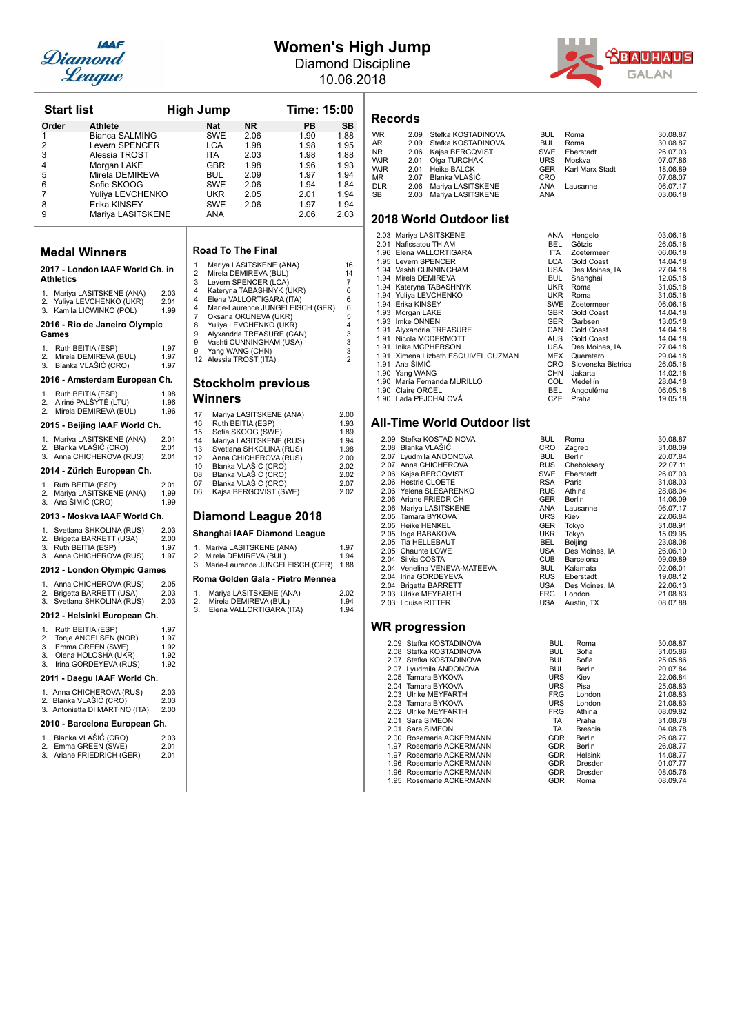

## **Women's High Jump**

Diamond Discipline 10.06.2018



| <b>Start list</b>  |                                                          |              |          | <b>High Jump</b> |                                                   | Time: 15:00                         |                      |
|--------------------|----------------------------------------------------------|--------------|----------|------------------|---------------------------------------------------|-------------------------------------|----------------------|
| Order              | Athlete                                                  |              |          | <b>Nat</b>       | NR.                                               | PB                                  | SВ                   |
| 1                  | Bianca SALMING                                           |              |          | SWE              | 2.06                                              | 1.90                                | 1.88                 |
| $\overline{2}$     | Levern SPENCER                                           |              |          | LCA              | 1.98                                              | 1.98                                | 1.95                 |
| 3                  | Alessia TROST                                            |              |          | ITA.             | 2.03                                              | 1.98                                | 1.88                 |
| 4                  | Morgan LAKE                                              |              |          | GBR              | 1.98                                              | 1.96                                | 1.93                 |
| 5                  | Mirela DEMIREVA                                          |              |          | <b>BUL</b>       | 2.09                                              | 1.97                                | 1.94                 |
| 6                  | Sofie SKOOG                                              |              |          | SWE              | 2.06                                              | 1.94                                | 1.84                 |
| 7                  | Yuliya LEVCHENKO                                         |              |          | UKR              | 2.05                                              | 2.01                                | 1.94                 |
| 8                  | Erika KINSEY                                             |              |          | SWE              | 2.06                                              | 1.97                                | 1.94                 |
| 9                  | Mariya LASITSKENE                                        |              |          | ANA              |                                                   | 2.06                                | 2.03                 |
|                    | <b>Medal Winners</b>                                     |              |          |                  | <b>Road To The Final</b>                          |                                     |                      |
|                    | 2017 - London IAAF World Ch. in                          |              | 1        |                  | Mariya LASITSKENE (ANA)                           |                                     | 16                   |
| Athletics          |                                                          |              | 2<br>3   |                  | Mirela DEMIREVA (BUL)                             |                                     | 14<br>$\overline{7}$ |
|                    |                                                          |              | 4        |                  | Levern SPENCER (LCA)<br>Kateryna TABASHNYK (UKR)  |                                     | 6                    |
|                    | 1. Mariya LASITSKENE (ANA)                               | 2.03<br>2.01 | 4        |                  | Elena VALLORTIGARA (ITA)                          |                                     | 6                    |
|                    | 2. Yuliya LEVCHENKO (UKR)<br>3. Kamila LIČWINKO (POL)    | 1.99         | 4        |                  |                                                   | Marie-Laurence JUNGFLEISCH (GER)    | 6                    |
|                    |                                                          |              | 7        |                  | Oksana OKUNEVA (UKR)                              |                                     | 5                    |
|                    | 2016 - Rio de Janeiro Olympic                            |              | 8        |                  | Yuliya LEVCHENKO (UKR)                            |                                     | 4                    |
| Games              |                                                          |              | 9<br>9   |                  | Alyxandria TREASURE (CAN)                         |                                     | 3                    |
|                    | 1. Ruth BEITIA (ESP)                                     | 1.97         | 9        |                  | Vashti CUNNINGHAM (USA)<br>Yang WANG (CHN)        |                                     | 3<br>3               |
| 2.                 | Mirela DEMIREVA (BUL)                                    | 1.97         |          |                  | 12 Alessia TROST (ITA)                            |                                     | $\overline{2}$       |
| 3.                 | Blanka VLAŠIĆ (CRO)                                      | 1.97         |          |                  |                                                   |                                     |                      |
|                    | 2016 - Amsterdam European Ch.                            | 1.98         |          |                  | <b>Stockholm previous</b>                         |                                     |                      |
| 2.                 | 1. Ruth BEITIA (ESP)<br>Airiné PALŠYTÉ (LTU)             | 1.96         |          | Winners          |                                                   |                                     |                      |
| 2.                 | Mirela DEMIREVA (BUL)                                    | 1.96         |          |                  |                                                   |                                     |                      |
|                    |                                                          |              | 17<br>16 |                  | Mariya LASITSKENE (ANA)<br>Ruth BEITIA (ESP)      |                                     | 2.00<br>1.93         |
|                    | 2015 - Beijing IAAF World Ch.                            |              | 15       |                  | Sofie SKOOG (SWE)                                 |                                     | 1.89                 |
|                    | 1. Mariya LASITSKENE (ANA)                               | 2.01         | 14       |                  | Mariya LASITSKENE (RUS)                           |                                     | 1.94                 |
|                    | 2. Blanka VLAŠIĆ (CRO)                                   | 2.01         | 13       |                  | Svetlana SHKOLINA (RUS)                           |                                     | 1.98                 |
|                    | 3. Anna CHICHEROVA (RUS)                                 | 2.01         | 12       |                  | Anna CHICHEROVA (RUS)                             |                                     | 2.00                 |
|                    | 2014 - Zürich European Ch.                               |              | 10<br>08 |                  | Blanka VLAŠIĆ (CRO)<br>Blanka VLAŠIĆ (CRO)        |                                     | 2.02<br>2.02         |
|                    | 1. Ruth BEITIA (ESP)                                     | 2.01         | 07       |                  | Blanka VLAŠIĆ (CRO)                               |                                     | 2.07                 |
|                    | 2. Mariya LASITSKENE (ANA)                               | 1.99         | 06       |                  | Kajsa BERGQVIST (SWE)                             |                                     | 2.02                 |
| 3. Ana SIMIC (CRO) |                                                          | 1.99         |          |                  |                                                   |                                     |                      |
|                    | 2013 - Moskva IAAF World Ch.                             |              |          |                  |                                                   | Diamond League 2018                 |                      |
|                    | 1. Svetlana SHKOLINA (RUS)                               | 2.03<br>2.00 |          |                  |                                                   | Shanghai IAAF Diamond League        |                      |
|                    | 2. Brigetta BARRETT (USA)<br>3. Ruth BEITIA (ESP)        | 1.97         |          |                  | 1. Mariya LASITSKENE (ANA)                        |                                     | 1.97                 |
|                    | 3. Anna CHICHEROVA (RUS)                                 | 1.97         |          |                  | 2. Mirela DEMIREVA (BUL)                          |                                     | 1.94                 |
|                    | 2012 - London Olympic Games                              |              |          |                  |                                                   | 3. Marie-Laurence JUNGFLEISCH (GER) | 1.88                 |
|                    | 1. Anna CHICHEROVA (RUS)                                 | 2.05         |          |                  |                                                   | Roma Golden Gala - Pietro Mennea    |                      |
|                    | 2. Brigetta BARRETT (USA)                                | 2.03         | 1.       |                  | Mariya LASITSKENE (ANA)                           |                                     | 2.02                 |
|                    | 3. Svetlana SHKOLINA (RUS)                               | 2.03         | 2.<br>3. |                  | Mirela DEMIREVA (BUL)<br>Elena VALLORTIGARA (ITA) |                                     | 1.94<br>1.94         |
|                    | 2012 - Helsinki European Ch.                             |              |          |                  |                                                   |                                     |                      |
| 1.                 | Ruth BEITIA (ESP)<br>Tonje ANGELSEN (NOR)                | 1.97<br>1.97 |          |                  |                                                   |                                     |                      |
| 2.                 | 3. Emma GREEN (SWE)                                      | 1.92         |          |                  |                                                   |                                     |                      |
| 3.                 | Olena HOLOSHA (UKR)                                      | 1.92         |          |                  |                                                   |                                     |                      |
| 3.                 | Irina GORDEYEVA (RUS)                                    | 1.92         |          |                  |                                                   |                                     |                      |
|                    | 2011 - Daegu IAAF World Ch.                              |              |          |                  |                                                   |                                     |                      |
|                    | 1. Anna CHICHEROVA (RUS)                                 | 2.03         |          |                  |                                                   |                                     |                      |
|                    | 2. Blanka VLAŠIĆ (CRO)<br>3. Antonietta DI MARTINO (ITA) | 2.03<br>2.00 |          |                  |                                                   |                                     |                      |
|                    | 2010 - Barcelona European Ch.                            |              |          |                  |                                                   |                                     |                      |
|                    | 1. Blanka VLAŠIĆ (CRO)                                   | 2.03         |          |                  |                                                   |                                     |                      |
|                    | 2. Emma GREEN (SWE)                                      | 2.01         |          |                  |                                                   |                                     |                      |
|                    | 3. Ariane FRIEDRICH (GER)                                | 2.01         |          |                  |                                                   |                                     |                      |

### **Records**

| <b>WR</b>  | 2.09 Stefka KOSTADINOVA | <b>BUL</b> | Roma                       | 30.08.87 |
|------------|-------------------------|------------|----------------------------|----------|
| AR         | 2.09 Stefka KOSTADINOVA | <b>BUL</b> | Roma                       | 30.08.87 |
| NR.        | 2.06 Kajsa BERGQVIST    | SWE        | Eberstadt                  | 26.07.03 |
| WJR.       | 2.01 Olga TURCHAK       | <b>URS</b> | Moskva                     | 07.07.86 |
| WJR        | 2.01 Heike BALCK        |            | <b>GER</b> Karl Marx Stadt | 18.06.89 |
| МR         | 2.07 Blanka VLAŠIĆ      | CRO        |                            | 07.08.07 |
| <b>DLR</b> | 2.06 Mariya LASITSKENE  | ANA        | Lausanne                   | 06.07.17 |
| SB         | 2.03 Mariya LASITSKENE  | <b>ANA</b> |                            | 03.06.18 |
|            |                         |            |                            |          |

### **2018 World Outdoor list**

|      | 2.03 Mariya LASITSKENE         | ANA        | Hengelo            | 03.06.18 |
|------|--------------------------------|------------|--------------------|----------|
| 2.01 | Nafissatou THIAM               | BEL        | Götzis             | 26.05.18 |
|      | 1.96 Elena VALLORTIGARA        | <b>ITA</b> | Zoetermeer         | 06.06.18 |
|      | 1.95 Levern SPENCER            | <b>LCA</b> | Gold Coast         | 14.04.18 |
| 1.94 | Vashti CUNNINGHAM              | USA        | Des Moines, IA     | 27.04.18 |
| 1.94 | Mirela DEMIREVA                | <b>BUL</b> | Shanghai           | 12.05.18 |
|      | 1.94 Kateryna TABASHNYK        | <b>UKR</b> | Roma               | 31.05.18 |
|      | 1.94 Yuliya LEVCHENKO          | <b>UKR</b> | Roma               | 31.05.18 |
|      | 1.94 Erika KINSEY              | <b>SWE</b> | Zoetermeer         | 06.06.18 |
|      | 1.93 Morgan LAKE               | <b>GBR</b> | Gold Coast         | 14.04.18 |
| 1.93 | Imke ONNEN                     | <b>GER</b> | Garbsen            | 13.05.18 |
| 1.91 | Alyxandria TREASURE            | CAN        | Gold Coast         | 14.04.18 |
| 1.91 | Nicola MCDERMOTT               | AUS        | Gold Coast         | 14.04.18 |
| 1.91 | Inika MCPHERSON                | USA        | Des Moines, IA     | 27.04.18 |
| 1.91 | Ximena Lizbeth ESQUIVEL GUZMAN | MEX        | Queretaro          | 29.04.18 |
| 1.91 | Ana ŠIMIĆ                      | <b>CRO</b> | Slovenska Bistrica | 26.05.18 |
| 1.90 | Yang WANG                      | <b>CHN</b> | Jakarta            | 14.02.18 |
| 1.90 | María Fernanda MURILLO         | <b>COL</b> | Medellín           | 28.04.18 |
|      | 1.90 Claire ORCEL              | <b>BEL</b> | Angoulême          | 06.05.18 |
|      | 1.90 Lada PEJCHALOVÁ           | <b>CZE</b> | Praha              | 19.05.18 |

### **All-Time World Outdoor list**

|                              |                         | Roma           | 30.08.87 |
|------------------------------|-------------------------|----------------|----------|
| 2.08 Blanka VLAŠIĆ           | <b>CRO</b>              | Zagreb         | 31.08.09 |
| 2.07 Lyudmila ANDONOVA       | <b>BUL</b>              | Berlin         | 20.07.84 |
| 2.07 Anna CHICHEROVA         | <b>RUS</b>              | Cheboksary     | 22.07.11 |
| 2.06 Kajsa BERGQVIST         | <b>SWE</b>              | Eberstadt      | 26.07.03 |
| 2.06 Hestrie CLOETE          | <b>RSA</b>              | Paris          | 31.08.03 |
| 2.06 Yelena SLESARENKO       | <b>RUS</b>              | Athina         | 28.08.04 |
| 2.06 Ariane FRIEDRICH        | <b>GER</b>              | Berlin         | 14.06.09 |
| 2.06 Mariya LASITSKENE       | ANA                     | Lausanne       | 06.07.17 |
| 2.05 Tamara BYKOVA           | <b>URS</b>              | Kiev           | 22.06.84 |
| 2.05 Heike HENKEL            | <b>GER</b>              | Tokyo          | 31.08.91 |
| 2.05 Inga BABAKOVA           | <b>UKR</b>              | Tokyo          | 15.09.95 |
| 2.05 Tia HELLEBAUT           | BEL.                    | Beijing        | 23.08.08 |
| 2.05 Chaunte LOWE            | USA                     | Des Moines, IA | 26.06.10 |
| 2.04 Silvia COSTA            | <b>CUB</b>              | Barcelona      | 09.09.89 |
| 2.04 Venelina VENEVA-MATEEVA | <b>BUL</b>              | Kalamata       | 02.06.01 |
| 2.04 Irina GORDEYEVA         | <b>RUS</b>              | Eberstadt      | 19.08.12 |
| 2.04 Brigetta BARRETT        |                         | Des Moines, IA | 22.06.13 |
| 2.03 Ulrike MEYFARTH         | <b>FRG</b>              | London         | 21.08.83 |
| 2.03 Louise RITTER           | USA                     | Austin, TX     | 08.07.88 |
|                              | 2.09 Stefka KOSTADINOVA | <b>BUL</b>     | USA      |

| 2.09 Stefka KOSTADINOVA  | <b>BUL</b> | Roma     | 30.08.87 |
|--------------------------|------------|----------|----------|
| 2.08 Stefka KOSTADINOVA  | <b>BUL</b> | Sofia    | 31.05.86 |
| 2.07 Stefka KOSTADINOVA  | <b>BUL</b> | Sofia    | 25.05.86 |
| 2.07 Lyudmila ANDONOVA   | <b>BUL</b> | Berlin   | 20.07.84 |
| 2.05 Tamara BYKOVA       | <b>URS</b> | Kiev     | 22.06.84 |
| 2.04 Tamara BYKOVA       | <b>URS</b> | Pisa     | 25.08.83 |
| 2.03 Ulrike MEYFARTH     | <b>FRG</b> | London   | 21.08.83 |
| 2.03 Tamara BYKOVA       | <b>URS</b> | London   | 21.08.83 |
| 2.02 Ulrike MEYFARTH     | <b>FRG</b> | Athina   | 08.09.82 |
| 2.01 Sara SIMEONI        | <b>ITA</b> | Praha    | 31.08.78 |
| 2.01 Sara SIMEONI        | <b>ITA</b> | Brescia  | 04.08.78 |
| 2.00 Rosemarie ACKERMANN | <b>GDR</b> | Berlin   | 26.08.77 |
| 1.97 Rosemarie ACKERMANN | <b>GDR</b> | Berlin   | 26.08.77 |
| 1.97 Rosemarie ACKERMANN | <b>GDR</b> | Helsinki | 14.08.77 |
| 1.96 Rosemarie ACKERMANN | <b>GDR</b> | Dresden  | 01.07.77 |
| 1.96 Rosemarie ACKERMANN | <b>GDR</b> | Dresden  | 08.05.76 |
| 1.95 Rosemarie ACKERMANN | <b>GDR</b> | Roma     | 08.09.74 |
|                          |            |          |          |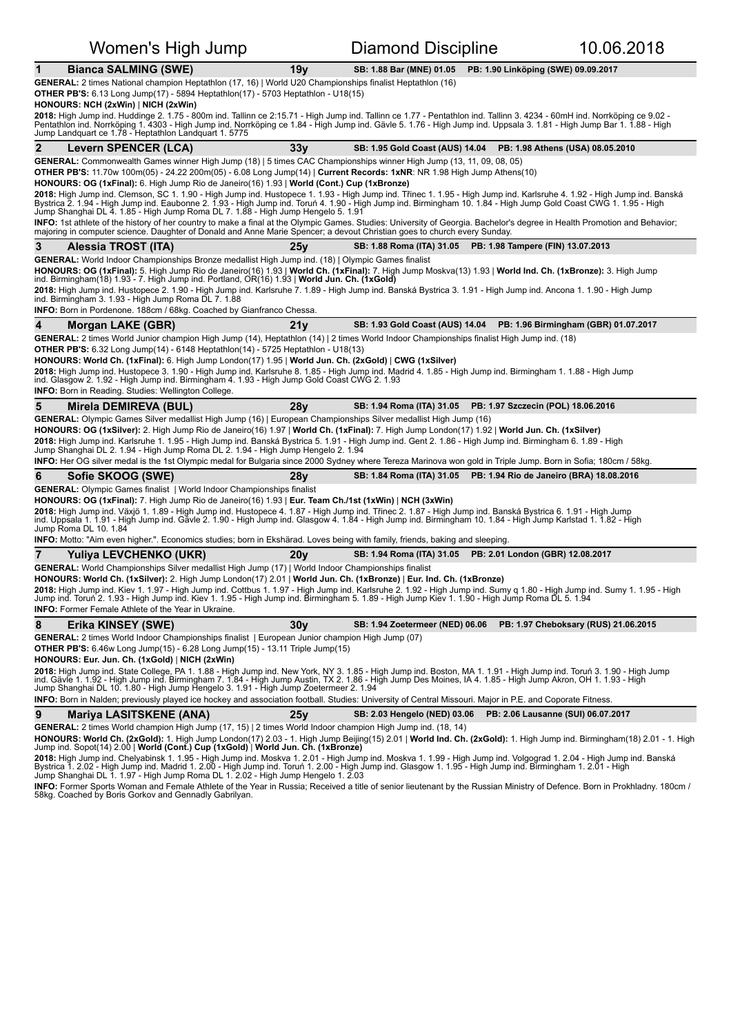|                | Women's High Jump                                                                                                                                                                                                                                                                                                                                                                                                                                                                                                                                                                                                                                                                                                                                                                                                                           |                 | 10.06.2018<br>Diamond Discipline                                     |                                     |                                      |  |
|----------------|---------------------------------------------------------------------------------------------------------------------------------------------------------------------------------------------------------------------------------------------------------------------------------------------------------------------------------------------------------------------------------------------------------------------------------------------------------------------------------------------------------------------------------------------------------------------------------------------------------------------------------------------------------------------------------------------------------------------------------------------------------------------------------------------------------------------------------------------|-----------------|----------------------------------------------------------------------|-------------------------------------|--------------------------------------|--|
| 1              | <b>Bianca SALMING (SWE)</b>                                                                                                                                                                                                                                                                                                                                                                                                                                                                                                                                                                                                                                                                                                                                                                                                                 | 19 <sub>V</sub> | SB: 1.88 Bar (MNE) 01.05                                             | PB: 1.90 Linköping (SWE) 09.09.2017 |                                      |  |
|                | GENERAL: 2 times National champion Heptathlon (17, 16)   World U20 Championships finalist Heptathlon (16)<br><b>OTHER PB'S:</b> 6.13 Long Jump(17) - 5894 Heptathlon(17) - 5703 Heptathlon - U18(15)<br>HONOURS: NCH (2xWin)   NICH (2xWin)<br>2018: High Jump ind. Huddinge 2. 1.75 - 800m ind. Tallinn ce 2:15.71 - High Jump ind. Tallinn ce 1.77 - Pentathlon ind. Tallinn 3. 4234 - 60mH ind. Norrköping ce 9.02 -<br>Pentathlon ind. Norrköping 1. 4303 - High Jump ind. Norrköping ce 1.84 - High Jump ind. Gävle 5. 1.76 - High Jump ind. Uppsala 3. 1.81 - High Jump Bar 1. 1.88 - High<br>Jump Landquart ce 1.78 - Heptathlon Landquart 1. 5775                                                                                                                                                                                   |                 |                                                                      |                                     |                                      |  |
| $\overline{2}$ | <b>Levern SPENCER (LCA)</b>                                                                                                                                                                                                                                                                                                                                                                                                                                                                                                                                                                                                                                                                                                                                                                                                                 | 33y             | SB: 1.95 Gold Coast (AUS) 14.04  PB: 1.98 Athens (USA) 08.05.2010    |                                     |                                      |  |
|                | GENERAL: Commonwealth Games winner High Jump (18)   5 times CAC Championships winner High Jump (13, 11, 09, 08, 05)                                                                                                                                                                                                                                                                                                                                                                                                                                                                                                                                                                                                                                                                                                                         |                 |                                                                      |                                     |                                      |  |
|                | OTHER PB'S: 11.70w 100m(05) - 24.22 200m(05) - 6.08 Long Jump(14)   Current Records: 1xNR: NR 1.98 High Jump Athens(10)                                                                                                                                                                                                                                                                                                                                                                                                                                                                                                                                                                                                                                                                                                                     |                 |                                                                      |                                     |                                      |  |
|                | HONOURS: OG (1xFinal): 6. High Jump Rio de Janeiro(16) 1.93   World (Cont.) Cup (1xBronze)<br>2018: High Jump ind. Clemson, SC 1. 1.90 - High Jump ind. Hustopece 1. 1.93 - High Jump ind. Třinec 1. 1.95 - High Jump ind. Karlsruhe 4. 1.92 - High Jump ind. Banská<br>Bystrica 2. 1.94 - High Jump ind. Eaubonne 2. 1.93 - High Jump ind. Toruń 4. 1.90 - High Jump ind. Birmingham 10. 1.84 - High Jump Gold Coast CWG 1. 1.95 - High<br>Jump Shanghai DL 4. 1.85 - High Jump Roma DL 7. 1.88 - High Jump Hengelo 5. 1.91<br>INFO: 1st athlete of the history of her country to make a final at the Olympic Games. Studies: University of Georgia. Bachelor's degree in Health Promotion and Behavior;                                                                                                                                   |                 |                                                                      |                                     |                                      |  |
|                | majoring in computer science. Daughter of Donald and Anne Marie Spencer; a devout Christian goes to church every Sunday.                                                                                                                                                                                                                                                                                                                                                                                                                                                                                                                                                                                                                                                                                                                    |                 |                                                                      |                                     |                                      |  |
| 3              | Alessia TROST (ITA)<br>GENERAL: World Indoor Championships Bronze medallist High Jump ind. (18)   Olympic Games finalist                                                                                                                                                                                                                                                                                                                                                                                                                                                                                                                                                                                                                                                                                                                    | 25v             | SB: 1.88 Roma (ITA) 31.05 PB: 1.98 Tampere (FIN) 13.07.2013          |                                     |                                      |  |
|                | HONOURS: OG (1xFinal): 5. High Jump Rio de Janeiro(16) 1.93   World Ch. (1xFinal): 7. High Jump Moskva(13) 1.93   World Ind. Ch. (1xBronze): 3. High Jump<br>ind. Birmingham(18) 1.93 - 7. High Jump ind. Portland, OR(16) 1.93   World Jun. Ch. (1xGold)<br>2018: High Jump ind. Hustopece 2. 1.90 - High Jump ind. Karlsruhe 7. 1.89 - High Jump ind. Banská Bystrica 3. 1.91 - High Jump ind. Ancona 1. 1.90 - High Jump<br>ind. Birmingham 3. 1.93 - High Jump Roma DL 7. 1.88                                                                                                                                                                                                                                                                                                                                                          |                 |                                                                      |                                     |                                      |  |
|                | <b>INFO:</b> Born in Pordenone. 188cm / 68kg. Coached by Gianfranco Chessa.                                                                                                                                                                                                                                                                                                                                                                                                                                                                                                                                                                                                                                                                                                                                                                 |                 |                                                                      |                                     |                                      |  |
| 4              | Morgan LAKE (GBR)                                                                                                                                                                                                                                                                                                                                                                                                                                                                                                                                                                                                                                                                                                                                                                                                                           | 21y             | SB: 1.93 Gold Coast (AUS) 14.04 PB: 1.96 Birmingham (GBR) 01.07.2017 |                                     |                                      |  |
|                | GENERAL: 2 times World Junior champion High Jump (14), Heptathlon (14)   2 times World Indoor Championships finalist High Jump ind. (18)<br><b>OTHER PB'S:</b> 6.32 Long Jump(14) - 6148 Heptathlon(14) - 5725 Heptathlon - U18(13)                                                                                                                                                                                                                                                                                                                                                                                                                                                                                                                                                                                                         |                 |                                                                      |                                     |                                      |  |
|                | HONOURS: World Ch. (1xFinal): 6. High Jump London(17) 1.95   World Jun. Ch. (2xGold)   CWG (1xSilver)<br>2018: High Jump ind. Hustopece 3. 1.90 - High Jump ind. Karlsruhe 8. 1.85 - High Jump ind. Madrid 4. 1.85 - High Jump ind. Birmingham 1. 1.88 - High Jump<br>ind. Glasgow 2. 1.92 - High Jump ind. Birmingham 4. 1.93 - High Jump Gold Coast CWG 2. 1.93<br><b>INFO:</b> Born in Reading. Studies: Wellington College.                                                                                                                                                                                                                                                                                                                                                                                                             |                 |                                                                      |                                     |                                      |  |
|                |                                                                                                                                                                                                                                                                                                                                                                                                                                                                                                                                                                                                                                                                                                                                                                                                                                             |                 |                                                                      |                                     |                                      |  |
| 5              | Mirela DEMIREVA (BUL)                                                                                                                                                                                                                                                                                                                                                                                                                                                                                                                                                                                                                                                                                                                                                                                                                       | 28y             | SB: 1.94 Roma (ITA) 31.05 PB: 1.97 Szczecin (POL) 18.06.2016         |                                     |                                      |  |
|                | GENERAL: Olympic Games Silver medallist High Jump (16)   European Championships Silver medallist High Jump (16)<br>HONOURS: OG (1xSilver): 2. High Jump Rio de Janeiro(16) 1.97   World Ch. (1xFinal): 7. High Jump London(17) 1.92   World Jun. Ch. (1xSilver)<br>2018: High Jump ind. Karlsruhe 1. 1.95 - High Jump ind. Banská Bystrica 5. 1.91 - High Jump ind. Gent 2. 1.86 - High Jump ind. Birmingham 6. 1.89 - High<br>Jump Shanghai DL 2. 1.94 - High Jump Roma DL 2. 1.94 - High Jump Hengelo 2. 1.94<br><b>INFO:</b> Her OG silver medal is the 1st Olympic medal for Bulgaria since 2000 Sydney where Tereza Marinova won gold in Triple Jump. Born in Sofia; 180cm / 58kg.                                                                                                                                                     |                 |                                                                      |                                     |                                      |  |
| 6              |                                                                                                                                                                                                                                                                                                                                                                                                                                                                                                                                                                                                                                                                                                                                                                                                                                             | 28v             | SB: 1.84 Roma (ITA) 31.05 PB: 1.94 Rio de Janeiro (BRA) 18.08.2016   |                                     |                                      |  |
|                | Sofie SKOOG (SWE)<br><b>GENERAL:</b> Olympic Games finalist   World Indoor Championships finalist                                                                                                                                                                                                                                                                                                                                                                                                                                                                                                                                                                                                                                                                                                                                           |                 |                                                                      |                                     |                                      |  |
|                | HONOURS: OG (1xFinal): 7. High Jump Rio de Janeiro(16) 1.93   Eur. Team Ch./1st (1xWin)   NCH (3xWin)                                                                                                                                                                                                                                                                                                                                                                                                                                                                                                                                                                                                                                                                                                                                       |                 |                                                                      |                                     |                                      |  |
|                | 2018: High Jump ind. Växjö 1. 1.89 - High Jump ind. Hustopece 4. 1.87 - High Jump ind. Třinec 2. 1.87 - High Jump ind. Banská Bystrica 6. 1.91 - High Jump<br>ind. Uppsala 1. 1.91 - High Jump ind. Gävle 2. 1.90 - High Jump ind. Glasgow 4. 1.84 - High Jump ind. Birmingham 10. 1.84 - High Jump Karlstad 1. 1.82 - High<br>Jump Roma DL 10. 1.84                                                                                                                                                                                                                                                                                                                                                                                                                                                                                        |                 |                                                                      |                                     |                                      |  |
|                | <b>INFO:</b> Motto: "Aim even higher.". Economics studies; born in Ekshärad. Loves being with family, friends, baking and sleeping                                                                                                                                                                                                                                                                                                                                                                                                                                                                                                                                                                                                                                                                                                          |                 |                                                                      |                                     |                                      |  |
| 7              | Yuliya LEVCHENKO (UKR)                                                                                                                                                                                                                                                                                                                                                                                                                                                                                                                                                                                                                                                                                                                                                                                                                      | 20y             | SB: 1.94 Roma (ITA) 31.05 PB: 2.01 London (GBR) 12.08.2017           |                                     |                                      |  |
|                | GENERAL: World Championships Silver medallist High Jump (17)   World Indoor Championships finalist<br>HONOURS: World Ch. (1xSilver): 2. High Jump London(17) 2.01   World Jun. Ch. (1xBronze)   Eur. Ind. Ch. (1xBronze)<br>2018: High Jump ind. Kiev 1, 1.97 - High Jump ind. Cottbus 1, 1.97 - High Jump ind. Karlsruhe 2, 1.92 - High Jump ind. Sumy q 1.80 - High Jump ind. Sumy 1, 1.95 - High<br>Jump ind. Toruń 2. 1.93 - High Jump ind. Kiev 1. 1.95 - High Jump ind. Birmingham 5. 1.89 - High Jump Kiev 1. 1.90 - High Jump Roma DL 5. 1.94<br><b>INFO:</b> Former Female Athlete of the Year in Ukraine.                                                                                                                                                                                                                         |                 |                                                                      |                                     |                                      |  |
| 8              | Erika KINSEY (SWE)                                                                                                                                                                                                                                                                                                                                                                                                                                                                                                                                                                                                                                                                                                                                                                                                                          | 30y             | SB: 1.94 Zoetermeer (NED) 06.06                                      |                                     | PB: 1.97 Cheboksary (RUS) 21.06.2015 |  |
|                | <b>GENERAL:</b> 2 times World Indoor Championships finalist   European Junior champion High Jump (07)<br><b>OTHER PB'S:</b> 6.46w Long Jump(15) - 6.28 Long Jump(15) - 13.11 Triple Jump(15)<br>HONOURS: Eur. Jun. Ch. (1xGold)   NICH (2xWin)<br>2018: High Jump ind. State College, PA 1. 1.88 - High Jump ind. New York, NY 3. 1.85 - High Jump ind. Boston, MA 1. 1.91 - High Jump ind. Torun 3. 1.90 - High Jump<br>ind. Gävle 1. 1.92 - High Jump ind. Birmingham 7. 1.84 - High Jump Austin, TX 2. 1.86 - High Jump Des Moines, IA 4. 1.85 - High Jump Akron, OH 1. 1.93 - High<br>Jump Shanghai DL 10. 1.80 - High Jump Hengelo 3. 1.91 - High Jump Zoetermeer 2. 1.94<br>INFO: Born in Nalden; previously played ice hockey and association football. Studies: University of Central Missouri. Major in P.E. and Coporate Fitness. |                 |                                                                      |                                     |                                      |  |
| 9              | <b>Mariya LASITSKENE (ANA)</b>                                                                                                                                                                                                                                                                                                                                                                                                                                                                                                                                                                                                                                                                                                                                                                                                              | 25y             | SB: 2.03 Hengelo (NED) 03.06                                         | PB: 2.06 Lausanne (SUI) 06.07.2017  |                                      |  |

**2018:** High Jump ind. Chelyabinsk 1. 1.95 - High Jump ind. Moskva 1. 2.01 - High Jump ind. Moskva 1. 1.99 - High Jump ind. Volgograd 1. 2.04 - High Jump ind. Banská<br>Bystrica 1. 2.02 - High Jump ind. Madrid 1. 2.00 - High

**INFO:** Former Sports Woman and Female Athlete of the Year in Russia; Received a title of senior lieutenant by the Russian Ministry of Defence. Born in Prokhladny. 180cm /<br>58kg. Coached by Boris Gorkov and Gennadly Gabrily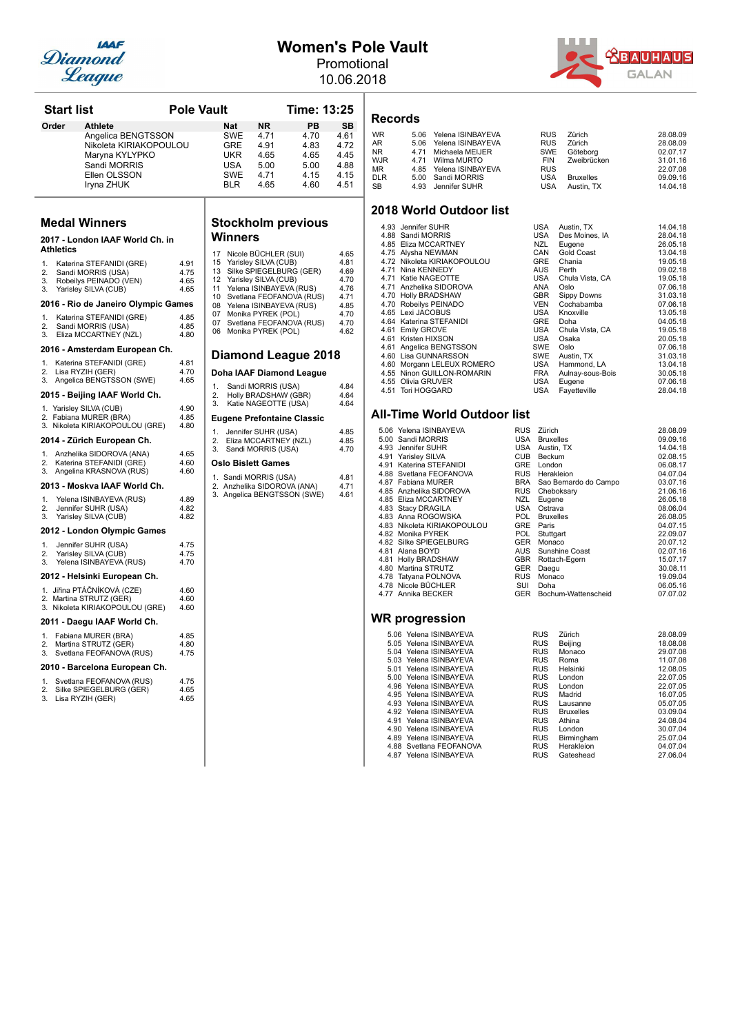

### **Women's Pole Vault**

Promotional 10.06.2018



| <b>Start list</b> |                                                            | <b>Pole Vault</b> |                |            |                                               | Time: 13:25                       |                      |
|-------------------|------------------------------------------------------------|-------------------|----------------|------------|-----------------------------------------------|-----------------------------------|----------------------|
| Order             | <b>Athlete</b>                                             |                   |                | <b>Nat</b> | <b>NR</b>                                     | PB                                | <b>SB</b>            |
|                   | Angelica BENGTSSON                                         |                   |                | <b>SWE</b> | 4.71                                          | 4.70                              | 4.61                 |
|                   | Nikoleta KIRIAKOPOULOU                                     |                   |                | <b>GRE</b> | 4.91                                          | 4.83                              | 4.72                 |
|                   | Maryna KYLYPKO                                             |                   |                | UKR        | 4.65                                          | 4.65                              | 4.45                 |
|                   | Sandi MORRIS                                               |                   |                | USA        | 5.00                                          | 5.00                              | 4.88                 |
|                   | Ellen OLSSON                                               |                   |                | <b>SWE</b> | 4.71                                          | 4.15                              | 4.15                 |
|                   | Iryna ZHUK                                                 |                   |                | <b>BLR</b> | 4.65                                          | 4.60                              | 4.51                 |
|                   | <b>Medal Winners</b>                                       |                   |                |            |                                               | <b>Stockholm previous</b>         |                      |
| Athletics         | 2017 - London IAAF World Ch. in                            |                   | 17             | Winners    | Nicole BÜCHLER (SUI)                          |                                   | 4.65                 |
| 1.                | Katerina STEFANIDI (GRE)                                   | 4.91              | 15             |            | Yarisley SILVA (CUB)                          |                                   | 4.81                 |
| 2.                | Sandi MORRIS (USA)                                         | 4.75              | 13             |            |                                               | Silke SPIEGELBURG (GER)           | 4.69                 |
| 3.                | Robeilys PEINADO (VEN)                                     | 4.65              | 12             |            | Yarisley SILVA (CUB)                          |                                   | 4.70                 |
| 3.                | Yarisley SILVA (CUB)                                       | 4.65              | 11             |            | Yelena ISINBAYEVA (RUS)                       |                                   | 4.76                 |
|                   | 2016 - Rio de Janeiro Olympic Games                        |                   | 10<br>08<br>07 |            | Yelena ISINBAYEVA (RUS)<br>Monika PYREK (POL) | Svetlana FEOFANOVA (RUS)          | 4.71<br>4.85<br>4.70 |
| 1.                | Katerina STEFANIDI (GRE)                                   | 4.85              | 07             |            |                                               | Svetlana FEOFANOVA (RUS)          | 4.70                 |
| 2.<br>3.          | Sandi MORRIS (USA)<br>Eliza MCCARTNEY (NZL)                | 4.85<br>4.80      | 06             |            | Monika PYREK (POL)                            |                                   | 4.62                 |
|                   | 2016 - Amsterdam European Ch.                              |                   |                |            |                                               | <b>Diamond League 2018</b>        |                      |
| 1.                | Katerina STEFANIDI (GRE)                                   | 4.81              |                |            |                                               |                                   |                      |
| 2.<br>3.          | Lisa RYZIH (GER)<br>Angelica BENGTSSON (SWE)               | 4.70<br>4.65      |                |            |                                               | Doha IAAF Diamond League          |                      |
|                   | 2015 - Beijing IAAF World Ch.                              |                   | 1.<br>2.       |            | Sandi MORRIS (USA)<br>Holly BRADSHAW (GBR)    |                                   | 4.84<br>4.64         |
|                   | 1. Yarisley SILVA (CUB)                                    | 4.90              | 3.             |            | Katie NAGEOTTE (USA)                          |                                   | 4.64                 |
|                   | 2. Fabiana MURER (BRA)<br>3. Nikoleta KIRIAKOPOULOU (GRE)  | 4.85<br>4.80      |                |            |                                               | <b>Eugene Prefontaine Classic</b> |                      |
|                   | 2014 - Zürich European Ch.                                 |                   | 1.<br>2.       |            | Jennifer SUHR (USA)<br>Eliza MCCARTNEY (NZL)  |                                   | 4.85<br>4.85         |
| 1.                | Anzhelika SIDOROVA (ANA)                                   | 4.65              | 3.             |            | Sandi MORRIS (USA)                            |                                   | 4.70                 |
| 2.                | Katerina STEFANIDI (GRE)                                   | 4.60              |                |            | Oslo Bislett Games                            |                                   |                      |
| 3.                | Angelina KRASNOVA (RUS)                                    | 4.60              |                |            | 1. Sandi MORRIS (USA)                         |                                   | 4.81                 |
|                   | 2013 - Moskva IAAF World Ch.                               |                   |                |            | 2. Anzhelika SIDOROVA (ANA)                   | 3. Angelica BENGTSSON (SWE)       | 4.71<br>4.61         |
| 1.                | Yelena ISINBAYEVA (RUS)                                    | 4.89              |                |            |                                               |                                   |                      |
| 2.<br>3.          | Jennifer SUHR (USA)<br>Yarisley SILVA (CUB)                | 4.82<br>4.82      |                |            |                                               |                                   |                      |
|                   | 2012 - London Olympic Games                                |                   |                |            |                                               |                                   |                      |
| 1.<br>2.          | Jennifer SUHR (USA)<br>Yarisley SILVA (CUB)                | 4.75<br>4.75      |                |            |                                               |                                   |                      |
| 3.                | Yelena ISINBAYEVA (RUS)<br>2012 - Helsinki European Ch.    | 4.70              |                |            |                                               |                                   |                      |
|                   | 1. Jiřina PTÁČNÍKOVÁ (CZE)                                 | 4.60              |                |            |                                               |                                   |                      |
|                   | 2. Martina STRUTZ (GER)<br>3. Nikoleta KIRIAKOPOULOU (GRE) | 4.60<br>4.60      |                |            |                                               |                                   |                      |
|                   | 2011 - Daegu IAAF World Ch.                                |                   |                |            |                                               |                                   |                      |
| 1.<br>2.          | Fabiana MURER (BRA)<br>Martina STRUTZ (GER)                | 4.85<br>4.80      |                |            |                                               |                                   |                      |
| 3.                | Svetlana FEOFANOVA (RUS)                                   | 4.75              |                |            |                                               |                                   |                      |
|                   | 2010 - Barcelona European Ch.                              |                   |                |            |                                               |                                   |                      |
| 1.                | Svetlana FEOFANOVA (RUS)                                   | 4.75              |                |            |                                               |                                   |                      |
| 2.<br>3.          | Silke SPIEGELBURG (GER)<br>Lisa RYZIH (GER)                | 4.65<br>4.65      |                |            |                                               |                                   |                      |

## **Stockholm previous**

| 17<br>15<br>13<br>12<br>11<br>10<br>80<br>07<br>07<br>06 | Nicole BÜCHLER (SUI)<br>Yarisley SILVA (CUB)<br>Silke SPIEGELBURG (GER)<br>Yarisley SILVA (CUB)<br>Yelena ISINBAYEVA (RUS)<br>Svetlana FEOFANOVA (RUS)<br>Yelena ISINBAYEVA (RUS)<br>Monika PYREK (POL)<br>Svetlana FEOFANOVA (RUS)<br>Monika PYREK (POL) | 4.65<br>4.81<br>4.69<br>4.70<br>4.76<br>4.71<br>4.85<br>4.70<br>4.70<br>4.62 |
|----------------------------------------------------------|-----------------------------------------------------------------------------------------------------------------------------------------------------------------------------------------------------------------------------------------------------------|------------------------------------------------------------------------------|
|                                                          | Diamond League 2018                                                                                                                                                                                                                                       |                                                                              |
|                                                          | Doha IAAF Diamond League                                                                                                                                                                                                                                  |                                                                              |
| 1.<br>2.<br>3.                                           | Sandi MORRIS (USA)<br>Holly BRADSHAW (GBR)<br>Katie NAGEOTTE (USA)                                                                                                                                                                                        | 4.84<br>4.64<br>4.64                                                         |
|                                                          | <b>Eugene Prefontaine Classic</b>                                                                                                                                                                                                                         |                                                                              |
| 1.<br>2.<br>3.                                           | Jennifer SUHR (USA)<br>Eliza MCCARTNEY (NZL)<br>Sandi MORRIS (USA)                                                                                                                                                                                        | 4.85<br>4.85<br>4.70                                                         |
|                                                          | Oslo Bislett Games                                                                                                                                                                                                                                        |                                                                              |
|                                                          | 1. Sandi MORRIS (USA)<br>2. Anzhelika SIDOROVA (ANA)<br>3. Angelica BENGTSSON (SWE)                                                                                                                                                                       | 4.81<br>4.71<br>4.61                                                         |

## **Records**

| WR         | 5.06 Yelena ISINBAYEVA | <b>RUS</b> | Zürich           | 28.08.09 |
|------------|------------------------|------------|------------------|----------|
| AR         | 5.06 Yelena ISINBAYEVA | <b>RUS</b> | Zürich           | 28.08.09 |
| NR.        | 4.71 Michaela MEIJER   |            | SWE Göteborg     | 02.07.17 |
| <b>WJR</b> | 4.71 Wilma MURTO       | FIN        | Zweibrücken      | 31.01.16 |
| MR         | 4.85 Yelena ISINBAYEVA | <b>RUS</b> |                  | 22.07.08 |
| <b>DLR</b> | 5.00 Sandi MORRIS      | <b>USA</b> | <b>Bruxelles</b> | 09.09.16 |
| SB         | 4.93 Jennifer SUHR     | USA        | Austin, TX       | 14.04.18 |

### **2018 World Outdoor list**

| 4.93 Jennifer SUHR          | USA        | Austin, TX       | 14.04.18 |
|-----------------------------|------------|------------------|----------|
| 4.88 Sandi MORRIS           | USA        | Des Moines, IA   | 28.04.18 |
| 4.85 Eliza MCCARTNEY        | NZL        | Eugene           | 26.05.18 |
| 4.75 Alysha NEWMAN          | CAN        | Gold Coast       | 13.04.18 |
| 4.72 Nikoleta KIRIAKOPOULOU | <b>GRE</b> | Chania           | 19.05.18 |
| 4.71 Nina KENNEDY           | <b>AUS</b> | Perth            | 09.02.18 |
| 4.71 Katie NAGEOTTE         | USA        | Chula Vista, CA  | 19.05.18 |
| 4.71 Anzhelika SIDOROVA     | ANA        | Oslo             | 07.06.18 |
| 4.70 Holly BRADSHAW         | <b>GBR</b> | Sippy Downs      | 31.03.18 |
| 4.70 Robeilys PEINADO       | <b>VEN</b> | Cochabamba       | 07.06.18 |
| 4.65 Lexi JACOBUS           | USA        | Knoxville        | 13.05.18 |
| 4.64 Katerina STEFANIDI     | <b>GRE</b> | Doha             | 04.05.18 |
| 4.61 Emily GROVE            | USA        | Chula Vista, CA  | 19.05.18 |
| 4.61 Kristen HIXSON         | USA        | Osaka            | 20.05.18 |
| 4.61 Angelica BENGTSSON     | <b>SWE</b> | Oslo             | 07.06.18 |
| 4.60 Lisa GUNNARSSON        | <b>SWE</b> | Austin, TX       | 31.03.18 |
| 4.60 Morgann LELEUX ROMERO  | USA        | Hammond, LA      | 13.04.18 |
| 4.55 Ninon GUILLON-ROMARIN  | FRA        | Aulnay-sous-Bois | 30.05.18 |
| 4.55 Olivia GRUVER          | USA        | Eugene           | 07.06.18 |
| 4.51 Tori HOGGARD           | USA        | Fayetteville     | 28.04.18 |

### **All-Time World Outdoor list**

| 5.06 | Yelena ISINBAYEVA       |
|------|-------------------------|
|      | 5.00 Sandi MORRIS       |
|      | 4.93 Jennifer SUHR      |
|      | 4.91 Yarisley SILVA     |
| 4.91 | Katerina STEFANIDI      |
|      | 4.88 Svetlana FEOFANOVA |
|      | 4.87 Fabiana MURER      |
|      | 4.85 Anzhelika SIDOROVA |
| 4.85 | Eliza MCCARTNEY         |
| 4.83 | <b>Stacy DRAGILA</b>    |
| 4.83 | Anna ROGOWSKA           |
| 4.83 | Nikoleta KIRIAKOPOULOU  |
|      | 4.82 Monika PYREK       |
|      | 4.82 Silke SPIEGELBURG  |
|      | 4.81 Alana BOYD         |
| 4.81 | <b>Holly BRADSHAW</b>   |
| 4.80 | Martina STRUTZ          |
| 4.78 | Tatyana POLNOVA         |
| 4.78 | Nicole BÜCHLER          |
|      | 4.77 Annika BECKER      |
|      |                         |
|      |                         |

| 5 06  | Yelena ISINBAYEVA  |
|-------|--------------------|
| 5.05  | Yelena ISINBAYEVA  |
| 5.04  | Yelena ISINBAYEVA  |
| 5.03  | Yelena ISINBAYEVA  |
| 5.01  | Yelena ISINBAYEVA  |
| 5.00  | Yelena ISINBAYEVA  |
| 4.96  | Yelena ISINBAYEVA  |
| 4.95  | Yelena ISINBAYEVA  |
| 4 9 3 | Yelena ISINBAYEVA  |
| 4.92  | Yelena ISINBAYEVA  |
| 4 91  | Yelena ISINBAYEVA  |
| 4.90  | Yelena ISINBAYEVA  |
| 4.89  | Yelena ISINBAYEVA  |
| 4.88  | Svetlana FEOFANOVA |
|       |                    |

| 5.06 Yelena ISINBAYEVA      | RUS        | Zürich                | 28.08.09 |
|-----------------------------|------------|-----------------------|----------|
| 5.00 Sandi MORRIS           | USA        | <b>Bruxelles</b>      | 09.09.16 |
| 4.93 Jennifer SUHR          | <b>USA</b> | Austin, TX            | 14.04.18 |
| 4.91 Yarisley SILVA         | <b>CUB</b> | Beckum                | 02.08.15 |
| 4.91 Katerina STEFANIDI     | <b>GRE</b> | London                | 06.08.17 |
| 4.88 Svetlana FEOFANOVA     | <b>RUS</b> | Herakleion            | 04.07.04 |
| 4.87 Fabiana MURER          | <b>BRA</b> | Sao Bernardo do Campo | 03.07.16 |
| 4.85 Anzhelika SIDOROVA     | <b>RUS</b> | Cheboksary            | 21.06.16 |
| 4.85 Eliza MCCARTNEY        | NZL.       | Eugene                | 26.05.18 |
| 4.83 Stacy DRAGILA          | <b>USA</b> | Ostrava               | 08.06.04 |
| 4.83 Anna ROGOWSKA          | <b>POL</b> | <b>Bruxelles</b>      | 26.08.05 |
| 4.83 Nikoleta KIRIAKOPOULOU | <b>GRE</b> | Paris                 | 04.07.15 |
| 4.82 Monika PYREK           | <b>POL</b> | Stuttgart             | 22.09.07 |
| 4.82 Silke SPIEGELBURG      | <b>GER</b> | Monaco                | 20.07.12 |
| 4.81 Alana BOYD             | <b>AUS</b> | Sunshine Coast        | 02.07.16 |
| 4.81 Holly BRADSHAW         | <b>GBR</b> | Rottach-Egern         | 15.07.17 |
| 4.80 Martina STRUTZ         | <b>GER</b> | Daegu                 | 30.08.11 |
| 4.78 Tatyana POLNOVA        | <b>RUS</b> | Monaco                | 19.09.04 |
| 4.78 Nicole BÜCHLER         | SUI        | Doha                  | 06.05.16 |
| 4.77 Annika BECKER          | GER        | Bochum-Wattenscheid   | 07.07.02 |

| 5.06 Yelena ISINBAYEVA  | <b>RUS</b> | Zürich           | 28.08.09 |
|-------------------------|------------|------------------|----------|
| 5.05 Yelena ISINBAYEVA  | <b>RUS</b> | Beijing          | 18.08.08 |
| 5.04 Yelena ISINBAYEVA  | <b>RUS</b> | Monaco           | 29.07.08 |
| 5.03 Yelena ISINBAYEVA  | <b>RUS</b> | Roma             | 11.07.08 |
| 5.01 Yelena ISINBAYEVA  | <b>RUS</b> | Helsinki         | 12.08.05 |
| 5.00 Yelena ISINBAYEVA  | <b>RUS</b> | London           | 22.07.05 |
| 4.96 Yelena ISINBAYEVA  | <b>RUS</b> | London           | 22.07.05 |
| 4.95 Yelena ISINBAYEVA  | <b>RUS</b> | Madrid           | 16.07.05 |
| 4.93 Yelena ISINBAYEVA  | <b>RUS</b> | Lausanne         | 05.07.05 |
| 4.92 Yelena ISINBAYEVA  | <b>RUS</b> | <b>Bruxelles</b> | 03.09.04 |
| 4.91 Yelena ISINBAYEVA  | <b>RUS</b> | Athina           | 24.08.04 |
| 4.90 Yelena ISINBAYEVA  | <b>RUS</b> | London           | 30.07.04 |
| 4.89 Yelena ISINBAYEVA  | <b>RUS</b> | Birmingham       | 25.07.04 |
| 4.88 Svetlana FEOFANOVA | <b>RUS</b> | Herakleion       | 04.07.04 |
| 4.87 Yelena ISINBAYEVA  | <b>RUS</b> | Gateshead        | 27.06.04 |
|                         |            |                  |          |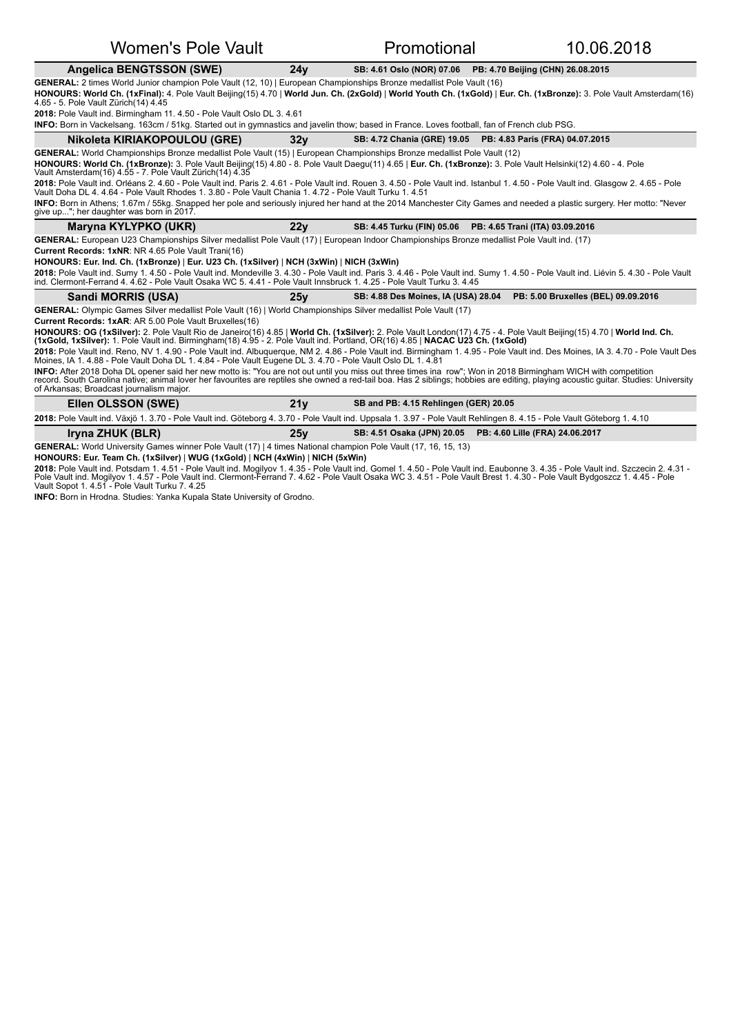### Angelica BENGTSSON (SWE) 24y SB: 4.61 Oslo (NOR) 07.06 PB: 4.70 Beijing (CHN) 26.08.2015

## **GENERAL:** 2 times World Junior champion Pole Vault (12, 10) | European Championships Bronze medallist Pole Vault (16)

HONOURS: World Ch. (1xFinal): 4. Pole Vault Beijing(15) 4.70 | World Jun. Ch. (2xGold) | World Youth Ch. (1xGold) | Eur. Ch. (1xBronze): 3. Pole Vault Amsterdam(16) 4.65 - 5. Pole Vault Zürich(14) 4.45

2018: Pole Vault ind. Birmingham 11. 4.50 - Pole Vault Oslo DL 3. 4.61

INFO: Born in Vackelsang. 163cm / 51kg. Started out in gymnastics and javelin thow; based in France. Loves football, fan of French club PSG.

| Nikoleta KIRIAKOPOULOU (GRE)                                                                                                                                                                                                                                                                                                                                                                     | 32 <sub>V</sub> |                                            | SB: 4.72 Chania (GRE) 19.05 PB: 4.83 Paris (FRA) 04.07.2015 |  |
|--------------------------------------------------------------------------------------------------------------------------------------------------------------------------------------------------------------------------------------------------------------------------------------------------------------------------------------------------------------------------------------------------|-----------------|--------------------------------------------|-------------------------------------------------------------|--|
| GENERAL: World Championships Bronze medallist Pole Vault (15)   European Championships Bronze medallist Pole Vault (12)                                                                                                                                                                                                                                                                          |                 |                                            |                                                             |  |
| HONOURS: World Ch. (1xBronze): 3. Pole Vault Beijing(15) 4.80 - 8. Pole Vault Daegu(11) 4.65   Eur. Ch. (1xBronze): 3. Pole Vault Helsinki(12) 4.60 - 4. Pole<br>Vault Amsterdam(16) 4.55 - 7. Pole Vault Zürich(14) 4.35                                                                                                                                                                        |                 |                                            |                                                             |  |
| 2018: Pole Vault ind. Orléans 2. 4.60 - Pole Vault ind. Paris 2. 4.61 - Pole Vault ind. Rouen 3. 4.50 - Pole Vault ind. Istanbul 1. 4.50 - Pole Vault ind. Glasgow 2. 4.65 - Pole<br>Vault Doha DL 4, 4.64 - Pole Vault Rhodes 1, 3.80 - Pole Vault Chania 1, 4.72 - Pole Vault Turku 1, 4.51                                                                                                    |                 |                                            |                                                             |  |
| INFO: Born in Athens; 1.67m / 55kg. Snapped her pole and seriously injured her hand at the 2014 Manchester City Games and needed a plastic surgery. Her motto: "Never<br>give up"; her daughter was born in 2017.                                                                                                                                                                                |                 |                                            |                                                             |  |
| Maryna KYLYPKO (UKR)                                                                                                                                                                                                                                                                                                                                                                             | 22v             |                                            | SB: 4.45 Turku (FIN) 05.06 PB: 4.65 Trani (ITA) 03.09.2016  |  |
| GENERAL: European U23 Championships Silver medallist Pole Vault (17)   European Indoor Championships Bronze medallist Pole Vault ind. (17)                                                                                                                                                                                                                                                       |                 |                                            |                                                             |  |
| <b>Current Records: 1xNR: NR 4.65 Pole Vault Trani(16)</b>                                                                                                                                                                                                                                                                                                                                       |                 |                                            |                                                             |  |
| HONOURS: Eur. Ind. Ch. (1xBronze)   Eur. U23 Ch. (1xSilver)   NCH (3xWin)   NICH (3xWin)                                                                                                                                                                                                                                                                                                         |                 |                                            |                                                             |  |
| 2018: Pole Vault ind. Sumy 1. 4.50 - Pole Vault ind. Mondeville 3. 4.30 - Pole Vault ind. Paris 3. 4.46 - Pole Vault ind. Sumy 1. 4.50 - Pole Vault ind. Liévin 5. 4.30 - Pole Vault<br>ind. Clermont-Ferrand 4, 4.62 - Pole Vault Osaka WC 5, 4.41 - Pole Vault Innsbruck 1, 4.25 - Pole Vault Turku 3, 4.45                                                                                    |                 |                                            |                                                             |  |
| Sandi MORRIS (USA)                                                                                                                                                                                                                                                                                                                                                                               | 25v             | <b>SB: 4.88 Des Moines, IA (USA) 28.04</b> | PB: 5.00 Bruxelles (BEL) 09.09.2016                         |  |
| GENERAL: Olympic Games Silver medallist Pole Vault (16)   World Championships Silver medallist Pole Vault (17)                                                                                                                                                                                                                                                                                   |                 |                                            |                                                             |  |
| <b>Current Records: 1xAR: AR 5.00 Pole Vault Bruxelles(16)</b>                                                                                                                                                                                                                                                                                                                                   |                 |                                            |                                                             |  |
| HONOURS: OG (1xSilver): 2. Pole Vault Rio de Janeiro(16) 4.85   World Ch. (1xSilver): 2. Pole Vault London(17) 4.75 - 4. Pole Vault Beijing(15) 4.70   World Ind. Ch.<br>(1xGold, 1xSilver): 1. Pole Vault ind. Birmingham(18) 4.95 - 2. Pole Vault ind. Portland, OR(16) 4.85   NACAC U23 Ch. (1xGold)                                                                                          |                 |                                            |                                                             |  |
| 2018: Pole Vault ind. Reno, NV 1.4.90 - Pole Vault ind. Albuquerque, NM 2.4.86 - Pole Vault ind. Birmingham 1.4.95 - Pole Vault ind. Des Moines, IA 3.4.70 - Pole Vault Des<br>Moines, IA 1, 4.88 - Pole Vault Doha DL 1, 4.84 - Pole Vault Eugene DL 3, 4.70 - Pole Vault Oslo DL 1, 4.81                                                                                                       |                 |                                            |                                                             |  |
| INFO: After 2018 Doha DL opener said her new motto is: "You are not out until you miss out three times ina row"; Won in 2018 Birmingham WICH with competition<br>record. South Carolina native; animal lover her favourites are reptiles she owned a red-tail boa. Has 2 siblings; hobbies are editing, playing acoustic guitar. Studies: University<br>of Arkansas; Broadcast journalism major. |                 |                                            |                                                             |  |
| Ellen OLSSON (SWE)                                                                                                                                                                                                                                                                                                                                                                               | 21v             | SB and PB: 4.15 Rehlingen (GER) 20.05      |                                                             |  |

2018: Pole Vault ind. Växjö 1. 3.70 - Pole Vault ind. Göteborg 4. 3.70 - Pole Vault ind. Uppsala 1. 3.97 - Pole Vault Rehlingen 8. 4.15 - Pole Vault Göteborg 1. 4.10

**Iryna ZHUK (BLR)** 25y SB: 4.51 Osaka (JPN) 20.05 PB: 4.60 Lille (FRA) 24.06.2017

GENERAL: World University Games winner Pole Vault (17) | 4 times National champion Pole Vault (17, 16, 15, 13)

**HONOURS: Eur. Team Ch. (1xSilver)** | **WUG (1xGold)** | **NCH (4xWin)** | **NICH (5xWin)**

**2018:** Pole Vault ind. Potsdam 1. 4.51 - Pole Vault ind. Mogilyov 1. 4.35 - Pole Vault ind. Gomel 1. 4.50 - Pole Vault ind. Eaubonne 3. 4.35 - Pole Vault ind. Szczecin 2. 4.31 -<br>Pole Vault ind. Mogilyov 1. 4.57 - Pole Vau

**INFO:** Born in Hrodna. Studies: Yanka Kupala State University of Grodno.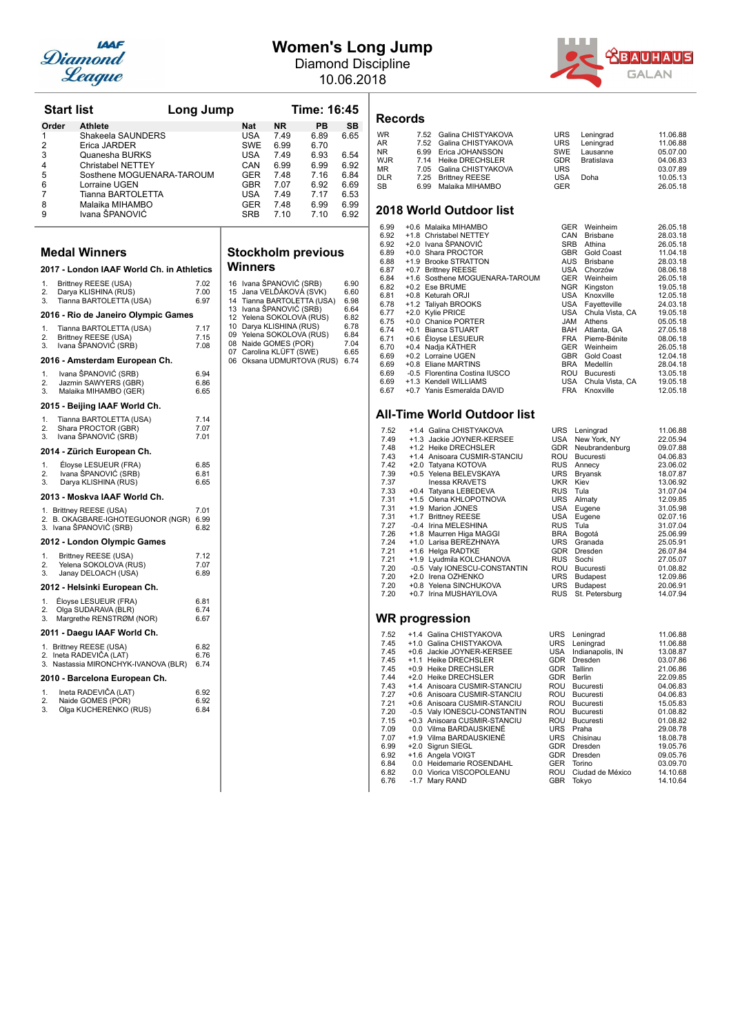

## **Women's Long Jump**

Diamond Discipline 10.06.2018



| <b>Start list</b>                                               |                                                              | Long Jump    |          |                          | Time: 16:45                                      |                                |              |
|-----------------------------------------------------------------|--------------------------------------------------------------|--------------|----------|--------------------------|--------------------------------------------------|--------------------------------|--------------|
|                                                                 | Order<br><b>Athlete</b>                                      |              |          | Nat                      | <b>NR</b>                                        | PB                             | <b>SB</b>    |
| 1                                                               | Shakeela SAUNDERS                                            |              |          | USA                      | 7.49                                             | 6.89                           | 6.65         |
| 2<br>3                                                          | Erica JARDER<br>Quanesha BURKS                               |              |          | <b>SWE</b><br><b>USA</b> | 6.99<br>7.49                                     | 6.70<br>6.93                   | 6.54         |
| 4                                                               | <b>Christabel NETTEY</b>                                     |              |          | CAN                      | 6.99                                             | 6.99                           | 6.92         |
| 5                                                               | Sosthene MOGUENARA-TAROUM                                    |              |          | GER                      | 7.48                                             | 7.16                           | 6.84         |
| 6                                                               | Lorraine UGEN                                                |              |          | <b>GBR</b>               | 7.07                                             | 6.92                           | 6.69         |
| 7                                                               | Tianna BARTOLETTA                                            |              |          | USA                      | 7.49                                             | 7.17                           | 6.53         |
| 8<br>9                                                          | Malaika MIHAMBO<br>Ivana ŠPANOVIĆ                            |              |          | GER<br><b>SRB</b>        | 7.48<br>7.10                                     | 6.99<br>7.10                   | 6.99<br>6.92 |
|                                                                 |                                                              |              |          |                          |                                                  |                                |              |
|                                                                 | <b>Medal Winners</b>                                         |              |          |                          |                                                  | <b>Stockholm previous</b>      |              |
|                                                                 | 2017 - London IAAF World Ch. in Athletics                    |              |          | Winners                  |                                                  |                                |              |
| 1.                                                              | Brittney REESE (USA)                                         | 7.02         |          |                          | 16 Ivana ŠPANOVIĆ (SRB)                          |                                | 6.90         |
| 2.<br>3.                                                        | Darya KLISHINA (RUS)<br>Tianna BARTOLETTA (USA)              | 7.00<br>6.97 | 15<br>14 |                          | Jana VELĎÁKOVÁ (SVK)                             | Tianna BARTOLETTA (USA)        | 6.60<br>6.98 |
|                                                                 |                                                              |              |          |                          | 13 Ivana SPANOVIC (SRB)                          |                                | 6.64         |
|                                                                 | 2016 - Rio de Janeiro Olympic Games                          |              | 12       |                          | Yelena SOKOLOVA (RUS)<br>10 Darya KLISHINA (RUS) |                                | 6.82<br>6.78 |
| 1.<br>2.                                                        | Tianna BARTOLETTA (USA)<br>Brittney REESE (USA)              | 7.17<br>7.15 | 09       |                          | Yelena SOKOLOVA (RUS)                            |                                | 6.84         |
| 3.                                                              | Ivana ŠPANOVIĆ (SRB)                                         | 7.08         |          |                          | 08 Naide GOMES (POR)                             |                                | 7.04         |
|                                                                 | 2016 - Amsterdam European Ch.                                |              |          |                          | 07 Carolina KLÜFT (SWE)                          | 06 Oksana UDMURTOVA (RUS) 6.74 | 6.65         |
| 1.                                                              | Ivana ŠPANOVIĆ (SRB)                                         | 6.94         |          |                          |                                                  |                                |              |
| 2.                                                              | Jazmin SAWYERS (GBR)                                         | 6.86         |          |                          |                                                  |                                |              |
| 3.                                                              | Malaika MIHAMBO (GER)                                        | 6.65         |          |                          |                                                  |                                |              |
|                                                                 | 2015 - Beijing IAAF World Ch.                                |              |          |                          |                                                  |                                |              |
| 1.<br>2.                                                        | Tianna BARTOLETTA (USA)<br>Shara PROCTOR (GBR)               | 7.14<br>7.07 |          |                          |                                                  |                                |              |
| 3.                                                              | Ivana SPANOVIC (SRB)                                         | 7.01         |          |                          |                                                  |                                |              |
|                                                                 | 2014 - Zürich European Ch.                                   |              |          |                          |                                                  |                                |              |
| 1.                                                              | Éloyse LESUEUR (FRA)                                         | 6.85         |          |                          |                                                  |                                |              |
| 2.<br>3.                                                        | Ivana ŠPANOVIĆ (SRB)<br>Darya KLISHINA (RUS)                 | 6.81<br>6.65 |          |                          |                                                  |                                |              |
|                                                                 | 2013 - Moskva IAAF World Ch.                                 |              |          |                          |                                                  |                                |              |
|                                                                 | 1. Brittney REESE (USA)                                      | 7.01         |          |                          |                                                  |                                |              |
|                                                                 | 2. B. OKAGBARE-IGHOTEGUONOR (NGR)<br>3. Ivana SPANOVIC (SRB) | 6.99<br>6.82 |          |                          |                                                  |                                |              |
|                                                                 | 2012 - London Olympic Games                                  |              |          |                          |                                                  |                                |              |
| 1.                                                              | Brittney REESE (USA)                                         | 7.12         |          |                          |                                                  |                                |              |
| 2.                                                              | Yelena SOKOLOVA (RUS)                                        | 7.07         |          |                          |                                                  |                                |              |
| 3                                                               | Janay DELOACH (USA)                                          | 6.89         |          |                          |                                                  |                                |              |
|                                                                 | 2012 - Helsinki European Ch.                                 |              |          |                          |                                                  |                                |              |
| 1.<br>2.                                                        | Eloyse LESUEUR (FRA)<br>Olga SUDARAVA (BLR)                  | 6.81<br>6.74 |          |                          |                                                  |                                |              |
| 3.                                                              | Margrethe RENSTRØM (NOR)                                     | 6.67         |          |                          |                                                  |                                |              |
|                                                                 | 2011 - Daegu IAAF World Ch.                                  |              |          |                          |                                                  |                                |              |
|                                                                 | 1. Brittney REESE (USA)                                      | 6.82         |          |                          |                                                  |                                |              |
| 2. Ineta RADEVIĈA (LAT)<br>3. Nastassia MIRONCHYK-IVANOVA (BLR) |                                                              | 6.76<br>6.74 |          |                          |                                                  |                                |              |
|                                                                 | 2010 - Barcelona European Ch.                                |              |          |                          |                                                  |                                |              |
| 1.                                                              | Ineta RADEVIĈA (LAT)                                         | 6.92         |          |                          |                                                  |                                |              |
| 2.                                                              | Naide GOMES (POR)                                            | 6.92         |          |                          |                                                  |                                |              |
| 3.                                                              | Olga KUCHERENKO (RUS)                                        | 6.84         |          |                          |                                                  |                                |              |
|                                                                 |                                                              |              |          |                          |                                                  |                                |              |

## **Solm** previous

|                                                          | vvinners                                                                                                                                                                                                                                         |                                                                              |
|----------------------------------------------------------|--------------------------------------------------------------------------------------------------------------------------------------------------------------------------------------------------------------------------------------------------|------------------------------------------------------------------------------|
| 16<br>15<br>14<br>13<br>12<br>10<br>09<br>80<br>07<br>06 | Ivana ŠPANOVIĆ (SRB)<br>Jana VELĎÁKOVÁ (SVK)<br>Tianna BARTOLETTA (USA)<br>Ivana ŠPANOVIĆ (SRB)<br>Yelena SOKOLOVA (RUS)<br>Darya KLISHINA (RUS)<br>Yelena SOKOLOVA (RUS)<br>Naide GOMES (POR)<br>Carolina KLÜFT (SWE)<br>Oksana UDMURTOVA (RUS) | 6.90<br>6.60<br>6.98<br>6.64<br>6.82<br>6.78<br>6.84<br>7.04<br>6.65<br>6.74 |
|                                                          |                                                                                                                                                                                                                                                  |                                                                              |
|                                                          |                                                                                                                                                                                                                                                  |                                                                              |
|                                                          |                                                                                                                                                                                                                                                  |                                                                              |
|                                                          |                                                                                                                                                                                                                                                  |                                                                              |
|                                                          |                                                                                                                                                                                                                                                  |                                                                              |

### **Records**

# WR 7.52 Galina CHISTYAKOVA URS Leningrad 11.06.88<br>
AR 7.52 Galina CHISTYAKOVA URS Leningrad 11.06.88<br>
AR 6.99 Erica JOHANSSON SWE Lausanne 05.07.00<br>
WJR 7.14 Heike DRECHSLER GDR Bratislava 04.06.83<br>
MR 7.05 Galina CHISTYAK

### **2018 World Outdoor list**

| 6.99 |        | +0.6 Malaika MIHAMBO           | <b>GER</b> | Weinheim        | 26.05.18 |
|------|--------|--------------------------------|------------|-----------------|----------|
| 6.92 |        | +1.8 Christabel NETTEY         | CAN        | <b>Brisbane</b> | 28.03.18 |
| 6.92 |        | +2.0 Ivana ŠPANOVIĆ            | <b>SRB</b> | Athina          | 26.05.18 |
| 6.89 |        | +0.0 Shara PROCTOR             | <b>GBR</b> | Gold Coast      | 11.04.18 |
| 6.88 | $+1.9$ | <b>Brooke STRATTON</b>         | AUS        | <b>Brisbane</b> | 28.03.18 |
| 6.87 |        | +0.7 Brittney REESE            | USA        | Chorzów         | 08.06.18 |
| 6.84 |        | +1.6 Sosthene MOGUENARA-TAROUM | <b>GER</b> | Weinheim        | 26.05.18 |
| 6.82 |        | +0.2 Ese BRUME                 | <b>NGR</b> | Kingston        | 19.05.18 |
| 6.81 |        | +0.8 Keturah ORJI              | <b>USA</b> | Knoxville       | 12.05.18 |
| 6.78 |        | +1.2 Taliyah BROOKS            | USA        | Fayetteville    | 24.03.18 |
| 6.77 |        | +2.0 Kylie PRICE               | <b>USA</b> | Chula Vista, CA | 19.05.18 |
| 6.75 |        | +0.0 Chanice PORTER            | <b>JAM</b> | Athens          | 05.05.18 |
| 6.74 | $+0.1$ | <b>Bianca STUART</b>           | BAH        | Atlanta. GA     | 27.05.18 |
| 6.71 |        | +0.6 Éloyse LESUEUR            | <b>FRA</b> | Pierre-Bénite   | 08.06.18 |
| 6.70 |        | +0.4 Nadja KÄTHER              | <b>GER</b> | Weinheim        | 26.05.18 |
| 6.69 |        | +0.2 Lorraine UGEN             | <b>GBR</b> | Gold Coast      | 12.04.18 |
| 6.69 |        | +0.8 Eliane MARTINS            | <b>BRA</b> | Medellín        | 28.04.18 |
| 6.69 |        | -0.5 Florentina Costina IUSCO  | <b>ROU</b> | Bucuresti       | 13.05.18 |
| 6.69 |        | +1.3 Kendell WILLIAMS          | <b>USA</b> | Chula Vista, CA | 19.05.18 |
| 6.67 |        | +0.7 Yanis Esmeralda DAVID     | <b>FRA</b> | Knoxville       | 12.05.18 |

### **All-Time World Outdoor list**

| 7.52 |        | +1.4 Galina CHISTYAKOVA      | URS        | Leningrad        | 11.06.88 |
|------|--------|------------------------------|------------|------------------|----------|
| 7.49 |        | +1.3 Jackie JOYNER-KERSEE    | USA        | New York, NY     | 22.05.94 |
| 7.48 |        | +1.2 Heike DRECHSLER         | <b>GDR</b> | Neubrandenburg   | 09.07.88 |
| 7.43 |        | +1.4 Anisoara CUSMIR-STANCIU | ROU        | <b>Bucuresti</b> | 04.06.83 |
| 7.42 |        | +2.0 Tatyana KOTOVA          | <b>RUS</b> | Annecy           | 23.06.02 |
| 7.39 |        | +0.5 Yelena BELEVSKAYA       | <b>URS</b> | Bryansk          | 18.07.87 |
| 7.37 |        | Inessa KRAVETS               | <b>UKR</b> | Kiev             | 13.06.92 |
| 7.33 |        | +0.4 Tatyana LEBEDEVA        | <b>RUS</b> | Tula             | 31.07.04 |
| 7.31 |        | +1.5 Olena KHLOPOTNOVA       | <b>URS</b> | Almaty           | 12.09.85 |
| 7.31 |        | +1.9 Marion JONES            | USA        | Eugene           | 31.05.98 |
| 7.31 |        | +1.7 Brittney REESE          | USA        | Eugene           | 02.07.16 |
| 7.27 |        | -0.4 Irina MELESHINA         | <b>RUS</b> | Tula             | 31.07.04 |
| 7.26 |        | +1.8 Maurren Higa MAGGI      | <b>BRA</b> | Bogotá           | 25.06.99 |
| 7.24 |        | +1.0 Larisa BEREZHNAYA       | <b>URS</b> | Granada          | 25.05.91 |
| 7.21 |        | +1.6 Helga RADTKE            | <b>GDR</b> | Dresden          | 26.07.84 |
| 7.21 |        | +1.9 Lyudmila KOLCHANOVA     | <b>RUS</b> | Sochi            | 27.05.07 |
| 7.20 |        | -0.5 Valy IONESCU-CONSTANTIN | ROU        | Bucuresti        | 01.08.82 |
| 7.20 |        | +2.0 Irena OZHENKO           | <b>URS</b> | Budapest         | 12.09.86 |
| 7.20 |        | +0.8 Yelena SINCHUKOVA       | <b>URS</b> | Budapest         | 20.06.91 |
| 7.20 | $+0.7$ | Irina MUSHAYILOVA            | <b>RUS</b> | St. Petersburg   | 14.07.94 |
|      |        |                              |            |                  |          |
|      |        |                              |            |                  |          |

| 7.52 | +1.4 Galina CHISTYAKOVA      | <b>URS</b> | Leningrad        | 11.06.88 |
|------|------------------------------|------------|------------------|----------|
| 7.45 | +1.0 Galina CHISTYAKOVA      | <b>URS</b> | Leningrad        | 11.06.88 |
| 7.45 | +0.6 Jackie JOYNER-KERSEE    | USA        | Indianapolis, IN | 13.08.87 |
| 7.45 | +1.1 Heike DRECHSLER         | <b>GDR</b> | Dresden          | 03.07.86 |
| 7.45 | +0.9 Heike DRECHSLER         | <b>GDR</b> | Tallinn          | 21.06.86 |
| 7.44 | +2.0 Heike DRECHSLER         | <b>GDR</b> | Berlin           | 22.09.85 |
| 7.43 | +1.4 Anisoara CUSMIR-STANCIU | ROU        | Bucuresti        | 04.06.83 |
| 7.27 | +0.6 Anisoara CUSMIR-STANCIU | <b>ROU</b> | Bucuresti        | 04.06.83 |
| 7.21 | +0.6 Anisoara CUSMIR-STANCIU | ROU        | <b>Bucuresti</b> | 15.05.83 |
| 7.20 | -0.5 Valy IONESCU-CONSTANTIN | ROU        | Bucuresti        | 01.08.82 |
| 7.15 | +0.3 Anisoara CUSMIR-STANCIU | <b>ROU</b> | Bucuresti        | 01.08.82 |
| 7.09 | 0.0 Vilma BARDAUSKIENÉ       | <b>URS</b> | Praha            | 29.08.78 |
| 7.07 | +1.9 Vilma BARDAUSKIENÉ      | URS        | Chisinau         | 18.08.78 |
| 6.99 | +2.0 Sigrun SIEGL            | <b>GDR</b> | <b>Dresden</b>   | 19.05.76 |
| 6.92 | +1.6 Angela VOIGT            | <b>GDR</b> | Dresden          | 09.05.76 |
| 6.84 | 0.0 Heidemarie ROSENDAHL     | <b>GER</b> | Torino           | 03.09.70 |
| 6.82 | 0.0 Viorica VISCOPOLEANU     | ROU        | Ciudad de México | 14.10.68 |
| 6.76 | -1.7 Mary RAND               | <b>GBR</b> | Tokyo            | 14.10.64 |
|      |                              |            |                  |          |